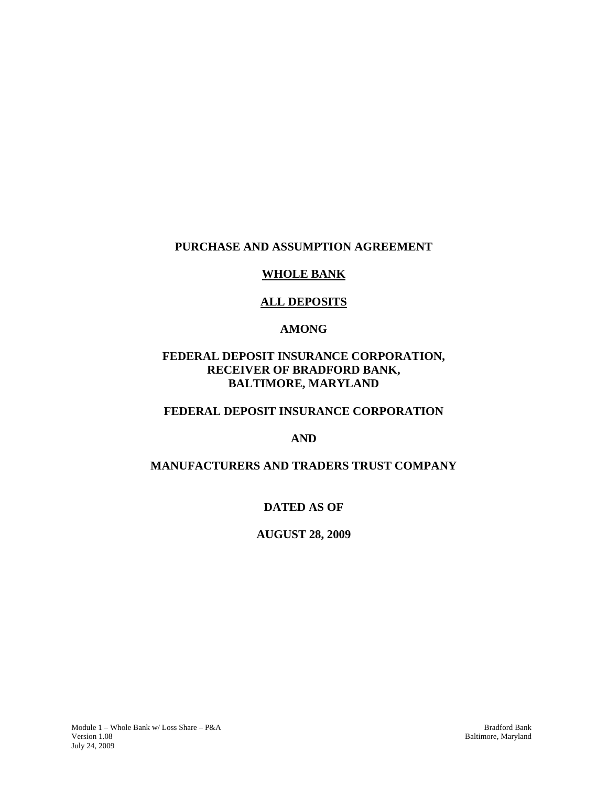### **PURCHASE AND ASSUMPTION AGREEMENT**

### **WHOLE BANK**

### **ALL DEPOSITS**

## **AMONG**

### **FEDERAL DEPOSIT INSURANCE CORPORATION, RECEIVER OF BRADFORD BANK, BALTIMORE, MARYLAND**

## **FEDERAL DEPOSIT INSURANCE CORPORATION**

### **AND**

### **MANUFACTURERS AND TRADERS TRUST COMPANY**

**DATED AS OF**

### **AUGUST 28, 2009**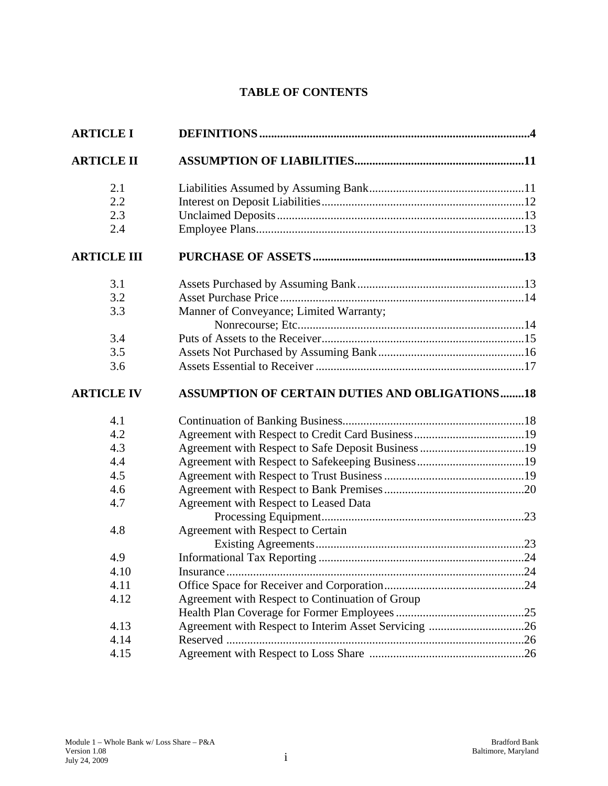## **TABLE OF CONTENTS**

| <b>ARTICLE I</b>   |                                                       |  |
|--------------------|-------------------------------------------------------|--|
| <b>ARTICLE II</b>  |                                                       |  |
| 2.1                |                                                       |  |
| 2.2                |                                                       |  |
| 2.3                |                                                       |  |
| 2.4                |                                                       |  |
| <b>ARTICLE III</b> |                                                       |  |
| 3.1                |                                                       |  |
| 3.2                |                                                       |  |
| 3.3                | Manner of Conveyance; Limited Warranty;               |  |
|                    |                                                       |  |
| 3.4                |                                                       |  |
| 3.5                |                                                       |  |
| 3.6                |                                                       |  |
| <b>ARTICLE IV</b>  | <b>ASSUMPTION OF CERTAIN DUTIES AND OBLIGATIONS18</b> |  |
| 4.1                |                                                       |  |
| 4.2                |                                                       |  |
| 4.3                |                                                       |  |
| 4.4                |                                                       |  |
| 4.5                |                                                       |  |
| 4.6                |                                                       |  |
| 4.7                | Agreement with Respect to Leased Data                 |  |
|                    |                                                       |  |
| 4.8                | Agreement with Respect to Certain                     |  |
|                    |                                                       |  |
| 4.9                |                                                       |  |
| 4.10               |                                                       |  |
| 4.11               |                                                       |  |
| 4.12               | Agreement with Respect to Continuation of Group       |  |
|                    |                                                       |  |
| 4.13               | Agreement with Respect to Interim Asset Servicing 26  |  |
| 4.14               |                                                       |  |
| 4.15               |                                                       |  |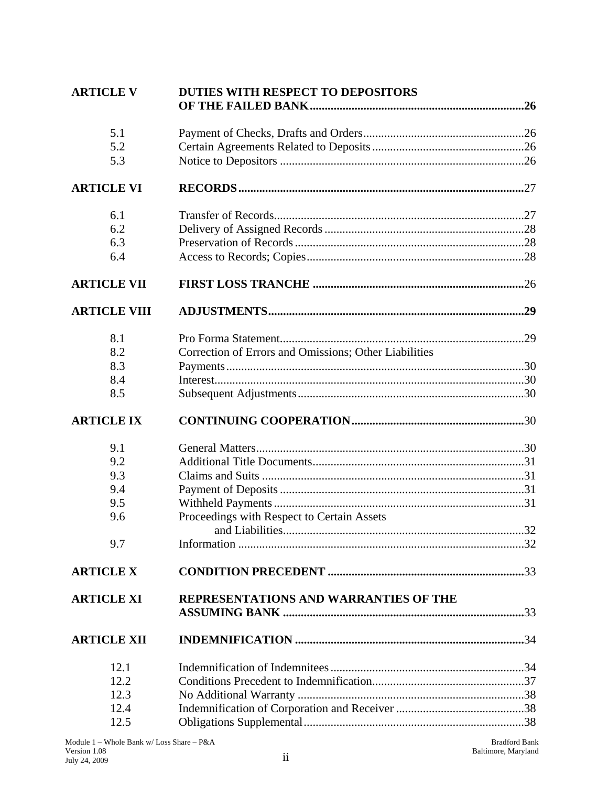| <b>ARTICLE V</b>    | <b>DUTIES WITH RESPECT TO DEPOSITORS</b>              |  |
|---------------------|-------------------------------------------------------|--|
|                     |                                                       |  |
|                     |                                                       |  |
| 5.1                 |                                                       |  |
| 5.2                 |                                                       |  |
| 5.3                 |                                                       |  |
| <b>ARTICLE VI</b>   |                                                       |  |
| 6.1                 |                                                       |  |
| 6.2                 |                                                       |  |
| 6.3                 |                                                       |  |
| 6.4                 |                                                       |  |
| <b>ARTICLE VII</b>  |                                                       |  |
| <b>ARTICLE VIII</b> |                                                       |  |
| 8.1                 |                                                       |  |
| 8.2                 | Correction of Errors and Omissions; Other Liabilities |  |
| 8.3                 |                                                       |  |
| 8.4                 |                                                       |  |
| 8.5                 |                                                       |  |
| <b>ARTICLE IX</b>   |                                                       |  |
| 9.1                 |                                                       |  |
| 9.2                 |                                                       |  |
| 9.3                 |                                                       |  |
| 9.4                 |                                                       |  |
| 9.5                 |                                                       |  |
| 9.6                 | Proceedings with Respect to Certain Assets            |  |
|                     |                                                       |  |
| 9.7                 |                                                       |  |
| <b>ARTICLE X</b>    |                                                       |  |
| <b>ARTICLE XI</b>   | <b>REPRESENTATIONS AND WARRANTIES OF THE</b>          |  |
| <b>ARTICLE XII</b>  |                                                       |  |
| 12.1                |                                                       |  |
| 12.2                |                                                       |  |
| 12.3                |                                                       |  |
| 12.4                |                                                       |  |
| 12.5                |                                                       |  |
|                     |                                                       |  |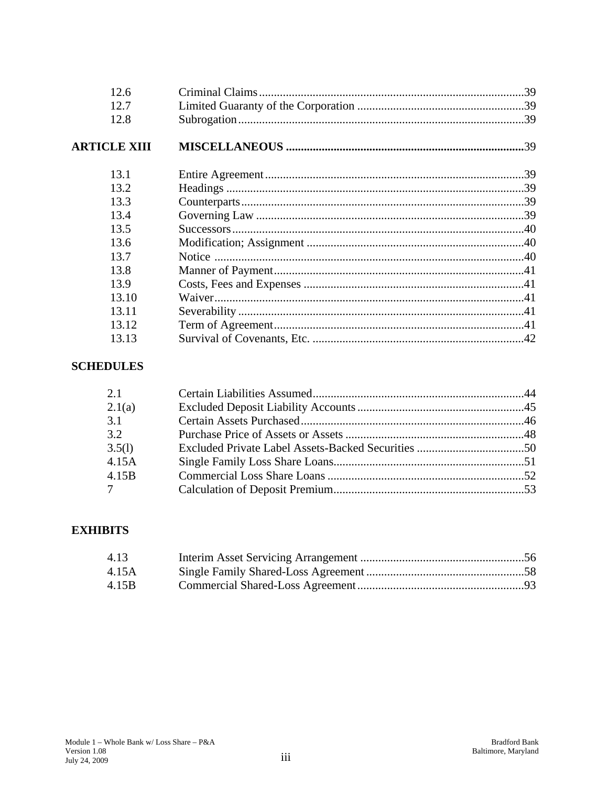| 12.6                |  |
|---------------------|--|
| 12.7                |  |
| 12.8                |  |
| <b>ARTICLE XIII</b> |  |
| 13.1                |  |
| 13.2                |  |
| 13.3                |  |
| 13.4                |  |
| 13.5                |  |
| 13.6                |  |
| 13.7                |  |
| 13.8                |  |
| 13.9                |  |
| 13.10               |  |
| 13.11               |  |
| 13.12               |  |
| 13.13               |  |

## **SCHEDULES**

| 2.1             |  |
|-----------------|--|
| 2.1(a)          |  |
| 3.1             |  |
| 3.2             |  |
| 3.5(l)          |  |
| 4.15A           |  |
| 4.15B           |  |
| $7\overline{ }$ |  |

## **EXHIBITS**

| 4.13  |  |
|-------|--|
| 4.15A |  |
| 4.15B |  |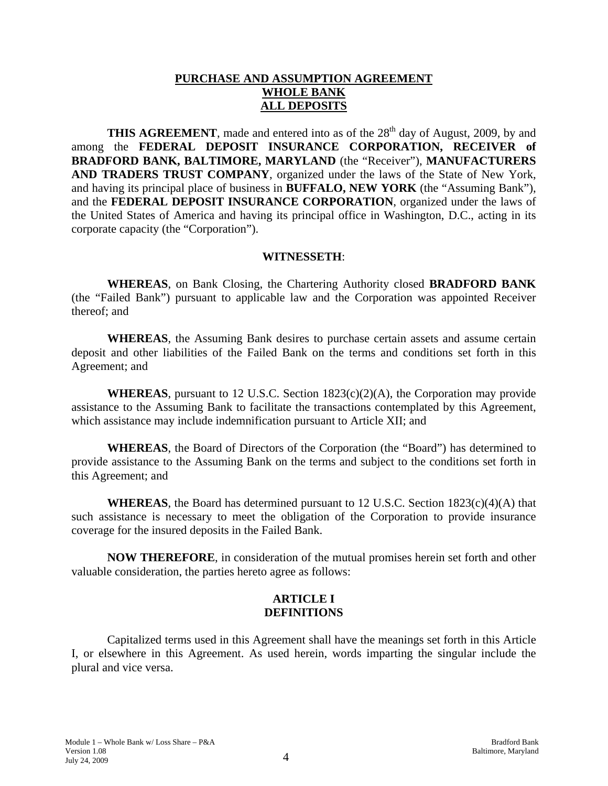### **PURCHASE AND ASSUMPTION AGREEMENT WHOLE BANK ALL DEPOSITS**

**THIS AGREEMENT**, made and entered into as of the  $28<sup>th</sup>$  day of August, 2009, by and among the **FEDERAL DEPOSIT INSURANCE CORPORATION, RECEIVER of BRADFORD BANK, BALTIMORE, MARYLAND** (the "Receiver"), **MANUFACTURERS AND TRADERS TRUST COMPANY**, organized under the laws of the State of New York, and having its principal place of business in **BUFFALO, NEW YORK** (the "Assuming Bank"), and the **FEDERAL DEPOSIT INSURANCE CORPORATION**, organized under the laws of the United States of America and having its principal office in Washington, D.C., acting in its corporate capacity (the "Corporation").

#### **WITNESSETH**:

**WHEREAS**, on Bank Closing, the Chartering Authority closed **BRADFORD BANK**  (the "Failed Bank") pursuant to applicable law and the Corporation was appointed Receiver thereof; and

**WHEREAS**, the Assuming Bank desires to purchase certain assets and assume certain deposit and other liabilities of the Failed Bank on the terms and conditions set forth in this Agreement; and

**WHEREAS**, pursuant to 12 U.S.C. Section  $1823(c)(2)(A)$ , the Corporation may provide assistance to the Assuming Bank to facilitate the transactions contemplated by this Agreement, which assistance may include indemnification pursuant to Article XII; and

**WHEREAS**, the Board of Directors of the Corporation (the "Board") has determined to provide assistance to the Assuming Bank on the terms and subject to the conditions set forth in this Agreement; and

**WHEREAS**, the Board has determined pursuant to 12 U.S.C. Section 1823(c)(4)(A) that such assistance is necessary to meet the obligation of the Corporation to provide insurance coverage for the insured deposits in the Failed Bank.

**NOW THEREFORE**, in consideration of the mutual promises herein set forth and other valuable consideration, the parties hereto agree as follows:

#### **ARTICLE I DEFINITIONS**

Capitalized terms used in this Agreement shall have the meanings set forth in this Article I, or elsewhere in this Agreement. As used herein, words imparting the singular include the plural and vice versa.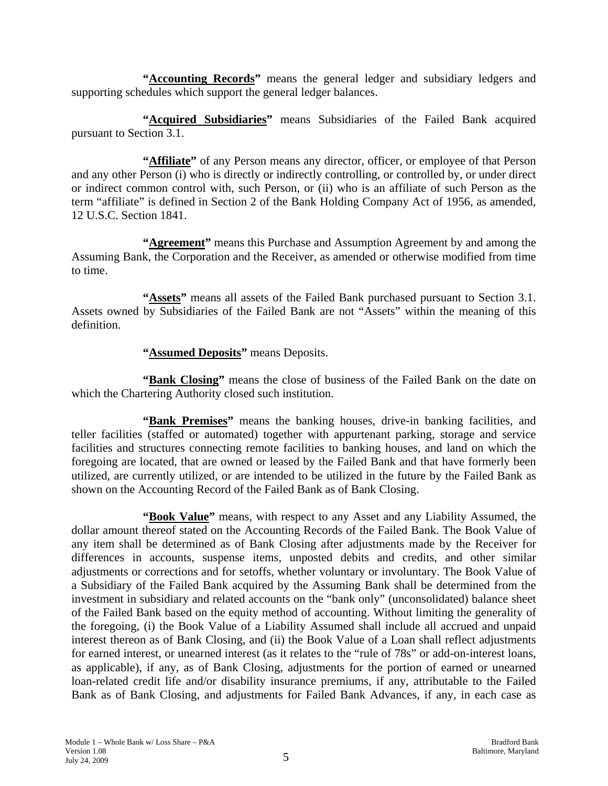"**Accounting Records**" means the general ledger and subsidiary ledgers and supporting schedules which support the general ledger balances.

**"Acquired Subsidiaries"** means Subsidiaries of the Failed Bank acquired pursuant to Section 3.1.

"**Affiliate**" of any Person means any director, officer, or employee of that Person and any other Person (i) who is directly or indirectly controlling, or controlled by, or under direct or indirect common control with, such Person, or (ii) who is an affiliate of such Person as the term "affiliate" is defined in Section 2 of the Bank Holding Company Act of 1956, as amended, 12 U.S.C. Section 1841.

**"Agreement"** means this Purchase and Assumption Agreement by and among the Assuming Bank, the Corporation and the Receiver, as amended or otherwise modified from time to time.

**"Assets"** means all assets of the Failed Bank purchased pursuant to Section 3.1. Assets owned by Subsidiaries of the Failed Bank are not "Assets" within the meaning of this definition.

**"Assumed Deposits"** means Deposits.

**"Bank Closing"** means the close of business of the Failed Bank on the date on which the Chartering Authority closed such institution.

**"Bank Premises"** means the banking houses, drive-in banking facilities, and teller facilities (staffed or automated) together with appurtenant parking, storage and service facilities and structures connecting remote facilities to banking houses, and land on which the foregoing are located, that are owned or leased by the Failed Bank and that have formerly been utilized, are currently utilized, or are intended to be utilized in the future by the Failed Bank as shown on the Accounting Record of the Failed Bank as of Bank Closing.

**"Book Value"** means, with respect to any Asset and any Liability Assumed, the dollar amount thereof stated on the Accounting Records of the Failed Bank. The Book Value of any item shall be determined as of Bank Closing after adjustments made by the Receiver for differences in accounts, suspense items, unposted debits and credits, and other similar adjustments or corrections and for setoffs, whether voluntary or involuntary. The Book Value of a Subsidiary of the Failed Bank acquired by the Assuming Bank shall be determined from the investment in subsidiary and related accounts on the "bank only" (unconsolidated) balance sheet of the Failed Bank based on the equity method of accounting. Without limiting the generality of the foregoing, (i) the Book Value of a Liability Assumed shall include all accrued and unpaid interest thereon as of Bank Closing, and (ii) the Book Value of a Loan shall reflect adjustments for earned interest, or unearned interest (as it relates to the "rule of 78s" or add-on-interest loans, as applicable), if any, as of Bank Closing, adjustments for the portion of earned or unearned loan-related credit life and/or disability insurance premiums, if any, attributable to the Failed Bank as of Bank Closing, and adjustments for Failed Bank Advances, if any, in each case as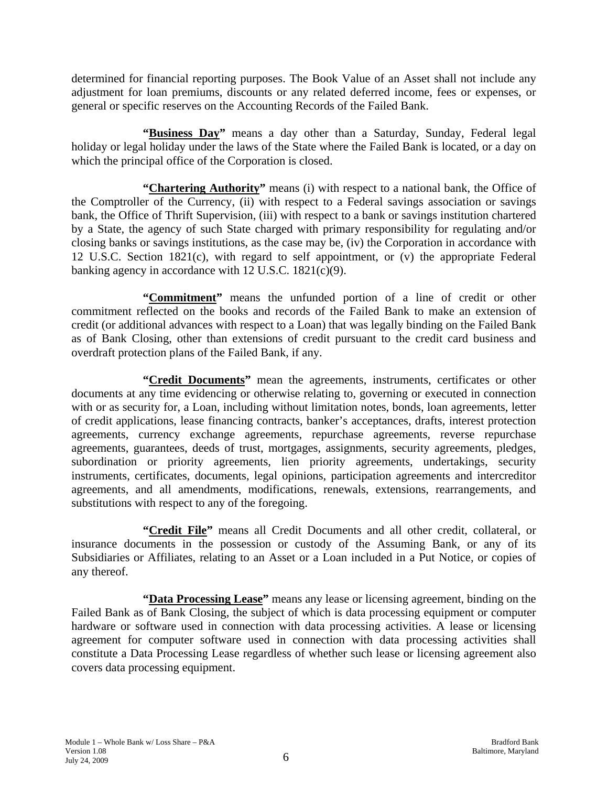determined for financial reporting purposes. The Book Value of an Asset shall not include any adjustment for loan premiums, discounts or any related deferred income, fees or expenses, or general or specific reserves on the Accounting Records of the Failed Bank.

**"Business Day"** means a day other than a Saturday, Sunday, Federal legal holiday or legal holiday under the laws of the State where the Failed Bank is located, or a day on which the principal office of the Corporation is closed.

**"Chartering Authority"** means (i) with respect to a national bank, the Office of the Comptroller of the Currency, (ii) with respect to a Federal savings association or savings bank, the Office of Thrift Supervision, (iii) with respect to a bank or savings institution chartered by a State, the agency of such State charged with primary responsibility for regulating and/or closing banks or savings institutions, as the case may be, (iv) the Corporation in accordance with 12 U.S.C. Section 1821(c), with regard to self appointment, or (v) the appropriate Federal banking agency in accordance with 12 U.S.C. 1821(c)(9).

**"Commitment"** means the unfunded portion of a line of credit or other commitment reflected on the books and records of the Failed Bank to make an extension of credit (or additional advances with respect to a Loan) that was legally binding on the Failed Bank as of Bank Closing, other than extensions of credit pursuant to the credit card business and overdraft protection plans of the Failed Bank, if any.

**"Credit Documents"** mean the agreements, instruments, certificates or other documents at any time evidencing or otherwise relating to, governing or executed in connection with or as security for, a Loan, including without limitation notes, bonds, loan agreements, letter of credit applications, lease financing contracts, banker's acceptances, drafts, interest protection agreements, currency exchange agreements, repurchase agreements, reverse repurchase agreements, guarantees, deeds of trust, mortgages, assignments, security agreements, pledges, subordination or priority agreements, lien priority agreements, undertakings, security instruments, certificates, documents, legal opinions, participation agreements and intercreditor agreements, and all amendments, modifications, renewals, extensions, rearrangements, and substitutions with respect to any of the foregoing.

**"Credit File"** means all Credit Documents and all other credit, collateral, or insurance documents in the possession or custody of the Assuming Bank, or any of its Subsidiaries or Affiliates, relating to an Asset or a Loan included in a Put Notice, or copies of any thereof.

**"Data Processing Lease"** means any lease or licensing agreement, binding on the Failed Bank as of Bank Closing, the subject of which is data processing equipment or computer hardware or software used in connection with data processing activities. A lease or licensing agreement for computer software used in connection with data processing activities shall constitute a Data Processing Lease regardless of whether such lease or licensing agreement also covers data processing equipment.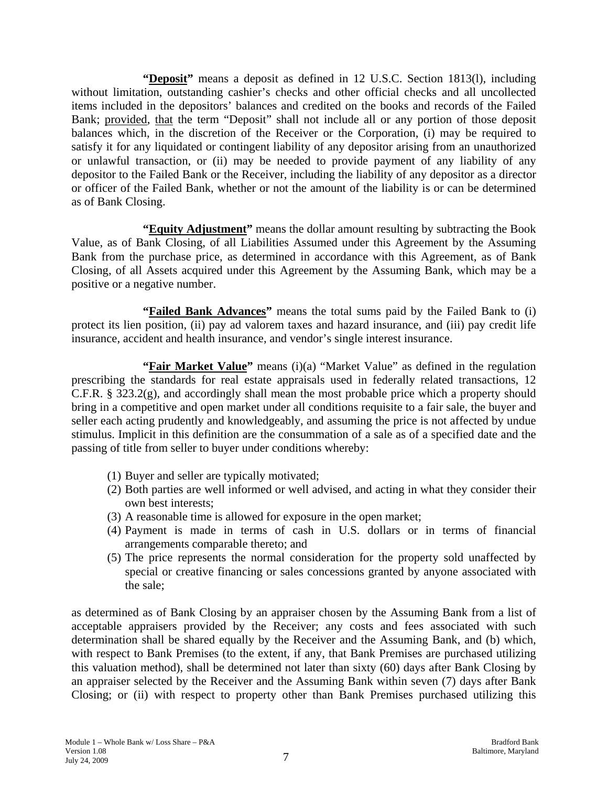"Deposit" means a deposit as defined in 12 U.S.C. Section 1813(l), including without limitation, outstanding cashier's checks and other official checks and all uncollected items included in the depositors' balances and credited on the books and records of the Failed Bank; provided, that the term "Deposit" shall not include all or any portion of those deposit balances which, in the discretion of the Receiver or the Corporation, (i) may be required to satisfy it for any liquidated or contingent liability of any depositor arising from an unauthorized or unlawful transaction, or (ii) may be needed to provide payment of any liability of any depositor to the Failed Bank or the Receiver, including the liability of any depositor as a director or officer of the Failed Bank, whether or not the amount of the liability is or can be determined as of Bank Closing.

**"Equity Adjustment"** means the dollar amount resulting by subtracting the Book Value, as of Bank Closing, of all Liabilities Assumed under this Agreement by the Assuming Bank from the purchase price, as determined in accordance with this Agreement, as of Bank Closing, of all Assets acquired under this Agreement by the Assuming Bank, which may be a positive or a negative number.

**"Failed Bank Advances"** means the total sums paid by the Failed Bank to (i) protect its lien position, (ii) pay ad valorem taxes and hazard insurance, and (iii) pay credit life insurance, accident and health insurance, and vendor's single interest insurance.

**"Fair Market Value"** means (i)(a) "Market Value" as defined in the regulation prescribing the standards for real estate appraisals used in federally related transactions, 12 C.F.R. § 323.2(g), and accordingly shall mean the most probable price which a property should bring in a competitive and open market under all conditions requisite to a fair sale, the buyer and seller each acting prudently and knowledgeably, and assuming the price is not affected by undue stimulus. Implicit in this definition are the consummation of a sale as of a specified date and the passing of title from seller to buyer under conditions whereby:

- (1) Buyer and seller are typically motivated;
- (2) Both parties are well informed or well advised, and acting in what they consider their own best interests;
- (3) A reasonable time is allowed for exposure in the open market;
- (4) Payment is made in terms of cash in U.S. dollars or in terms of financial arrangements comparable thereto; and
- (5) The price represents the normal consideration for the property sold unaffected by special or creative financing or sales concessions granted by anyone associated with the sale;

as determined as of Bank Closing by an appraiser chosen by the Assuming Bank from a list of acceptable appraisers provided by the Receiver; any costs and fees associated with such determination shall be shared equally by the Receiver and the Assuming Bank, and (b) which, with respect to Bank Premises (to the extent, if any, that Bank Premises are purchased utilizing this valuation method), shall be determined not later than sixty (60) days after Bank Closing by an appraiser selected by the Receiver and the Assuming Bank within seven (7) days after Bank Closing; or (ii) with respect to property other than Bank Premises purchased utilizing this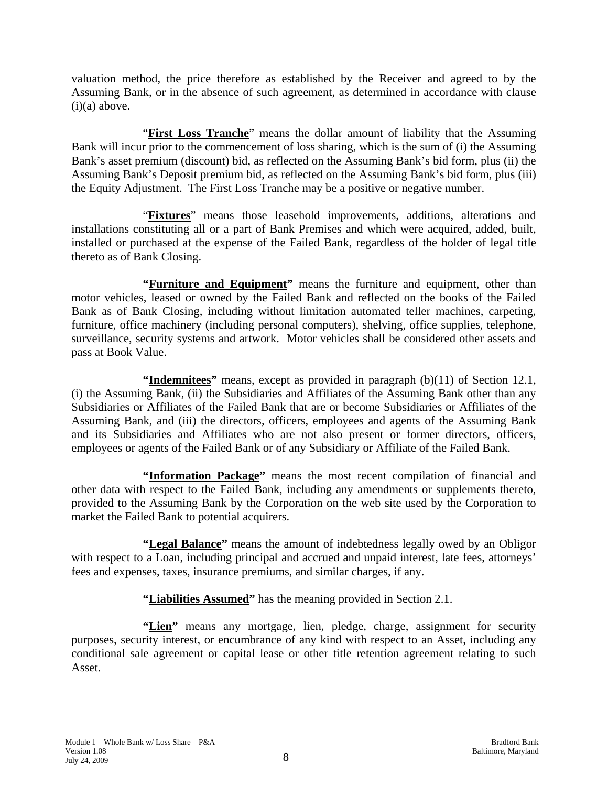valuation method, the price therefore as established by the Receiver and agreed to by the Assuming Bank, or in the absence of such agreement, as determined in accordance with clause  $(i)(a)$  above.

"**First Loss Tranche**" means the dollar amount of liability that the Assuming Bank will incur prior to the commencement of loss sharing, which is the sum of (i) the Assuming Bank's asset premium (discount) bid, as reflected on the Assuming Bank's bid form, plus (ii) the Assuming Bank's Deposit premium bid, as reflected on the Assuming Bank's bid form, plus (iii) the Equity Adjustment. The First Loss Tranche may be a positive or negative number.

"**Fixtures**" means those leasehold improvements, additions, alterations and installations constituting all or a part of Bank Premises and which were acquired, added, built, installed or purchased at the expense of the Failed Bank, regardless of the holder of legal title thereto as of Bank Closing.

**"Furniture and Equipment"** means the furniture and equipment, other than motor vehicles, leased or owned by the Failed Bank and reflected on the books of the Failed Bank as of Bank Closing, including without limitation automated teller machines, carpeting, furniture, office machinery (including personal computers), shelving, office supplies, telephone, surveillance, security systems and artwork. Motor vehicles shall be considered other assets and pass at Book Value.

**"Indemnitees"** means, except as provided in paragraph (b)(11) of Section 12.1, (i) the Assuming Bank, (ii) the Subsidiaries and Affiliates of the Assuming Bank other than any Subsidiaries or Affiliates of the Failed Bank that are or become Subsidiaries or Affiliates of the Assuming Bank, and (iii) the directors, officers, employees and agents of the Assuming Bank and its Subsidiaries and Affiliates who are not also present or former directors, officers, employees or agents of the Failed Bank or of any Subsidiary or Affiliate of the Failed Bank.

**"Information Package"** means the most recent compilation of financial and other data with respect to the Failed Bank, including any amendments or supplements thereto, provided to the Assuming Bank by the Corporation on the web site used by the Corporation to market the Failed Bank to potential acquirers.

**"Legal Balance"** means the amount of indebtedness legally owed by an Obligor with respect to a Loan, including principal and accrued and unpaid interest, late fees, attorneys' fees and expenses, taxes, insurance premiums, and similar charges, if any.

**"Liabilities Assumed"** has the meaning provided in Section 2.1.

"Lien" means any mortgage, lien, pledge, charge, assignment for security purposes, security interest, or encumbrance of any kind with respect to an Asset, including any conditional sale agreement or capital lease or other title retention agreement relating to such Asset.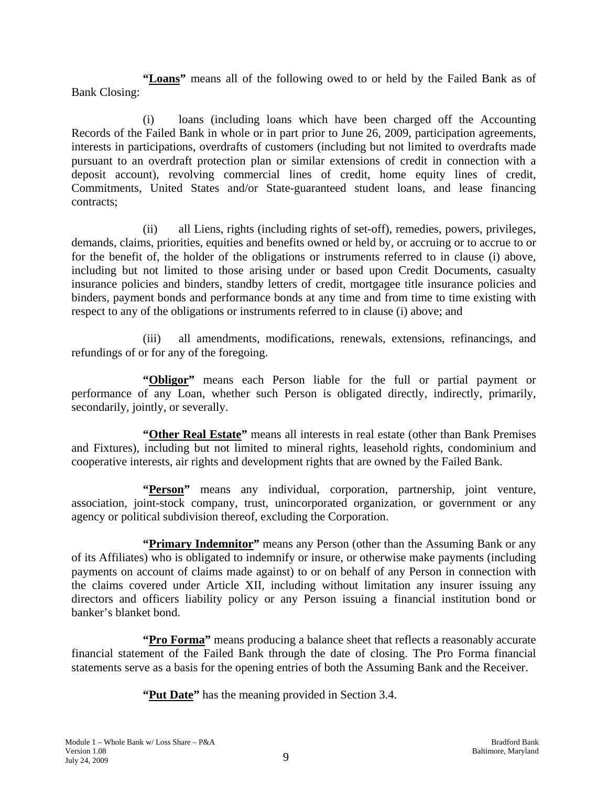**"Loans"** means all of the following owed to or held by the Failed Bank as of Bank Closing:

(i) loans (including loans which have been charged off the Accounting Records of the Failed Bank in whole or in part prior to June 26, 2009, participation agreements, interests in participations, overdrafts of customers (including but not limited to overdrafts made pursuant to an overdraft protection plan or similar extensions of credit in connection with a deposit account), revolving commercial lines of credit, home equity lines of credit, Commitments, United States and/or State-guaranteed student loans, and lease financing contracts;

(ii) all Liens, rights (including rights of set-off), remedies, powers, privileges, demands, claims, priorities, equities and benefits owned or held by, or accruing or to accrue to or for the benefit of, the holder of the obligations or instruments referred to in clause (i) above, including but not limited to those arising under or based upon Credit Documents, casualty insurance policies and binders, standby letters of credit, mortgagee title insurance policies and binders, payment bonds and performance bonds at any time and from time to time existing with respect to any of the obligations or instruments referred to in clause (i) above; and

(iii) all amendments, modifications, renewals, extensions, refinancings, and refundings of or for any of the foregoing.

**"Obligor"** means each Person liable for the full or partial payment or performance of any Loan, whether such Person is obligated directly, indirectly, primarily, secondarily, jointly, or severally.

**"Other Real Estate"** means all interests in real estate (other than Bank Premises and Fixtures), including but not limited to mineral rights, leasehold rights, condominium and cooperative interests, air rights and development rights that are owned by the Failed Bank.

**"Person"** means any individual, corporation, partnership, joint venture, association, joint-stock company, trust, unincorporated organization, or government or any agency or political subdivision thereof, excluding the Corporation.

**"Primary Indemnitor"** means any Person (other than the Assuming Bank or any of its Affiliates) who is obligated to indemnify or insure, or otherwise make payments (including payments on account of claims made against) to or on behalf of any Person in connection with the claims covered under Article XII, including without limitation any insurer issuing any directors and officers liability policy or any Person issuing a financial institution bond or banker's blanket bond.

**"Pro Forma"** means producing a balance sheet that reflects a reasonably accurate financial statement of the Failed Bank through the date of closing. The Pro Forma financial statements serve as a basis for the opening entries of both the Assuming Bank and the Receiver.

**"Put Date"** has the meaning provided in Section 3.4.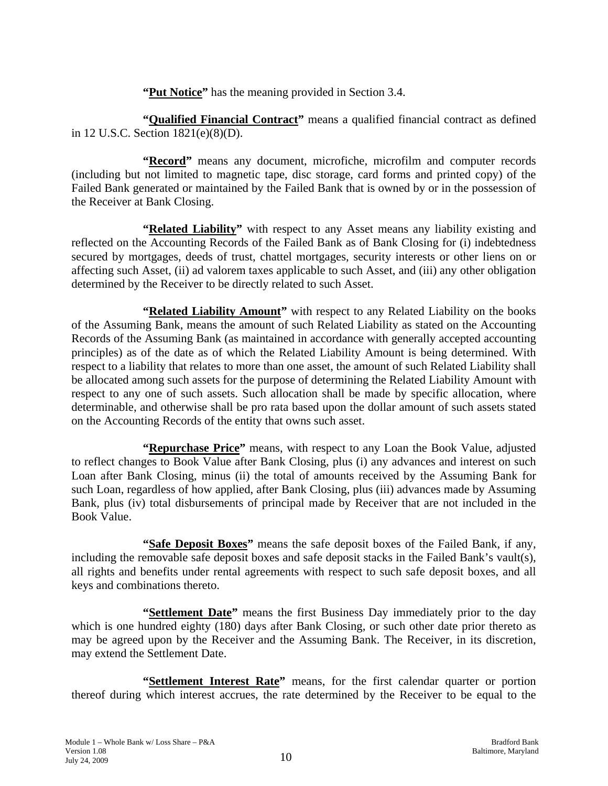**"Put Notice"** has the meaning provided in Section 3.4.

"**Qualified Financial Contract**" means a qualified financial contract as defined in 12 U.S.C. Section 1821(e)(8)(D).

"Record" means any document, microfiche, microfilm and computer records (including but not limited to magnetic tape, disc storage, card forms and printed copy) of the Failed Bank generated or maintained by the Failed Bank that is owned by or in the possession of the Receiver at Bank Closing.

**"Related Liability"** with respect to any Asset means any liability existing and reflected on the Accounting Records of the Failed Bank as of Bank Closing for (i) indebtedness secured by mortgages, deeds of trust, chattel mortgages, security interests or other liens on or affecting such Asset, (ii) ad valorem taxes applicable to such Asset, and (iii) any other obligation determined by the Receiver to be directly related to such Asset.

**"Related Liability Amount"** with respect to any Related Liability on the books of the Assuming Bank, means the amount of such Related Liability as stated on the Accounting Records of the Assuming Bank (as maintained in accordance with generally accepted accounting principles) as of the date as of which the Related Liability Amount is being determined. With respect to a liability that relates to more than one asset, the amount of such Related Liability shall be allocated among such assets for the purpose of determining the Related Liability Amount with respect to any one of such assets. Such allocation shall be made by specific allocation, where determinable, and otherwise shall be pro rata based upon the dollar amount of such assets stated on the Accounting Records of the entity that owns such asset.

 **"Repurchase Price"** means, with respect to any Loan the Book Value, adjusted to reflect changes to Book Value after Bank Closing, plus (i) any advances and interest on such Loan after Bank Closing, minus (ii) the total of amounts received by the Assuming Bank for such Loan, regardless of how applied, after Bank Closing, plus (iii) advances made by Assuming Bank, plus (iv) total disbursements of principal made by Receiver that are not included in the Book Value.

**"Safe Deposit Boxes"** means the safe deposit boxes of the Failed Bank, if any, including the removable safe deposit boxes and safe deposit stacks in the Failed Bank's vault(s), all rights and benefits under rental agreements with respect to such safe deposit boxes, and all keys and combinations thereto.

**"Settlement Date"** means the first Business Day immediately prior to the day which is one hundred eighty (180) days after Bank Closing, or such other date prior thereto as may be agreed upon by the Receiver and the Assuming Bank. The Receiver, in its discretion, may extend the Settlement Date.

"Settlement Interest Rate" means, for the first calendar quarter or portion thereof during which interest accrues, the rate determined by the Receiver to be equal to the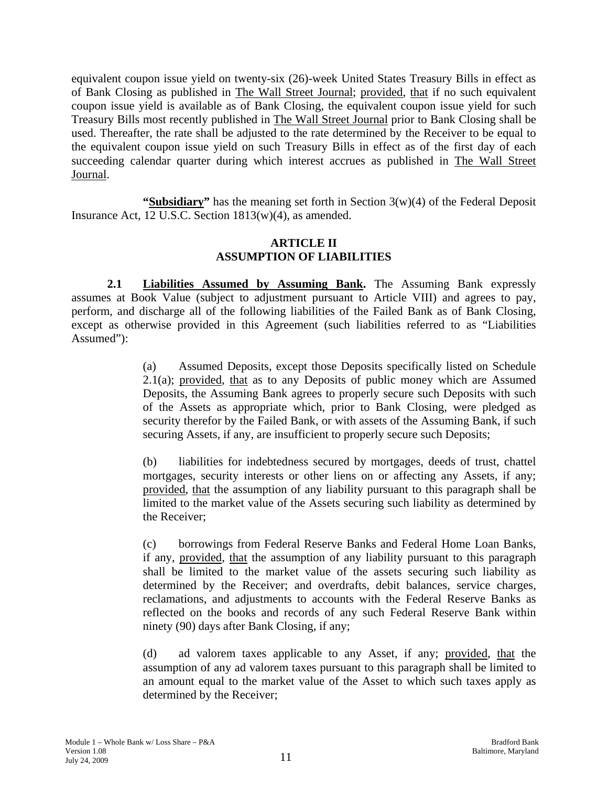equivalent coupon issue yield on twenty-six (26)-week United States Treasury Bills in effect as of Bank Closing as published in The Wall Street Journal; provided, that if no such equivalent coupon issue yield is available as of Bank Closing, the equivalent coupon issue yield for such Treasury Bills most recently published in The Wall Street Journal prior to Bank Closing shall be used. Thereafter, the rate shall be adjusted to the rate determined by the Receiver to be equal to the equivalent coupon issue yield on such Treasury Bills in effect as of the first day of each succeeding calendar quarter during which interest accrues as published in The Wall Street Journal.

**"Subsidiary"** has the meaning set forth in Section 3(w)(4) of the Federal Deposit Insurance Act, 12 U.S.C. Section 1813(w)(4), as amended.

### **ARTICLE II ASSUMPTION OF LIABILITIES**

 **2.1 Liabilities Assumed by Assuming Bank.** The Assuming Bank expressly assumes at Book Value (subject to adjustment pursuant to Article VIII) and agrees to pay, perform, and discharge all of the following liabilities of the Failed Bank as of Bank Closing, except as otherwise provided in this Agreement (such liabilities referred to as "Liabilities Assumed"):

> (a) Assumed Deposits, except those Deposits specifically listed on Schedule 2.1(a); provided, that as to any Deposits of public money which are Assumed Deposits, the Assuming Bank agrees to properly secure such Deposits with such of the Assets as appropriate which, prior to Bank Closing, were pledged as security therefor by the Failed Bank, or with assets of the Assuming Bank, if such securing Assets, if any, are insufficient to properly secure such Deposits;

> (b) liabilities for indebtedness secured by mortgages, deeds of trust, chattel mortgages, security interests or other liens on or affecting any Assets, if any; provided, that the assumption of any liability pursuant to this paragraph shall be limited to the market value of the Assets securing such liability as determined by the Receiver;

> (c) borrowings from Federal Reserve Banks and Federal Home Loan Banks, if any, provided, that the assumption of any liability pursuant to this paragraph shall be limited to the market value of the assets securing such liability as determined by the Receiver; and overdrafts, debit balances, service charges, reclamations, and adjustments to accounts with the Federal Reserve Banks as reflected on the books and records of any such Federal Reserve Bank within ninety (90) days after Bank Closing, if any;

> (d) ad valorem taxes applicable to any Asset, if any; provided, that the assumption of any ad valorem taxes pursuant to this paragraph shall be limited to an amount equal to the market value of the Asset to which such taxes apply as determined by the Receiver;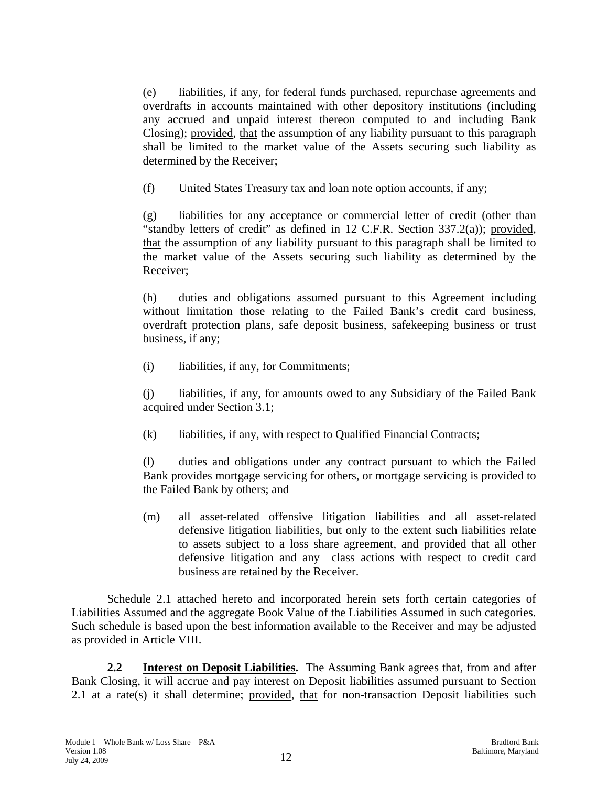(e) liabilities, if any, for federal funds purchased, repurchase agreements and overdrafts in accounts maintained with other depository institutions (including any accrued and unpaid interest thereon computed to and including Bank Closing); provided, that the assumption of any liability pursuant to this paragraph shall be limited to the market value of the Assets securing such liability as determined by the Receiver;

(f) United States Treasury tax and loan note option accounts, if any;

(g) liabilities for any acceptance or commercial letter of credit (other than "standby letters of credit" as defined in 12 C.F.R. Section 337.2(a)); provided, that the assumption of any liability pursuant to this paragraph shall be limited to the market value of the Assets securing such liability as determined by the Receiver;

(h) duties and obligations assumed pursuant to this Agreement including without limitation those relating to the Failed Bank's credit card business, overdraft protection plans, safe deposit business, safekeeping business or trust business, if any;

(i) liabilities, if any, for Commitments;

(j) liabilities, if any, for amounts owed to any Subsidiary of the Failed Bank acquired under Section 3.1;

(k) liabilities, if any, with respect to Qualified Financial Contracts;

(l) duties and obligations under any contract pursuant to which the Failed Bank provides mortgage servicing for others, or mortgage servicing is provided to the Failed Bank by others; and

(m) all asset-related offensive litigation liabilities and all asset-related defensive litigation liabilities, but only to the extent such liabilities relate to assets subject to a loss share agreement, and provided that all other defensive litigation and any class actions with respect to credit card business are retained by the Receiver.

Schedule 2.1 attached hereto and incorporated herein sets forth certain categories of Liabilities Assumed and the aggregate Book Value of the Liabilities Assumed in such categories. Such schedule is based upon the best information available to the Receiver and may be adjusted as provided in Article VIII.

**2.2 Interest on Deposit Liabilities.** The Assuming Bank agrees that, from and after Bank Closing, it will accrue and pay interest on Deposit liabilities assumed pursuant to Section 2.1 at a rate(s) it shall determine; provided, that for non-transaction Deposit liabilities such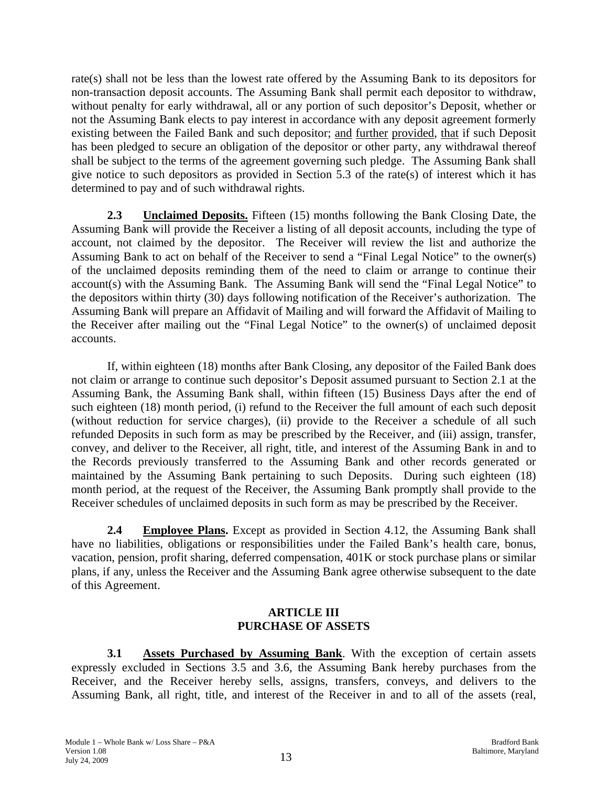rate(s) shall not be less than the lowest rate offered by the Assuming Bank to its depositors for non-transaction deposit accounts. The Assuming Bank shall permit each depositor to withdraw, without penalty for early withdrawal, all or any portion of such depositor's Deposit, whether or not the Assuming Bank elects to pay interest in accordance with any deposit agreement formerly existing between the Failed Bank and such depositor; and further provided, that if such Deposit has been pledged to secure an obligation of the depositor or other party, any withdrawal thereof shall be subject to the terms of the agreement governing such pledge. The Assuming Bank shall give notice to such depositors as provided in Section 5.3 of the rate(s) of interest which it has determined to pay and of such withdrawal rights.

**2.3 Unclaimed Deposits.** Fifteen (15) months following the Bank Closing Date, the Assuming Bank will provide the Receiver a listing of all deposit accounts, including the type of account, not claimed by the depositor. The Receiver will review the list and authorize the Assuming Bank to act on behalf of the Receiver to send a "Final Legal Notice" to the owner(s) of the unclaimed deposits reminding them of the need to claim or arrange to continue their account(s) with the Assuming Bank. The Assuming Bank will send the "Final Legal Notice" to the depositors within thirty (30) days following notification of the Receiver's authorization. The Assuming Bank will prepare an Affidavit of Mailing and will forward the Affidavit of Mailing to the Receiver after mailing out the "Final Legal Notice" to the owner(s) of unclaimed deposit accounts.

If, within eighteen (18) months after Bank Closing, any depositor of the Failed Bank does not claim or arrange to continue such depositor's Deposit assumed pursuant to Section 2.1 at the Assuming Bank, the Assuming Bank shall, within fifteen (15) Business Days after the end of such eighteen (18) month period, (i) refund to the Receiver the full amount of each such deposit (without reduction for service charges), (ii) provide to the Receiver a schedule of all such refunded Deposits in such form as may be prescribed by the Receiver, and (iii) assign, transfer, convey, and deliver to the Receiver, all right, title, and interest of the Assuming Bank in and to the Records previously transferred to the Assuming Bank and other records generated or maintained by the Assuming Bank pertaining to such Deposits. During such eighteen (18) month period, at the request of the Receiver, the Assuming Bank promptly shall provide to the Receiver schedules of unclaimed deposits in such form as may be prescribed by the Receiver.

**2.4 Employee Plans.** Except as provided in Section 4.12, the Assuming Bank shall have no liabilities, obligations or responsibilities under the Failed Bank's health care, bonus, vacation, pension, profit sharing, deferred compensation, 401K or stock purchase plans or similar plans, if any, unless the Receiver and the Assuming Bank agree otherwise subsequent to the date of this Agreement.

### **ARTICLE III PURCHASE OF ASSETS**

 **3.1 Assets Purchased by Assuming Bank**. With the exception of certain assets expressly excluded in Sections 3.5 and 3.6, the Assuming Bank hereby purchases from the Receiver, and the Receiver hereby sells, assigns, transfers, conveys, and delivers to the Assuming Bank, all right, title, and interest of the Receiver in and to all of the assets (real,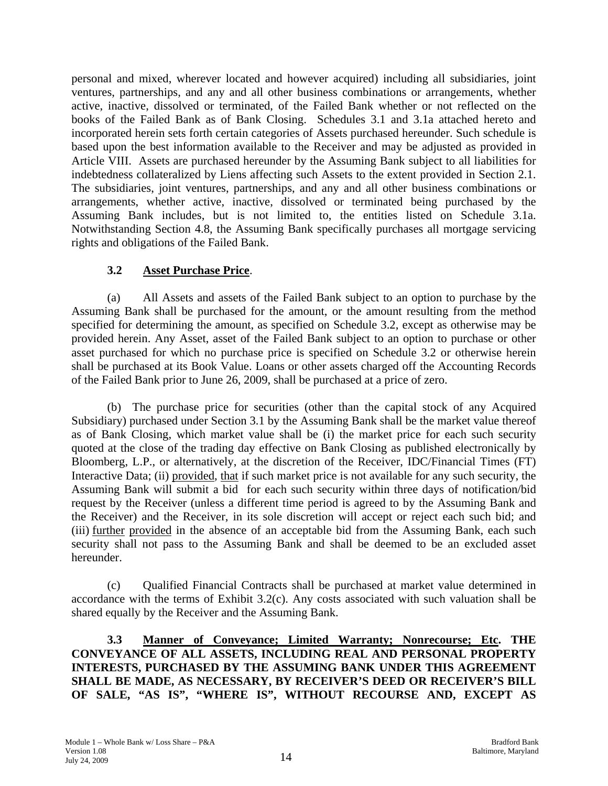Assuming Bank includes, but is not limited to, the entities listed on Schedule 3.1a. personal and mixed, wherever located and however acquired) including all subsidiaries, joint ventures, partnerships, and any and all other business combinations or arrangements, whether active, inactive, dissolved or terminated, of the Failed Bank whether or not reflected on the books of the Failed Bank as of Bank Closing. Schedules 3.1 and 3.1a attached hereto and incorporated herein sets forth certain categories of Assets purchased hereunder. Such schedule is based upon the best information available to the Receiver and may be adjusted as provided in Article VIII. Assets are purchased hereunder by the Assuming Bank subject to all liabilities for indebtedness collateralized by Liens affecting such Assets to the extent provided in Section 2.1. The subsidiaries, joint ventures, partnerships, and any and all other business combinations or arrangements, whether active, inactive, dissolved or terminated being purchased by the Notwithstanding Section 4.8, the Assuming Bank specifically purchases all mortgage servicing rights and obligations of the Failed Bank.

## **3.2 Asset Purchase Price**.

(a) All Assets and assets of the Failed Bank subject to an option to purchase by the Assuming Bank shall be purchased for the amount, or the amount resulting from the method specified for determining the amount, as specified on Schedule 3.2, except as otherwise may be provided herein. Any Asset, asset of the Failed Bank subject to an option to purchase or other asset purchased for which no purchase price is specified on Schedule 3.2 or otherwise herein shall be purchased at its Book Value. Loans or other assets charged off the Accounting Records of the Failed Bank prior to June 26, 2009, shall be purchased at a price of zero.

(b) The purchase price for securities (other than the capital stock of any Acquired Subsidiary) purchased under Section 3.1 by the Assuming Bank shall be the market value thereof as of Bank Closing, which market value shall be (i) the market price for each such security quoted at the close of the trading day effective on Bank Closing as published electronically by Bloomberg, L.P., or alternatively, at the discretion of the Receiver, IDC/Financial Times (FT) Interactive Data; (ii) provided, that if such market price is not available for any such security, the Assuming Bank will submit a bid for each such security within three days of notification/bid request by the Receiver (unless a different time period is agreed to by the Assuming Bank and the Receiver) and the Receiver, in its sole discretion will accept or reject each such bid; and (iii) further provided in the absence of an acceptable bid from the Assuming Bank, each such security shall not pass to the Assuming Bank and shall be deemed to be an excluded asset hereunder.

(c) Qualified Financial Contracts shall be purchased at market value determined in accordance with the terms of Exhibit 3.2(c). Any costs associated with such valuation shall be shared equally by the Receiver and the Assuming Bank.

**3.3 Manner of Conveyance; Limited Warranty; Nonrecourse; Etc. THE CONVEYANCE OF ALL ASSETS, INCLUDING REAL AND PERSONAL PROPERTY INTERESTS, PURCHASED BY THE ASSUMING BANK UNDER THIS AGREEMENT SHALL BE MADE, AS NECESSARY, BY RECEIVER'S DEED OR RECEIVER'S BILL OF SALE, "AS IS", "WHERE IS", WITHOUT RECOURSE AND, EXCEPT AS**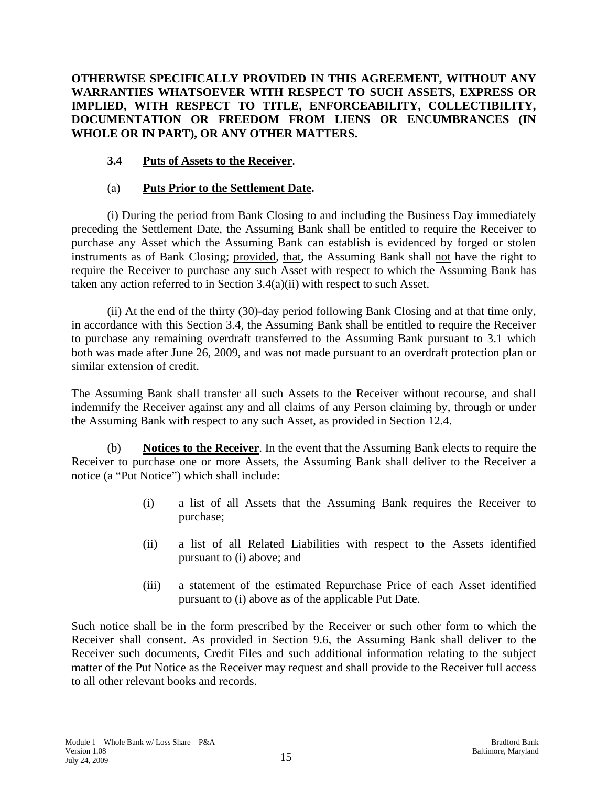### **OTHERWISE SPECIFICALLY PROVIDED IN THIS AGREEMENT, WITHOUT ANY WARRANTIES WHATSOEVER WITH RESPECT TO SUCH ASSETS, EXPRESS OR IMPLIED, WITH RESPECT TO TITLE, ENFORCEABILITY, COLLECTIBILITY, DOCUMENTATION OR FREEDOM FROM LIENS OR ENCUMBRANCES (IN WHOLE OR IN PART), OR ANY OTHER MATTERS.**

## **3.4 Puts of Assets to the Receiver**.

### (a) **Puts Prior to the Settlement Date.**

(i) During the period from Bank Closing to and including the Business Day immediately preceding the Settlement Date, the Assuming Bank shall be entitled to require the Receiver to purchase any Asset which the Assuming Bank can establish is evidenced by forged or stolen instruments as of Bank Closing; provided, that, the Assuming Bank shall not have the right to require the Receiver to purchase any such Asset with respect to which the Assuming Bank has taken any action referred to in Section 3.4(a)(ii) with respect to such Asset.

(ii) At the end of the thirty (30)-day period following Bank Closing and at that time only, in accordance with this Section 3.4, the Assuming Bank shall be entitled to require the Receiver to purchase any remaining overdraft transferred to the Assuming Bank pursuant to 3.1 which both was made after June 26, 2009, and was not made pursuant to an overdraft protection plan or similar extension of credit.

The Assuming Bank shall transfer all such Assets to the Receiver without recourse, and shall indemnify the Receiver against any and all claims of any Person claiming by, through or under the Assuming Bank with respect to any such Asset, as provided in Section 12.4.

(b) **Notices to the Receiver**. In the event that the Assuming Bank elects to require the Receiver to purchase one or more Assets, the Assuming Bank shall deliver to the Receiver a notice (a "Put Notice") which shall include:

- (i) a list of all Assets that the Assuming Bank requires the Receiver to purchase;
- (ii) a list of all Related Liabilities with respect to the Assets identified pursuant to (i) above; and
- (iii) a statement of the estimated Repurchase Price of each Asset identified pursuant to (i) above as of the applicable Put Date.

Such notice shall be in the form prescribed by the Receiver or such other form to which the Receiver shall consent. As provided in Section 9.6, the Assuming Bank shall deliver to the Receiver such documents, Credit Files and such additional information relating to the subject matter of the Put Notice as the Receiver may request and shall provide to the Receiver full access to all other relevant books and records.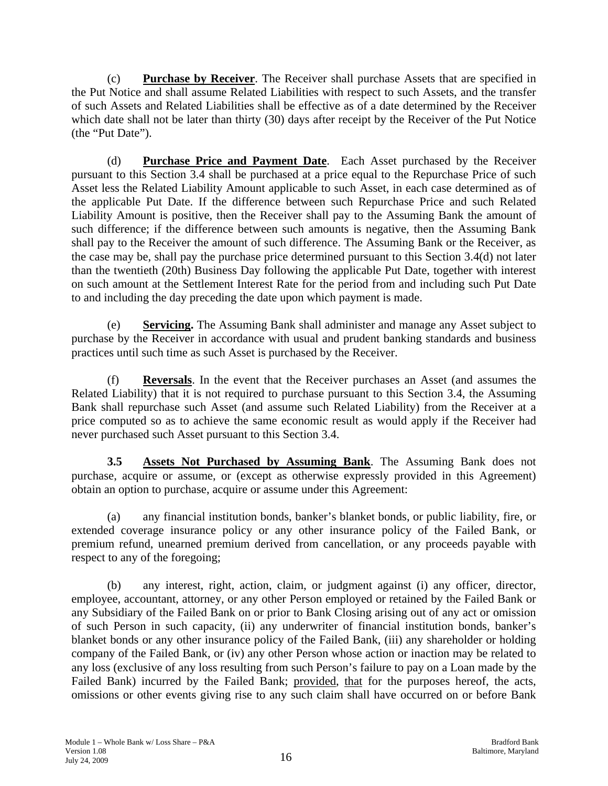(c) **Purchase by Receiver**. The Receiver shall purchase Assets that are specified in the Put Notice and shall assume Related Liabilities with respect to such Assets, and the transfer of such Assets and Related Liabilities shall be effective as of a date determined by the Receiver which date shall not be later than thirty (30) days after receipt by the Receiver of the Put Notice (the "Put Date").

(d) **Purchase Price and Payment Date**. Each Asset purchased by the Receiver pursuant to this Section 3.4 shall be purchased at a price equal to the Repurchase Price of such Asset less the Related Liability Amount applicable to such Asset, in each case determined as of the applicable Put Date. If the difference between such Repurchase Price and such Related Liability Amount is positive, then the Receiver shall pay to the Assuming Bank the amount of such difference; if the difference between such amounts is negative, then the Assuming Bank shall pay to the Receiver the amount of such difference. The Assuming Bank or the Receiver, as the case may be, shall pay the purchase price determined pursuant to this Section 3.4(d) not later than the twentieth (20th) Business Day following the applicable Put Date, together with interest on such amount at the Settlement Interest Rate for the period from and including such Put Date to and including the day preceding the date upon which payment is made.

(e) **Servicing.** The Assuming Bank shall administer and manage any Asset subject to purchase by the Receiver in accordance with usual and prudent banking standards and business practices until such time as such Asset is purchased by the Receiver.

(f) **Reversals**. In the event that the Receiver purchases an Asset (and assumes the Related Liability) that it is not required to purchase pursuant to this Section 3.4, the Assuming Bank shall repurchase such Asset (and assume such Related Liability) from the Receiver at a price computed so as to achieve the same economic result as would apply if the Receiver had never purchased such Asset pursuant to this Section 3.4.

**3.5 Assets Not Purchased by Assuming Bank**. The Assuming Bank does not purchase, acquire or assume, or (except as otherwise expressly provided in this Agreement) obtain an option to purchase, acquire or assume under this Agreement:

(a) any financial institution bonds, banker's blanket bonds, or public liability, fire, or extended coverage insurance policy or any other insurance policy of the Failed Bank, or premium refund, unearned premium derived from cancellation, or any proceeds payable with respect to any of the foregoing;

(b) any interest, right, action, claim, or judgment against (i) any officer, director, employee, accountant, attorney, or any other Person employed or retained by the Failed Bank or any Subsidiary of the Failed Bank on or prior to Bank Closing arising out of any act or omission of such Person in such capacity, (ii) any underwriter of financial institution bonds, banker's blanket bonds or any other insurance policy of the Failed Bank, (iii) any shareholder or holding company of the Failed Bank, or (iv) any other Person whose action or inaction may be related to any loss (exclusive of any loss resulting from such Person's failure to pay on a Loan made by the Failed Bank) incurred by the Failed Bank; provided, that for the purposes hereof, the acts, omissions or other events giving rise to any such claim shall have occurred on or before Bank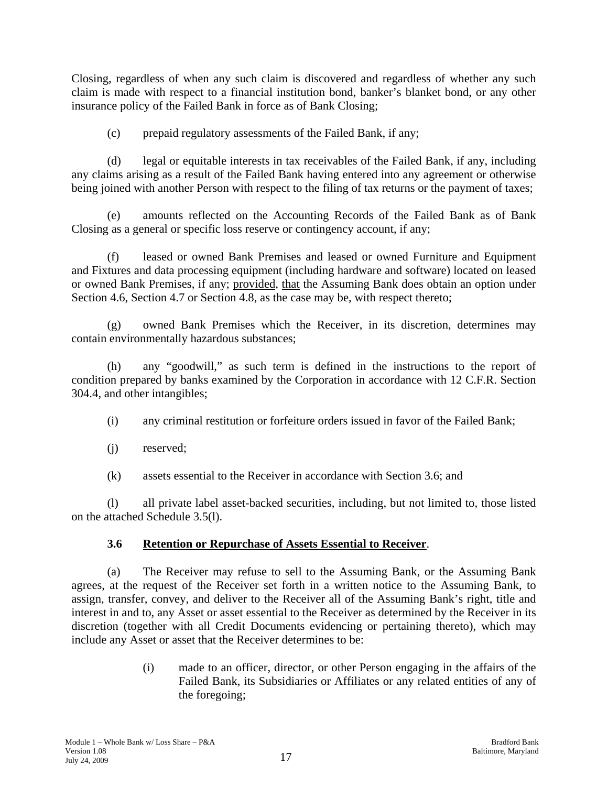Closing, regardless of when any such claim is discovered and regardless of whether any such claim is made with respect to a financial institution bond, banker's blanket bond, or any other insurance policy of the Failed Bank in force as of Bank Closing;

(c) prepaid regulatory assessments of the Failed Bank, if any;

(d) legal or equitable interests in tax receivables of the Failed Bank, if any, including any claims arising as a result of the Failed Bank having entered into any agreement or otherwise being joined with another Person with respect to the filing of tax returns or the payment of taxes;

(e) amounts reflected on the Accounting Records of the Failed Bank as of Bank Closing as a general or specific loss reserve or contingency account, if any;

(f) leased or owned Bank Premises and leased or owned Furniture and Equipment and Fixtures and data processing equipment (including hardware and software) located on leased or owned Bank Premises, if any; provided, that the Assuming Bank does obtain an option under Section 4.6, Section 4.7 or Section 4.8, as the case may be, with respect thereto;

(g) owned Bank Premises which the Receiver, in its discretion, determines may contain environmentally hazardous substances;

(h) any "goodwill," as such term is defined in the instructions to the report of condition prepared by banks examined by the Corporation in accordance with 12 C.F.R. Section 304.4, and other intangibles;

- (i) any criminal restitution or forfeiture orders issued in favor of the Failed Bank;
- (j) reserved;
- (k) assets essential to the Receiver in accordance with Section 3.6; and

(l) all private label asset-backed securities, including, but not limited to, those listed on the attached Schedule 3.5(l).

### **3.6 Retention or Repurchase of Assets Essential to Receiver**.

(a) The Receiver may refuse to sell to the Assuming Bank, or the Assuming Bank agrees, at the request of the Receiver set forth in a written notice to the Assuming Bank, to assign, transfer, convey, and deliver to the Receiver all of the Assuming Bank's right, title and interest in and to, any Asset or asset essential to the Receiver as determined by the Receiver in its discretion (together with all Credit Documents evidencing or pertaining thereto), which may include any Asset or asset that the Receiver determines to be:

> (i) made to an officer, director, or other Person engaging in the affairs of the Failed Bank, its Subsidiaries or Affiliates or any related entities of any of the foregoing;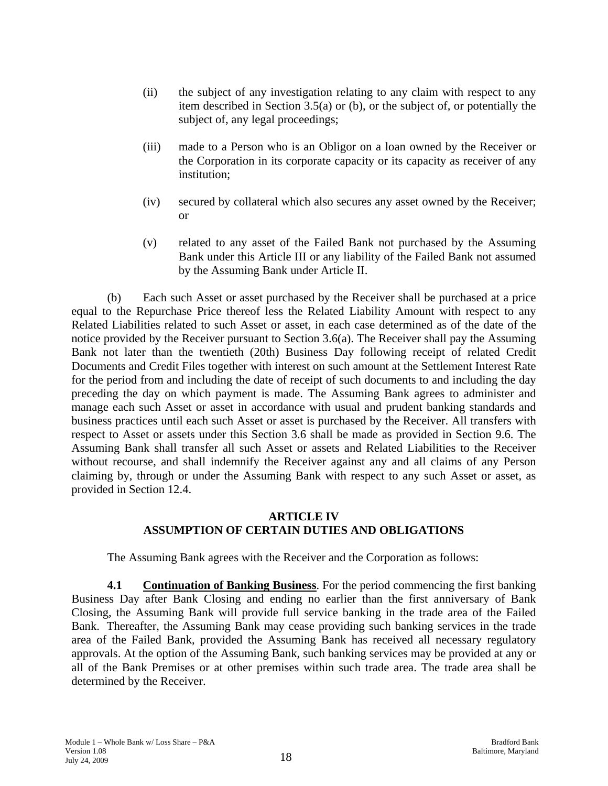- (ii) the subject of any investigation relating to any claim with respect to any item described in Section 3.5(a) or (b), or the subject of, or potentially the subject of, any legal proceedings;
- (iii) made to a Person who is an Obligor on a loan owned by the Receiver or the Corporation in its corporate capacity or its capacity as receiver of any institution;
- (iv) secured by collateral which also secures any asset owned by the Receiver; or
- (v) related to any asset of the Failed Bank not purchased by the Assuming Bank under this Article III or any liability of the Failed Bank not assumed by the Assuming Bank under Article II.

(b) Each such Asset or asset purchased by the Receiver shall be purchased at a price equal to the Repurchase Price thereof less the Related Liability Amount with respect to any Related Liabilities related to such Asset or asset, in each case determined as of the date of the notice provided by the Receiver pursuant to Section 3.6(a). The Receiver shall pay the Assuming Bank not later than the twentieth (20th) Business Day following receipt of related Credit Documents and Credit Files together with interest on such amount at the Settlement Interest Rate for the period from and including the date of receipt of such documents to and including the day preceding the day on which payment is made. The Assuming Bank agrees to administer and manage each such Asset or asset in accordance with usual and prudent banking standards and business practices until each such Asset or asset is purchased by the Receiver. All transfers with respect to Asset or assets under this Section 3.6 shall be made as provided in Section 9.6. The Assuming Bank shall transfer all such Asset or assets and Related Liabilities to the Receiver without recourse, and shall indemnify the Receiver against any and all claims of any Person claiming by, through or under the Assuming Bank with respect to any such Asset or asset, as provided in Section 12.4.

### **ARTICLE IV ASSUMPTION OF CERTAIN DUTIES AND OBLIGATIONS**

The Assuming Bank agrees with the Receiver and the Corporation as follows:

**4.1 Continuation of Banking Business**. For the period commencing the first banking Business Day after Bank Closing and ending no earlier than the first anniversary of Bank Closing, the Assuming Bank will provide full service banking in the trade area of the Failed Bank. Thereafter, the Assuming Bank may cease providing such banking services in the trade area of the Failed Bank, provided the Assuming Bank has received all necessary regulatory approvals. At the option of the Assuming Bank, such banking services may be provided at any or all of the Bank Premises or at other premises within such trade area. The trade area shall be determined by the Receiver.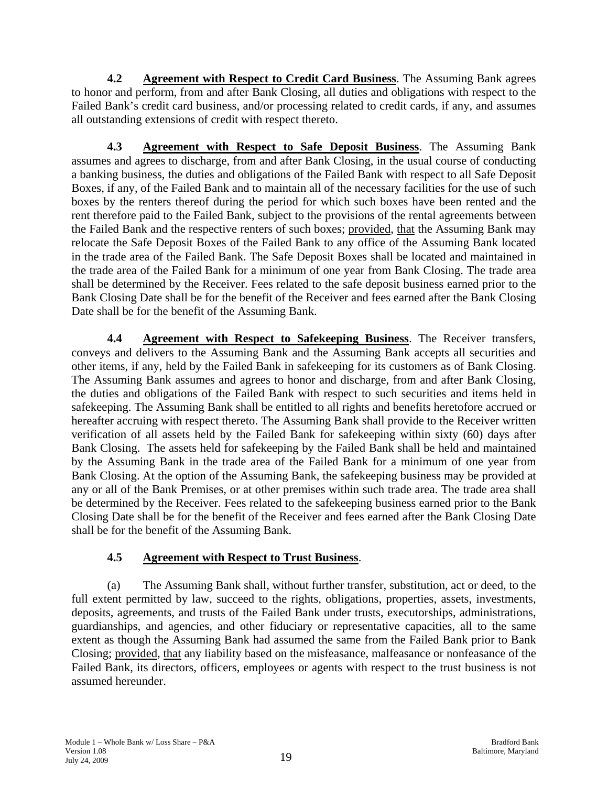**4.2** Agreement with Respect to Credit Card Business. The Assuming Bank agrees to honor and perform, from and after Bank Closing, all duties and obligations with respect to the Failed Bank's credit card business, and/or processing related to credit cards, if any, and assumes all outstanding extensions of credit with respect thereto.

**4.3 Agreement with Respect to Safe Deposit Business**. The Assuming Bank assumes and agrees to discharge, from and after Bank Closing, in the usual course of conducting a banking business, the duties and obligations of the Failed Bank with respect to all Safe Deposit Boxes, if any, of the Failed Bank and to maintain all of the necessary facilities for the use of such boxes by the renters thereof during the period for which such boxes have been rented and the rent therefore paid to the Failed Bank, subject to the provisions of the rental agreements between the Failed Bank and the respective renters of such boxes; provided, that the Assuming Bank may relocate the Safe Deposit Boxes of the Failed Bank to any office of the Assuming Bank located in the trade area of the Failed Bank. The Safe Deposit Boxes shall be located and maintained in the trade area of the Failed Bank for a minimum of one year from Bank Closing. The trade area shall be determined by the Receiver. Fees related to the safe deposit business earned prior to the Bank Closing Date shall be for the benefit of the Receiver and fees earned after the Bank Closing Date shall be for the benefit of the Assuming Bank.

**4.4 Agreement with Respect to Safekeeping Business**. The Receiver transfers, conveys and delivers to the Assuming Bank and the Assuming Bank accepts all securities and other items, if any, held by the Failed Bank in safekeeping for its customers as of Bank Closing. The Assuming Bank assumes and agrees to honor and discharge, from and after Bank Closing, the duties and obligations of the Failed Bank with respect to such securities and items held in safekeeping. The Assuming Bank shall be entitled to all rights and benefits heretofore accrued or hereafter accruing with respect thereto. The Assuming Bank shall provide to the Receiver written verification of all assets held by the Failed Bank for safekeeping within sixty (60) days after Bank Closing. The assets held for safekeeping by the Failed Bank shall be held and maintained by the Assuming Bank in the trade area of the Failed Bank for a minimum of one year from Bank Closing. At the option of the Assuming Bank, the safekeeping business may be provided at any or all of the Bank Premises, or at other premises within such trade area. The trade area shall be determined by the Receiver. Fees related to the safekeeping business earned prior to the Bank Closing Date shall be for the benefit of the Receiver and fees earned after the Bank Closing Date shall be for the benefit of the Assuming Bank.

## **4.5 Agreement with Respect to Trust Business**.

(a) The Assuming Bank shall, without further transfer, substitution, act or deed, to the full extent permitted by law, succeed to the rights, obligations, properties, assets, investments, deposits, agreements, and trusts of the Failed Bank under trusts, executorships, administrations, guardianships, and agencies, and other fiduciary or representative capacities, all to the same extent as though the Assuming Bank had assumed the same from the Failed Bank prior to Bank Closing; provided, that any liability based on the misfeasance, malfeasance or nonfeasance of the Failed Bank, its directors, officers, employees or agents with respect to the trust business is not assumed hereunder.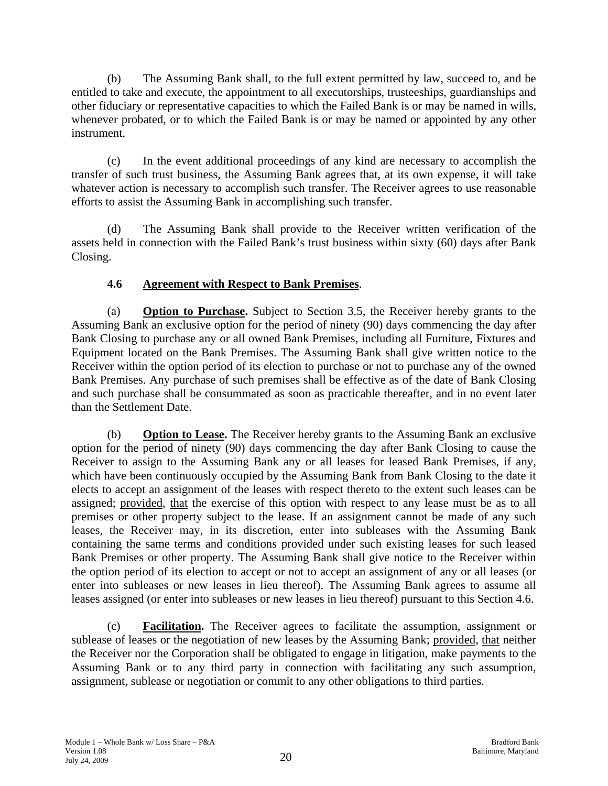(b) The Assuming Bank shall, to the full extent permitted by law, succeed to, and be entitled to take and execute, the appointment to all executorships, trusteeships, guardianships and other fiduciary or representative capacities to which the Failed Bank is or may be named in wills, whenever probated, or to which the Failed Bank is or may be named or appointed by any other instrument.

(c) In the event additional proceedings of any kind are necessary to accomplish the transfer of such trust business, the Assuming Bank agrees that, at its own expense, it will take whatever action is necessary to accomplish such transfer. The Receiver agrees to use reasonable efforts to assist the Assuming Bank in accomplishing such transfer.

(d) The Assuming Bank shall provide to the Receiver written verification of the assets held in connection with the Failed Bank's trust business within sixty (60) days after Bank Closing.

# **4.6 Agreement with Respect to Bank Premises**.

(a) **Option to Purchase.** Subject to Section 3.5, the Receiver hereby grants to the Assuming Bank an exclusive option for the period of ninety (90) days commencing the day after Bank Closing to purchase any or all owned Bank Premises, including all Furniture, Fixtures and Equipment located on the Bank Premises. The Assuming Bank shall give written notice to the Receiver within the option period of its election to purchase or not to purchase any of the owned Bank Premises. Any purchase of such premises shall be effective as of the date of Bank Closing and such purchase shall be consummated as soon as practicable thereafter, and in no event later than the Settlement Date.

(b) **Option to Lease.** The Receiver hereby grants to the Assuming Bank an exclusive option for the period of ninety (90) days commencing the day after Bank Closing to cause the Receiver to assign to the Assuming Bank any or all leases for leased Bank Premises, if any, which have been continuously occupied by the Assuming Bank from Bank Closing to the date it elects to accept an assignment of the leases with respect thereto to the extent such leases can be assigned; provided, that the exercise of this option with respect to any lease must be as to all premises or other property subject to the lease. If an assignment cannot be made of any such leases, the Receiver may, in its discretion, enter into subleases with the Assuming Bank containing the same terms and conditions provided under such existing leases for such leased Bank Premises or other property. The Assuming Bank shall give notice to the Receiver within the option period of its election to accept or not to accept an assignment of any or all leases (or enter into subleases or new leases in lieu thereof). The Assuming Bank agrees to assume all leases assigned (or enter into subleases or new leases in lieu thereof) pursuant to this Section 4.6.

(c) **Facilitation.** The Receiver agrees to facilitate the assumption, assignment or sublease of leases or the negotiation of new leases by the Assuming Bank; provided, that neither the Receiver nor the Corporation shall be obligated to engage in litigation, make payments to the Assuming Bank or to any third party in connection with facilitating any such assumption, assignment, sublease or negotiation or commit to any other obligations to third parties.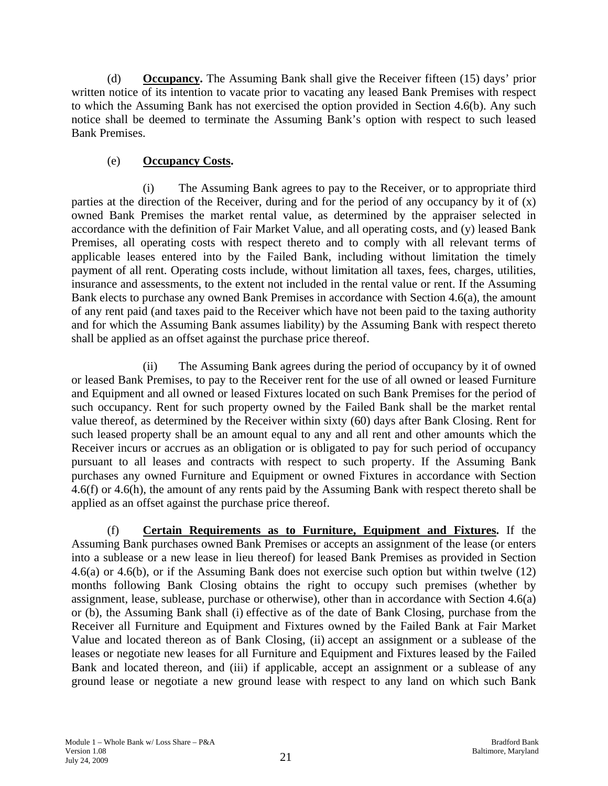(d) **Occupancy.** The Assuming Bank shall give the Receiver fifteen (15) days' prior written notice of its intention to vacate prior to vacating any leased Bank Premises with respect to which the Assuming Bank has not exercised the option provided in Section 4.6(b). Any such notice shall be deemed to terminate the Assuming Bank's option with respect to such leased Bank Premises.

## (e) **Occupancy Costs.**

(i) The Assuming Bank agrees to pay to the Receiver, or to appropriate third parties at the direction of the Receiver, during and for the period of any occupancy by it of (x) owned Bank Premises the market rental value, as determined by the appraiser selected in accordance with the definition of Fair Market Value, and all operating costs, and (y) leased Bank Premises, all operating costs with respect thereto and to comply with all relevant terms of applicable leases entered into by the Failed Bank, including without limitation the timely payment of all rent. Operating costs include, without limitation all taxes, fees, charges, utilities, insurance and assessments, to the extent not included in the rental value or rent. If the Assuming Bank elects to purchase any owned Bank Premises in accordance with Section 4.6(a), the amount of any rent paid (and taxes paid to the Receiver which have not been paid to the taxing authority and for which the Assuming Bank assumes liability) by the Assuming Bank with respect thereto shall be applied as an offset against the purchase price thereof.

(ii) The Assuming Bank agrees during the period of occupancy by it of owned or leased Bank Premises, to pay to the Receiver rent for the use of all owned or leased Furniture and Equipment and all owned or leased Fixtures located on such Bank Premises for the period of such occupancy. Rent for such property owned by the Failed Bank shall be the market rental value thereof, as determined by the Receiver within sixty (60) days after Bank Closing. Rent for such leased property shall be an amount equal to any and all rent and other amounts which the Receiver incurs or accrues as an obligation or is obligated to pay for such period of occupancy pursuant to all leases and contracts with respect to such property. If the Assuming Bank purchases any owned Furniture and Equipment or owned Fixtures in accordance with Section 4.6(f) or 4.6(h), the amount of any rents paid by the Assuming Bank with respect thereto shall be applied as an offset against the purchase price thereof.

(f) **Certain Requirements as to Furniture, Equipment and Fixtures.** If the Assuming Bank purchases owned Bank Premises or accepts an assignment of the lease (or enters into a sublease or a new lease in lieu thereof) for leased Bank Premises as provided in Section 4.6(a) or 4.6(b), or if the Assuming Bank does not exercise such option but within twelve (12) months following Bank Closing obtains the right to occupy such premises (whether by assignment, lease, sublease, purchase or otherwise), other than in accordance with Section 4.6(a) or (b), the Assuming Bank shall (i) effective as of the date of Bank Closing, purchase from the Receiver all Furniture and Equipment and Fixtures owned by the Failed Bank at Fair Market Value and located thereon as of Bank Closing, (ii) accept an assignment or a sublease of the leases or negotiate new leases for all Furniture and Equipment and Fixtures leased by the Failed Bank and located thereon, and (iii) if applicable, accept an assignment or a sublease of any ground lease or negotiate a new ground lease with respect to any land on which such Bank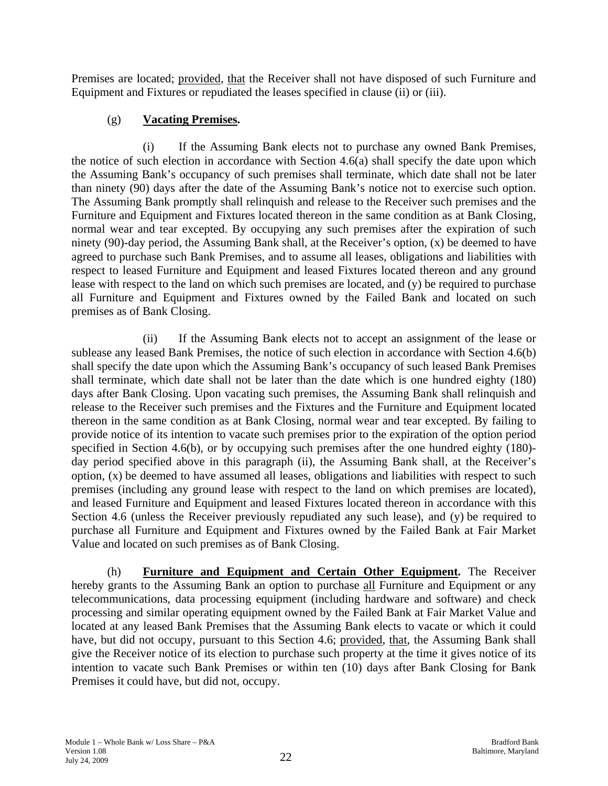Premises are located; provided, that the Receiver shall not have disposed of such Furniture and Equipment and Fixtures or repudiated the leases specified in clause (ii) or (iii).

## (g) **Vacating Premises.**

(i) If the Assuming Bank elects not to purchase any owned Bank Premises, the notice of such election in accordance with Section 4.6(a) shall specify the date upon which the Assuming Bank's occupancy of such premises shall terminate, which date shall not be later than ninety (90) days after the date of the Assuming Bank's notice not to exercise such option. The Assuming Bank promptly shall relinquish and release to the Receiver such premises and the Furniture and Equipment and Fixtures located thereon in the same condition as at Bank Closing, normal wear and tear excepted. By occupying any such premises after the expiration of such ninety (90)-day period, the Assuming Bank shall, at the Receiver's option, (x) be deemed to have agreed to purchase such Bank Premises, and to assume all leases, obligations and liabilities with respect to leased Furniture and Equipment and leased Fixtures located thereon and any ground lease with respect to the land on which such premises are located, and (y) be required to purchase all Furniture and Equipment and Fixtures owned by the Failed Bank and located on such premises as of Bank Closing.

(ii) If the Assuming Bank elects not to accept an assignment of the lease or sublease any leased Bank Premises, the notice of such election in accordance with Section 4.6(b) shall specify the date upon which the Assuming Bank's occupancy of such leased Bank Premises shall terminate, which date shall not be later than the date which is one hundred eighty (180) days after Bank Closing. Upon vacating such premises, the Assuming Bank shall relinquish and release to the Receiver such premises and the Fixtures and the Furniture and Equipment located thereon in the same condition as at Bank Closing, normal wear and tear excepted. By failing to provide notice of its intention to vacate such premises prior to the expiration of the option period specified in Section 4.6(b), or by occupying such premises after the one hundred eighty (180) day period specified above in this paragraph (ii), the Assuming Bank shall, at the Receiver's option, (x) be deemed to have assumed all leases, obligations and liabilities with respect to such premises (including any ground lease with respect to the land on which premises are located), and leased Furniture and Equipment and leased Fixtures located thereon in accordance with this Section 4.6 (unless the Receiver previously repudiated any such lease), and (y) be required to purchase all Furniture and Equipment and Fixtures owned by the Failed Bank at Fair Market Value and located on such premises as of Bank Closing.

(h) **Furniture and Equipment and Certain Other Equipment.** The Receiver hereby grants to the Assuming Bank an option to purchase all Furniture and Equipment or any telecommunications, data processing equipment (including hardware and software) and check processing and similar operating equipment owned by the Failed Bank at Fair Market Value and located at any leased Bank Premises that the Assuming Bank elects to vacate or which it could have, but did not occupy, pursuant to this Section 4.6; provided, that, the Assuming Bank shall give the Receiver notice of its election to purchase such property at the time it gives notice of its intention to vacate such Bank Premises or within ten (10) days after Bank Closing for Bank Premises it could have, but did not, occupy.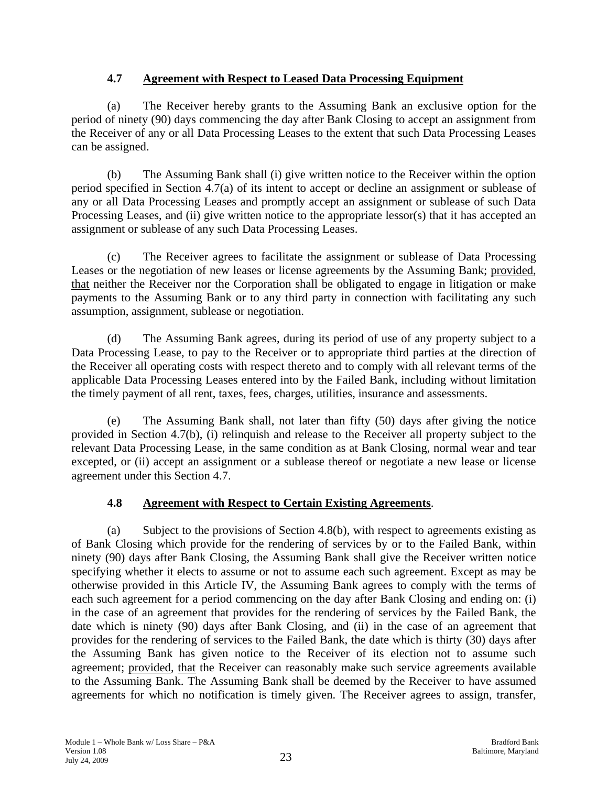## **4.7 Agreement with Respect to Leased Data Processing Equipment**

(a) The Receiver hereby grants to the Assuming Bank an exclusive option for the period of ninety (90) days commencing the day after Bank Closing to accept an assignment from the Receiver of any or all Data Processing Leases to the extent that such Data Processing Leases can be assigned.

(b) The Assuming Bank shall (i) give written notice to the Receiver within the option period specified in Section 4.7(a) of its intent to accept or decline an assignment or sublease of any or all Data Processing Leases and promptly accept an assignment or sublease of such Data Processing Leases, and (ii) give written notice to the appropriate lessor(s) that it has accepted an assignment or sublease of any such Data Processing Leases.

(c) The Receiver agrees to facilitate the assignment or sublease of Data Processing Leases or the negotiation of new leases or license agreements by the Assuming Bank; provided, that neither the Receiver nor the Corporation shall be obligated to engage in litigation or make payments to the Assuming Bank or to any third party in connection with facilitating any such assumption, assignment, sublease or negotiation.

(d) The Assuming Bank agrees, during its period of use of any property subject to a Data Processing Lease, to pay to the Receiver or to appropriate third parties at the direction of the Receiver all operating costs with respect thereto and to comply with all relevant terms of the applicable Data Processing Leases entered into by the Failed Bank, including without limitation the timely payment of all rent, taxes, fees, charges, utilities, insurance and assessments.

(e) The Assuming Bank shall, not later than fifty (50) days after giving the notice provided in Section 4.7(b), (i) relinquish and release to the Receiver all property subject to the relevant Data Processing Lease, in the same condition as at Bank Closing, normal wear and tear excepted, or (ii) accept an assignment or a sublease thereof or negotiate a new lease or license agreement under this Section 4.7.

# **4.8 Agreement with Respect to Certain Existing Agreements**.

(a) Subject to the provisions of Section 4.8(b), with respect to agreements existing as of Bank Closing which provide for the rendering of services by or to the Failed Bank, within ninety (90) days after Bank Closing, the Assuming Bank shall give the Receiver written notice specifying whether it elects to assume or not to assume each such agreement. Except as may be otherwise provided in this Article IV, the Assuming Bank agrees to comply with the terms of each such agreement for a period commencing on the day after Bank Closing and ending on: (i) in the case of an agreement that provides for the rendering of services by the Failed Bank, the date which is ninety (90) days after Bank Closing, and (ii) in the case of an agreement that provides for the rendering of services to the Failed Bank, the date which is thirty (30) days after the Assuming Bank has given notice to the Receiver of its election not to assume such agreement; provided, that the Receiver can reasonably make such service agreements available to the Assuming Bank. The Assuming Bank shall be deemed by the Receiver to have assumed agreements for which no notification is timely given. The Receiver agrees to assign, transfer,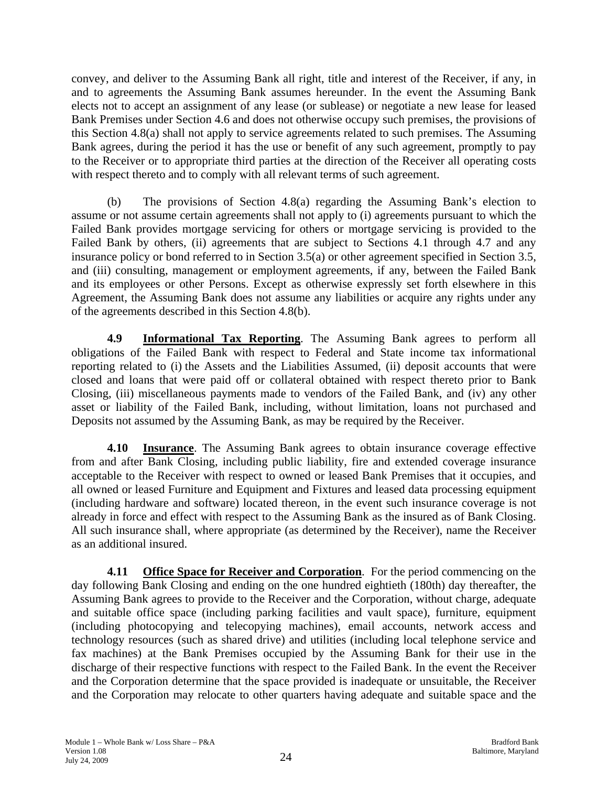convey, and deliver to the Assuming Bank all right, title and interest of the Receiver, if any, in and to agreements the Assuming Bank assumes hereunder. In the event the Assuming Bank elects not to accept an assignment of any lease (or sublease) or negotiate a new lease for leased Bank Premises under Section 4.6 and does not otherwise occupy such premises, the provisions of this Section 4.8(a) shall not apply to service agreements related to such premises. The Assuming Bank agrees, during the period it has the use or benefit of any such agreement, promptly to pay to the Receiver or to appropriate third parties at the direction of the Receiver all operating costs with respect thereto and to comply with all relevant terms of such agreement.

(b) The provisions of Section 4.8(a) regarding the Assuming Bank's election to assume or not assume certain agreements shall not apply to (i) agreements pursuant to which the Failed Bank provides mortgage servicing for others or mortgage servicing is provided to the Failed Bank by others, (ii) agreements that are subject to Sections 4.1 through 4.7 and any insurance policy or bond referred to in Section 3.5(a) or other agreement specified in Section 3.5, and (iii) consulting, management or employment agreements, if any, between the Failed Bank and its employees or other Persons. Except as otherwise expressly set forth elsewhere in this Agreement, the Assuming Bank does not assume any liabilities or acquire any rights under any of the agreements described in this Section 4.8(b).

**4.9 Informational Tax Reporting**. The Assuming Bank agrees to perform all obligations of the Failed Bank with respect to Federal and State income tax informational reporting related to (i) the Assets and the Liabilities Assumed, (ii) deposit accounts that were closed and loans that were paid off or collateral obtained with respect thereto prior to Bank Closing, (iii) miscellaneous payments made to vendors of the Failed Bank, and (iv) any other asset or liability of the Failed Bank, including, without limitation, loans not purchased and Deposits not assumed by the Assuming Bank, as may be required by the Receiver.

**4.10 Insurance**. The Assuming Bank agrees to obtain insurance coverage effective from and after Bank Closing, including public liability, fire and extended coverage insurance acceptable to the Receiver with respect to owned or leased Bank Premises that it occupies, and all owned or leased Furniture and Equipment and Fixtures and leased data processing equipment (including hardware and software) located thereon, in the event such insurance coverage is not already in force and effect with respect to the Assuming Bank as the insured as of Bank Closing. All such insurance shall, where appropriate (as determined by the Receiver), name the Receiver as an additional insured.

**4.11 Office Space for Receiver and Corporation**. For the period commencing on the day following Bank Closing and ending on the one hundred eightieth (180th) day thereafter, the Assuming Bank agrees to provide to the Receiver and the Corporation, without charge, adequate and suitable office space (including parking facilities and vault space), furniture, equipment (including photocopying and telecopying machines), email accounts, network access and technology resources (such as shared drive) and utilities (including local telephone service and fax machines) at the Bank Premises occupied by the Assuming Bank for their use in the discharge of their respective functions with respect to the Failed Bank. In the event the Receiver and the Corporation determine that the space provided is inadequate or unsuitable, the Receiver and the Corporation may relocate to other quarters having adequate and suitable space and the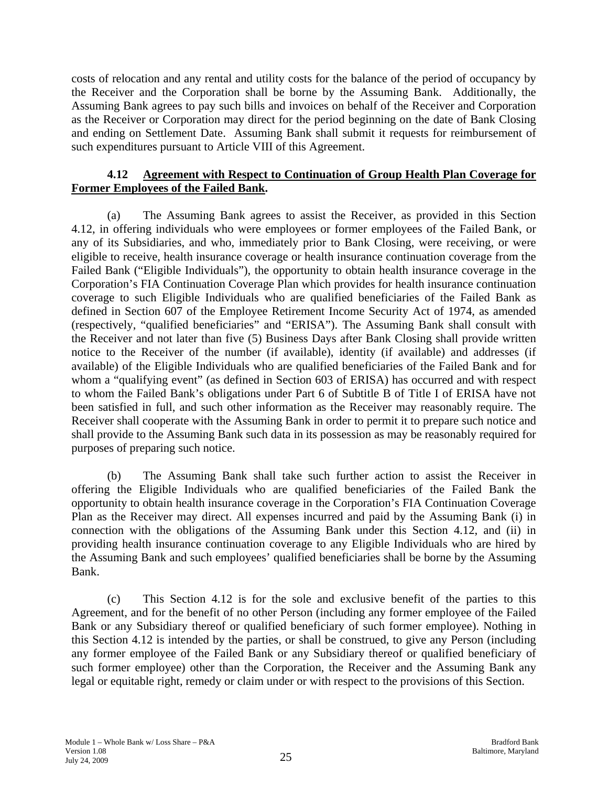costs of relocation and any rental and utility costs for the balance of the period of occupancy by the Receiver and the Corporation shall be borne by the Assuming Bank. Additionally, the Assuming Bank agrees to pay such bills and invoices on behalf of the Receiver and Corporation as the Receiver or Corporation may direct for the period beginning on the date of Bank Closing and ending on Settlement Date. Assuming Bank shall submit it requests for reimbursement of such expenditures pursuant to Article VIII of this Agreement.

### **4.12 Agreement with Respect to Continuation of Group Health Plan Coverage for Former Employees of the Failed Bank.**

(a) The Assuming Bank agrees to assist the Receiver, as provided in this Section 4.12, in offering individuals who were employees or former employees of the Failed Bank, or any of its Subsidiaries, and who, immediately prior to Bank Closing, were receiving, or were eligible to receive, health insurance coverage or health insurance continuation coverage from the Failed Bank ("Eligible Individuals"), the opportunity to obtain health insurance coverage in the Corporation's FIA Continuation Coverage Plan which provides for health insurance continuation coverage to such Eligible Individuals who are qualified beneficiaries of the Failed Bank as defined in Section 607 of the Employee Retirement Income Security Act of 1974, as amended (respectively, "qualified beneficiaries" and "ERISA"). The Assuming Bank shall consult with the Receiver and not later than five (5) Business Days after Bank Closing shall provide written notice to the Receiver of the number (if available), identity (if available) and addresses (if available) of the Eligible Individuals who are qualified beneficiaries of the Failed Bank and for whom a "qualifying event" (as defined in Section 603 of ERISA) has occurred and with respect to whom the Failed Bank's obligations under Part 6 of Subtitle B of Title I of ERISA have not been satisfied in full, and such other information as the Receiver may reasonably require. The Receiver shall cooperate with the Assuming Bank in order to permit it to prepare such notice and shall provide to the Assuming Bank such data in its possession as may be reasonably required for purposes of preparing such notice.

(b) The Assuming Bank shall take such further action to assist the Receiver in offering the Eligible Individuals who are qualified beneficiaries of the Failed Bank the opportunity to obtain health insurance coverage in the Corporation's FIA Continuation Coverage Plan as the Receiver may direct. All expenses incurred and paid by the Assuming Bank (i) in connection with the obligations of the Assuming Bank under this Section 4.12, and (ii) in providing health insurance continuation coverage to any Eligible Individuals who are hired by the Assuming Bank and such employees' qualified beneficiaries shall be borne by the Assuming Bank.

(c) This Section 4.12 is for the sole and exclusive benefit of the parties to this Agreement, and for the benefit of no other Person (including any former employee of the Failed Bank or any Subsidiary thereof or qualified beneficiary of such former employee). Nothing in this Section 4.12 is intended by the parties, or shall be construed, to give any Person (including any former employee of the Failed Bank or any Subsidiary thereof or qualified beneficiary of such former employee) other than the Corporation, the Receiver and the Assuming Bank any legal or equitable right, remedy or claim under or with respect to the provisions of this Section.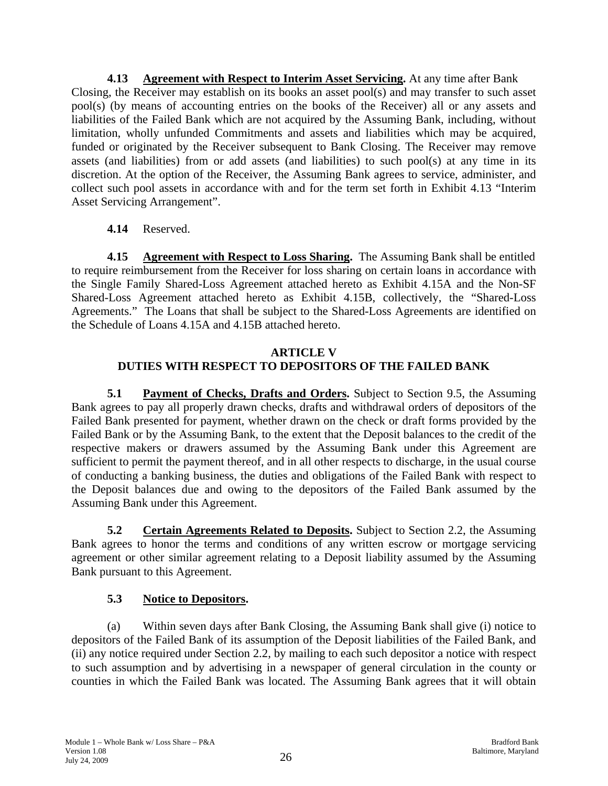**4.13 Agreement with Respect to Interim Asset Servicing.** At any time after Bank Closing, the Receiver may establish on its books an asset pool(s) and may transfer to such asset pool(s) (by means of accounting entries on the books of the Receiver) all or any assets and liabilities of the Failed Bank which are not acquired by the Assuming Bank, including, without limitation, wholly unfunded Commitments and assets and liabilities which may be acquired, funded or originated by the Receiver subsequent to Bank Closing. The Receiver may remove assets (and liabilities) from or add assets (and liabilities) to such pool(s) at any time in its discretion. At the option of the Receiver, the Assuming Bank agrees to service, administer, and collect such pool assets in accordance with and for the term set forth in Exhibit 4.13 "Interim Asset Servicing Arrangement".

**4.14** Reserved.

**4.15 Agreement with Respect to Loss Sharing.** The Assuming Bank shall be entitled to require reimbursement from the Receiver for loss sharing on certain loans in accordance with the Single Family Shared-Loss Agreement attached hereto as Exhibit 4.15A and the Non-SF Shared-Loss Agreement attached hereto as Exhibit 4.15B, collectively, the "Shared-Loss Agreements." The Loans that shall be subject to the Shared-Loss Agreements are identified on the Schedule of Loans 4.15A and 4.15B attached hereto.

# **ARTICLE V DUTIES WITH RESPECT TO DEPOSITORS OF THE FAILED BANK**

**5.1 Payment of Checks, Drafts and Orders.** Subject to Section 9.5, the Assuming Bank agrees to pay all properly drawn checks, drafts and withdrawal orders of depositors of the Failed Bank presented for payment, whether drawn on the check or draft forms provided by the Failed Bank or by the Assuming Bank, to the extent that the Deposit balances to the credit of the respective makers or drawers assumed by the Assuming Bank under this Agreement are sufficient to permit the payment thereof, and in all other respects to discharge, in the usual course of conducting a banking business, the duties and obligations of the Failed Bank with respect to the Deposit balances due and owing to the depositors of the Failed Bank assumed by the Assuming Bank under this Agreement.

**5.2 Certain Agreements Related to Deposits.** Subject to Section 2.2, the Assuming Bank agrees to honor the terms and conditions of any written escrow or mortgage servicing agreement or other similar agreement relating to a Deposit liability assumed by the Assuming Bank pursuant to this Agreement.

# **5.3 Notice to Depositors.**

(a) Within seven days after Bank Closing, the Assuming Bank shall give (i) notice to depositors of the Failed Bank of its assumption of the Deposit liabilities of the Failed Bank, and (ii) any notice required under Section 2.2, by mailing to each such depositor a notice with respect to such assumption and by advertising in a newspaper of general circulation in the county or counties in which the Failed Bank was located. The Assuming Bank agrees that it will obtain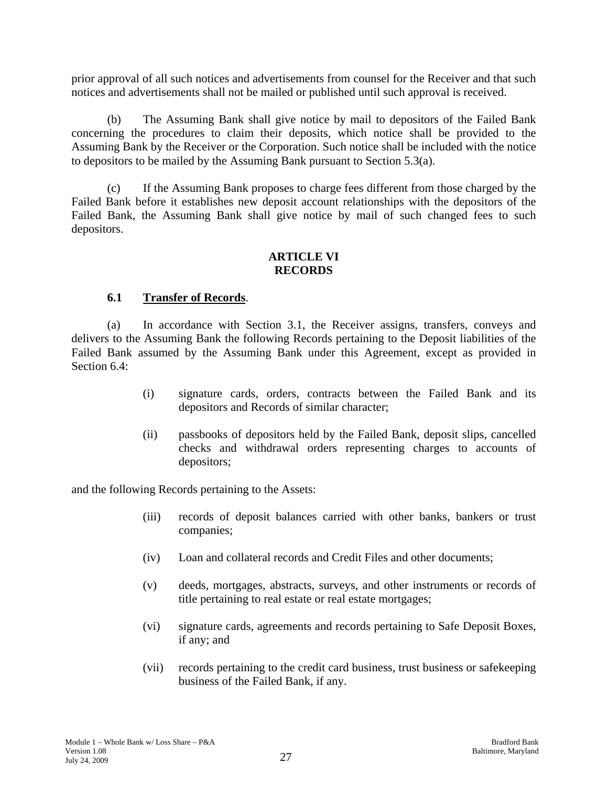prior approval of all such notices and advertisements from counsel for the Receiver and that such notices and advertisements shall not be mailed or published until such approval is received.

(b) The Assuming Bank shall give notice by mail to depositors of the Failed Bank concerning the procedures to claim their deposits, which notice shall be provided to the Assuming Bank by the Receiver or the Corporation. Such notice shall be included with the notice to depositors to be mailed by the Assuming Bank pursuant to Section 5.3(a).

(c) If the Assuming Bank proposes to charge fees different from those charged by the Failed Bank before it establishes new deposit account relationships with the depositors of the Failed Bank, the Assuming Bank shall give notice by mail of such changed fees to such depositors.

### **ARTICLE VI RECORDS**

### **6.1 Transfer of Records**.

(a) In accordance with Section 3.1, the Receiver assigns, transfers, conveys and delivers to the Assuming Bank the following Records pertaining to the Deposit liabilities of the Failed Bank assumed by the Assuming Bank under this Agreement, except as provided in Section 6.4:

- (i) signature cards, orders, contracts between the Failed Bank and its depositors and Records of similar character;
- (ii) passbooks of depositors held by the Failed Bank, deposit slips, cancelled checks and withdrawal orders representing charges to accounts of depositors;

and the following Records pertaining to the Assets:

- (iii) records of deposit balances carried with other banks, bankers or trust companies;
- (iv) Loan and collateral records and Credit Files and other documents;
- (v) deeds, mortgages, abstracts, surveys, and other instruments or records of title pertaining to real estate or real estate mortgages;
- (vi) signature cards, agreements and records pertaining to Safe Deposit Boxes, if any; and
- (vii) records pertaining to the credit card business, trust business or safekeeping business of the Failed Bank, if any.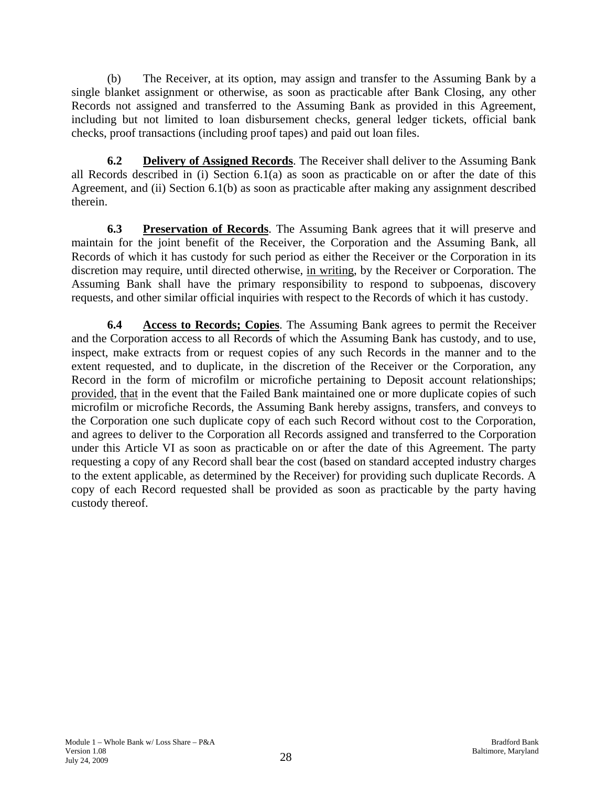(b) The Receiver, at its option, may assign and transfer to the Assuming Bank by a single blanket assignment or otherwise, as soon as practicable after Bank Closing, any other Records not assigned and transferred to the Assuming Bank as provided in this Agreement, including but not limited to loan disbursement checks, general ledger tickets, official bank checks, proof transactions (including proof tapes) and paid out loan files.

**6.2 Delivery of Assigned Records**. The Receiver shall deliver to the Assuming Bank all Records described in (i) Section 6.1(a) as soon as practicable on or after the date of this Agreement, and (ii) Section 6.1(b) as soon as practicable after making any assignment described therein.

**6.3 Preservation of Records**. The Assuming Bank agrees that it will preserve and maintain for the joint benefit of the Receiver, the Corporation and the Assuming Bank, all Records of which it has custody for such period as either the Receiver or the Corporation in its discretion may require, until directed otherwise, in writing, by the Receiver or Corporation. The Assuming Bank shall have the primary responsibility to respond to subpoenas, discovery requests, and other similar official inquiries with respect to the Records of which it has custody.

**6.4** Access to Records; Copies. The Assuming Bank agrees to permit the Receiver and the Corporation access to all Records of which the Assuming Bank has custody, and to use, inspect, make extracts from or request copies of any such Records in the manner and to the extent requested, and to duplicate, in the discretion of the Receiver or the Corporation, any Record in the form of microfilm or microfiche pertaining to Deposit account relationships; provided, that in the event that the Failed Bank maintained one or more duplicate copies of such microfilm or microfiche Records, the Assuming Bank hereby assigns, transfers, and conveys to the Corporation one such duplicate copy of each such Record without cost to the Corporation, and agrees to deliver to the Corporation all Records assigned and transferred to the Corporation under this Article VI as soon as practicable on or after the date of this Agreement. The party requesting a copy of any Record shall bear the cost (based on standard accepted industry charges to the extent applicable, as determined by the Receiver) for providing such duplicate Records. A copy of each Record requested shall be provided as soon as practicable by the party having custody thereof.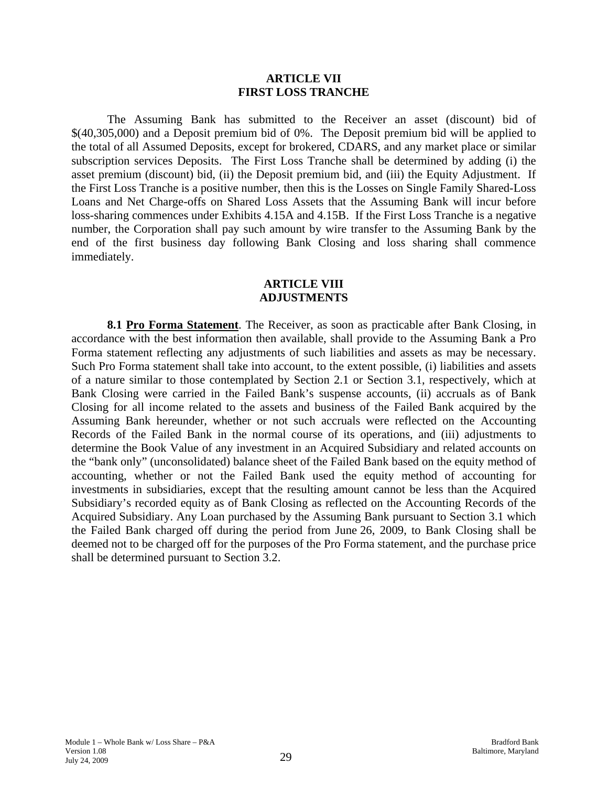#### **ARTICLE VII FIRST LOSS TRANCHE**

The Assuming Bank has submitted to the Receiver an asset (discount) bid of \$(40,305,000) and a Deposit premium bid of 0%. The Deposit premium bid will be applied to the total of all Assumed Deposits, except for brokered, CDARS, and any market place or similar subscription services Deposits. The First Loss Tranche shall be determined by adding (i) the asset premium (discount) bid, (ii) the Deposit premium bid, and (iii) the Equity Adjustment. If the First Loss Tranche is a positive number, then this is the Losses on Single Family Shared-Loss Loans and Net Charge-offs on Shared Loss Assets that the Assuming Bank will incur before loss-sharing commences under Exhibits 4.15A and 4.15B. If the First Loss Tranche is a negative number, the Corporation shall pay such amount by wire transfer to the Assuming Bank by the end of the first business day following Bank Closing and loss sharing shall commence immediately.

#### **ARTICLE VIII ADJUSTMENTS**

**8.1 Pro Forma Statement**. The Receiver, as soon as practicable after Bank Closing, in accordance with the best information then available, shall provide to the Assuming Bank a Pro Forma statement reflecting any adjustments of such liabilities and assets as may be necessary. Such Pro Forma statement shall take into account, to the extent possible, (i) liabilities and assets of a nature similar to those contemplated by Section 2.1 or Section 3.1, respectively, which at Bank Closing were carried in the Failed Bank's suspense accounts, (ii) accruals as of Bank Closing for all income related to the assets and business of the Failed Bank acquired by the Assuming Bank hereunder, whether or not such accruals were reflected on the Accounting Records of the Failed Bank in the normal course of its operations, and (iii) adjustments to determine the Book Value of any investment in an Acquired Subsidiary and related accounts on the "bank only" (unconsolidated) balance sheet of the Failed Bank based on the equity method of accounting, whether or not the Failed Bank used the equity method of accounting for investments in subsidiaries, except that the resulting amount cannot be less than the Acquired Subsidiary's recorded equity as of Bank Closing as reflected on the Accounting Records of the Acquired Subsidiary. Any Loan purchased by the Assuming Bank pursuant to Section 3.1 which the Failed Bank charged off during the period from June 26, 2009, to Bank Closing shall be deemed not to be charged off for the purposes of the Pro Forma statement, and the purchase price shall be determined pursuant to Section 3.2.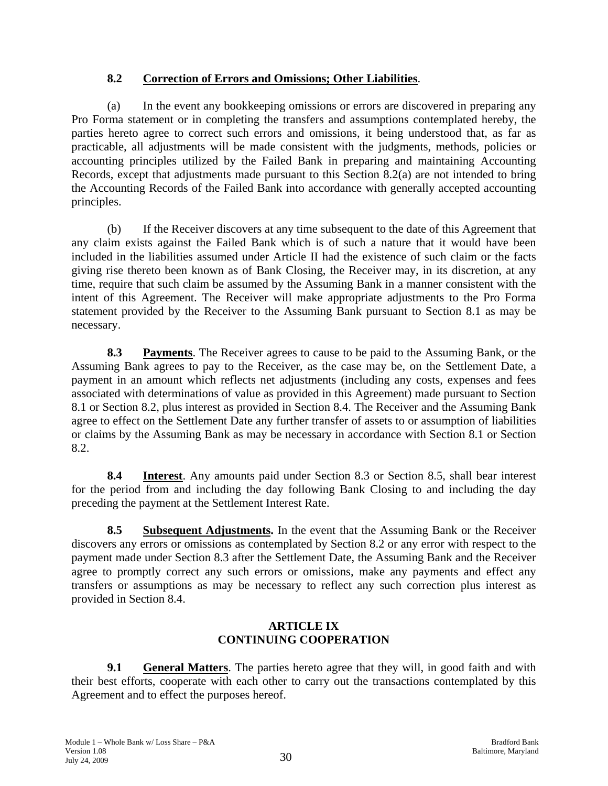## **8.2 Correction of Errors and Omissions; Other Liabilities**.

(a) In the event any bookkeeping omissions or errors are discovered in preparing any Pro Forma statement or in completing the transfers and assumptions contemplated hereby, the parties hereto agree to correct such errors and omissions, it being understood that, as far as practicable, all adjustments will be made consistent with the judgments, methods, policies or accounting principles utilized by the Failed Bank in preparing and maintaining Accounting Records, except that adjustments made pursuant to this Section 8.2(a) are not intended to bring the Accounting Records of the Failed Bank into accordance with generally accepted accounting principles.

(b) If the Receiver discovers at any time subsequent to the date of this Agreement that any claim exists against the Failed Bank which is of such a nature that it would have been included in the liabilities assumed under Article II had the existence of such claim or the facts giving rise thereto been known as of Bank Closing, the Receiver may, in its discretion, at any time, require that such claim be assumed by the Assuming Bank in a manner consistent with the intent of this Agreement. The Receiver will make appropriate adjustments to the Pro Forma statement provided by the Receiver to the Assuming Bank pursuant to Section 8.1 as may be necessary.

**8.3 Payments**. The Receiver agrees to cause to be paid to the Assuming Bank, or the Assuming Bank agrees to pay to the Receiver, as the case may be, on the Settlement Date, a payment in an amount which reflects net adjustments (including any costs, expenses and fees associated with determinations of value as provided in this Agreement) made pursuant to Section 8.1 or Section 8.2, plus interest as provided in Section 8.4. The Receiver and the Assuming Bank agree to effect on the Settlement Date any further transfer of assets to or assumption of liabilities or claims by the Assuming Bank as may be necessary in accordance with Section 8.1 or Section 8.2.

**8.4 Interest**. Any amounts paid under Section 8.3 or Section 8.5, shall bear interest for the period from and including the day following Bank Closing to and including the day preceding the payment at the Settlement Interest Rate.

**8.5 Subsequent Adjustments.** In the event that the Assuming Bank or the Receiver discovers any errors or omissions as contemplated by Section 8.2 or any error with respect to the payment made under Section 8.3 after the Settlement Date, the Assuming Bank and the Receiver agree to promptly correct any such errors or omissions, make any payments and effect any transfers or assumptions as may be necessary to reflect any such correction plus interest as provided in Section 8.4.

### **ARTICLE IX CONTINUING COOPERATION**

**9.1 General Matters**. The parties hereto agree that they will, in good faith and with their best efforts, cooperate with each other to carry out the transactions contemplated by this Agreement and to effect the purposes hereof.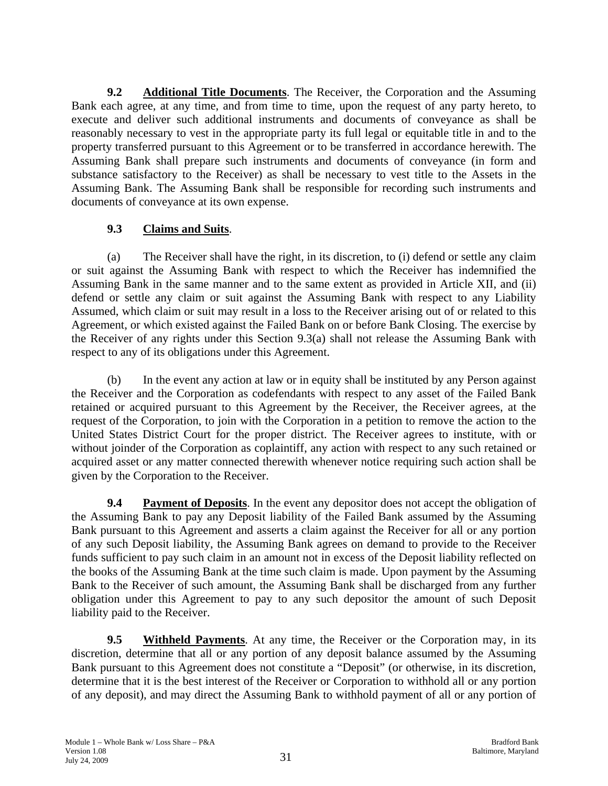**9.2** Additional Title Documents. The Receiver, the Corporation and the Assuming Bank each agree, at any time, and from time to time, upon the request of any party hereto, to execute and deliver such additional instruments and documents of conveyance as shall be reasonably necessary to vest in the appropriate party its full legal or equitable title in and to the property transferred pursuant to this Agreement or to be transferred in accordance herewith. The Assuming Bank shall prepare such instruments and documents of conveyance (in form and substance satisfactory to the Receiver) as shall be necessary to vest title to the Assets in the Assuming Bank. The Assuming Bank shall be responsible for recording such instruments and documents of conveyance at its own expense.

# **9.3 Claims and Suits**.

(a) The Receiver shall have the right, in its discretion, to (i) defend or settle any claim or suit against the Assuming Bank with respect to which the Receiver has indemnified the Assuming Bank in the same manner and to the same extent as provided in Article XII, and (ii) defend or settle any claim or suit against the Assuming Bank with respect to any Liability Assumed, which claim or suit may result in a loss to the Receiver arising out of or related to this Agreement, or which existed against the Failed Bank on or before Bank Closing. The exercise by the Receiver of any rights under this Section 9.3(a) shall not release the Assuming Bank with respect to any of its obligations under this Agreement.

(b) In the event any action at law or in equity shall be instituted by any Person against the Receiver and the Corporation as codefendants with respect to any asset of the Failed Bank retained or acquired pursuant to this Agreement by the Receiver, the Receiver agrees, at the request of the Corporation, to join with the Corporation in a petition to remove the action to the United States District Court for the proper district. The Receiver agrees to institute, with or without joinder of the Corporation as coplaintiff, any action with respect to any such retained or acquired asset or any matter connected therewith whenever notice requiring such action shall be given by the Corporation to the Receiver.

**9.4 Payment of Deposits**. In the event any depositor does not accept the obligation of the Assuming Bank to pay any Deposit liability of the Failed Bank assumed by the Assuming Bank pursuant to this Agreement and asserts a claim against the Receiver for all or any portion of any such Deposit liability, the Assuming Bank agrees on demand to provide to the Receiver funds sufficient to pay such claim in an amount not in excess of the Deposit liability reflected on the books of the Assuming Bank at the time such claim is made. Upon payment by the Assuming Bank to the Receiver of such amount, the Assuming Bank shall be discharged from any further obligation under this Agreement to pay to any such depositor the amount of such Deposit liability paid to the Receiver.

**9.5 Withheld Payments**. At any time, the Receiver or the Corporation may, in its discretion, determine that all or any portion of any deposit balance assumed by the Assuming Bank pursuant to this Agreement does not constitute a "Deposit" (or otherwise, in its discretion, determine that it is the best interest of the Receiver or Corporation to withhold all or any portion of any deposit), and may direct the Assuming Bank to withhold payment of all or any portion of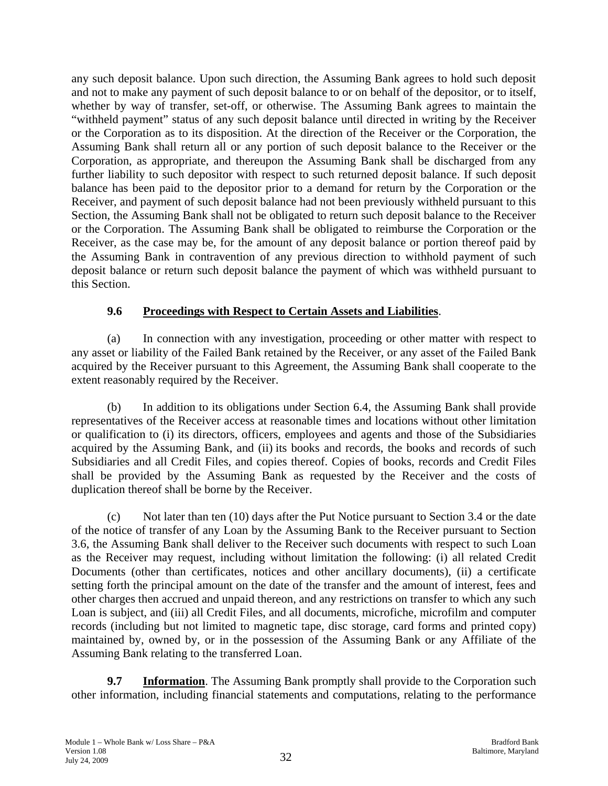any such deposit balance. Upon such direction, the Assuming Bank agrees to hold such deposit and not to make any payment of such deposit balance to or on behalf of the depositor, or to itself, whether by way of transfer, set-off, or otherwise. The Assuming Bank agrees to maintain the "withheld payment" status of any such deposit balance until directed in writing by the Receiver or the Corporation as to its disposition. At the direction of the Receiver or the Corporation, the Assuming Bank shall return all or any portion of such deposit balance to the Receiver or the Corporation, as appropriate, and thereupon the Assuming Bank shall be discharged from any further liability to such depositor with respect to such returned deposit balance. If such deposit balance has been paid to the depositor prior to a demand for return by the Corporation or the Receiver, and payment of such deposit balance had not been previously withheld pursuant to this Section, the Assuming Bank shall not be obligated to return such deposit balance to the Receiver or the Corporation. The Assuming Bank shall be obligated to reimburse the Corporation or the Receiver, as the case may be, for the amount of any deposit balance or portion thereof paid by the Assuming Bank in contravention of any previous direction to withhold payment of such deposit balance or return such deposit balance the payment of which was withheld pursuant to this Section.

## **9.6 Proceedings with Respect to Certain Assets and Liabilities**.

(a) In connection with any investigation, proceeding or other matter with respect to any asset or liability of the Failed Bank retained by the Receiver, or any asset of the Failed Bank acquired by the Receiver pursuant to this Agreement, the Assuming Bank shall cooperate to the extent reasonably required by the Receiver.

(b) In addition to its obligations under Section 6.4, the Assuming Bank shall provide representatives of the Receiver access at reasonable times and locations without other limitation or qualification to (i) its directors, officers, employees and agents and those of the Subsidiaries acquired by the Assuming Bank, and (ii) its books and records, the books and records of such Subsidiaries and all Credit Files, and copies thereof. Copies of books, records and Credit Files shall be provided by the Assuming Bank as requested by the Receiver and the costs of duplication thereof shall be borne by the Receiver.

(c) Not later than ten (10) days after the Put Notice pursuant to Section 3.4 or the date of the notice of transfer of any Loan by the Assuming Bank to the Receiver pursuant to Section 3.6, the Assuming Bank shall deliver to the Receiver such documents with respect to such Loan as the Receiver may request, including without limitation the following: (i) all related Credit Documents (other than certificates, notices and other ancillary documents), (ii) a certificate setting forth the principal amount on the date of the transfer and the amount of interest, fees and other charges then accrued and unpaid thereon, and any restrictions on transfer to which any such Loan is subject, and (iii) all Credit Files, and all documents, microfiche, microfilm and computer records (including but not limited to magnetic tape, disc storage, card forms and printed copy) maintained by, owned by, or in the possession of the Assuming Bank or any Affiliate of the Assuming Bank relating to the transferred Loan.

**9.7 Information**. The Assuming Bank promptly shall provide to the Corporation such other information, including financial statements and computations, relating to the performance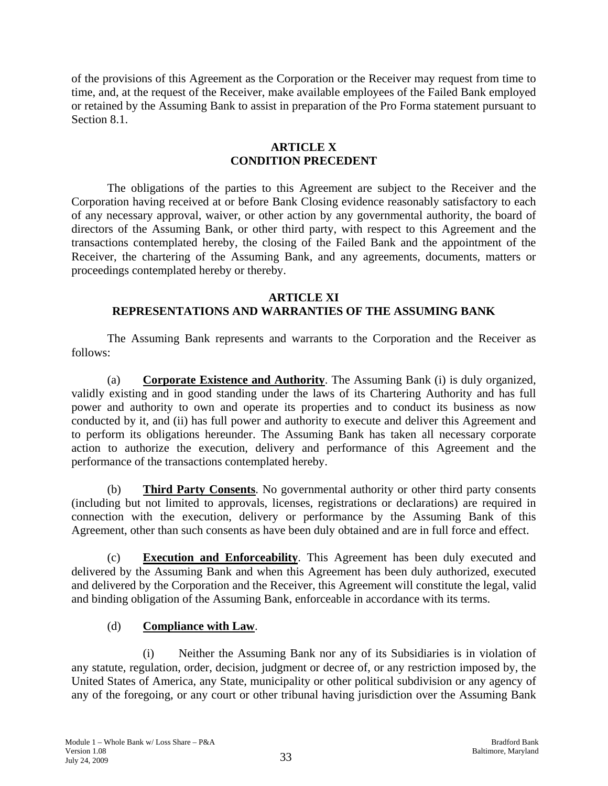of the provisions of this Agreement as the Corporation or the Receiver may request from time to time, and, at the request of the Receiver, make available employees of the Failed Bank employed or retained by the Assuming Bank to assist in preparation of the Pro Forma statement pursuant to Section 8.1.

### **ARTICLE X CONDITION PRECEDENT**

The obligations of the parties to this Agreement are subject to the Receiver and the Corporation having received at or before Bank Closing evidence reasonably satisfactory to each of any necessary approval, waiver, or other action by any governmental authority, the board of directors of the Assuming Bank, or other third party, with respect to this Agreement and the transactions contemplated hereby, the closing of the Failed Bank and the appointment of the Receiver, the chartering of the Assuming Bank, and any agreements, documents, matters or proceedings contemplated hereby or thereby.

### **ARTICLE XI REPRESENTATIONS AND WARRANTIES OF THE ASSUMING BANK**

The Assuming Bank represents and warrants to the Corporation and the Receiver as follows:

(a) **Corporate Existence and Authority**. The Assuming Bank (i) is duly organized, validly existing and in good standing under the laws of its Chartering Authority and has full power and authority to own and operate its properties and to conduct its business as now conducted by it, and (ii) has full power and authority to execute and deliver this Agreement and to perform its obligations hereunder. The Assuming Bank has taken all necessary corporate action to authorize the execution, delivery and performance of this Agreement and the performance of the transactions contemplated hereby.

(b) **Third Party Consents**. No governmental authority or other third party consents (including but not limited to approvals, licenses, registrations or declarations) are required in connection with the execution, delivery or performance by the Assuming Bank of this Agreement, other than such consents as have been duly obtained and are in full force and effect.

(c) **Execution and Enforceability**. This Agreement has been duly executed and delivered by the Assuming Bank and when this Agreement has been duly authorized, executed and delivered by the Corporation and the Receiver, this Agreement will constitute the legal, valid and binding obligation of the Assuming Bank, enforceable in accordance with its terms.

### (d) **Compliance with Law**.

(i) Neither the Assuming Bank nor any of its Subsidiaries is in violation of any statute, regulation, order, decision, judgment or decree of, or any restriction imposed by, the United States of America, any State, municipality or other political subdivision or any agency of any of the foregoing, or any court or other tribunal having jurisdiction over the Assuming Bank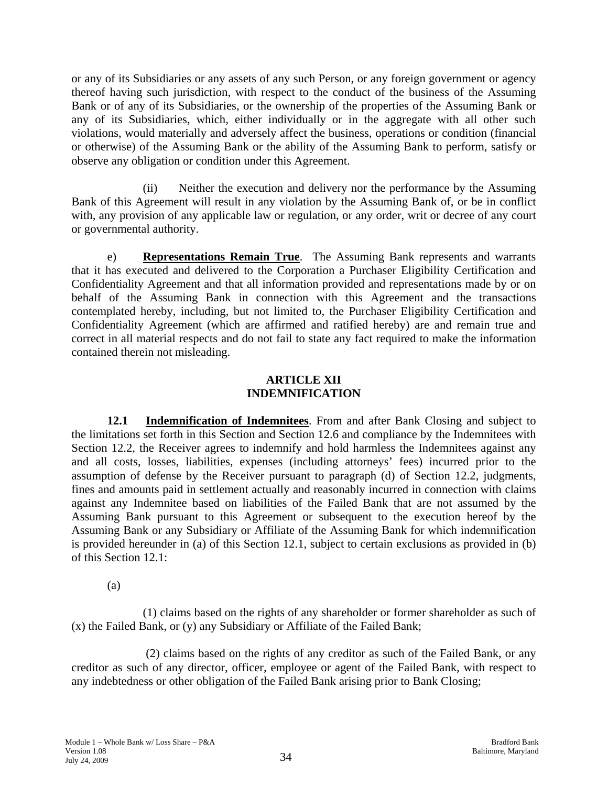or any of its Subsidiaries or any assets of any such Person, or any foreign government or agency thereof having such jurisdiction, with respect to the conduct of the business of the Assuming Bank or of any of its Subsidiaries, or the ownership of the properties of the Assuming Bank or any of its Subsidiaries, which, either individually or in the aggregate with all other such violations, would materially and adversely affect the business, operations or condition (financial or otherwise) of the Assuming Bank or the ability of the Assuming Bank to perform, satisfy or observe any obligation or condition under this Agreement.

(ii) Neither the execution and delivery nor the performance by the Assuming Bank of this Agreement will result in any violation by the Assuming Bank of, or be in conflict with, any provision of any applicable law or regulation, or any order, writ or decree of any court or governmental authority.

e) **Representations Remain True**. The Assuming Bank represents and warrants that it has executed and delivered to the Corporation a Purchaser Eligibility Certification and Confidentiality Agreement and that all information provided and representations made by or on behalf of the Assuming Bank in connection with this Agreement and the transactions contemplated hereby, including, but not limited to, the Purchaser Eligibility Certification and Confidentiality Agreement (which are affirmed and ratified hereby) are and remain true and correct in all material respects and do not fail to state any fact required to make the information contained therein not misleading.

### **ARTICLE XII INDEMNIFICATION**

**12.1 Indemnification of Indemnitees**. From and after Bank Closing and subject to the limitations set forth in this Section and Section 12.6 and compliance by the Indemnitees with Section 12.2, the Receiver agrees to indemnify and hold harmless the Indemnitees against any and all costs, losses, liabilities, expenses (including attorneys' fees) incurred prior to the assumption of defense by the Receiver pursuant to paragraph (d) of Section 12.2, judgments, fines and amounts paid in settlement actually and reasonably incurred in connection with claims against any Indemnitee based on liabilities of the Failed Bank that are not assumed by the Assuming Bank pursuant to this Agreement or subsequent to the execution hereof by the Assuming Bank or any Subsidiary or Affiliate of the Assuming Bank for which indemnification is provided hereunder in (a) of this Section 12.1, subject to certain exclusions as provided in (b) of this Section 12.1:

(1) claims based on the rights of any shareholder or former shareholder as such of (x) the Failed Bank, or (y) any Subsidiary or Affiliate of the Failed Bank;

(2) claims based on the rights of any creditor as such of the Failed Bank, or any creditor as such of any director, officer, employee or agent of the Failed Bank, with respect to any indebtedness or other obligation of the Failed Bank arising prior to Bank Closing;

<sup>(</sup>a)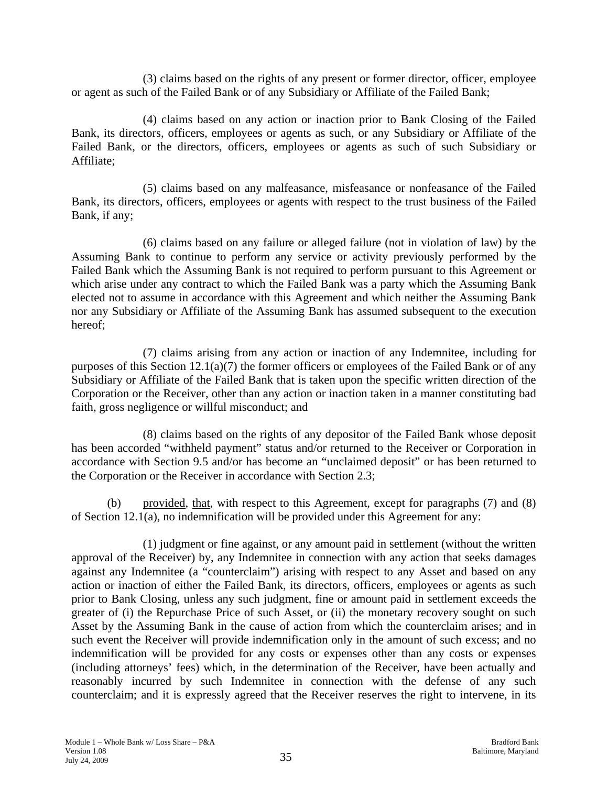(3) claims based on the rights of any present or former director, officer, employee or agent as such of the Failed Bank or of any Subsidiary or Affiliate of the Failed Bank;

(4) claims based on any action or inaction prior to Bank Closing of the Failed Bank, its directors, officers, employees or agents as such, or any Subsidiary or Affiliate of the Failed Bank, or the directors, officers, employees or agents as such of such Subsidiary or Affiliate;

(5) claims based on any malfeasance, misfeasance or nonfeasance of the Failed Bank, its directors, officers, employees or agents with respect to the trust business of the Failed Bank, if any;

(6) claims based on any failure or alleged failure (not in violation of law) by the Assuming Bank to continue to perform any service or activity previously performed by the Failed Bank which the Assuming Bank is not required to perform pursuant to this Agreement or which arise under any contract to which the Failed Bank was a party which the Assuming Bank elected not to assume in accordance with this Agreement and which neither the Assuming Bank nor any Subsidiary or Affiliate of the Assuming Bank has assumed subsequent to the execution hereof;

(7) claims arising from any action or inaction of any Indemnitee, including for purposes of this Section 12.1(a)(7) the former officers or employees of the Failed Bank or of any Subsidiary or Affiliate of the Failed Bank that is taken upon the specific written direction of the Corporation or the Receiver, other than any action or inaction taken in a manner constituting bad faith, gross negligence or willful misconduct; and

(8) claims based on the rights of any depositor of the Failed Bank whose deposit has been accorded "withheld payment" status and/or returned to the Receiver or Corporation in accordance with Section 9.5 and/or has become an "unclaimed deposit" or has been returned to the Corporation or the Receiver in accordance with Section 2.3;

(b) provided, that, with respect to this Agreement, except for paragraphs (7) and (8) of Section 12.1(a), no indemnification will be provided under this Agreement for any:

(1) judgment or fine against, or any amount paid in settlement (without the written approval of the Receiver) by, any Indemnitee in connection with any action that seeks damages against any Indemnitee (a "counterclaim") arising with respect to any Asset and based on any action or inaction of either the Failed Bank, its directors, officers, employees or agents as such prior to Bank Closing, unless any such judgment, fine or amount paid in settlement exceeds the greater of (i) the Repurchase Price of such Asset, or (ii) the monetary recovery sought on such Asset by the Assuming Bank in the cause of action from which the counterclaim arises; and in such event the Receiver will provide indemnification only in the amount of such excess; and no indemnification will be provided for any costs or expenses other than any costs or expenses (including attorneys' fees) which, in the determination of the Receiver, have been actually and reasonably incurred by such Indemnitee in connection with the defense of any such counterclaim; and it is expressly agreed that the Receiver reserves the right to intervene, in its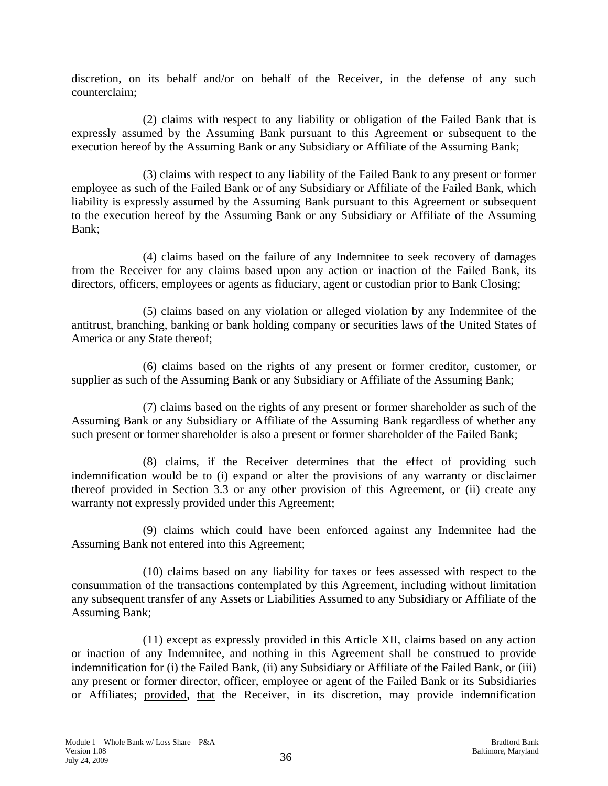discretion, on its behalf and/or on behalf of the Receiver, in the defense of any such counterclaim;

(2) claims with respect to any liability or obligation of the Failed Bank that is expressly assumed by the Assuming Bank pursuant to this Agreement or subsequent to the execution hereof by the Assuming Bank or any Subsidiary or Affiliate of the Assuming Bank;

(3) claims with respect to any liability of the Failed Bank to any present or former employee as such of the Failed Bank or of any Subsidiary or Affiliate of the Failed Bank, which liability is expressly assumed by the Assuming Bank pursuant to this Agreement or subsequent to the execution hereof by the Assuming Bank or any Subsidiary or Affiliate of the Assuming Bank;

(4) claims based on the failure of any Indemnitee to seek recovery of damages from the Receiver for any claims based upon any action or inaction of the Failed Bank, its directors, officers, employees or agents as fiduciary, agent or custodian prior to Bank Closing;

(5) claims based on any violation or alleged violation by any Indemnitee of the antitrust, branching, banking or bank holding company or securities laws of the United States of America or any State thereof;

(6) claims based on the rights of any present or former creditor, customer, or supplier as such of the Assuming Bank or any Subsidiary or Affiliate of the Assuming Bank;

(7) claims based on the rights of any present or former shareholder as such of the Assuming Bank or any Subsidiary or Affiliate of the Assuming Bank regardless of whether any such present or former shareholder is also a present or former shareholder of the Failed Bank;

(8) claims, if the Receiver determines that the effect of providing such indemnification would be to (i) expand or alter the provisions of any warranty or disclaimer thereof provided in Section 3.3 or any other provision of this Agreement, or (ii) create any warranty not expressly provided under this Agreement;

(9) claims which could have been enforced against any Indemnitee had the Assuming Bank not entered into this Agreement;

(10) claims based on any liability for taxes or fees assessed with respect to the consummation of the transactions contemplated by this Agreement, including without limitation any subsequent transfer of any Assets or Liabilities Assumed to any Subsidiary or Affiliate of the Assuming Bank;

(11) except as expressly provided in this Article XII, claims based on any action or inaction of any Indemnitee, and nothing in this Agreement shall be construed to provide indemnification for (i) the Failed Bank, (ii) any Subsidiary or Affiliate of the Failed Bank, or (iii) any present or former director, officer, employee or agent of the Failed Bank or its Subsidiaries or Affiliates; provided, that the Receiver, in its discretion, may provide indemnification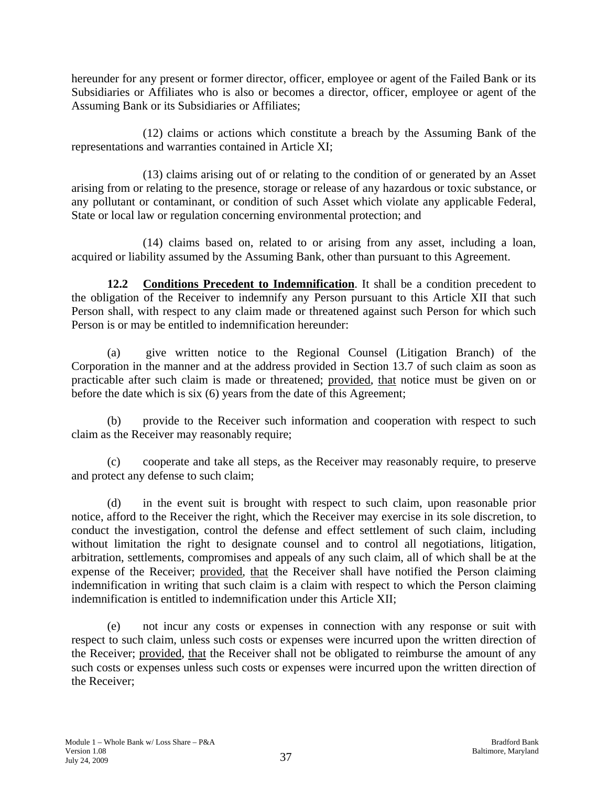hereunder for any present or former director, officer, employee or agent of the Failed Bank or its Subsidiaries or Affiliates who is also or becomes a director, officer, employee or agent of the Assuming Bank or its Subsidiaries or Affiliates;

(12) claims or actions which constitute a breach by the Assuming Bank of the representations and warranties contained in Article XI;

(13) claims arising out of or relating to the condition of or generated by an Asset arising from or relating to the presence, storage or release of any hazardous or toxic substance, or any pollutant or contaminant, or condition of such Asset which violate any applicable Federal, State or local law or regulation concerning environmental protection; and

(14) claims based on, related to or arising from any asset, including a loan, acquired or liability assumed by the Assuming Bank, other than pursuant to this Agreement.

**12.2 Conditions Precedent to Indemnification**. It shall be a condition precedent to the obligation of the Receiver to indemnify any Person pursuant to this Article XII that such Person shall, with respect to any claim made or threatened against such Person for which such Person is or may be entitled to indemnification hereunder:

(a) give written notice to the Regional Counsel (Litigation Branch) of the Corporation in the manner and at the address provided in Section 13.7 of such claim as soon as practicable after such claim is made or threatened; provided, that notice must be given on or before the date which is six (6) years from the date of this Agreement;

(b) provide to the Receiver such information and cooperation with respect to such claim as the Receiver may reasonably require;

(c) cooperate and take all steps, as the Receiver may reasonably require, to preserve and protect any defense to such claim;

(d) in the event suit is brought with respect to such claim, upon reasonable prior notice, afford to the Receiver the right, which the Receiver may exercise in its sole discretion, to conduct the investigation, control the defense and effect settlement of such claim, including without limitation the right to designate counsel and to control all negotiations, litigation, arbitration, settlements, compromises and appeals of any such claim, all of which shall be at the expense of the Receiver; provided, that the Receiver shall have notified the Person claiming indemnification in writing that such claim is a claim with respect to which the Person claiming indemnification is entitled to indemnification under this Article XII;

(e) not incur any costs or expenses in connection with any response or suit with respect to such claim, unless such costs or expenses were incurred upon the written direction of the Receiver; provided, that the Receiver shall not be obligated to reimburse the amount of any such costs or expenses unless such costs or expenses were incurred upon the written direction of the Receiver;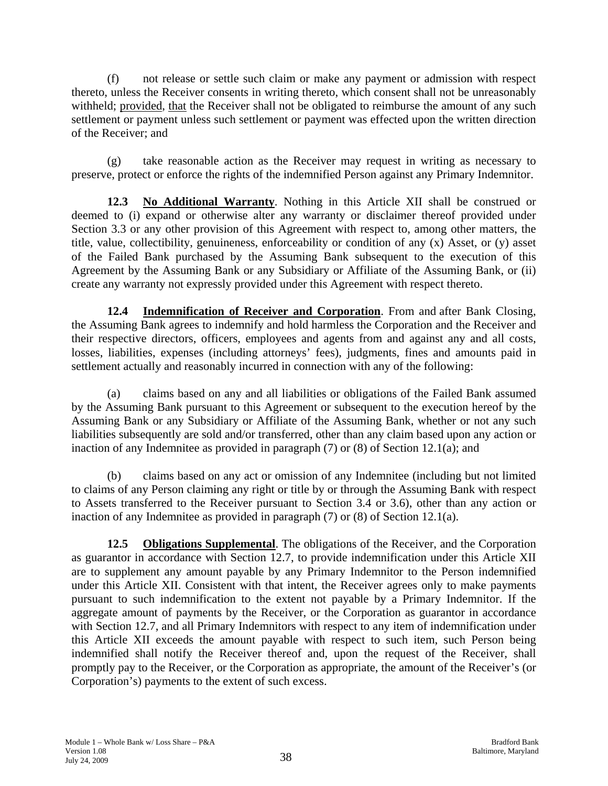(f) not release or settle such claim or make any payment or admission with respect thereto, unless the Receiver consents in writing thereto, which consent shall not be unreasonably withheld; provided, that the Receiver shall not be obligated to reimburse the amount of any such settlement or payment unless such settlement or payment was effected upon the written direction of the Receiver; and

(g) take reasonable action as the Receiver may request in writing as necessary to preserve, protect or enforce the rights of the indemnified Person against any Primary Indemnitor.

**12.3 No Additional Warranty**. Nothing in this Article XII shall be construed or deemed to (i) expand or otherwise alter any warranty or disclaimer thereof provided under Section 3.3 or any other provision of this Agreement with respect to, among other matters, the title, value, collectibility, genuineness, enforceability or condition of any (x) Asset, or (y) asset of the Failed Bank purchased by the Assuming Bank subsequent to the execution of this Agreement by the Assuming Bank or any Subsidiary or Affiliate of the Assuming Bank, or (ii) create any warranty not expressly provided under this Agreement with respect thereto.

**12.4 Indemnification of Receiver and Corporation**. From and after Bank Closing, the Assuming Bank agrees to indemnify and hold harmless the Corporation and the Receiver and their respective directors, officers, employees and agents from and against any and all costs, losses, liabilities, expenses (including attorneys' fees), judgments, fines and amounts paid in settlement actually and reasonably incurred in connection with any of the following:

(a) claims based on any and all liabilities or obligations of the Failed Bank assumed by the Assuming Bank pursuant to this Agreement or subsequent to the execution hereof by the Assuming Bank or any Subsidiary or Affiliate of the Assuming Bank, whether or not any such liabilities subsequently are sold and/or transferred, other than any claim based upon any action or inaction of any Indemnitee as provided in paragraph (7) or (8) of Section 12.1(a); and

(b) claims based on any act or omission of any Indemnitee (including but not limited to claims of any Person claiming any right or title by or through the Assuming Bank with respect to Assets transferred to the Receiver pursuant to Section 3.4 or 3.6), other than any action or inaction of any Indemnitee as provided in paragraph (7) or (8) of Section 12.1(a).

**12.5 Obligations Supplemental**. The obligations of the Receiver, and the Corporation as guarantor in accordance with Section 12.7, to provide indemnification under this Article XII are to supplement any amount payable by any Primary Indemnitor to the Person indemnified under this Article XII. Consistent with that intent, the Receiver agrees only to make payments pursuant to such indemnification to the extent not payable by a Primary Indemnitor. If the aggregate amount of payments by the Receiver, or the Corporation as guarantor in accordance with Section 12.7, and all Primary Indemnitors with respect to any item of indemnification under this Article XII exceeds the amount payable with respect to such item, such Person being indemnified shall notify the Receiver thereof and, upon the request of the Receiver, shall promptly pay to the Receiver, or the Corporation as appropriate, the amount of the Receiver's (or Corporation's) payments to the extent of such excess.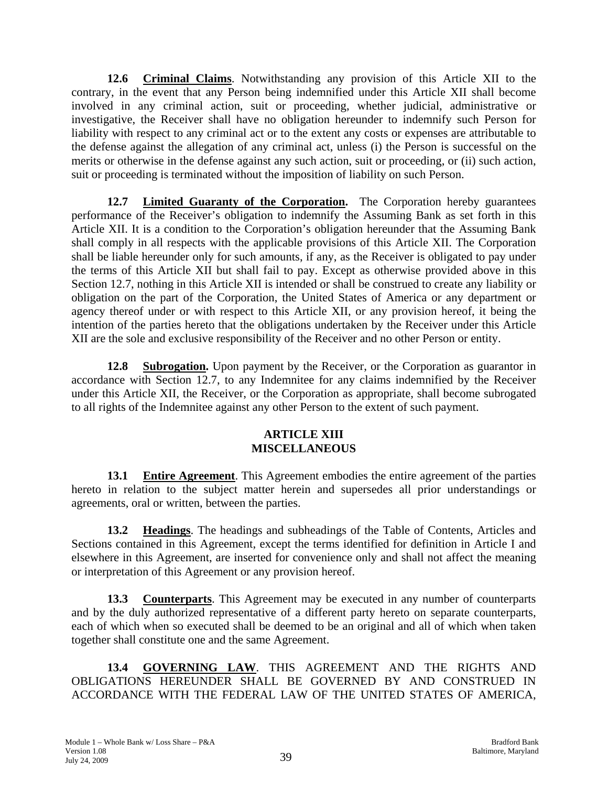**12.6 Criminal Claims**. Notwithstanding any provision of this Article XII to the contrary, in the event that any Person being indemnified under this Article XII shall become involved in any criminal action, suit or proceeding, whether judicial, administrative or investigative, the Receiver shall have no obligation hereunder to indemnify such Person for liability with respect to any criminal act or to the extent any costs or expenses are attributable to the defense against the allegation of any criminal act, unless (i) the Person is successful on the merits or otherwise in the defense against any such action, suit or proceeding, or (ii) such action, suit or proceeding is terminated without the imposition of liability on such Person.

**12.7 Limited Guaranty of the Corporation.** The Corporation hereby guarantees performance of the Receiver's obligation to indemnify the Assuming Bank as set forth in this Article XII. It is a condition to the Corporation's obligation hereunder that the Assuming Bank shall comply in all respects with the applicable provisions of this Article XII. The Corporation shall be liable hereunder only for such amounts, if any, as the Receiver is obligated to pay under the terms of this Article XII but shall fail to pay. Except as otherwise provided above in this Section 12.7, nothing in this Article XII is intended or shall be construed to create any liability or obligation on the part of the Corporation, the United States of America or any department or agency thereof under or with respect to this Article XII, or any provision hereof, it being the intention of the parties hereto that the obligations undertaken by the Receiver under this Article XII are the sole and exclusive responsibility of the Receiver and no other Person or entity.

**12.8 Subrogation.** Upon payment by the Receiver, or the Corporation as guarantor in accordance with Section 12.7, to any Indemnitee for any claims indemnified by the Receiver under this Article XII, the Receiver, or the Corporation as appropriate, shall become subrogated to all rights of the Indemnitee against any other Person to the extent of such payment.

### **ARTICLE XIII MISCELLANEOUS**

**13.1 Entire Agreement**. This Agreement embodies the entire agreement of the parties hereto in relation to the subject matter herein and supersedes all prior understandings or agreements, oral or written, between the parties.

**13.2 Headings**. The headings and subheadings of the Table of Contents, Articles and Sections contained in this Agreement, except the terms identified for definition in Article I and elsewhere in this Agreement, are inserted for convenience only and shall not affect the meaning or interpretation of this Agreement or any provision hereof.

**13.3 Counterparts**. This Agreement may be executed in any number of counterparts and by the duly authorized representative of a different party hereto on separate counterparts, each of which when so executed shall be deemed to be an original and all of which when taken together shall constitute one and the same Agreement.

**13.4 GOVERNING LAW**. THIS AGREEMENT AND THE RIGHTS AND OBLIGATIONS HEREUNDER SHALL BE GOVERNED BY AND CONSTRUED IN ACCORDANCE WITH THE FEDERAL LAW OF THE UNITED STATES OF AMERICA,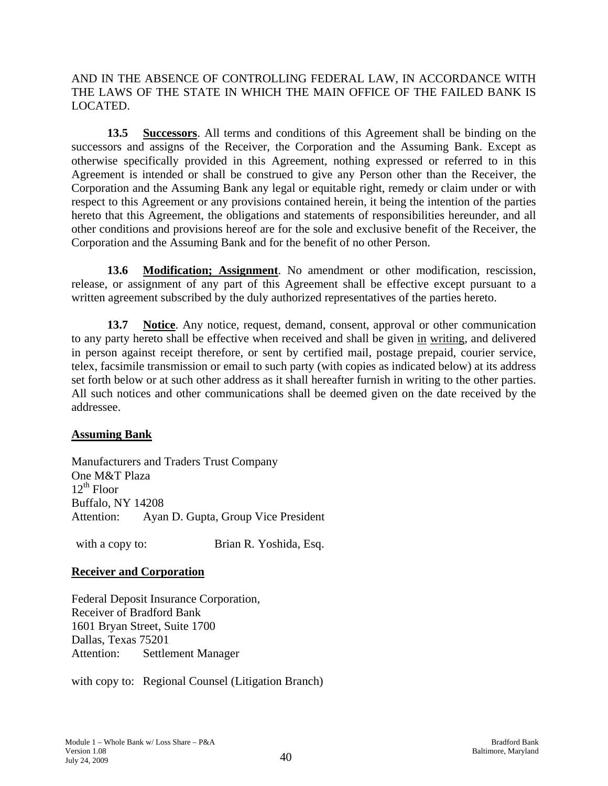AND IN THE ABSENCE OF CONTROLLING FEDERAL LAW, IN ACCORDANCE WITH THE LAWS OF THE STATE IN WHICH THE MAIN OFFICE OF THE FAILED BANK IS LOCATED.

 **13.5 Successors**. All terms and conditions of this Agreement shall be binding on the successors and assigns of the Receiver, the Corporation and the Assuming Bank. Except as otherwise specifically provided in this Agreement, nothing expressed or referred to in this Agreement is intended or shall be construed to give any Person other than the Receiver, the Corporation and the Assuming Bank any legal or equitable right, remedy or claim under or with respect to this Agreement or any provisions contained herein, it being the intention of the parties hereto that this Agreement, the obligations and statements of responsibilities hereunder, and all other conditions and provisions hereof are for the sole and exclusive benefit of the Receiver, the Corporation and the Assuming Bank and for the benefit of no other Person.

**13.6 Modification; Assignment**. No amendment or other modification, rescission, release, or assignment of any part of this Agreement shall be effective except pursuant to a written agreement subscribed by the duly authorized representatives of the parties hereto.

**13.7** Notice. Any notice, request, demand, consent, approval or other communication to any party hereto shall be effective when received and shall be given in writing, and delivered in person against receipt therefore, or sent by certified mail, postage prepaid, courier service, telex, facsimile transmission or email to such party (with copies as indicated below) at its address set forth below or at such other address as it shall hereafter furnish in writing to the other parties. All such notices and other communications shall be deemed given on the date received by the addressee.

### **Assuming Bank**

Manufacturers and Traders Trust Company One M&T Plaza  $12<sup>th</sup>$  Floor Buffalo, NY 14208 Attention: Ayan D. Gupta, Group Vice President

with a copy to: Brian R. Yoshida, Esq.

# **Receiver and Corporation**

Federal Deposit Insurance Corporation, Receiver of Bradford Bank 1601 Bryan Street, Suite 1700 Dallas, Texas 75201 Attention: Settlement Manager

with copy to: Regional Counsel (Litigation Branch)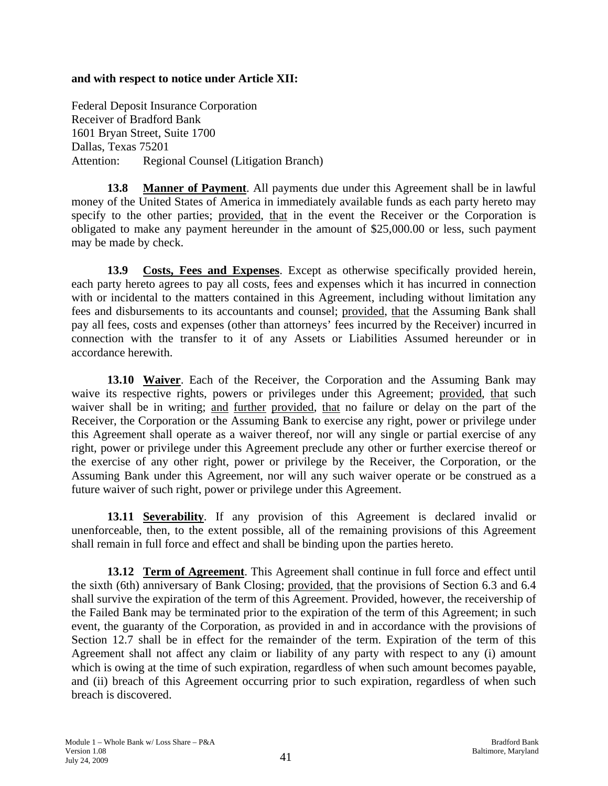#### **and with respect to notice under Article XII:**

Federal Deposit Insurance Corporation Receiver of Bradford Bank 1601 Bryan Street, Suite 1700 Dallas, Texas 75201 Attention: Regional Counsel (Litigation Branch)

 **13.8 Manner of Payment**. All payments due under this Agreement shall be in lawful money of the United States of America in immediately available funds as each party hereto may specify to the other parties; provided, that in the event the Receiver or the Corporation is obligated to make any payment hereunder in the amount of \$25,000.00 or less, such payment may be made by check.

**13.9 Costs, Fees and Expenses**. Except as otherwise specifically provided herein, each party hereto agrees to pay all costs, fees and expenses which it has incurred in connection with or incidental to the matters contained in this Agreement, including without limitation any fees and disbursements to its accountants and counsel; provided, that the Assuming Bank shall pay all fees, costs and expenses (other than attorneys' fees incurred by the Receiver) incurred in connection with the transfer to it of any Assets or Liabilities Assumed hereunder or in accordance herewith.

**13.10 Waiver**. Each of the Receiver, the Corporation and the Assuming Bank may waive its respective rights, powers or privileges under this Agreement; provided, that such waiver shall be in writing; and further provided, that no failure or delay on the part of the Receiver, the Corporation or the Assuming Bank to exercise any right, power or privilege under this Agreement shall operate as a waiver thereof, nor will any single or partial exercise of any right, power or privilege under this Agreement preclude any other or further exercise thereof or the exercise of any other right, power or privilege by the Receiver, the Corporation, or the Assuming Bank under this Agreement, nor will any such waiver operate or be construed as a future waiver of such right, power or privilege under this Agreement.

**13.11 Severability**. If any provision of this Agreement is declared invalid or unenforceable, then, to the extent possible, all of the remaining provisions of this Agreement shall remain in full force and effect and shall be binding upon the parties hereto.

**13.12 Term of Agreement**. This Agreement shall continue in full force and effect until the sixth (6th) anniversary of Bank Closing; provided, that the provisions of Section 6.3 and 6.4 shall survive the expiration of the term of this Agreement. Provided, however, the receivership of the Failed Bank may be terminated prior to the expiration of the term of this Agreement; in such event, the guaranty of the Corporation, as provided in and in accordance with the provisions of Section 12.7 shall be in effect for the remainder of the term. Expiration of the term of this Agreement shall not affect any claim or liability of any party with respect to any (i) amount which is owing at the time of such expiration, regardless of when such amount becomes payable, and (ii) breach of this Agreement occurring prior to such expiration, regardless of when such breach is discovered.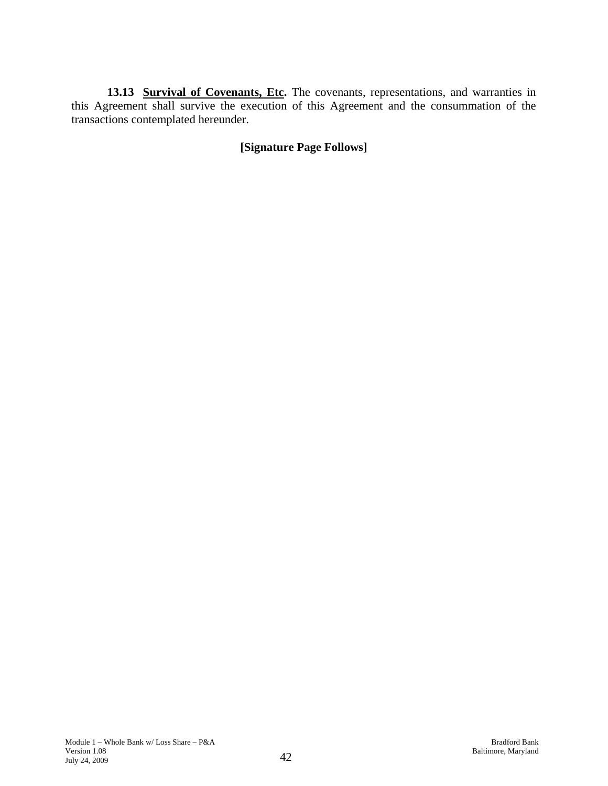13.13 **Survival of Covenants, Etc.** The covenants, representations, and warranties in this Agreement shall survive the execution of this Agreement and the consummation of the transactions contemplated hereunder.

# **[Signature Page Follows]**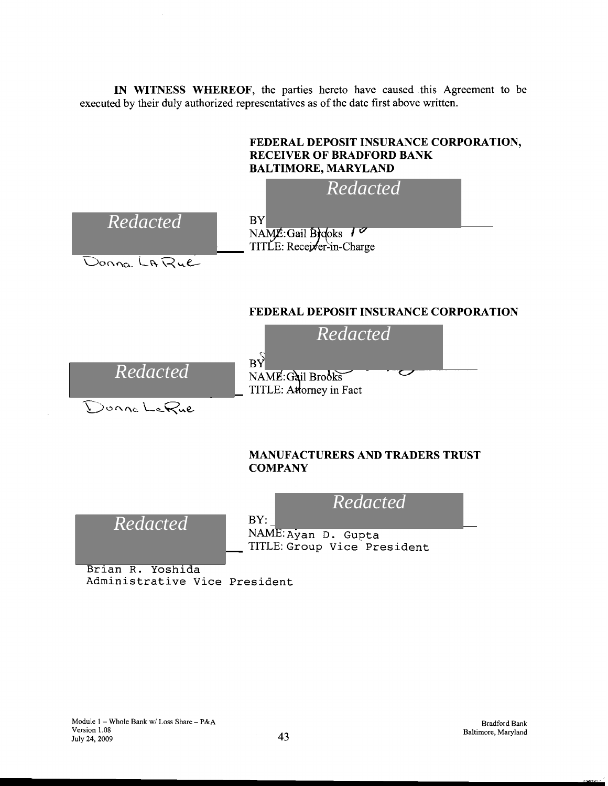**IN WITNESS WHEREOF,** the parties hereto have caused this Agreement to be executed by their duly authorized representatives as of the date first above written.

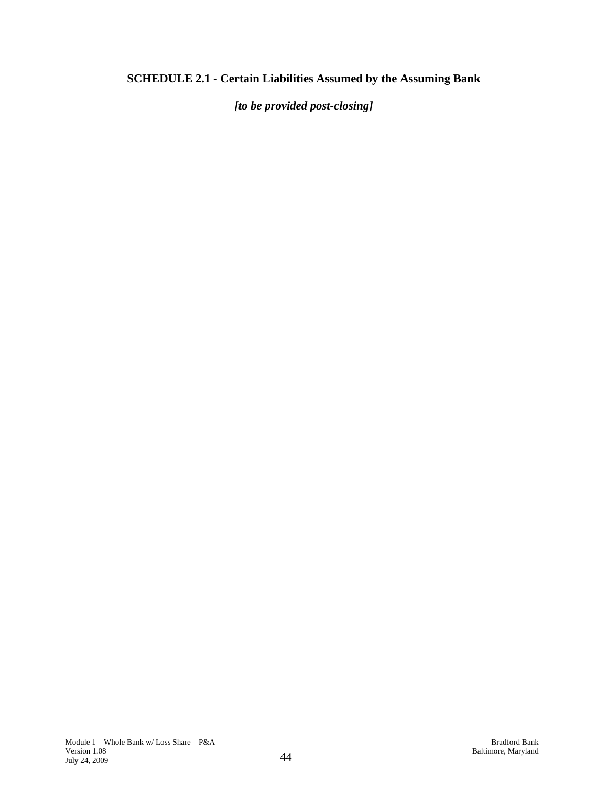# **SCHEDULE 2.1 - Certain Liabilities Assumed by the Assuming Bank**

*[to be provided post-closing]*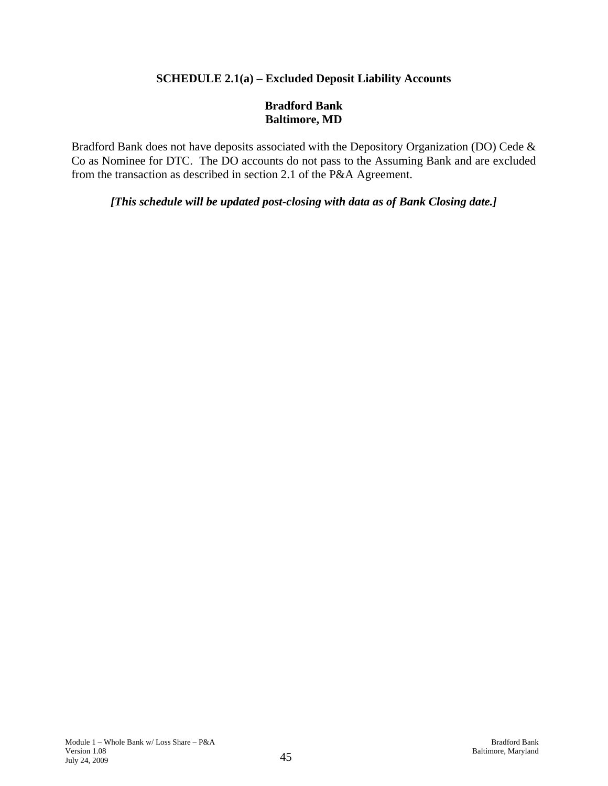### **SCHEDULE 2.1(a) – Excluded Deposit Liability Accounts**

### **Bradford Bank Baltimore, MD**

Bradford Bank does not have deposits associated with the Depository Organization (DO) Cede & Co as Nominee for DTC. The DO accounts do not pass to the Assuming Bank and are excluded from the transaction as described in section 2.1 of the P&A Agreement.

*[This schedule will be updated post-closing with data as of Bank Closing date.]*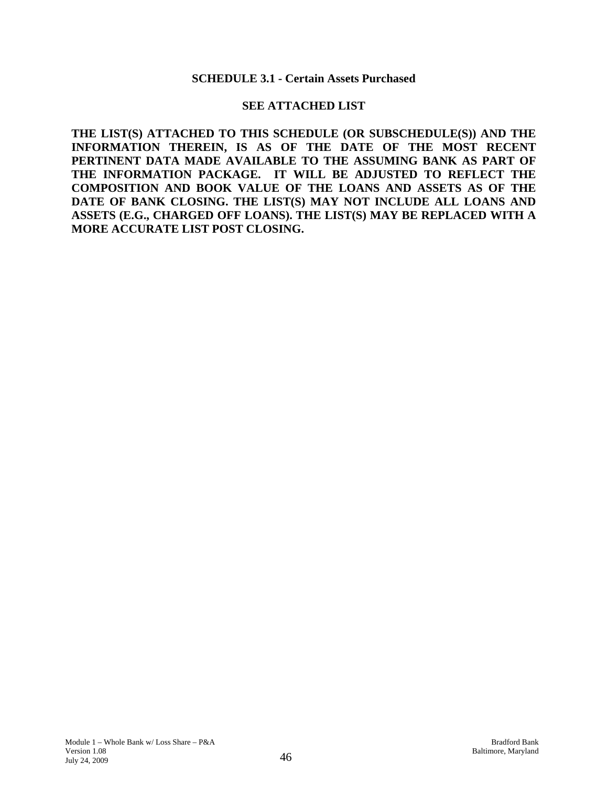#### **SCHEDULE 3.1 - Certain Assets Purchased**

#### **SEE ATTACHED LIST**

THE LIST(S) ATTACHED TO THIS SCHEDULE (OR SUBSCHEDULE(S)) AND THE **INFORMATION THEREIN, IS AS OF THE DATE OF THE MOST RECENT PERTINENT DATA MADE AVAILABLE TO THE ASSUMING BANK AS PART OF THE INFORMATION PACKAGE. IT WILL BE ADJUSTED TO REFLECT THE COMPOSITION AND BOOK VALUE OF THE LOANS AND ASSETS AS OF THE DATE OF BANK CLOSING. THE LIST(S) MAY NOT INCLUDE ALL LOANS AND ASSETS (E.G., CHARGED OFF LOANS). THE LIST(S) MAY BE REPLACED WITH A MORE ACCURATE LIST POST CLOSING.**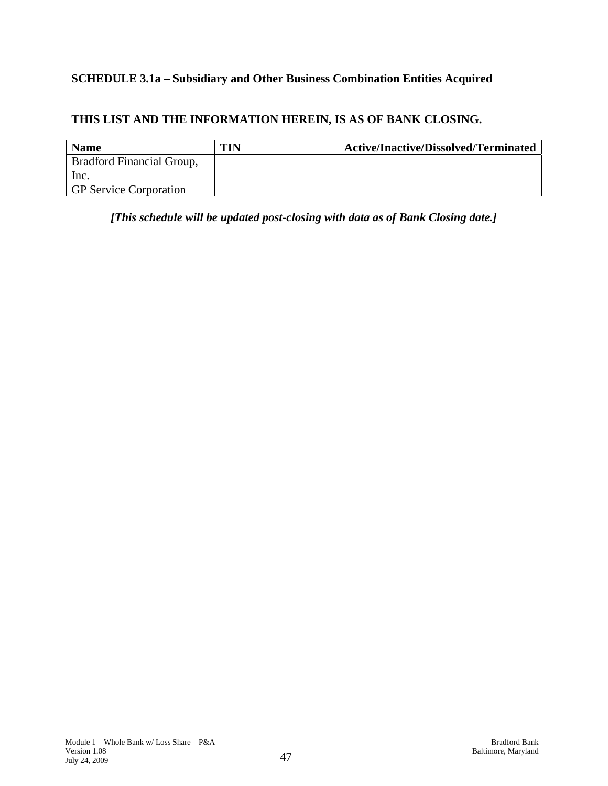# **SCHEDULE 3.1a – Subsidiary and Other Business Combination Entities Acquired**

### **THIS LIST AND THE INFORMATION HEREIN, IS AS OF BANK CLOSING.**

| <b>Name</b>                   | TIN | <b>Active/Inactive/Dissolved/Terminated</b> |
|-------------------------------|-----|---------------------------------------------|
| Bradford Financial Group,     |     |                                             |
| Inc.                          |     |                                             |
| <b>GP</b> Service Corporation |     |                                             |

*[This schedule will be updated post-closing with data as of Bank Closing date.]*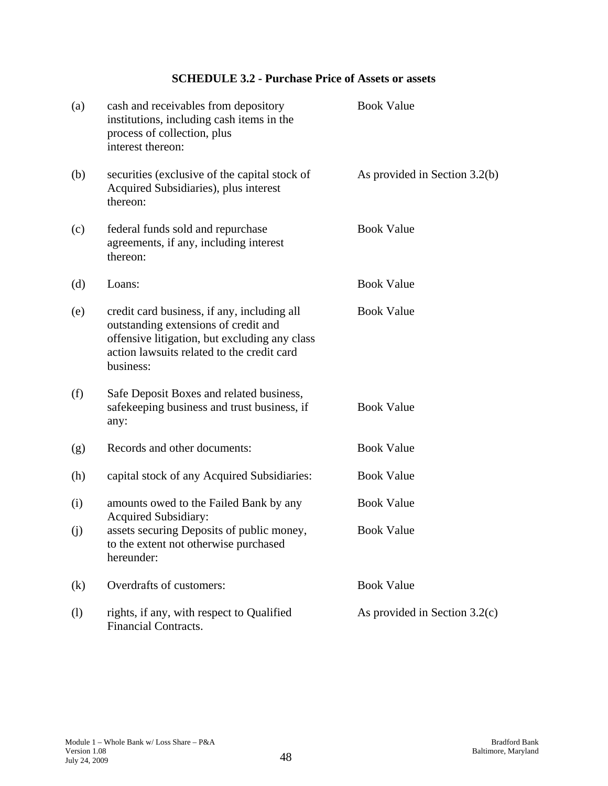# **SCHEDULE 3.2 - Purchase Price of Assets or assets**

| (a)                          | cash and receivables from depository<br>institutions, including cash items in the<br>process of collection, plus<br>interest thereon:                                                           | <b>Book Value</b>               |
|------------------------------|-------------------------------------------------------------------------------------------------------------------------------------------------------------------------------------------------|---------------------------------|
| (b)                          | securities (exclusive of the capital stock of<br>Acquired Subsidiaries), plus interest<br>thereon:                                                                                              | As provided in Section $3.2(b)$ |
| (c)                          | federal funds sold and repurchase<br>agreements, if any, including interest<br>thereon:                                                                                                         | <b>Book Value</b>               |
| (d)                          | Loans:                                                                                                                                                                                          | <b>Book Value</b>               |
| (e)                          | credit card business, if any, including all<br>outstanding extensions of credit and<br>offensive litigation, but excluding any class<br>action lawsuits related to the credit card<br>business: | <b>Book Value</b>               |
| (f)                          | Safe Deposit Boxes and related business,<br>safekeeping business and trust business, if<br>any:                                                                                                 | <b>Book Value</b>               |
| (g)                          | Records and other documents:                                                                                                                                                                    | <b>Book Value</b>               |
| (h)                          | capital stock of any Acquired Subsidiaries:                                                                                                                                                     | <b>Book Value</b>               |
| (i)                          | amounts owed to the Failed Bank by any<br><b>Acquired Subsidiary:</b>                                                                                                                           | <b>Book Value</b>               |
| (j)                          | assets securing Deposits of public money,<br>to the extent not otherwise purchased<br>hereunder:                                                                                                | <b>Book Value</b>               |
| (k)                          | Overdrafts of customers:                                                                                                                                                                        | <b>Book Value</b>               |
| $\left( \frac{1}{2} \right)$ | rights, if any, with respect to Qualified<br>Financial Contracts.                                                                                                                               | As provided in Section $3.2(c)$ |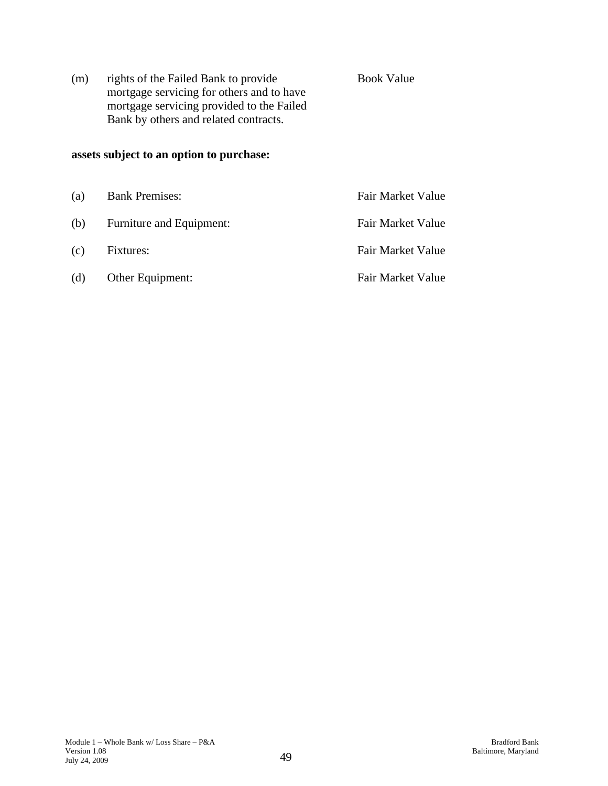| (m) | rights of the Failed Bank to provide      | <b>Book Value</b> |
|-----|-------------------------------------------|-------------------|
|     | mortgage servicing for others and to have |                   |
|     | mortgage servicing provided to the Failed |                   |
|     | Bank by others and related contracts.     |                   |

# **assets subject to an option to purchase:**

| (a) | <b>Bank Premises:</b>    | Fair Market Value |
|-----|--------------------------|-------------------|
| (b) | Furniture and Equipment: | Fair Market Value |
| (c) | Fixtures:                | Fair Market Value |
| (d) | Other Equipment:         | Fair Market Value |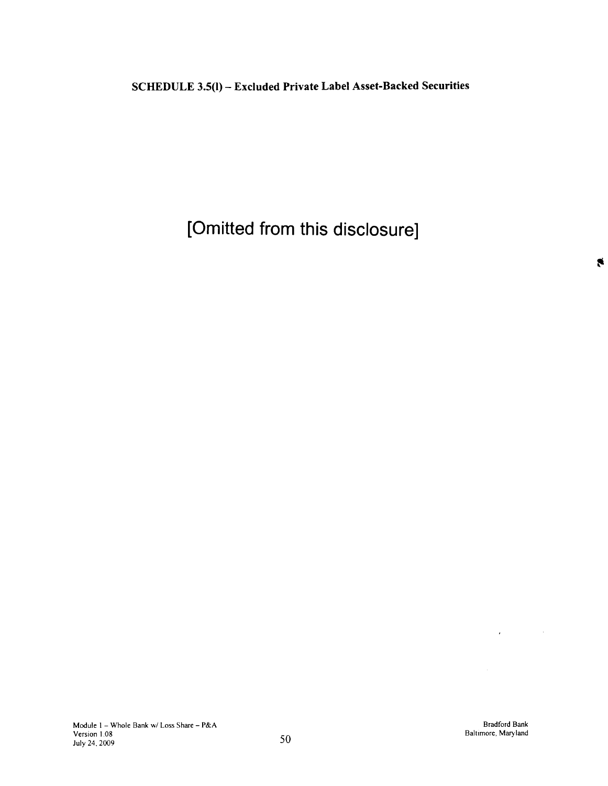SCHEDULE 3.5(1) - Excluded Private Label Asset-Backed Securities

(Omitted from this disclosure)

 $\mathbf{z}$  and  $\mathbf{z}$ 

 $\sim$   $\mu$ 

 $\mathbf{r}$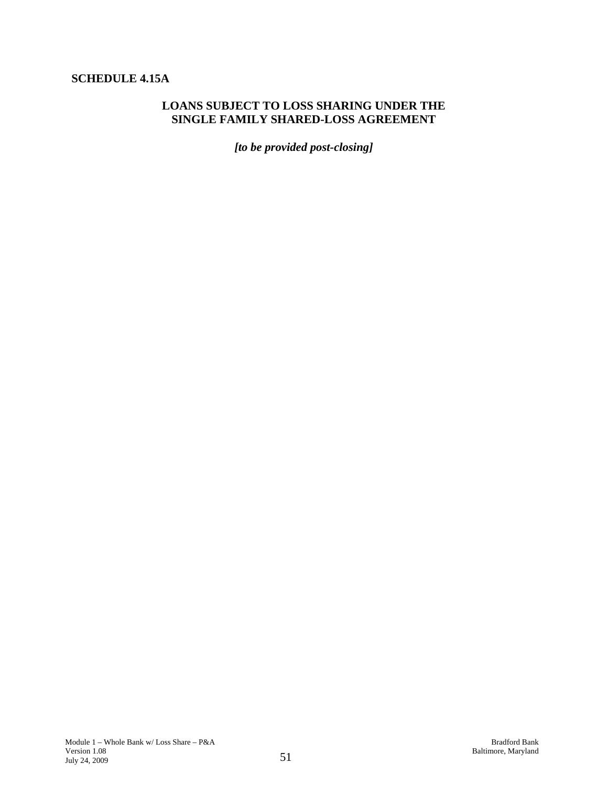# **SCHEDULE 4.15A**

#### **LOANS SUBJECT TO LOSS SHARING UNDER THE SINGLE FAMILY SHARED-LOSS AGREEMENT**

*[to be provided post-closing]*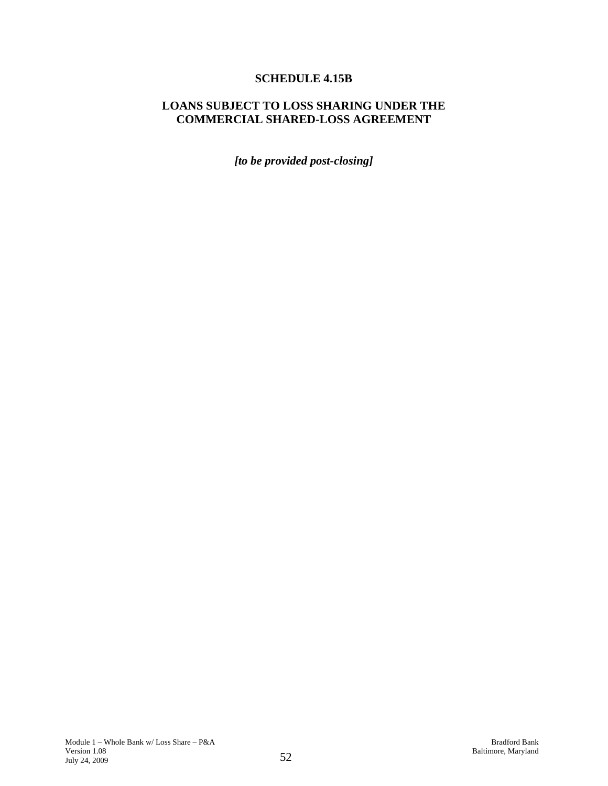# **SCHEDULE 4.15B**

### **LOANS SUBJECT TO LOSS SHARING UNDER THE COMMERCIAL SHARED-LOSS AGREEMENT**

*[to be provided post-closing]*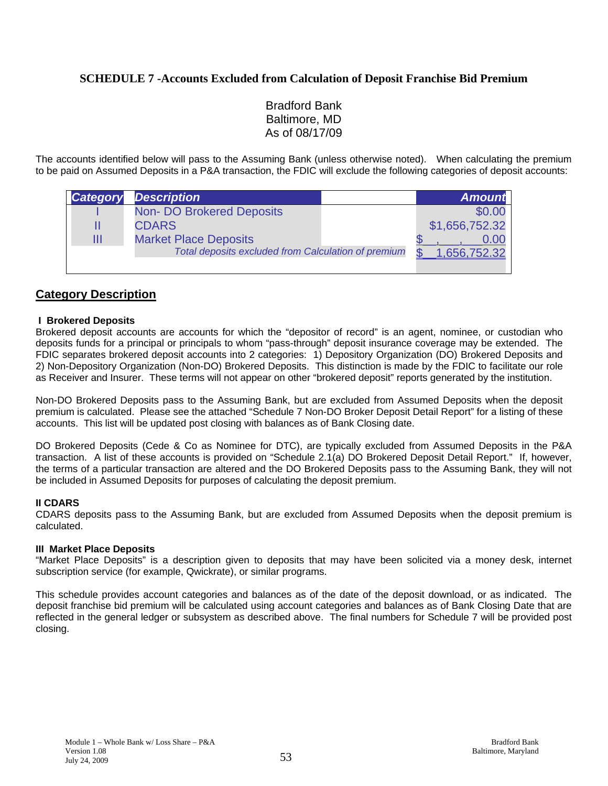### **SCHEDULE 7 -Accounts Excluded from Calculation of Deposit Franchise Bid Premium**

Bradford Bank Baltimore, MD As of 08/17/09

The accounts identified below will pass to the Assuming Bank (unless otherwise noted). When calculating the premium to be paid on Assumed Deposits in a P&A transaction, the FDIC will exclude the following categories of deposit accounts:

| <b>Category</b> | <b>Description</b>                                  | <b>Amount</b>  |
|-----------------|-----------------------------------------------------|----------------|
|                 | <b>Non-DO Brokered Deposits</b>                     | \$0.00         |
|                 | <b>CDARS</b>                                        | \$1,656,752.32 |
| Ш               | <b>Market Place Deposits</b>                        | 0.00           |
|                 | Total deposits excluded from Calculation of premium | 1,656,752.32   |
|                 |                                                     |                |

### **Category Description**

#### **I Brokered Deposits**

Brokered deposit accounts are accounts for which the "depositor of record" is an agent, nominee, or custodian who deposits funds for a principal or principals to whom "pass-through" deposit insurance coverage may be extended. The FDIC separates brokered deposit accounts into 2 categories: 1) Depository Organization (DO) Brokered Deposits and 2) Non-Depository Organization (Non-DO) Brokered Deposits. This distinction is made by the FDIC to facilitate our role as Receiver and Insurer. These terms will not appear on other "brokered deposit" reports generated by the institution.

Non-DO Brokered Deposits pass to the Assuming Bank, but are excluded from Assumed Deposits when the deposit premium is calculated. Please see the attached "Schedule 7 Non-DO Broker Deposit Detail Report" for a listing of these accounts. This list will be updated post closing with balances as of Bank Closing date.

DO Brokered Deposits (Cede & Co as Nominee for DTC), are typically excluded from Assumed Deposits in the P&A transaction. A list of these accounts is provided on "Schedule 2.1(a) DO Brokered Deposit Detail Report." If, however, the terms of a particular transaction are altered and the DO Brokered Deposits pass to the Assuming Bank, they will not be included in Assumed Deposits for purposes of calculating the deposit premium.

#### **II CDARS**

CDARS deposits pass to the Assuming Bank, but are excluded from Assumed Deposits when the deposit premium is calculated.

#### **III Market Place Deposits**

"Market Place Deposits" is a description given to deposits that may have been solicited via a money desk, internet subscription service (for example, Qwickrate), or similar programs.

This schedule provides account categories and balances as of the date of the deposit download, or as indicated. The deposit franchise bid premium will be calculated using account categories and balances as of Bank Closing Date that are reflected in the general ledger or subsystem as described above. The final numbers for Schedule 7 will be provided post closing.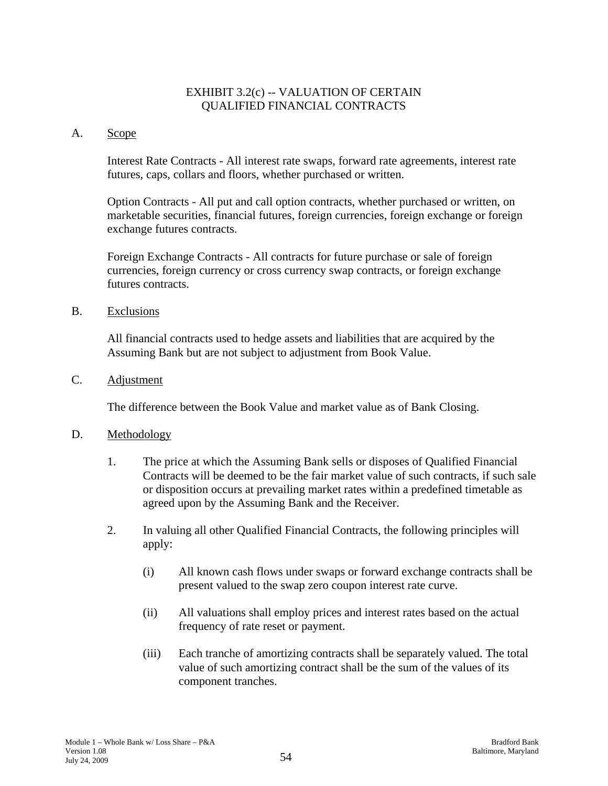### EXHIBIT 3.2(c) -- VALUATION OF CERTAIN QUALIFIED FINANCIAL CONTRACTS

#### A. Scope

Interest Rate Contracts - All interest rate swaps, forward rate agreements, interest rate futures, caps, collars and floors, whether purchased or written.

Option Contracts - All put and call option contracts, whether purchased or written, on marketable securities, financial futures, foreign currencies, foreign exchange or foreign exchange futures contracts.

Foreign Exchange Contracts - All contracts for future purchase or sale of foreign currencies, foreign currency or cross currency swap contracts, or foreign exchange futures contracts.

#### B. Exclusions

All financial contracts used to hedge assets and liabilities that are acquired by the Assuming Bank but are not subject to adjustment from Book Value.

#### C. Adjustment

The difference between the Book Value and market value as of Bank Closing.

### D. Methodology

- 1. The price at which the Assuming Bank sells or disposes of Qualified Financial Contracts will be deemed to be the fair market value of such contracts, if such sale or disposition occurs at prevailing market rates within a predefined timetable as agreed upon by the Assuming Bank and the Receiver.
- 2. In valuing all other Qualified Financial Contracts, the following principles will apply:
	- (i) All known cash flows under swaps or forward exchange contracts shall be present valued to the swap zero coupon interest rate curve.
	- (ii) All valuations shall employ prices and interest rates based on the actual frequency of rate reset or payment.
	- (iii) Each tranche of amortizing contracts shall be separately valued. The total value of such amortizing contract shall be the sum of the values of its component tranches.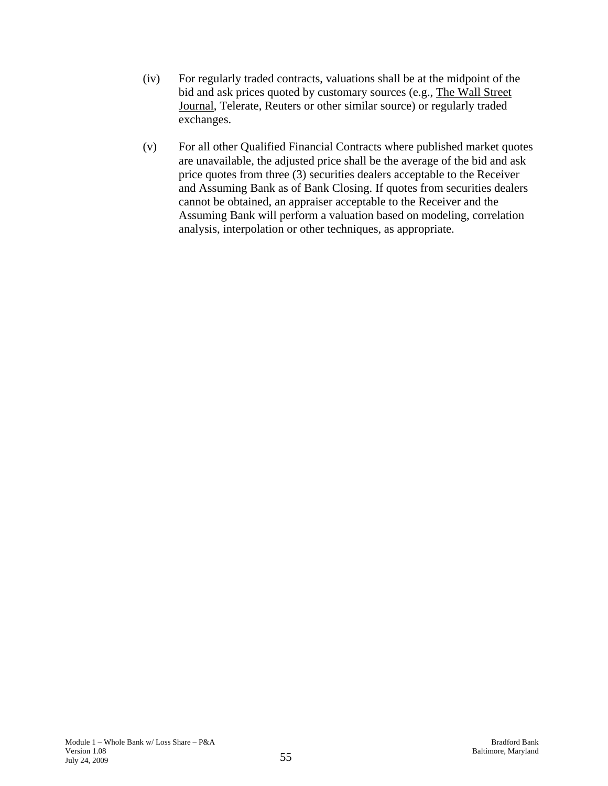- (iv) For regularly traded contracts, valuations shall be at the midpoint of the bid and ask prices quoted by customary sources (e.g., The Wall Street Journal, Telerate, Reuters or other similar source) or regularly traded exchanges.
- (v) For all other Qualified Financial Contracts where published market quotes are unavailable, the adjusted price shall be the average of the bid and ask price quotes from three (3) securities dealers acceptable to the Receiver and Assuming Bank as of Bank Closing. If quotes from securities dealers cannot be obtained, an appraiser acceptable to the Receiver and the Assuming Bank will perform a valuation based on modeling, correlation analysis, interpolation or other techniques, as appropriate.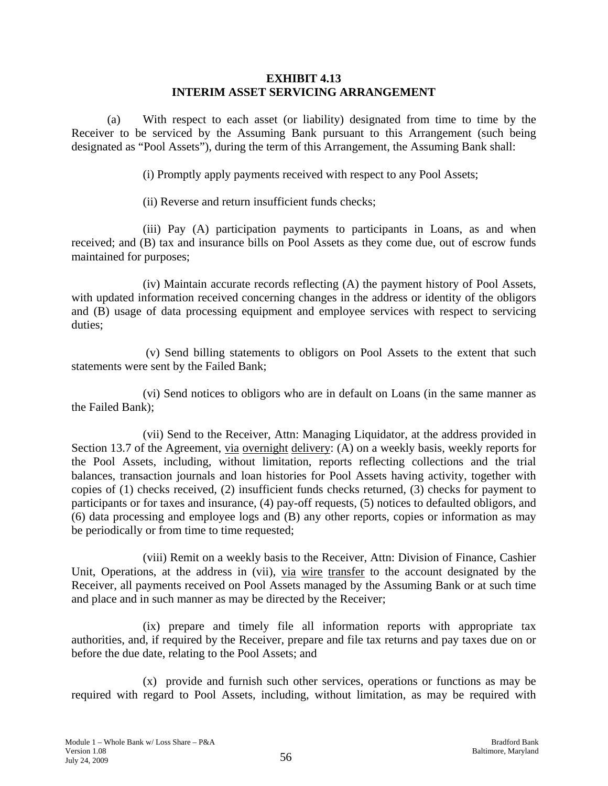#### **EXHIBIT 4.13 INTERIM ASSET SERVICING ARRANGEMENT**

(a) With respect to each asset (or liability) designated from time to time by the Receiver to be serviced by the Assuming Bank pursuant to this Arrangement (such being designated as "Pool Assets"), during the term of this Arrangement, the Assuming Bank shall:

(i) Promptly apply payments received with respect to any Pool Assets;

(ii) Reverse and return insufficient funds checks;

(iii) Pay (A) participation payments to participants in Loans, as and when received; and (B) tax and insurance bills on Pool Assets as they come due, out of escrow funds maintained for purposes;

(iv) Maintain accurate records reflecting (A) the payment history of Pool Assets, with updated information received concerning changes in the address or identity of the obligors and (B) usage of data processing equipment and employee services with respect to servicing duties;

(v) Send billing statements to obligors on Pool Assets to the extent that such statements were sent by the Failed Bank;

(vi) Send notices to obligors who are in default on Loans (in the same manner as the Failed Bank);

(vii) Send to the Receiver, Attn: Managing Liquidator, at the address provided in Section 13.7 of the Agreement, via overnight delivery: (A) on a weekly basis, weekly reports for the Pool Assets, including, without limitation, reports reflecting collections and the trial balances, transaction journals and loan histories for Pool Assets having activity, together with copies of (1) checks received, (2) insufficient funds checks returned, (3) checks for payment to participants or for taxes and insurance, (4) pay-off requests, (5) notices to defaulted obligors, and (6) data processing and employee logs and (B) any other reports, copies or information as may be periodically or from time to time requested;

(viii) Remit on a weekly basis to the Receiver, Attn: Division of Finance, Cashier Unit, Operations, at the address in (vii), via wire transfer to the account designated by the Receiver, all payments received on Pool Assets managed by the Assuming Bank or at such time and place and in such manner as may be directed by the Receiver;

(ix) prepare and timely file all information reports with appropriate tax authorities, and, if required by the Receiver, prepare and file tax returns and pay taxes due on or before the due date, relating to the Pool Assets; and

(x) provide and furnish such other services, operations or functions as may be required with regard to Pool Assets, including, without limitation, as may be required with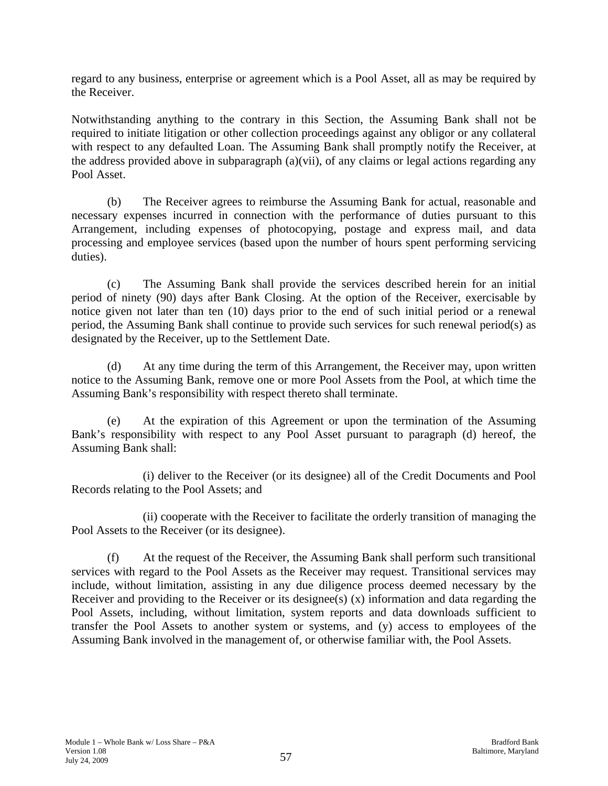regard to any business, enterprise or agreement which is a Pool Asset, all as may be required by the Receiver.

Notwithstanding anything to the contrary in this Section, the Assuming Bank shall not be required to initiate litigation or other collection proceedings against any obligor or any collateral with respect to any defaulted Loan. The Assuming Bank shall promptly notify the Receiver, at the address provided above in subparagraph (a)(vii), of any claims or legal actions regarding any Pool Asset.

(b) The Receiver agrees to reimburse the Assuming Bank for actual, reasonable and necessary expenses incurred in connection with the performance of duties pursuant to this Arrangement, including expenses of photocopying, postage and express mail, and data processing and employee services (based upon the number of hours spent performing servicing duties).

(c) The Assuming Bank shall provide the services described herein for an initial period of ninety (90) days after Bank Closing. At the option of the Receiver, exercisable by notice given not later than ten (10) days prior to the end of such initial period or a renewal period, the Assuming Bank shall continue to provide such services for such renewal period(s) as designated by the Receiver, up to the Settlement Date.

(d) At any time during the term of this Arrangement, the Receiver may, upon written notice to the Assuming Bank, remove one or more Pool Assets from the Pool, at which time the Assuming Bank's responsibility with respect thereto shall terminate.

(e) At the expiration of this Agreement or upon the termination of the Assuming Bank's responsibility with respect to any Pool Asset pursuant to paragraph (d) hereof, the Assuming Bank shall:

(i) deliver to the Receiver (or its designee) all of the Credit Documents and Pool Records relating to the Pool Assets; and

(ii) cooperate with the Receiver to facilitate the orderly transition of managing the Pool Assets to the Receiver (or its designee).

(f) At the request of the Receiver, the Assuming Bank shall perform such transitional services with regard to the Pool Assets as the Receiver may request. Transitional services may include, without limitation, assisting in any due diligence process deemed necessary by the Receiver and providing to the Receiver or its designee(s) (x) information and data regarding the Pool Assets, including, without limitation, system reports and data downloads sufficient to transfer the Pool Assets to another system or systems, and (y) access to employees of the Assuming Bank involved in the management of, or otherwise familiar with, the Pool Assets.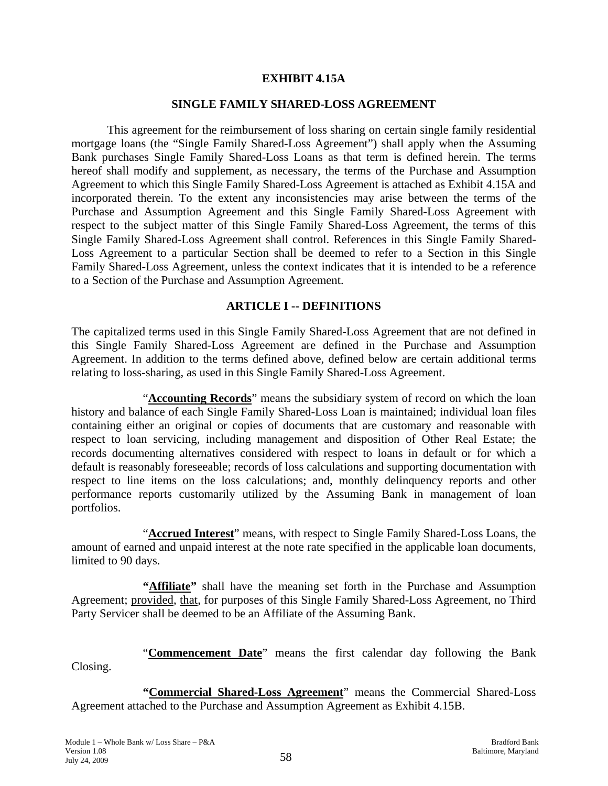#### **EXHIBIT 4.15A**

#### **SINGLE FAMILY SHARED-LOSS AGREEMENT**

This agreement for the reimbursement of loss sharing on certain single family residential mortgage loans (the "Single Family Shared-Loss Agreement") shall apply when the Assuming Bank purchases Single Family Shared-Loss Loans as that term is defined herein. The terms hereof shall modify and supplement, as necessary, the terms of the Purchase and Assumption Agreement to which this Single Family Shared-Loss Agreement is attached as Exhibit 4.15A and incorporated therein. To the extent any inconsistencies may arise between the terms of the Purchase and Assumption Agreement and this Single Family Shared-Loss Agreement with respect to the subject matter of this Single Family Shared-Loss Agreement, the terms of this Single Family Shared-Loss Agreement shall control. References in this Single Family Shared-Loss Agreement to a particular Section shall be deemed to refer to a Section in this Single Family Shared-Loss Agreement, unless the context indicates that it is intended to be a reference to a Section of the Purchase and Assumption Agreement.

#### **ARTICLE I -- DEFINITIONS**

The capitalized terms used in this Single Family Shared-Loss Agreement that are not defined in this Single Family Shared-Loss Agreement are defined in the Purchase and Assumption Agreement. In addition to the terms defined above, defined below are certain additional terms relating to loss-sharing, as used in this Single Family Shared-Loss Agreement.

"**Accounting Records**" means the subsidiary system of record on which the loan history and balance of each Single Family Shared-Loss Loan is maintained; individual loan files containing either an original or copies of documents that are customary and reasonable with respect to loan servicing, including management and disposition of Other Real Estate; the records documenting alternatives considered with respect to loans in default or for which a default is reasonably foreseeable; records of loss calculations and supporting documentation with respect to line items on the loss calculations; and, monthly delinquency reports and other performance reports customarily utilized by the Assuming Bank in management of loan portfolios.

"**Accrued Interest**" means, with respect to Single Family Shared-Loss Loans, the amount of earned and unpaid interest at the note rate specified in the applicable loan documents, limited to 90 days.

"**Affiliate**" shall have the meaning set forth in the Purchase and Assumption Agreement; provided, that, for purposes of this Single Family Shared-Loss Agreement, no Third Party Servicer shall be deemed to be an Affiliate of the Assuming Bank.

"**Commencement Date**" means the first calendar day following the Bank Closing.

**"Commercial Shared-Loss Agreement**" means the Commercial Shared-Loss Agreement attached to the Purchase and Assumption Agreement as Exhibit 4.15B.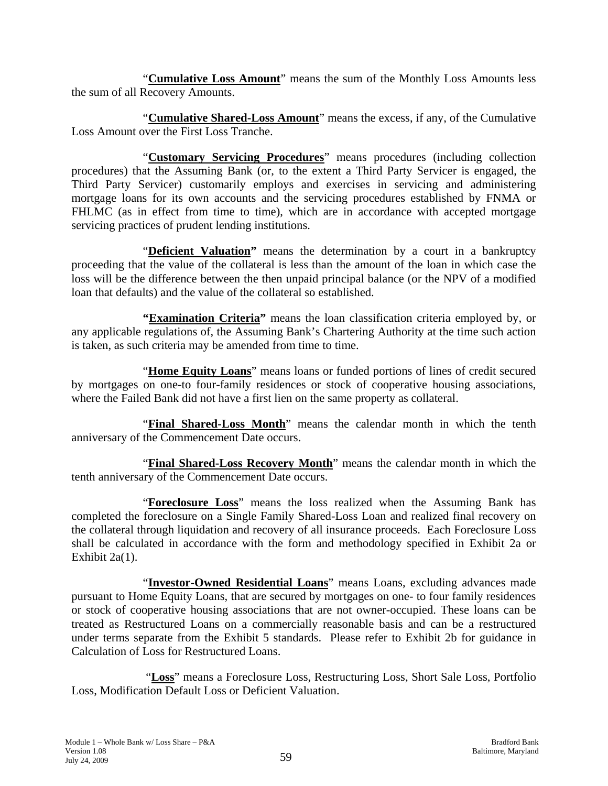"**Cumulative Loss Amount**" means the sum of the Monthly Loss Amounts less the sum of all Recovery Amounts.

"**Cumulative Shared-Loss Amount**" means the excess, if any, of the Cumulative Loss Amount over the First Loss Tranche.

"**Customary Servicing Procedures**" means procedures (including collection procedures) that the Assuming Bank (or, to the extent a Third Party Servicer is engaged, the Third Party Servicer) customarily employs and exercises in servicing and administering mortgage loans for its own accounts and the servicing procedures established by FNMA or FHLMC (as in effect from time to time), which are in accordance with accepted mortgage servicing practices of prudent lending institutions.

"**Deficient Valuation"** means the determination by a court in a bankruptcy proceeding that the value of the collateral is less than the amount of the loan in which case the loss will be the difference between the then unpaid principal balance (or the NPV of a modified loan that defaults) and the value of the collateral so established.

**"Examination Criteria"** means the loan classification criteria employed by, or any applicable regulations of, the Assuming Bank's Chartering Authority at the time such action is taken, as such criteria may be amended from time to time.

"Home Equity Loans" means loans or funded portions of lines of credit secured by mortgages on one-to four-family residences or stock of cooperative housing associations, where the Failed Bank did not have a first lien on the same property as collateral.

"**Final Shared-Loss Month**" means the calendar month in which the tenth anniversary of the Commencement Date occurs.

"**Final Shared-Loss Recovery Month**" means the calendar month in which the tenth anniversary of the Commencement Date occurs.

"**Foreclosure Loss**" means the loss realized when the Assuming Bank has completed the foreclosure on a Single Family Shared-Loss Loan and realized final recovery on the collateral through liquidation and recovery of all insurance proceeds. Each Foreclosure Loss shall be calculated in accordance with the form and methodology specified in Exhibit 2a or Exhibit 2a(1).

"**Investor-Owned Residential Loans**" means Loans, excluding advances made pursuant to Home Equity Loans, that are secured by mortgages on one- to four family residences or stock of cooperative housing associations that are not owner-occupied. These loans can be treated as Restructured Loans on a commercially reasonable basis and can be a restructured under terms separate from the Exhibit 5 standards. Please refer to Exhibit 2b for guidance in Calculation of Loss for Restructured Loans.

"**Loss**" means a Foreclosure Loss, Restructuring Loss, Short Sale Loss, Portfolio Loss, Modification Default Loss or Deficient Valuation.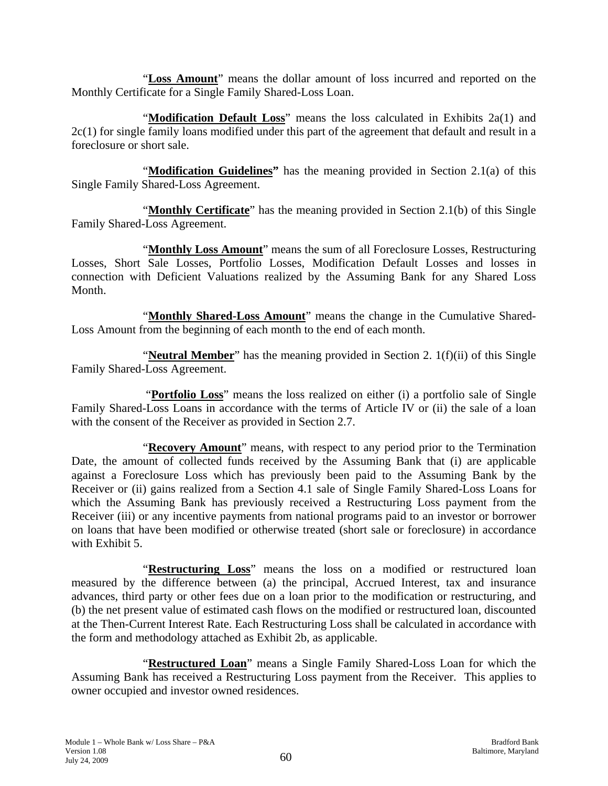"**Loss Amount**" means the dollar amount of loss incurred and reported on the Monthly Certificate for a Single Family Shared-Loss Loan.

"**Modification Default Loss**" means the loss calculated in Exhibits 2a(1) and 2c(1) for single family loans modified under this part of the agreement that default and result in a foreclosure or short sale.

"**Modification Guidelines**" has the meaning provided in Section 2.1(a) of this Single Family Shared-Loss Agreement.

"**Monthly Certificate**" has the meaning provided in Section 2.1(b) of this Single Family Shared-Loss Agreement.

"**Monthly Loss Amount**" means the sum of all Foreclosure Losses, Restructuring Losses, Short Sale Losses, Portfolio Losses, Modification Default Losses and losses in connection with Deficient Valuations realized by the Assuming Bank for any Shared Loss Month.

"**Monthly Shared-Loss Amount**" means the change in the Cumulative Shared-Loss Amount from the beginning of each month to the end of each month.

**"Neutral Member**" has the meaning provided in Section 2. 1(f)(ii) of this Single Family Shared-Loss Agreement.

"**Portfolio Loss**" means the loss realized on either (i) a portfolio sale of Single Family Shared-Loss Loans in accordance with the terms of Article IV or (ii) the sale of a loan with the consent of the Receiver as provided in Section 2.7.

"**Recovery Amount**" means, with respect to any period prior to the Termination Date, the amount of collected funds received by the Assuming Bank that (i) are applicable against a Foreclosure Loss which has previously been paid to the Assuming Bank by the Receiver or (ii) gains realized from a Section 4.1 sale of Single Family Shared-Loss Loans for which the Assuming Bank has previously received a Restructuring Loss payment from the Receiver (iii) or any incentive payments from national programs paid to an investor or borrower on loans that have been modified or otherwise treated (short sale or foreclosure) in accordance with Exhibit 5

"**Restructuring Loss**" means the loss on a modified or restructured loan measured by the difference between (a) the principal, Accrued Interest, tax and insurance advances, third party or other fees due on a loan prior to the modification or restructuring, and (b) the net present value of estimated cash flows on the modified or restructured loan, discounted at the Then-Current Interest Rate. Each Restructuring Loss shall be calculated in accordance with the form and methodology attached as Exhibit 2b, as applicable.

"**Restructured Loan**" means a Single Family Shared-Loss Loan for which the Assuming Bank has received a Restructuring Loss payment from the Receiver. This applies to owner occupied and investor owned residences.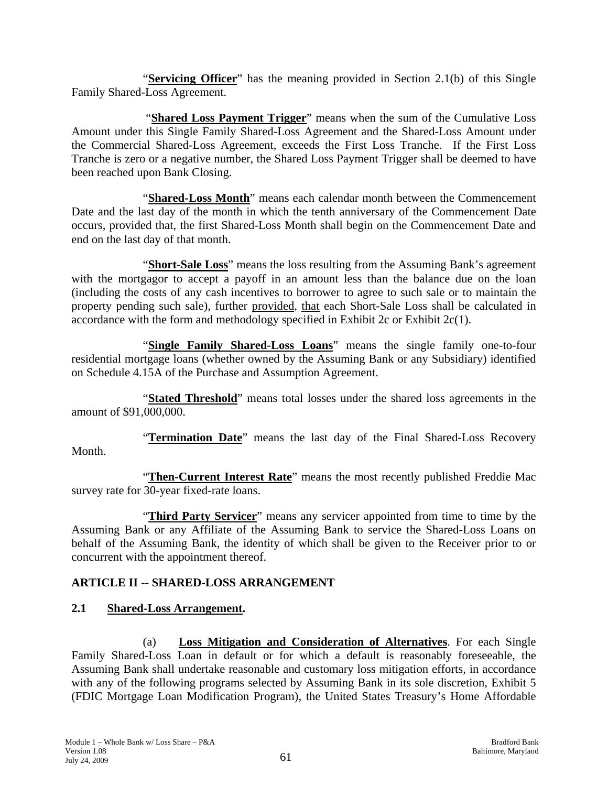"**Servicing Officer**" has the meaning provided in Section 2.1(b) of this Single Family Shared-Loss Agreement.

"Shared Loss Payment Trigger" means when the sum of the Cumulative Loss Amount under this Single Family Shared-Loss Agreement and the Shared-Loss Amount under the Commercial Shared-Loss Agreement, exceeds the First Loss Tranche. If the First Loss Tranche is zero or a negative number, the Shared Loss Payment Trigger shall be deemed to have been reached upon Bank Closing.

"**Shared-Loss Month**" means each calendar month between the Commencement Date and the last day of the month in which the tenth anniversary of the Commencement Date occurs, provided that, the first Shared-Loss Month shall begin on the Commencement Date and end on the last day of that month.

"**Short-Sale Loss**" means the loss resulting from the Assuming Bank's agreement with the mortgagor to accept a payoff in an amount less than the balance due on the loan (including the costs of any cash incentives to borrower to agree to such sale or to maintain the property pending such sale), further provided, that each Short-Sale Loss shall be calculated in accordance with the form and methodology specified in Exhibit  $2c$  or Exhibit  $2c(1)$ .

"**Single Family Shared-Loss Loans**" means the single family one-to-four residential mortgage loans (whether owned by the Assuming Bank or any Subsidiary) identified on Schedule 4.15A of the Purchase and Assumption Agreement.

"**Stated Threshold**" means total losses under the shared loss agreements in the amount of \$91,000,000.

"**Termination Date**" means the last day of the Final Shared-Loss Recovery Month.

"**Then-Current Interest Rate**" means the most recently published Freddie Mac survey rate for 30-year fixed-rate loans.

"**Third Party Servicer**" means any servicer appointed from time to time by the Assuming Bank or any Affiliate of the Assuming Bank to service the Shared-Loss Loans on behalf of the Assuming Bank, the identity of which shall be given to the Receiver prior to or concurrent with the appointment thereof.

### **ARTICLE II -- SHARED-LOSS ARRANGEMENT**

### **2.1 Shared-Loss Arrangement.**

(a) **Loss Mitigation and Consideration of Alternatives**. For each Single Family Shared-Loss Loan in default or for which a default is reasonably foreseeable, the Assuming Bank shall undertake reasonable and customary loss mitigation efforts, in accordance with any of the following programs selected by Assuming Bank in its sole discretion, Exhibit 5 (FDIC Mortgage Loan Modification Program), the United States Treasury's Home Affordable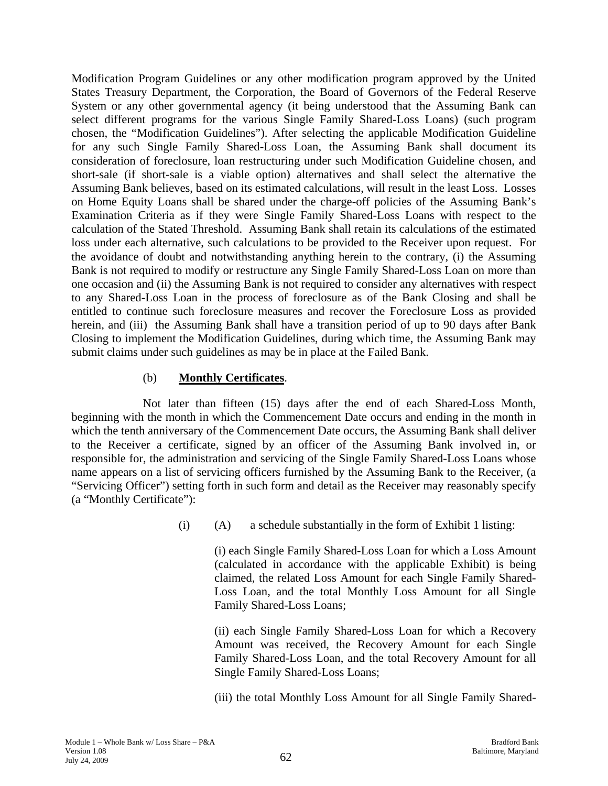Modification Program Guidelines or any other modification program approved by the United States Treasury Department, the Corporation, the Board of Governors of the Federal Reserve System or any other governmental agency (it being understood that the Assuming Bank can select different programs for the various Single Family Shared-Loss Loans) (such program chosen, the "Modification Guidelines"). After selecting the applicable Modification Guideline for any such Single Family Shared-Loss Loan, the Assuming Bank shall document its consideration of foreclosure, loan restructuring under such Modification Guideline chosen, and short-sale (if short-sale is a viable option) alternatives and shall select the alternative the Assuming Bank believes, based on its estimated calculations, will result in the least Loss. Losses on Home Equity Loans shall be shared under the charge-off policies of the Assuming Bank's Examination Criteria as if they were Single Family Shared-Loss Loans with respect to the calculation of the Stated Threshold. Assuming Bank shall retain its calculations of the estimated loss under each alternative, such calculations to be provided to the Receiver upon request. For the avoidance of doubt and notwithstanding anything herein to the contrary, (i) the Assuming Bank is not required to modify or restructure any Single Family Shared-Loss Loan on more than one occasion and (ii) the Assuming Bank is not required to consider any alternatives with respect to any Shared-Loss Loan in the process of foreclosure as of the Bank Closing and shall be entitled to continue such foreclosure measures and recover the Foreclosure Loss as provided herein, and (iii) the Assuming Bank shall have a transition period of up to 90 days after Bank Closing to implement the Modification Guidelines, during which time, the Assuming Bank may submit claims under such guidelines as may be in place at the Failed Bank.

#### (b) **Monthly Certificates**.

Not later than fifteen (15) days after the end of each Shared-Loss Month, beginning with the month in which the Commencement Date occurs and ending in the month in which the tenth anniversary of the Commencement Date occurs, the Assuming Bank shall deliver to the Receiver a certificate, signed by an officer of the Assuming Bank involved in, or responsible for, the administration and servicing of the Single Family Shared-Loss Loans whose name appears on a list of servicing officers furnished by the Assuming Bank to the Receiver, (a "Servicing Officer") setting forth in such form and detail as the Receiver may reasonably specify (a "Monthly Certificate"):

 $(i)$  (A) a schedule substantially in the form of Exhibit 1 listing:

(i) each Single Family Shared-Loss Loan for which a Loss Amount (calculated in accordance with the applicable Exhibit) is being claimed, the related Loss Amount for each Single Family Shared-Loss Loan, and the total Monthly Loss Amount for all Single Family Shared-Loss Loans;

(ii) each Single Family Shared-Loss Loan for which a Recovery Amount was received, the Recovery Amount for each Single Family Shared-Loss Loan, and the total Recovery Amount for all Single Family Shared-Loss Loans;

(iii) the total Monthly Loss Amount for all Single Family Shared-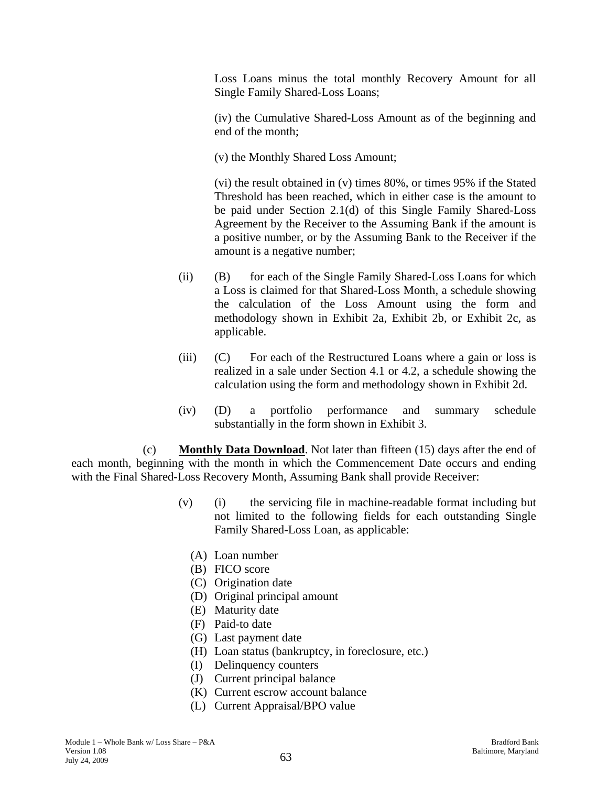Loss Loans minus the total monthly Recovery Amount for all Single Family Shared-Loss Loans;

(iv) the Cumulative Shared-Loss Amount as of the beginning and end of the month;

(v) the Monthly Shared Loss Amount;

(vi) the result obtained in (v) times 80%, or times 95% if the Stated Threshold has been reached, which in either case is the amount to be paid under Section 2.1(d) of this Single Family Shared-Loss Agreement by the Receiver to the Assuming Bank if the amount is a positive number, or by the Assuming Bank to the Receiver if the amount is a negative number;

- (ii) (B) for each of the Single Family Shared-Loss Loans for which a Loss is claimed for that Shared-Loss Month, a schedule showing the calculation of the Loss Amount using the form and methodology shown in Exhibit 2a, Exhibit 2b, or Exhibit 2c, as applicable.
- (iii) (C) For each of the Restructured Loans where a gain or loss is realized in a sale under Section 4.1 or 4.2, a schedule showing the calculation using the form and methodology shown in Exhibit 2d.
- (iv) (D) a portfolio performance and summary schedule substantially in the form shown in Exhibit 3.

(c) **Monthly Data Download**. Not later than fifteen (15) days after the end of each month, beginning with the month in which the Commencement Date occurs and ending with the Final Shared-Loss Recovery Month, Assuming Bank shall provide Receiver:

- $(v)$  (i) the servicing file in machine-readable format including but not limited to the following fields for each outstanding Single Family Shared-Loss Loan, as applicable:
	- (A) Loan number
	- (B) FICO score
	- (C) Origination date
	- (D) Original principal amount
	- (E) Maturity date
	- (F) Paid-to date
	- (G) Last payment date
	- (H) Loan status (bankruptcy, in foreclosure, etc.)
	- (I) Delinquency counters
	- (J) Current principal balance
	- (K) Current escrow account balance
	- (L) Current Appraisal/BPO value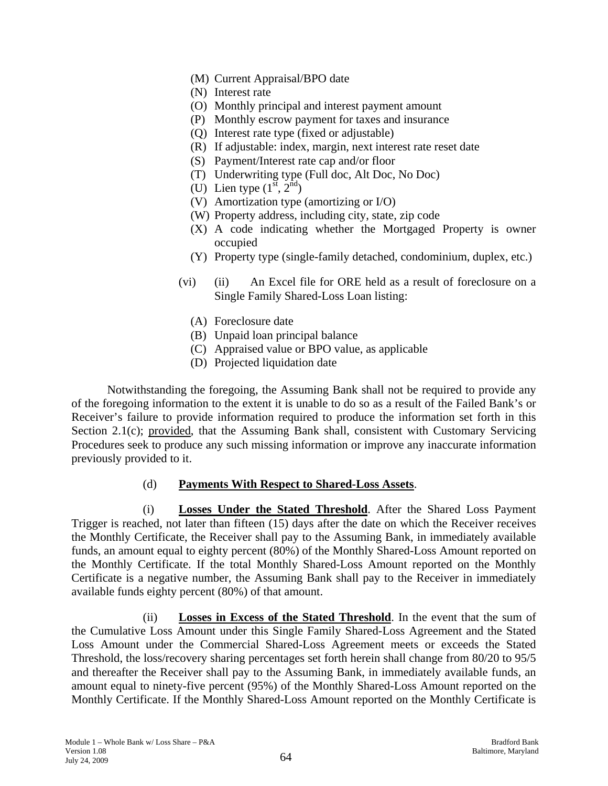- (M) Current Appraisal/BPO date
- (N) Interest rate
- (O) Monthly principal and interest payment amount
- (P) Monthly escrow payment for taxes and insurance
- (Q) Interest rate type (fixed or adjustable)
- (R) If adjustable: index, margin, next interest rate reset date
- (S) Payment/Interest rate cap and/or floor
- (T) Underwriting type (Full doc, Alt Doc, No Doc)
- (U) Lien type  $(1<sup>st</sup>, 2<sup>nd</sup>)$
- (V) Amortization type (amortizing or I/O)
- (W) Property address, including city, state, zip code
- (X) A code indicating whether the Mortgaged Property is owner occupied
- (Y) Property type (single-family detached, condominium, duplex, etc.)
- (vi) (ii) An Excel file for ORE held as a result of foreclosure on a Single Family Shared-Loss Loan listing:
	- (A) Foreclosure date
	- (B) Unpaid loan principal balance
	- (C) Appraised value or BPO value, as applicable
	- (D) Projected liquidation date

Notwithstanding the foregoing, the Assuming Bank shall not be required to provide any of the foregoing information to the extent it is unable to do so as a result of the Failed Bank's or Receiver's failure to provide information required to produce the information set forth in this Section 2.1(c); provided, that the Assuming Bank shall, consistent with Customary Servicing Procedures seek to produce any such missing information or improve any inaccurate information previously provided to it.

### (d) **Payments With Respect to Shared-Loss Assets**.

(i) **Losses Under the Stated Threshold**. After the Shared Loss Payment Trigger is reached, not later than fifteen (15) days after the date on which the Receiver receives the Monthly Certificate, the Receiver shall pay to the Assuming Bank, in immediately available funds, an amount equal to eighty percent (80%) of the Monthly Shared-Loss Amount reported on the Monthly Certificate. If the total Monthly Shared-Loss Amount reported on the Monthly Certificate is a negative number, the Assuming Bank shall pay to the Receiver in immediately available funds eighty percent (80%) of that amount.

(ii) **Losses in Excess of the Stated Threshold**. In the event that the sum of the Cumulative Loss Amount under this Single Family Shared-Loss Agreement and the Stated Loss Amount under the Commercial Shared-Loss Agreement meets or exceeds the Stated Threshold, the loss/recovery sharing percentages set forth herein shall change from 80/20 to 95/5 and thereafter the Receiver shall pay to the Assuming Bank, in immediately available funds, an amount equal to ninety-five percent (95%) of the Monthly Shared-Loss Amount reported on the Monthly Certificate. If the Monthly Shared-Loss Amount reported on the Monthly Certificate is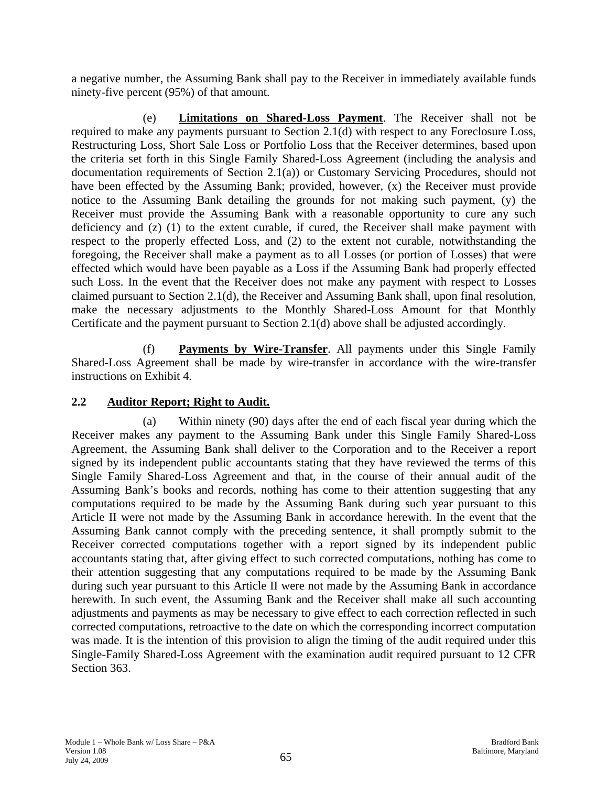a negative number, the Assuming Bank shall pay to the Receiver in immediately available funds ninety-five percent (95%) of that amount.

(e) **Limitations on Shared-Loss Payment**. The Receiver shall not be required to make any payments pursuant to Section 2.1(d) with respect to any Foreclosure Loss, Restructuring Loss, Short Sale Loss or Portfolio Loss that the Receiver determines, based upon the criteria set forth in this Single Family Shared-Loss Agreement (including the analysis and documentation requirements of Section 2.1(a)) or Customary Servicing Procedures, should not have been effected by the Assuming Bank; provided, however, (x) the Receiver must provide notice to the Assuming Bank detailing the grounds for not making such payment, (y) the Receiver must provide the Assuming Bank with a reasonable opportunity to cure any such deficiency and (z) (1) to the extent curable, if cured, the Receiver shall make payment with respect to the properly effected Loss, and (2) to the extent not curable, notwithstanding the foregoing, the Receiver shall make a payment as to all Losses (or portion of Losses) that were effected which would have been payable as a Loss if the Assuming Bank had properly effected such Loss. In the event that the Receiver does not make any payment with respect to Losses claimed pursuant to Section 2.1(d), the Receiver and Assuming Bank shall, upon final resolution, make the necessary adjustments to the Monthly Shared-Loss Amount for that Monthly Certificate and the payment pursuant to Section 2.1(d) above shall be adjusted accordingly.

(f) **Payments by Wire-Transfer**. All payments under this Single Family Shared-Loss Agreement shall be made by wire-transfer in accordance with the wire-transfer instructions on Exhibit 4.

### **2.2 Auditor Report; Right to Audit.**

(a) Within ninety (90) days after the end of each fiscal year during which the Receiver makes any payment to the Assuming Bank under this Single Family Shared-Loss Agreement, the Assuming Bank shall deliver to the Corporation and to the Receiver a report signed by its independent public accountants stating that they have reviewed the terms of this Single Family Shared-Loss Agreement and that, in the course of their annual audit of the Assuming Bank's books and records, nothing has come to their attention suggesting that any computations required to be made by the Assuming Bank during such year pursuant to this Article II were not made by the Assuming Bank in accordance herewith. In the event that the Assuming Bank cannot comply with the preceding sentence, it shall promptly submit to the Receiver corrected computations together with a report signed by its independent public accountants stating that, after giving effect to such corrected computations, nothing has come to their attention suggesting that any computations required to be made by the Assuming Bank during such year pursuant to this Article II were not made by the Assuming Bank in accordance herewith. In such event, the Assuming Bank and the Receiver shall make all such accounting adjustments and payments as may be necessary to give effect to each correction reflected in such corrected computations, retroactive to the date on which the corresponding incorrect computation was made. It is the intention of this provision to align the timing of the audit required under this Single-Family Shared-Loss Agreement with the examination audit required pursuant to 12 CFR Section 363.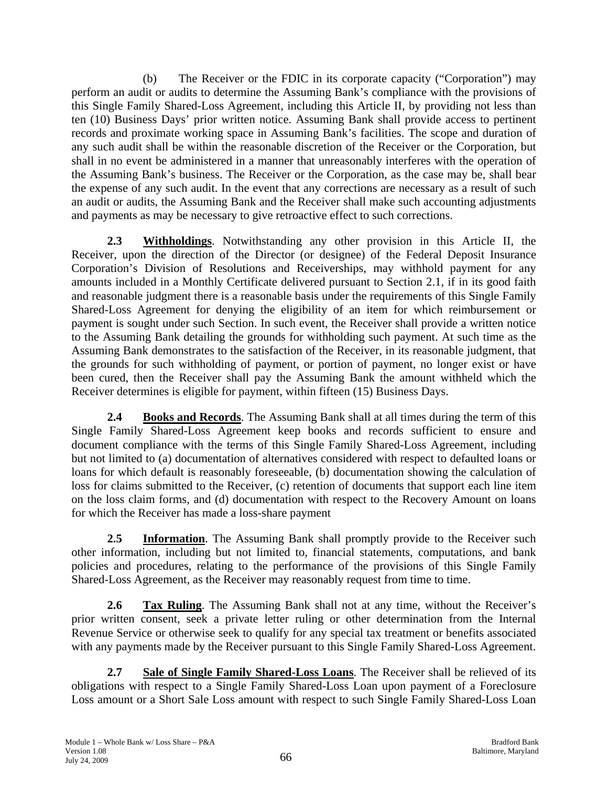(b) The Receiver or the FDIC in its corporate capacity ("Corporation") may perform an audit or audits to determine the Assuming Bank's compliance with the provisions of this Single Family Shared-Loss Agreement, including this Article II, by providing not less than ten (10) Business Days' prior written notice. Assuming Bank shall provide access to pertinent records and proximate working space in Assuming Bank's facilities. The scope and duration of any such audit shall be within the reasonable discretion of the Receiver or the Corporation, but shall in no event be administered in a manner that unreasonably interferes with the operation of the Assuming Bank's business. The Receiver or the Corporation, as the case may be, shall bear the expense of any such audit. In the event that any corrections are necessary as a result of such an audit or audits, the Assuming Bank and the Receiver shall make such accounting adjustments and payments as may be necessary to give retroactive effect to such corrections.

**2.3 Withholdings**. Notwithstanding any other provision in this Article II, the Receiver, upon the direction of the Director (or designee) of the Federal Deposit Insurance Corporation's Division of Resolutions and Receiverships, may withhold payment for any amounts included in a Monthly Certificate delivered pursuant to Section 2.1, if in its good faith and reasonable judgment there is a reasonable basis under the requirements of this Single Family Shared-Loss Agreement for denying the eligibility of an item for which reimbursement or payment is sought under such Section. In such event, the Receiver shall provide a written notice to the Assuming Bank detailing the grounds for withholding such payment. At such time as the Assuming Bank demonstrates to the satisfaction of the Receiver, in its reasonable judgment, that the grounds for such withholding of payment, or portion of payment, no longer exist or have been cured, then the Receiver shall pay the Assuming Bank the amount withheld which the Receiver determines is eligible for payment, within fifteen (15) Business Days.

**2.4 Books and Records**. The Assuming Bank shall at all times during the term of this Single Family Shared-Loss Agreement keep books and records sufficient to ensure and document compliance with the terms of this Single Family Shared-Loss Agreement, including but not limited to (a) documentation of alternatives considered with respect to defaulted loans or loans for which default is reasonably foreseeable, (b) documentation showing the calculation of loss for claims submitted to the Receiver, (c) retention of documents that support each line item on the loss claim forms, and (d) documentation with respect to the Recovery Amount on loans for which the Receiver has made a loss-share payment

**2.5 Information**. The Assuming Bank shall promptly provide to the Receiver such other information, including but not limited to, financial statements, computations, and bank policies and procedures, relating to the performance of the provisions of this Single Family Shared-Loss Agreement, as the Receiver may reasonably request from time to time.

**2.6 Tax Ruling**. The Assuming Bank shall not at any time, without the Receiver's prior written consent, seek a private letter ruling or other determination from the Internal Revenue Service or otherwise seek to qualify for any special tax treatment or benefits associated with any payments made by the Receiver pursuant to this Single Family Shared-Loss Agreement.

**2.7 Sale of Single Family Shared-Loss Loans**. The Receiver shall be relieved of its obligations with respect to a Single Family Shared-Loss Loan upon payment of a Foreclosure Loss amount or a Short Sale Loss amount with respect to such Single Family Shared-Loss Loan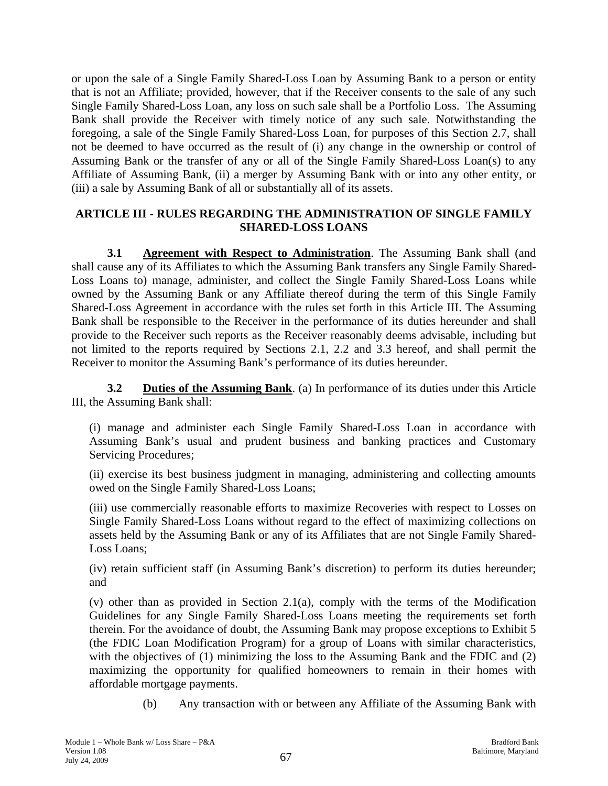or upon the sale of a Single Family Shared-Loss Loan by Assuming Bank to a person or entity that is not an Affiliate; provided, however, that if the Receiver consents to the sale of any such Single Family Shared-Loss Loan, any loss on such sale shall be a Portfolio Loss. The Assuming Bank shall provide the Receiver with timely notice of any such sale. Notwithstanding the foregoing, a sale of the Single Family Shared-Loss Loan, for purposes of this Section 2.7, shall not be deemed to have occurred as the result of (i) any change in the ownership or control of Assuming Bank or the transfer of any or all of the Single Family Shared-Loss Loan(s) to any Affiliate of Assuming Bank, (ii) a merger by Assuming Bank with or into any other entity, or (iii) a sale by Assuming Bank of all or substantially all of its assets.

### **ARTICLE III - RULES REGARDING THE ADMINISTRATION OF SINGLE FAMILY SHARED-LOSS LOANS**

**3.1 Agreement with Respect to Administration**. The Assuming Bank shall (and shall cause any of its Affiliates to which the Assuming Bank transfers any Single Family Shared-Loss Loans to) manage, administer, and collect the Single Family Shared-Loss Loans while owned by the Assuming Bank or any Affiliate thereof during the term of this Single Family Shared-Loss Agreement in accordance with the rules set forth in this Article III. The Assuming Bank shall be responsible to the Receiver in the performance of its duties hereunder and shall provide to the Receiver such reports as the Receiver reasonably deems advisable, including but not limited to the reports required by Sections 2.1, 2.2 and 3.3 hereof, and shall permit the Receiver to monitor the Assuming Bank's performance of its duties hereunder.

**3.2 Duties of the Assuming Bank**. (a) In performance of its duties under this Article III, the Assuming Bank shall:

(i) manage and administer each Single Family Shared-Loss Loan in accordance with Assuming Bank's usual and prudent business and banking practices and Customary Servicing Procedures;

(ii) exercise its best business judgment in managing, administering and collecting amounts owed on the Single Family Shared-Loss Loans;

(iii) use commercially reasonable efforts to maximize Recoveries with respect to Losses on Single Family Shared-Loss Loans without regard to the effect of maximizing collections on assets held by the Assuming Bank or any of its Affiliates that are not Single Family Shared-Loss Loans;

(iv) retain sufficient staff (in Assuming Bank's discretion) to perform its duties hereunder; and

(v) other than as provided in Section 2.1(a), comply with the terms of the Modification Guidelines for any Single Family Shared-Loss Loans meeting the requirements set forth therein. For the avoidance of doubt, the Assuming Bank may propose exceptions to Exhibit 5 (the FDIC Loan Modification Program) for a group of Loans with similar characteristics, with the objectives of (1) minimizing the loss to the Assuming Bank and the FDIC and (2) maximizing the opportunity for qualified homeowners to remain in their homes with affordable mortgage payments.

(b) Any transaction with or between any Affiliate of the Assuming Bank with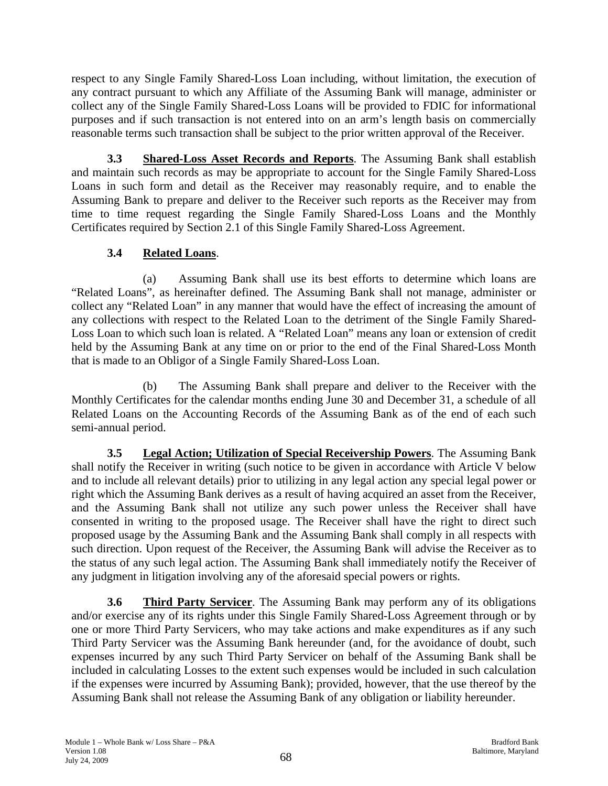respect to any Single Family Shared-Loss Loan including, without limitation, the execution of any contract pursuant to which any Affiliate of the Assuming Bank will manage, administer or collect any of the Single Family Shared-Loss Loans will be provided to FDIC for informational purposes and if such transaction is not entered into on an arm's length basis on commercially reasonable terms such transaction shall be subject to the prior written approval of the Receiver.

**3.3 Shared-Loss Asset Records and Reports**. The Assuming Bank shall establish and maintain such records as may be appropriate to account for the Single Family Shared-Loss Loans in such form and detail as the Receiver may reasonably require, and to enable the Assuming Bank to prepare and deliver to the Receiver such reports as the Receiver may from time to time request regarding the Single Family Shared-Loss Loans and the Monthly Certificates required by Section 2.1 of this Single Family Shared-Loss Agreement.

# **3.4 Related Loans**.

(a) Assuming Bank shall use its best efforts to determine which loans are "Related Loans", as hereinafter defined. The Assuming Bank shall not manage, administer or collect any "Related Loan" in any manner that would have the effect of increasing the amount of any collections with respect to the Related Loan to the detriment of the Single Family Shared-Loss Loan to which such loan is related. A "Related Loan" means any loan or extension of credit held by the Assuming Bank at any time on or prior to the end of the Final Shared-Loss Month that is made to an Obligor of a Single Family Shared-Loss Loan.

(b) The Assuming Bank shall prepare and deliver to the Receiver with the Monthly Certificates for the calendar months ending June 30 and December 31, a schedule of all Related Loans on the Accounting Records of the Assuming Bank as of the end of each such semi-annual period.

**3.5 Legal Action; Utilization of Special Receivership Powers**. The Assuming Bank shall notify the Receiver in writing (such notice to be given in accordance with Article V below and to include all relevant details) prior to utilizing in any legal action any special legal power or right which the Assuming Bank derives as a result of having acquired an asset from the Receiver, and the Assuming Bank shall not utilize any such power unless the Receiver shall have consented in writing to the proposed usage. The Receiver shall have the right to direct such proposed usage by the Assuming Bank and the Assuming Bank shall comply in all respects with such direction. Upon request of the Receiver, the Assuming Bank will advise the Receiver as to the status of any such legal action. The Assuming Bank shall immediately notify the Receiver of any judgment in litigation involving any of the aforesaid special powers or rights.

**3.6 Third Party Servicer**. The Assuming Bank may perform any of its obligations and/or exercise any of its rights under this Single Family Shared-Loss Agreement through or by one or more Third Party Servicers, who may take actions and make expenditures as if any such Third Party Servicer was the Assuming Bank hereunder (and, for the avoidance of doubt, such expenses incurred by any such Third Party Servicer on behalf of the Assuming Bank shall be included in calculating Losses to the extent such expenses would be included in such calculation if the expenses were incurred by Assuming Bank); provided, however, that the use thereof by the Assuming Bank shall not release the Assuming Bank of any obligation or liability hereunder.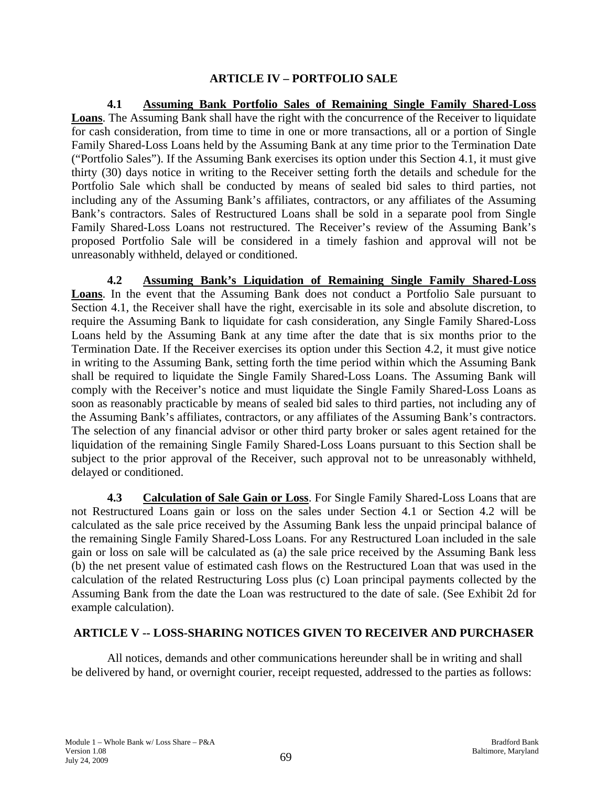### **ARTICLE IV – PORTFOLIO SALE**

**4.1 Assuming Bank Portfolio Sales of Remaining Single Family Shared-Loss Loans**. The Assuming Bank shall have the right with the concurrence of the Receiver to liquidate for cash consideration, from time to time in one or more transactions, all or a portion of Single Family Shared-Loss Loans held by the Assuming Bank at any time prior to the Termination Date ("Portfolio Sales"). If the Assuming Bank exercises its option under this Section 4.1, it must give thirty (30) days notice in writing to the Receiver setting forth the details and schedule for the Portfolio Sale which shall be conducted by means of sealed bid sales to third parties, not including any of the Assuming Bank's affiliates, contractors, or any affiliates of the Assuming Bank's contractors. Sales of Restructured Loans shall be sold in a separate pool from Single Family Shared-Loss Loans not restructured. The Receiver's review of the Assuming Bank's proposed Portfolio Sale will be considered in a timely fashion and approval will not be unreasonably withheld, delayed or conditioned.

**4.2 Assuming Bank's Liquidation of Remaining Single Family Shared-Loss Loans**. In the event that the Assuming Bank does not conduct a Portfolio Sale pursuant to Section 4.1, the Receiver shall have the right, exercisable in its sole and absolute discretion, to require the Assuming Bank to liquidate for cash consideration, any Single Family Shared-Loss Loans held by the Assuming Bank at any time after the date that is six months prior to the Termination Date. If the Receiver exercises its option under this Section 4.2, it must give notice in writing to the Assuming Bank, setting forth the time period within which the Assuming Bank shall be required to liquidate the Single Family Shared-Loss Loans. The Assuming Bank will comply with the Receiver's notice and must liquidate the Single Family Shared-Loss Loans as soon as reasonably practicable by means of sealed bid sales to third parties, not including any of the Assuming Bank's affiliates, contractors, or any affiliates of the Assuming Bank's contractors. The selection of any financial advisor or other third party broker or sales agent retained for the liquidation of the remaining Single Family Shared-Loss Loans pursuant to this Section shall be subject to the prior approval of the Receiver, such approval not to be unreasonably withheld, delayed or conditioned.

**4.3 Calculation of Sale Gain or Loss**. For Single Family Shared-Loss Loans that are not Restructured Loans gain or loss on the sales under Section 4.1 or Section 4.2 will be calculated as the sale price received by the Assuming Bank less the unpaid principal balance of the remaining Single Family Shared-Loss Loans. For any Restructured Loan included in the sale gain or loss on sale will be calculated as (a) the sale price received by the Assuming Bank less (b) the net present value of estimated cash flows on the Restructured Loan that was used in the calculation of the related Restructuring Loss plus (c) Loan principal payments collected by the Assuming Bank from the date the Loan was restructured to the date of sale. (See Exhibit 2d for example calculation).

### **ARTICLE V -- LOSS-SHARING NOTICES GIVEN TO RECEIVER AND PURCHASER**

All notices, demands and other communications hereunder shall be in writing and shall be delivered by hand, or overnight courier, receipt requested, addressed to the parties as follows: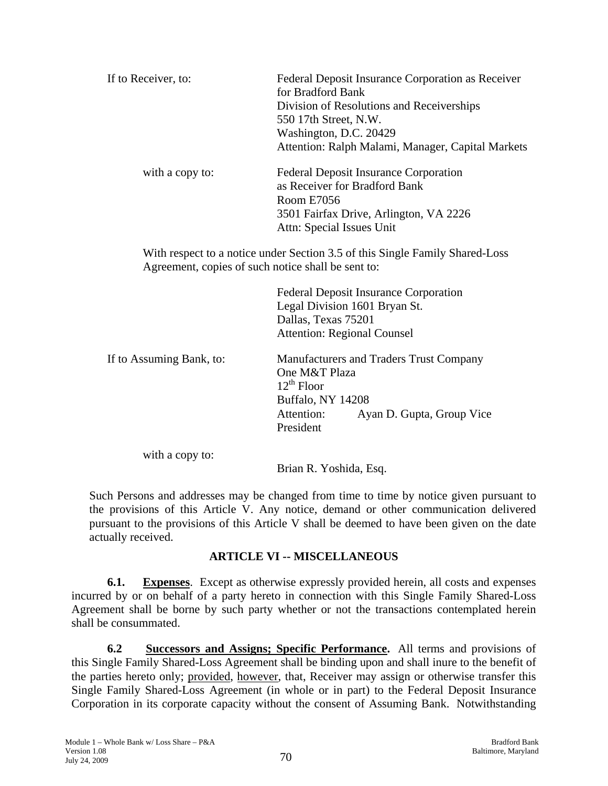| If to Receiver, to:                                                                                                                | Federal Deposit Insurance Corporation as Receiver<br>for Bradford Bank<br>Division of Resolutions and Receiverships<br>550 17th Street, N.W.<br>Washington, D.C. 20429<br>Attention: Ralph Malami, Manager, Capital Markets |  |
|------------------------------------------------------------------------------------------------------------------------------------|-----------------------------------------------------------------------------------------------------------------------------------------------------------------------------------------------------------------------------|--|
| with a copy to:                                                                                                                    | <b>Federal Deposit Insurance Corporation</b><br>as Receiver for Bradford Bank<br><b>Room E7056</b><br>3501 Fairfax Drive, Arlington, VA 2226<br>Attn: Special Issues Unit                                                   |  |
| With respect to a notice under Section 3.5 of this Single Family Shared-Loss<br>Agreement, copies of such notice shall be sent to: |                                                                                                                                                                                                                             |  |
|                                                                                                                                    | <b>Federal Deposit Insurance Corporation</b><br>Legal Division 1601 Bryan St.<br>Dallas, Texas 75201<br><b>Attention: Regional Counsel</b>                                                                                  |  |
| If to Assuming Bank, to:                                                                                                           | Manufacturers and Traders Trust Company<br>One M&T Plaza<br>$12^{th}$ Floor<br>Buffalo, NY 14208<br>Attention:<br>Ayan D. Gupta, Group Vice<br>President                                                                    |  |
| with a copy to:                                                                                                                    |                                                                                                                                                                                                                             |  |

Brian R. Yoshida, Esq.

Such Persons and addresses may be changed from time to time by notice given pursuant to the provisions of this Article V. Any notice, demand or other communication delivered pursuant to the provisions of this Article V shall be deemed to have been given on the date actually received.

### **ARTICLE VI -- MISCELLANEOUS**

**6.1. Expenses**. Except as otherwise expressly provided herein, all costs and expenses incurred by or on behalf of a party hereto in connection with this Single Family Shared-Loss Agreement shall be borne by such party whether or not the transactions contemplated herein shall be consummated.

**6.2 Successors and Assigns; Specific Performance.** All terms and provisions of this Single Family Shared-Loss Agreement shall be binding upon and shall inure to the benefit of the parties hereto only; provided, however, that, Receiver may assign or otherwise transfer this Single Family Shared-Loss Agreement (in whole or in part) to the Federal Deposit Insurance Corporation in its corporate capacity without the consent of Assuming Bank. Notwithstanding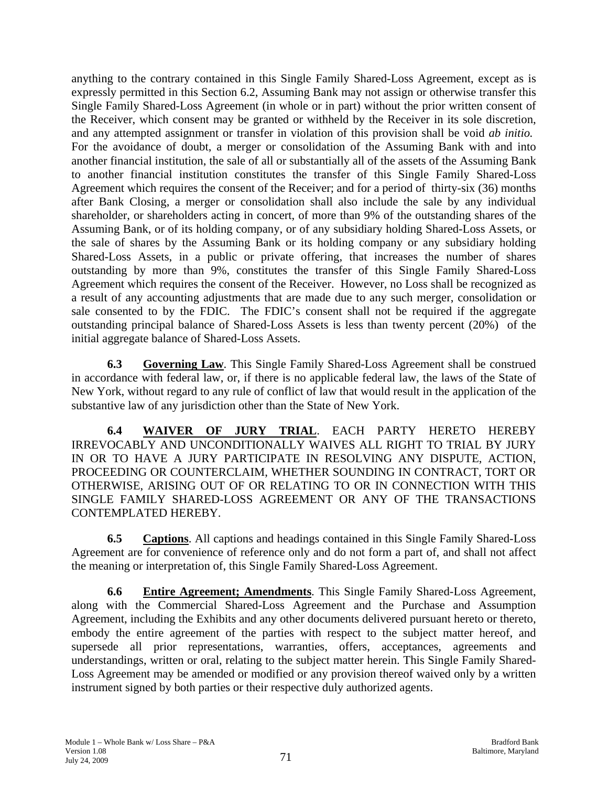anything to the contrary contained in this Single Family Shared-Loss Agreement, except as is expressly permitted in this Section 6.2, Assuming Bank may not assign or otherwise transfer this Single Family Shared-Loss Agreement (in whole or in part) without the prior written consent of the Receiver, which consent may be granted or withheld by the Receiver in its sole discretion, and any attempted assignment or transfer in violation of this provision shall be void *ab initio.*  For the avoidance of doubt, a merger or consolidation of the Assuming Bank with and into another financial institution, the sale of all or substantially all of the assets of the Assuming Bank to another financial institution constitutes the transfer of this Single Family Shared-Loss Agreement which requires the consent of the Receiver; and for a period of thirty-six (36) months after Bank Closing, a merger or consolidation shall also include the sale by any individual shareholder, or shareholders acting in concert, of more than 9% of the outstanding shares of the Assuming Bank, or of its holding company, or of any subsidiary holding Shared-Loss Assets, or the sale of shares by the Assuming Bank or its holding company or any subsidiary holding Shared-Loss Assets, in a public or private offering, that increases the number of shares outstanding by more than 9%, constitutes the transfer of this Single Family Shared-Loss Agreement which requires the consent of the Receiver. However, no Loss shall be recognized as a result of any accounting adjustments that are made due to any such merger, consolidation or sale consented to by the FDIC. The FDIC's consent shall not be required if the aggregate outstanding principal balance of Shared-Loss Assets is less than twenty percent (20%) of the initial aggregate balance of Shared-Loss Assets.

**6.3** Governing Law. This Single Family Shared-Loss Agreement shall be construed in accordance with federal law, or, if there is no applicable federal law, the laws of the State of New York, without regard to any rule of conflict of law that would result in the application of the substantive law of any jurisdiction other than the State of New York.

**6.4 WAIVER OF JURY TRIAL**. EACH PARTY HERETO HEREBY IRREVOCABLY AND UNCONDITIONALLY WAIVES ALL RIGHT TO TRIAL BY JURY IN OR TO HAVE A JURY PARTICIPATE IN RESOLVING ANY DISPUTE, ACTION, PROCEEDING OR COUNTERCLAIM, WHETHER SOUNDING IN CONTRACT, TORT OR OTHERWISE, ARISING OUT OF OR RELATING TO OR IN CONNECTION WITH THIS SINGLE FAMILY SHARED-LOSS AGREEMENT OR ANY OF THE TRANSACTIONS CONTEMPLATED HEREBY.

**6.5 Captions**. All captions and headings contained in this Single Family Shared-Loss Agreement are for convenience of reference only and do not form a part of, and shall not affect the meaning or interpretation of, this Single Family Shared-Loss Agreement.

**6.6 Entire Agreement; Amendments**. This Single Family Shared-Loss Agreement, along with the Commercial Shared-Loss Agreement and the Purchase and Assumption Agreement, including the Exhibits and any other documents delivered pursuant hereto or thereto, embody the entire agreement of the parties with respect to the subject matter hereof, and supersede all prior representations, warranties, offers, acceptances, agreements and understandings, written or oral, relating to the subject matter herein. This Single Family Shared-Loss Agreement may be amended or modified or any provision thereof waived only by a written instrument signed by both parties or their respective duly authorized agents.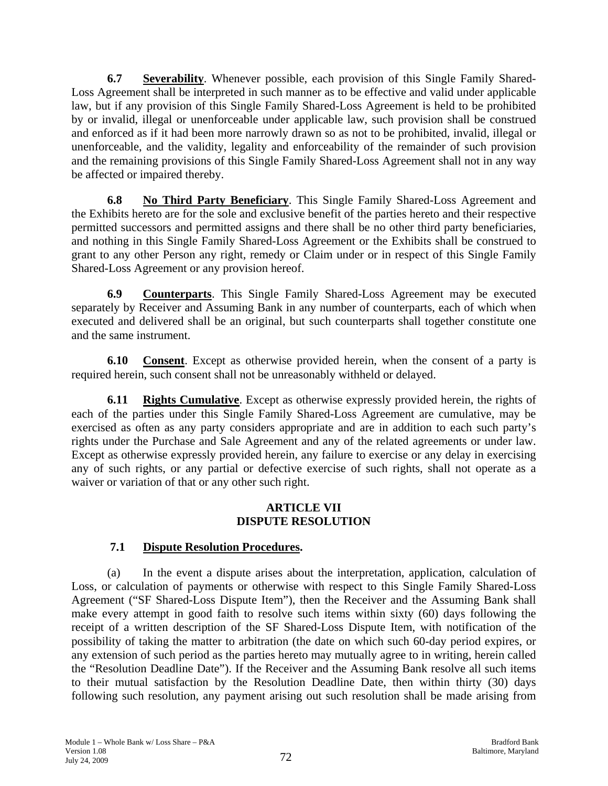**6.7 Severability**. Whenever possible, each provision of this Single Family Shared-Loss Agreement shall be interpreted in such manner as to be effective and valid under applicable law, but if any provision of this Single Family Shared-Loss Agreement is held to be prohibited by or invalid, illegal or unenforceable under applicable law, such provision shall be construed and enforced as if it had been more narrowly drawn so as not to be prohibited, invalid, illegal or unenforceable, and the validity, legality and enforceability of the remainder of such provision and the remaining provisions of this Single Family Shared-Loss Agreement shall not in any way be affected or impaired thereby.

**6.8 No Third Party Beneficiary**. This Single Family Shared-Loss Agreement and the Exhibits hereto are for the sole and exclusive benefit of the parties hereto and their respective permitted successors and permitted assigns and there shall be no other third party beneficiaries, and nothing in this Single Family Shared-Loss Agreement or the Exhibits shall be construed to grant to any other Person any right, remedy or Claim under or in respect of this Single Family Shared-Loss Agreement or any provision hereof.

**6.9 Counterparts**. This Single Family Shared-Loss Agreement may be executed separately by Receiver and Assuming Bank in any number of counterparts, each of which when executed and delivered shall be an original, but such counterparts shall together constitute one and the same instrument.

**6.10 Consent**. Except as otherwise provided herein, when the consent of a party is required herein, such consent shall not be unreasonably withheld or delayed.

**6.11 Rights Cumulative**. Except as otherwise expressly provided herein, the rights of each of the parties under this Single Family Shared-Loss Agreement are cumulative, may be exercised as often as any party considers appropriate and are in addition to each such party's rights under the Purchase and Sale Agreement and any of the related agreements or under law. Except as otherwise expressly provided herein, any failure to exercise or any delay in exercising any of such rights, or any partial or defective exercise of such rights, shall not operate as a waiver or variation of that or any other such right.

#### **ARTICLE VII DISPUTE RESOLUTION**

## **7.1 Dispute Resolution Procedures.**

(a) In the event a dispute arises about the interpretation, application, calculation of Loss, or calculation of payments or otherwise with respect to this Single Family Shared-Loss Agreement ("SF Shared-Loss Dispute Item"), then the Receiver and the Assuming Bank shall make every attempt in good faith to resolve such items within sixty (60) days following the receipt of a written description of the SF Shared-Loss Dispute Item, with notification of the possibility of taking the matter to arbitration (the date on which such 60-day period expires, or any extension of such period as the parties hereto may mutually agree to in writing, herein called the "Resolution Deadline Date"). If the Receiver and the Assuming Bank resolve all such items to their mutual satisfaction by the Resolution Deadline Date, then within thirty (30) days following such resolution, any payment arising out such resolution shall be made arising from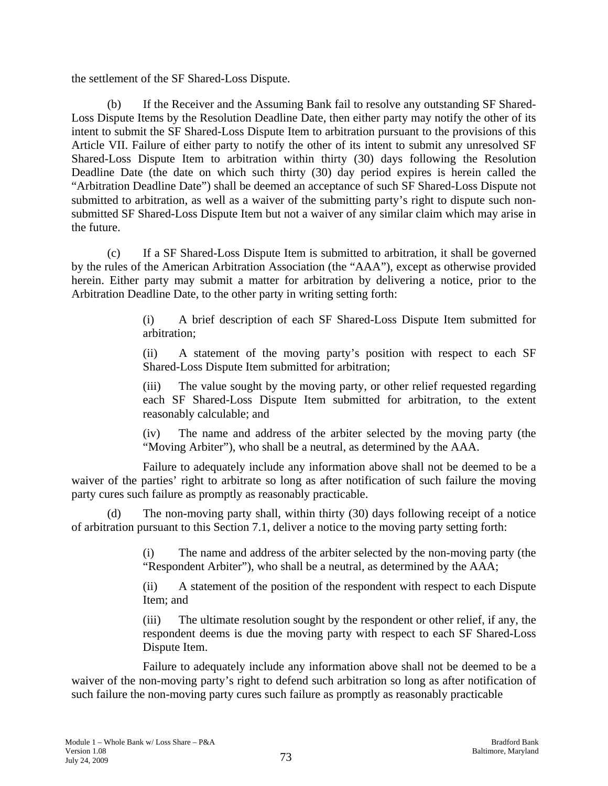the settlement of the SF Shared-Loss Dispute.

(b) If the Receiver and the Assuming Bank fail to resolve any outstanding SF Shared-Loss Dispute Items by the Resolution Deadline Date, then either party may notify the other of its intent to submit the SF Shared-Loss Dispute Item to arbitration pursuant to the provisions of this Article VII. Failure of either party to notify the other of its intent to submit any unresolved SF Shared-Loss Dispute Item to arbitration within thirty (30) days following the Resolution Deadline Date (the date on which such thirty (30) day period expires is herein called the "Arbitration Deadline Date") shall be deemed an acceptance of such SF Shared-Loss Dispute not submitted to arbitration, as well as a waiver of the submitting party's right to dispute such nonsubmitted SF Shared-Loss Dispute Item but not a waiver of any similar claim which may arise in the future.

(c) If a SF Shared-Loss Dispute Item is submitted to arbitration, it shall be governed by the rules of the American Arbitration Association (the "AAA"), except as otherwise provided herein. Either party may submit a matter for arbitration by delivering a notice, prior to the Arbitration Deadline Date, to the other party in writing setting forth:

> (i) A brief description of each SF Shared-Loss Dispute Item submitted for arbitration;

> (ii) A statement of the moving party's position with respect to each SF Shared-Loss Dispute Item submitted for arbitration;

> (iii) The value sought by the moving party, or other relief requested regarding each SF Shared-Loss Dispute Item submitted for arbitration, to the extent reasonably calculable; and

> (iv) The name and address of the arbiter selected by the moving party (the "Moving Arbiter"), who shall be a neutral, as determined by the AAA.

Failure to adequately include any information above shall not be deemed to be a waiver of the parties' right to arbitrate so long as after notification of such failure the moving party cures such failure as promptly as reasonably practicable.

(d) The non-moving party shall, within thirty (30) days following receipt of a notice of arbitration pursuant to this Section 7.1, deliver a notice to the moving party setting forth:

> (i) The name and address of the arbiter selected by the non-moving party (the "Respondent Arbiter"), who shall be a neutral, as determined by the AAA;

> (ii) A statement of the position of the respondent with respect to each Dispute Item; and

> (iii) The ultimate resolution sought by the respondent or other relief, if any, the respondent deems is due the moving party with respect to each SF Shared-Loss Dispute Item.

Failure to adequately include any information above shall not be deemed to be a waiver of the non-moving party's right to defend such arbitration so long as after notification of such failure the non-moving party cures such failure as promptly as reasonably practicable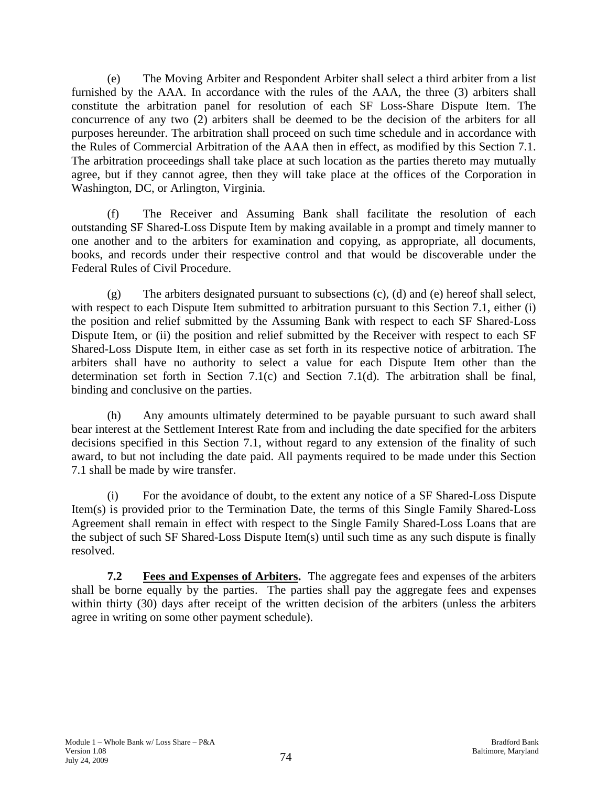(e) The Moving Arbiter and Respondent Arbiter shall select a third arbiter from a list furnished by the AAA. In accordance with the rules of the AAA, the three (3) arbiters shall constitute the arbitration panel for resolution of each SF Loss-Share Dispute Item. The concurrence of any two (2) arbiters shall be deemed to be the decision of the arbiters for all purposes hereunder. The arbitration shall proceed on such time schedule and in accordance with the Rules of Commercial Arbitration of the AAA then in effect, as modified by this Section 7.1. The arbitration proceedings shall take place at such location as the parties thereto may mutually agree, but if they cannot agree, then they will take place at the offices of the Corporation in Washington, DC, or Arlington, Virginia.

(f) The Receiver and Assuming Bank shall facilitate the resolution of each outstanding SF Shared-Loss Dispute Item by making available in a prompt and timely manner to one another and to the arbiters for examination and copying, as appropriate, all documents, books, and records under their respective control and that would be discoverable under the Federal Rules of Civil Procedure.

(g) The arbiters designated pursuant to subsections (c), (d) and (e) hereof shall select, with respect to each Dispute Item submitted to arbitration pursuant to this Section 7.1, either (i) the position and relief submitted by the Assuming Bank with respect to each SF Shared-Loss Dispute Item, or (ii) the position and relief submitted by the Receiver with respect to each SF Shared-Loss Dispute Item, in either case as set forth in its respective notice of arbitration. The arbiters shall have no authority to select a value for each Dispute Item other than the determination set forth in Section 7.1(c) and Section 7.1(d). The arbitration shall be final, binding and conclusive on the parties.

(h) Any amounts ultimately determined to be payable pursuant to such award shall bear interest at the Settlement Interest Rate from and including the date specified for the arbiters decisions specified in this Section 7.1, without regard to any extension of the finality of such award, to but not including the date paid. All payments required to be made under this Section 7.1 shall be made by wire transfer.

(i) For the avoidance of doubt, to the extent any notice of a SF Shared-Loss Dispute Item(s) is provided prior to the Termination Date, the terms of this Single Family Shared-Loss Agreement shall remain in effect with respect to the Single Family Shared-Loss Loans that are the subject of such SF Shared-Loss Dispute Item(s) until such time as any such dispute is finally resolved.

**7.2 Fees and Expenses of Arbiters.** The aggregate fees and expenses of the arbiters shall be borne equally by the parties. The parties shall pay the aggregate fees and expenses within thirty (30) days after receipt of the written decision of the arbiters (unless the arbiters agree in writing on some other payment schedule).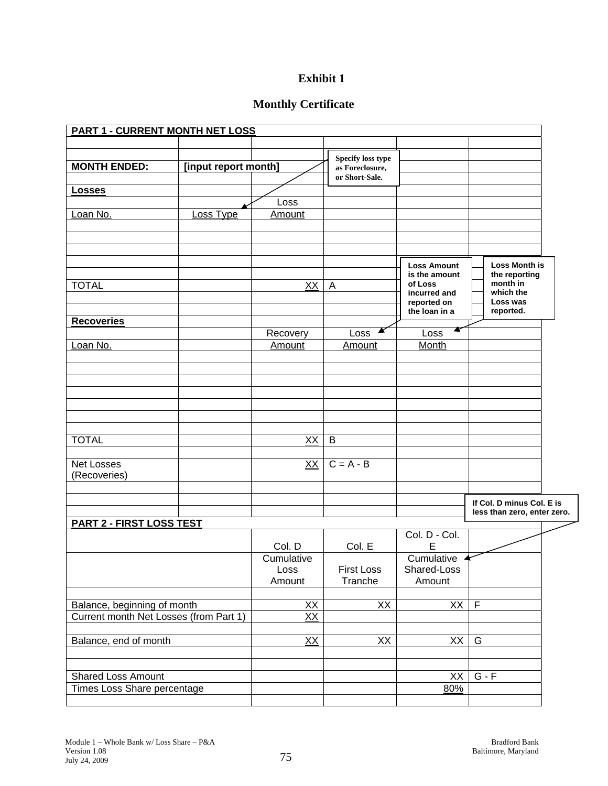## **Exhibit 1**

## **Monthly Certificate**

| <b>PART 1 - CURRENT MONTH NET LOSS</b> |                      |                      |                   |                             |                             |
|----------------------------------------|----------------------|----------------------|-------------------|-----------------------------|-----------------------------|
|                                        |                      |                      |                   |                             |                             |
|                                        |                      |                      | Specify loss type |                             |                             |
| <b>MONTH ENDED:</b>                    | [input report month] |                      | as Foreclosure,   |                             |                             |
|                                        |                      |                      | or Short-Sale.    |                             |                             |
| <u>Losses</u>                          |                      |                      |                   |                             |                             |
|                                        |                      | Loss                 |                   |                             |                             |
| Loan No.                               | Loss Type            | Amount               |                   |                             |                             |
|                                        |                      |                      |                   |                             |                             |
|                                        |                      |                      |                   |                             |                             |
|                                        |                      |                      |                   |                             |                             |
|                                        |                      |                      |                   | <b>Loss Amount</b>          | <b>Loss Month is</b>        |
|                                        |                      |                      |                   | is the amount               | the reporting               |
| <b>TOTAL</b>                           |                      | XX                   | $\overline{A}$    | of Loss                     | month in                    |
|                                        |                      |                      |                   | incurred and<br>reported on | which the<br>Loss was       |
|                                        |                      |                      |                   | the loan in a               | reported.                   |
| <b>Recoveries</b>                      |                      |                      |                   |                             |                             |
|                                        |                      | Recovery             | Loss              | Ŧ<br>Loss                   |                             |
| Loan No.                               |                      | Amount               | Amount            | Month                       |                             |
|                                        |                      |                      |                   |                             |                             |
|                                        |                      |                      |                   |                             |                             |
|                                        |                      |                      |                   |                             |                             |
|                                        |                      |                      |                   |                             |                             |
|                                        |                      |                      |                   |                             |                             |
|                                        |                      |                      |                   |                             |                             |
|                                        |                      |                      |                   |                             |                             |
| <b>TOTAL</b>                           |                      | XX                   | B                 |                             |                             |
|                                        |                      |                      |                   |                             |                             |
| Net Losses                             |                      | XX                   | $C = A - B$       |                             |                             |
| (Recoveries)                           |                      |                      |                   |                             |                             |
|                                        |                      |                      |                   |                             |                             |
|                                        |                      |                      |                   |                             |                             |
|                                        |                      |                      |                   |                             | If Col. D minus Col. E is   |
|                                        |                      |                      |                   |                             | less than zero, enter zero. |
| <b>PART 2 - FIRST LOSS TEST</b>        |                      |                      |                   | Col. D - Col.               |                             |
|                                        |                      |                      | Col. E            | E                           |                             |
|                                        |                      | Col. D<br>Cumulative |                   | Cumulative                  |                             |
|                                        |                      |                      | <b>First Loss</b> | Shared-Loss                 |                             |
|                                        |                      | Loss                 | Tranche           |                             |                             |
|                                        |                      | Amount               |                   | Amount                      |                             |
| Balance, beginning of month            |                      |                      | $\overline{XX}$   | $\overline{XX}$             | $\overline{F}$              |
|                                        |                      | XX                   |                   |                             |                             |
| Current month Net Losses (from Part 1) |                      | $\overline{XX}$      |                   |                             |                             |
|                                        |                      |                      |                   |                             |                             |
| Balance, end of month                  |                      | $\overline{XX}$      | $\overline{XX}$   | $\overline{XX}$             | G                           |
|                                        |                      |                      |                   |                             |                             |
|                                        |                      |                      |                   |                             |                             |
| <b>Shared Loss Amount</b>              |                      |                      |                   | XX                          | $G - F$                     |
| Times Loss Share percentage            |                      |                      |                   | 80%                         |                             |
|                                        |                      |                      |                   |                             |                             |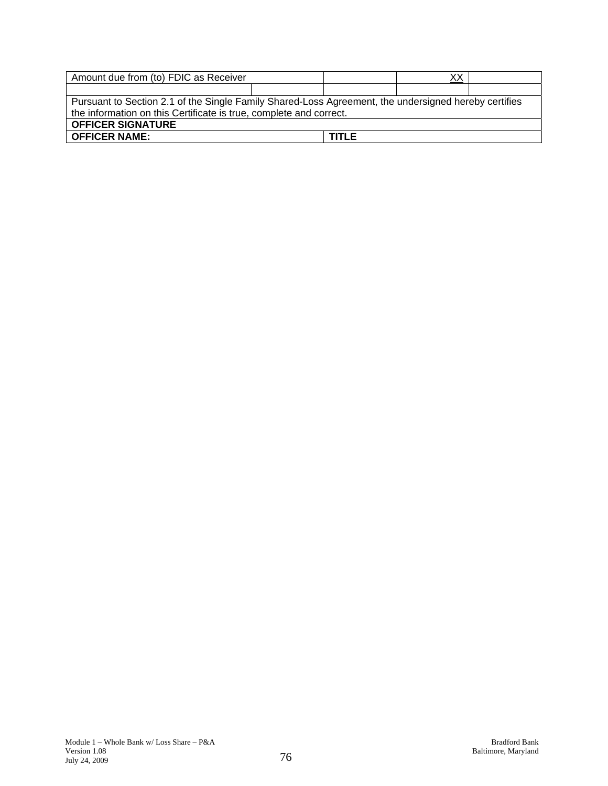| Amount due from (to) FDIC as Receiver                                                                |  | ХX           |  |  |
|------------------------------------------------------------------------------------------------------|--|--------------|--|--|
|                                                                                                      |  |              |  |  |
| Pursuant to Section 2.1 of the Single Family Shared-Loss Agreement, the undersigned hereby certifies |  |              |  |  |
| the information on this Certificate is true, complete and correct.                                   |  |              |  |  |
| <b>OFFICER SIGNATURE</b>                                                                             |  |              |  |  |
| <b>OFFICER NAME:</b>                                                                                 |  | <b>TITLE</b> |  |  |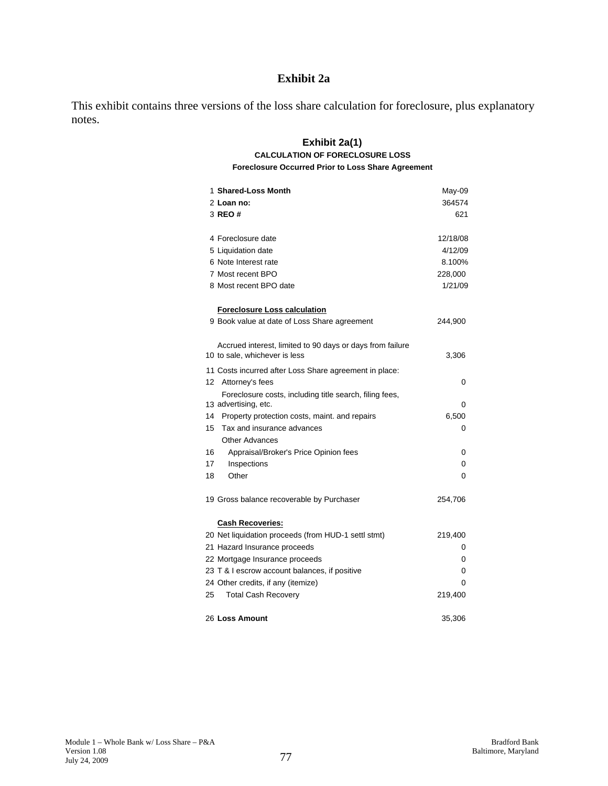#### **Exhibit 2a**

This exhibit contains three versions of the loss share calculation for foreclosure, plus explanatory notes.

#### **Exhibit 2a(1) CALCULATION OF FORECLOSURE LOSS Foreclosure Occurred Prior to Loss Share Agreement**

|    | 1 Shared-Loss Month<br>2 Loan no:<br>3 REO #              | May-09<br>364574<br>621 |
|----|-----------------------------------------------------------|-------------------------|
|    |                                                           |                         |
|    | 4 Foreclosure date                                        | 12/18/08                |
|    | 5 Liquidation date                                        | 4/12/09                 |
|    | 6 Note Interest rate                                      | 8.100%                  |
|    | 7 Most recent BPO                                         | 228,000                 |
|    | 8 Most recent BPO date                                    | 1/21/09                 |
|    | <b>Foreclosure Loss calculation</b>                       |                         |
|    | 9 Book value at date of Loss Share agreement              | 244,900                 |
|    | Accrued interest, limited to 90 days or days from failure |                         |
|    | 10 to sale, whichever is less                             | 3,306                   |
|    | 11 Costs incurred after Loss Share agreement in place:    |                         |
| 12 | Attorney's fees                                           | 0                       |
|    | Foreclosure costs, including title search, filing fees,   |                         |
|    | 13 advertising, etc.                                      | 0                       |
| 14 | Property protection costs, maint. and repairs             | 6,500                   |
| 15 | Tax and insurance advances                                | 0                       |
|    | <b>Other Advances</b>                                     |                         |
| 16 | Appraisal/Broker's Price Opinion fees                     | 0                       |
| 17 | Inspections                                               | 0                       |
| 18 | Other                                                     | 0                       |
|    | 19 Gross balance recoverable by Purchaser                 | 254,706                 |
|    | <b>Cash Recoveries:</b>                                   |                         |
|    | 20 Net liquidation proceeds (from HUD-1 settl stmt)       | 219,400                 |
|    | 21 Hazard Insurance proceeds                              | 0                       |
|    | 22 Mortgage Insurance proceeds                            | 0                       |
|    | 23 T & I escrow account balances, if positive             | 0                       |
|    | 24 Other credits, if any (itemize)                        | 0                       |
| 25 | <b>Total Cash Recovery</b>                                | 219,400                 |
|    | <b>26 Loss Amount</b>                                     | 35,306                  |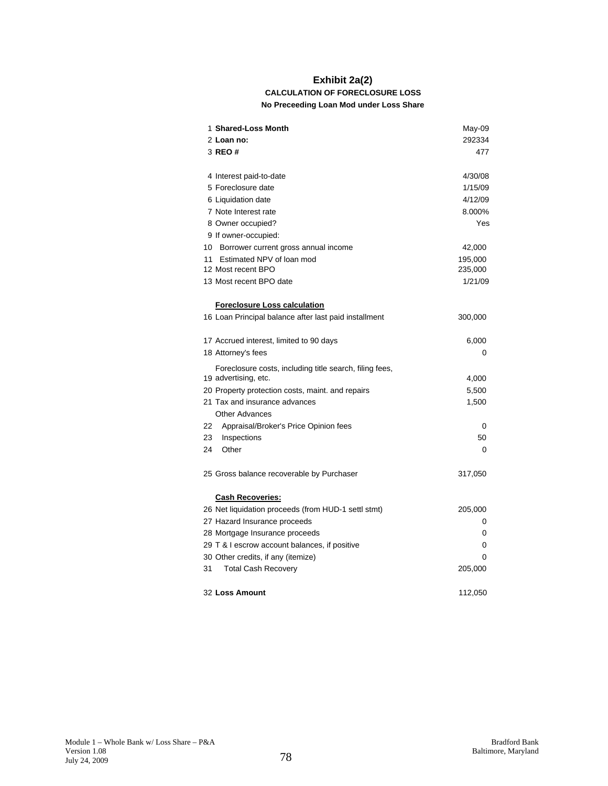#### **Exhibit 2a(2)**

#### **CALCULATION OF FORECLOSURE LOSS**

#### **No Preceeding Loan Mod under Loss Share**

| 1 Shared-Loss Month                                                             | May-09  |
|---------------------------------------------------------------------------------|---------|
| 2 Loan no:                                                                      | 292334  |
| 3 REO #                                                                         | 477     |
| 4 Interest paid-to-date                                                         | 4/30/08 |
| 5 Foreclosure date                                                              | 1/15/09 |
| 6 Liquidation date                                                              | 4/12/09 |
| 7 Note Interest rate                                                            | 8.000%  |
| 8 Owner occupied?                                                               | Yes     |
| 9 If owner-occupied:                                                            |         |
| 10<br>Borrower current gross annual income                                      | 42,000  |
| 11<br>Estimated NPV of loan mod                                                 | 195,000 |
| 12 Most recent BPO                                                              | 235,000 |
| 13 Most recent BPO date                                                         | 1/21/09 |
| <b>Foreclosure Loss calculation</b>                                             |         |
| 16 Loan Principal balance after last paid installment                           | 300,000 |
| 17 Accrued interest, limited to 90 days                                         | 6,000   |
| 18 Attorney's fees                                                              | 0       |
| Foreclosure costs, including title search, filing fees,<br>19 advertising, etc. | 4,000   |
| 20 Property protection costs, maint. and repairs                                | 5,500   |
| 21 Tax and insurance advances                                                   | 1,500   |
| <b>Other Advances</b>                                                           |         |
| 22<br>Appraisal/Broker's Price Opinion fees                                     | 0       |
| 23<br>Inspections                                                               | 50      |
| 24<br>Other                                                                     | 0       |
| 25 Gross balance recoverable by Purchaser                                       | 317,050 |
| <b>Cash Recoveries:</b>                                                         |         |
| 26 Net liquidation proceeds (from HUD-1 settl stmt)                             | 205,000 |
| 27 Hazard Insurance proceeds                                                    | 0       |
| 28 Mortgage Insurance proceeds                                                  | 0       |
| 29 T & I escrow account balances, if positive                                   | 0       |
| 30 Other credits, if any (itemize)                                              | 0       |
| 31<br><b>Total Cash Recovery</b>                                                | 205,000 |
| 32 Loss Amount                                                                  | 112,050 |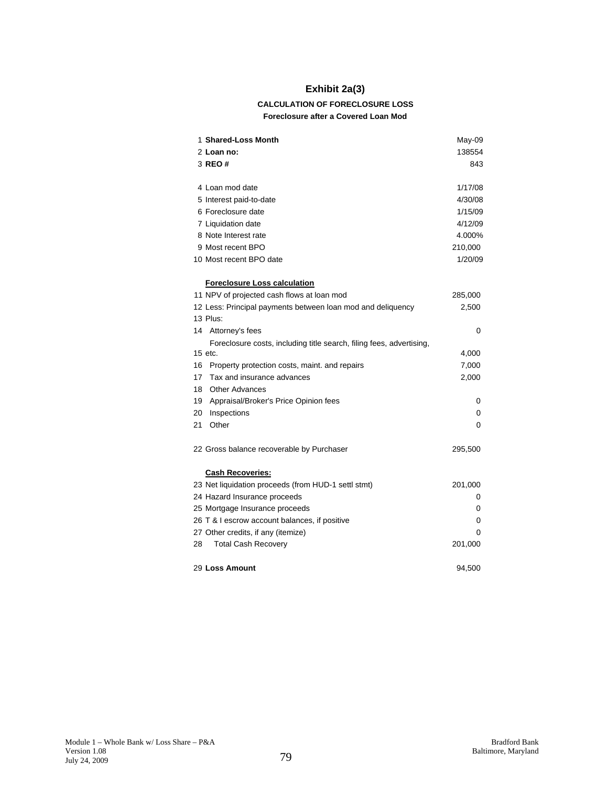## **Exhibit 2a(3)**

#### **CALCULATION OF FORECLOSURE LOSS Foreclosure after a Covered Loan Mod**

| 1 Shared-Loss Month                                                  | May-09   |
|----------------------------------------------------------------------|----------|
| 2 Loan no:                                                           | 138554   |
| 3 REO #                                                              | 843      |
|                                                                      |          |
| 4 Loan mod date                                                      | 1/17/08  |
| 5 Interest paid-to-date                                              | 4/30/08  |
| 6 Foreclosure date                                                   | 1/15/09  |
| 7 Liquidation date                                                   | 4/12/09  |
| 8 Note Interest rate                                                 | 4.000%   |
| 9 Most recent BPO                                                    | 210,000  |
| 10 Most recent BPO date                                              | 1/20/09  |
|                                                                      |          |
| <b>Foreclosure Loss calculation</b>                                  |          |
| 11 NPV of projected cash flows at loan mod                           | 285,000  |
| 12 Less: Principal payments between loan mod and deliquency          | 2,500    |
| 13 Plus:                                                             |          |
| 14<br>Attorney's fees                                                | 0        |
| Foreclosure costs, including title search, filing fees, advertising, |          |
| 15 etc.                                                              | 4,000    |
| 16<br>Property protection costs, maint. and repairs                  | 7,000    |
| 17<br>Tax and insurance advances                                     | 2,000    |
| <b>Other Advances</b><br>18                                          |          |
| 19 Appraisal/Broker's Price Opinion fees                             | 0        |
| 20<br>Inspections                                                    | 0        |
| 21<br>Other                                                          | $\Omega$ |
|                                                                      |          |
| 22 Gross balance recoverable by Purchaser                            | 295,500  |
| <b>Cash Recoveries:</b>                                              |          |
| 23 Net liquidation proceeds (from HUD-1 settl stmt)                  | 201,000  |
| 24 Hazard Insurance proceeds                                         | 0        |
| 25 Mortgage Insurance proceeds                                       | 0        |
| 26 T & I escrow account balances, if positive                        | 0        |
| 27 Other credits, if any (itemize)                                   | 0        |
| 28<br><b>Total Cash Recovery</b>                                     | 201,000  |
|                                                                      |          |
| 29 Loss Amount                                                       | 94,500   |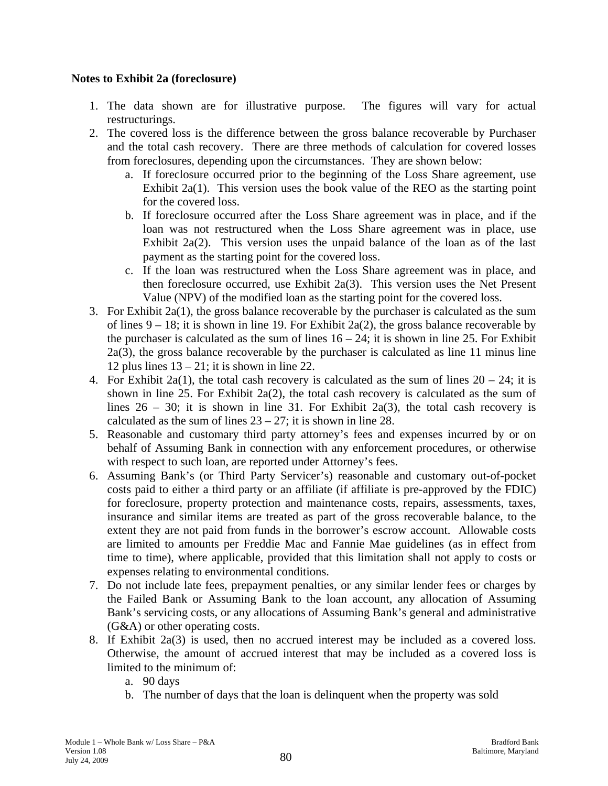### **Notes to Exhibit 2a (foreclosure)**

- 1. The data shown are for illustrative purpose. The figures will vary for actual restructurings.
- 2. The covered loss is the difference between the gross balance recoverable by Purchaser and the total cash recovery. There are three methods of calculation for covered losses from foreclosures, depending upon the circumstances. They are shown below:
	- a. If foreclosure occurred prior to the beginning of the Loss Share agreement, use Exhibit  $2a(1)$ . This version uses the book value of the REO as the starting point for the covered loss.
	- b. If foreclosure occurred after the Loss Share agreement was in place, and if the loan was not restructured when the Loss Share agreement was in place, use Exhibit 2a(2). This version uses the unpaid balance of the loan as of the last payment as the starting point for the covered loss.
	- c. If the loan was restructured when the Loss Share agreement was in place, and then foreclosure occurred, use Exhibit 2a(3). This version uses the Net Present Value (NPV) of the modified loan as the starting point for the covered loss.
- 3. For Exhibit  $2a(1)$ , the gross balance recoverable by the purchaser is calculated as the sum of lines  $9 - 18$ ; it is shown in line 19. For Exhibit 2a(2), the gross balance recoverable by the purchaser is calculated as the sum of lines  $16 - 24$ ; it is shown in line 25. For Exhibit 2a(3), the gross balance recoverable by the purchaser is calculated as line 11 minus line 12 plus lines  $13 - 21$ ; it is shown in line 22.
- 4. For Exhibit 2a(1), the total cash recovery is calculated as the sum of lines  $20 24$ ; it is shown in line 25. For Exhibit 2a(2), the total cash recovery is calculated as the sum of lines  $26 - 30$ ; it is shown in line 31. For Exhibit 2a(3), the total cash recovery is calculated as the sum of lines  $23 - 27$ ; it is shown in line 28.
- 5. Reasonable and customary third party attorney's fees and expenses incurred by or on behalf of Assuming Bank in connection with any enforcement procedures, or otherwise with respect to such loan, are reported under Attorney's fees.
- 6. Assuming Bank's (or Third Party Servicer's) reasonable and customary out-of-pocket costs paid to either a third party or an affiliate (if affiliate is pre-approved by the FDIC) for foreclosure, property protection and maintenance costs, repairs, assessments, taxes, insurance and similar items are treated as part of the gross recoverable balance, to the extent they are not paid from funds in the borrower's escrow account. Allowable costs are limited to amounts per Freddie Mac and Fannie Mae guidelines (as in effect from time to time), where applicable, provided that this limitation shall not apply to costs or expenses relating to environmental conditions.
- 7. Do not include late fees, prepayment penalties, or any similar lender fees or charges by the Failed Bank or Assuming Bank to the loan account, any allocation of Assuming Bank's servicing costs, or any allocations of Assuming Bank's general and administrative (G&A) or other operating costs.
- 8. If Exhibit  $2a(3)$  is used, then no accrued interest may be included as a covered loss. Otherwise, the amount of accrued interest that may be included as a covered loss is limited to the minimum of:
	- a. 90 days
	- b. The number of days that the loan is delinguent when the property was sold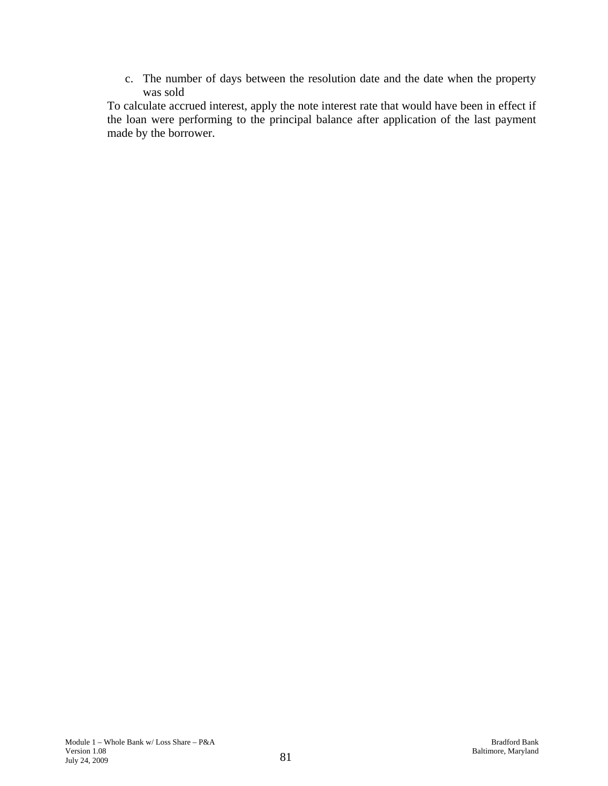c. The number of days between the resolution date and the date when the property was sold

To calculate accrued interest, apply the note interest rate that would have been in effect if the loan were performing to the principal balance after application of the last payment made by the borrower.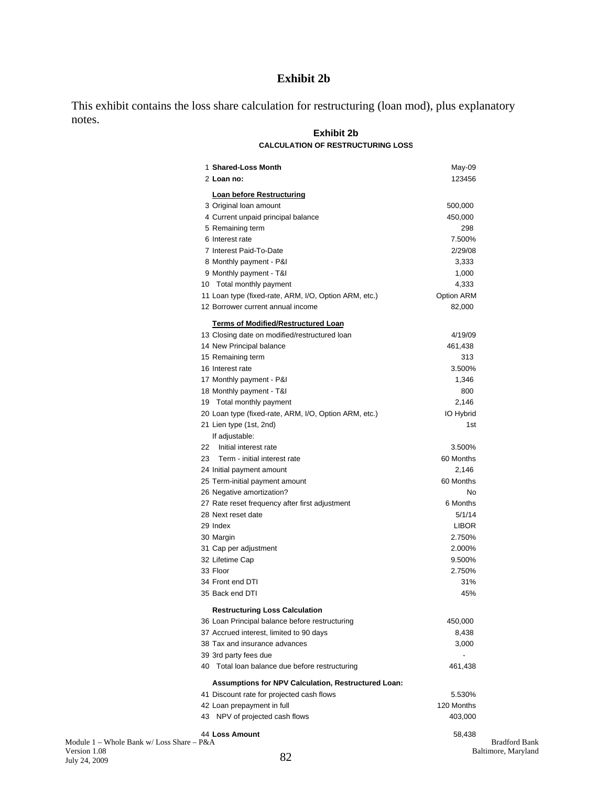## **Exhibit 2b**

This exhibit contains the loss share calculation for restructuring (loan mod), plus explanatory notes.

#### **Exhibit 2b CALCULATION OF RESTRUCTURING LOSS**

|       | 1 Shared-Loss Month                                                  | May-09            |                      |
|-------|----------------------------------------------------------------------|-------------------|----------------------|
|       | 2 Loan no:                                                           | 123456            |                      |
|       | <b>Loan before Restructuring</b>                                     |                   |                      |
|       | 3 Original loan amount                                               | 500,000           |                      |
|       | 4 Current unpaid principal balance                                   | 450,000           |                      |
|       | 5 Remaining term                                                     | 298               |                      |
|       | 6 Interest rate                                                      | 7.500%            |                      |
|       | 7 Interest Paid-To-Date                                              | 2/29/08           |                      |
|       | 8 Monthly payment - P&I                                              | 3,333             |                      |
|       | 9 Monthly payment - T&I                                              | 1,000             |                      |
|       | 10 Total monthly payment                                             | 4,333             |                      |
|       | 11 Loan type (fixed-rate, ARM, I/O, Option ARM, etc.)                | <b>Option ARM</b> |                      |
|       | 12 Borrower current annual income                                    | 82,000            |                      |
|       | <u>Terms of Modified/Restructured Loan</u>                           |                   |                      |
|       | 13 Closing date on modified/restructured loan                        | 4/19/09           |                      |
|       | 14 New Principal balance                                             | 461,438           |                      |
|       | 15 Remaining term                                                    | 313               |                      |
|       | 16 Interest rate                                                     | 3.500%            |                      |
|       | 17 Monthly payment - P&I                                             | 1,346             |                      |
|       | 18 Monthly payment - T&I                                             | 800               |                      |
|       | 19 Total monthly payment                                             | 2,146             |                      |
|       | 20 Loan type (fixed-rate, ARM, I/O, Option ARM, etc.)                | IO Hybrid         |                      |
|       | 21 Lien type (1st, 2nd)                                              | 1st               |                      |
|       | If adjustable:                                                       |                   |                      |
| 22    | Initial interest rate                                                | 3.500%            |                      |
| 23    | Term - initial interest rate                                         | 60 Months         |                      |
|       | 24 Initial payment amount                                            | 2,146             |                      |
|       |                                                                      | 60 Months         |                      |
|       | 25 Term-initial payment amount                                       | No                |                      |
|       | 26 Negative amortization?                                            | 6 Months          |                      |
|       | 27 Rate reset frequency after first adjustment<br>28 Next reset date | 5/1/14            |                      |
|       | 29 Index                                                             | <b>LIBOR</b>      |                      |
|       | 30 Margin                                                            | 2.750%            |                      |
|       |                                                                      |                   |                      |
|       | 31 Cap per adjustment                                                | 2.000%<br>9.500%  |                      |
|       | 32 Lifetime Cap                                                      |                   |                      |
|       | 33 Floor<br>34 Front end DTI                                         | 2.750%            |                      |
|       | 35 Back end DTI                                                      | 31%               |                      |
|       |                                                                      | 45%               |                      |
|       | <b>Restructuring Loss Calculation</b>                                |                   |                      |
|       | 36 Loan Principal balance before restructuring                       | 450,000           |                      |
|       | 37 Accrued interest, limited to 90 days                              | 8,438             |                      |
|       | 38 Tax and insurance advances                                        | 3,000             |                      |
|       | 39 3rd party fees due                                                |                   |                      |
|       | 40 Total loan balance due before restructuring                       | 461,438           |                      |
|       | Assumptions for NPV Calculation, Restructured Loan:                  |                   |                      |
|       | 41 Discount rate for projected cash flows                            | 5.530%            |                      |
|       | 42 Loan prepayment in full                                           | 120 Months        |                      |
|       | 43 NPV of projected cash flows                                       | 403,000           |                      |
| - P&A | 44 Loss Amount                                                       | 58,438            | <b>Bradford Bank</b> |
|       | ററ                                                                   |                   | Baltimore, Maryland  |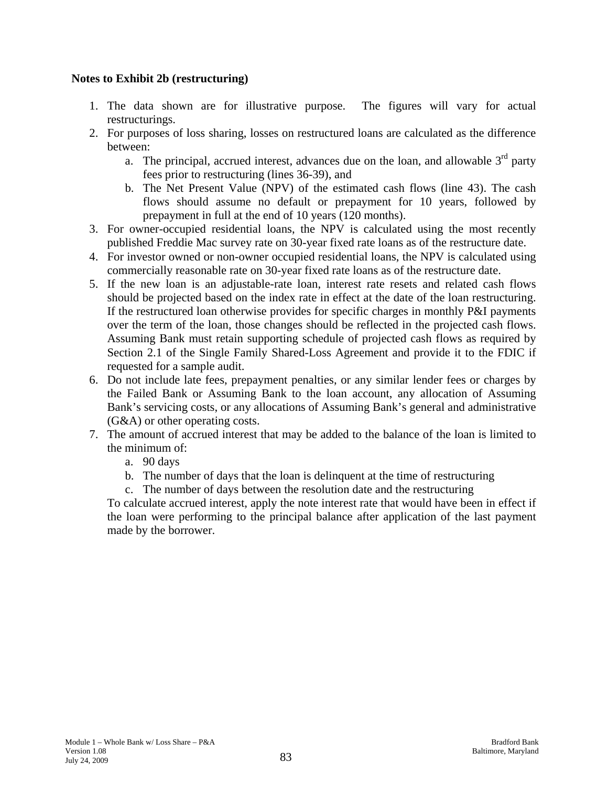### **Notes to Exhibit 2b (restructuring)**

- 1. The data shown are for illustrative purpose. The figures will vary for actual restructurings.
- 2. For purposes of loss sharing, losses on restructured loans are calculated as the difference between:
	- a. The principal, accrued interest, advances due on the loan, and allowable  $3<sup>rd</sup>$  party fees prior to restructuring (lines 36-39), and
	- b. The Net Present Value (NPV) of the estimated cash flows (line 43). The cash flows should assume no default or prepayment for 10 years, followed by prepayment in full at the end of 10 years (120 months).
- 3. For owner-occupied residential loans, the NPV is calculated using the most recently published Freddie Mac survey rate on 30-year fixed rate loans as of the restructure date.
- 4. For investor owned or non-owner occupied residential loans, the NPV is calculated using commercially reasonable rate on 30-year fixed rate loans as of the restructure date.
- 5. If the new loan is an adjustable-rate loan, interest rate resets and related cash flows should be projected based on the index rate in effect at the date of the loan restructuring. If the restructured loan otherwise provides for specific charges in monthly P&I payments over the term of the loan, those changes should be reflected in the projected cash flows. Assuming Bank must retain supporting schedule of projected cash flows as required by Section 2.1 of the Single Family Shared-Loss Agreement and provide it to the FDIC if requested for a sample audit.
- 6. Do not include late fees, prepayment penalties, or any similar lender fees or charges by the Failed Bank or Assuming Bank to the loan account, any allocation of Assuming Bank's servicing costs, or any allocations of Assuming Bank's general and administrative (G&A) or other operating costs.
- 7. The amount of accrued interest that may be added to the balance of the loan is limited to the minimum of:
	- a. 90 days
	- b. The number of days that the loan is delinquent at the time of restructuring
	- c. The number of days between the resolution date and the restructuring

To calculate accrued interest, apply the note interest rate that would have been in effect if the loan were performing to the principal balance after application of the last payment made by the borrower.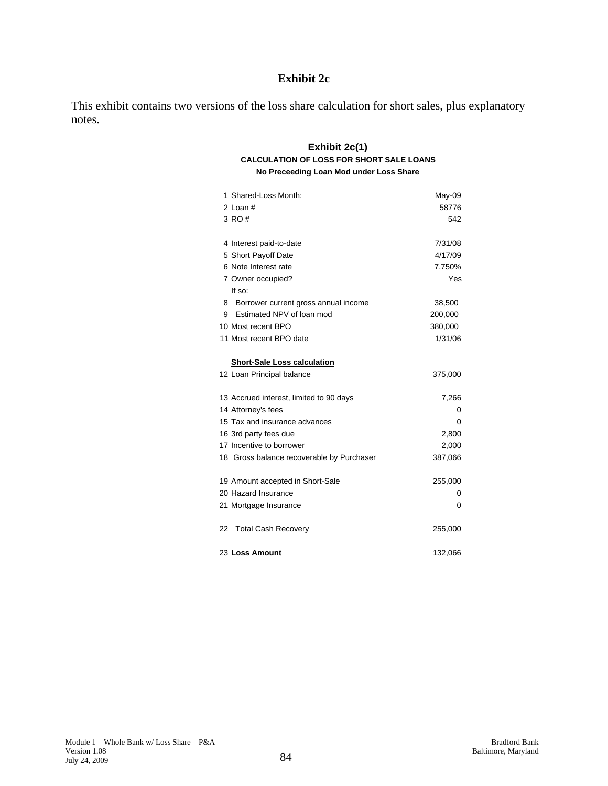### **Exhibit 2c**

This exhibit contains two versions of the loss share calculation for short sales, plus explanatory notes.

#### **Exhibit 2c(1) CALCULATION OF LOSS FOR SHORT SALE LOANS No Preceeding Loan Mod under Loss Share**

| 1 Shared-Loss Month:<br>2 Loan #<br>3 RO #                                                                                                                                                       | May-09<br>58776<br>542                       |
|--------------------------------------------------------------------------------------------------------------------------------------------------------------------------------------------------|----------------------------------------------|
| 4 Interest paid-to-date<br>5 Short Payoff Date                                                                                                                                                   | 7/31/08<br>4/17/09                           |
| 6 Note Interest rate<br>7 Owner occupied?<br>If so:                                                                                                                                              | 7.750%<br>Yes                                |
| Borrower current gross annual income<br>8<br>Estimated NPV of loan mod<br>9<br>10 Most recent BPO<br>11 Most recent BPO date                                                                     | 38,500<br>200,000<br>380,000<br>1/31/06      |
| <b>Short-Sale Loss calculation</b><br>12 Loan Principal balance                                                                                                                                  | 375,000                                      |
| 13 Accrued interest, limited to 90 days<br>14 Attorney's fees<br>15 Tax and insurance advances<br>16 3rd party fees due<br>17 Incentive to borrower<br>18 Gross balance recoverable by Purchaser | 7,266<br>0<br>0<br>2,800<br>2,000<br>387,066 |
| 19 Amount accepted in Short-Sale<br>20 Hazard Insurance<br>21 Mortgage Insurance                                                                                                                 | 255,000<br>0<br>0                            |
| 22 Total Cash Recovery                                                                                                                                                                           | 255,000                                      |
| 23 Loss Amount                                                                                                                                                                                   | 132,066                                      |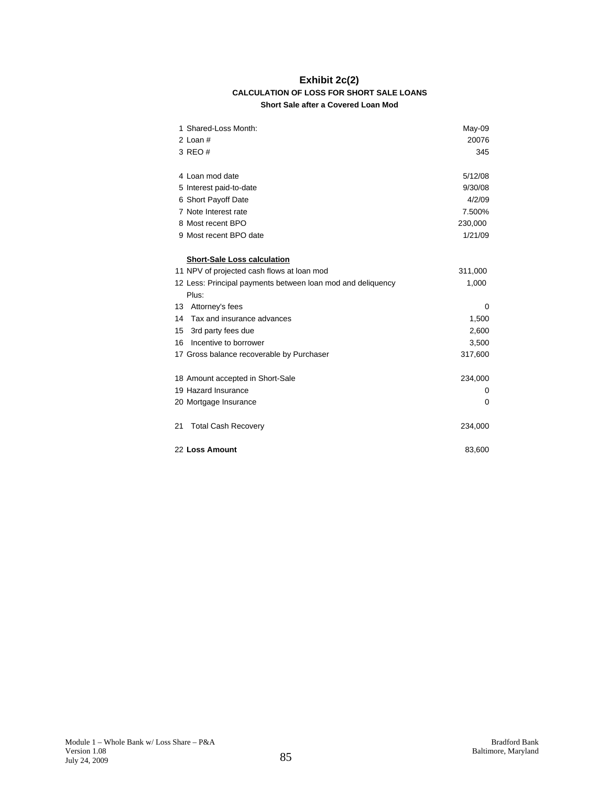#### **Exhibit 2c(2) CALCULATION OF LOSS FOR SHORT SALE LOANS Short Sale after a Covered Loan Mod**

| 1 Shared-Loss Month:                                        | May-09  |
|-------------------------------------------------------------|---------|
| 2 Loan $#$                                                  | 20076   |
| 3 REO #                                                     | 345     |
|                                                             |         |
| 4 Loan mod date                                             | 5/12/08 |
| 5 Interest paid-to-date                                     | 9/30/08 |
| 6 Short Payoff Date                                         | 4/2/09  |
| 7 Note Interest rate                                        | 7.500%  |
| 8 Most recent BPO                                           | 230,000 |
| 9 Most recent BPO date                                      | 1/21/09 |
|                                                             |         |
| <b>Short-Sale Loss calculation</b>                          |         |
| 11 NPV of projected cash flows at loan mod                  | 311,000 |
| 12 Less: Principal payments between loan mod and deliquency | 1,000   |
| Plus:                                                       |         |
| 13<br>Attorney's fees                                       | 0       |
| Tax and insurance advances<br>14                            | 1,500   |
| 15<br>3rd party fees due                                    | 2,600   |
| Incentive to borrower<br>16                                 | 3,500   |
| 17 Gross balance recoverable by Purchaser                   | 317,600 |
|                                                             |         |
| 18 Amount accepted in Short-Sale                            | 234,000 |
| 19 Hazard Insurance                                         | 0       |
| 20 Mortgage Insurance                                       | 0       |
|                                                             |         |
| <b>Total Cash Recovery</b><br>21                            | 234,000 |
|                                                             |         |
| 22 Loss Amount                                              | 83,600  |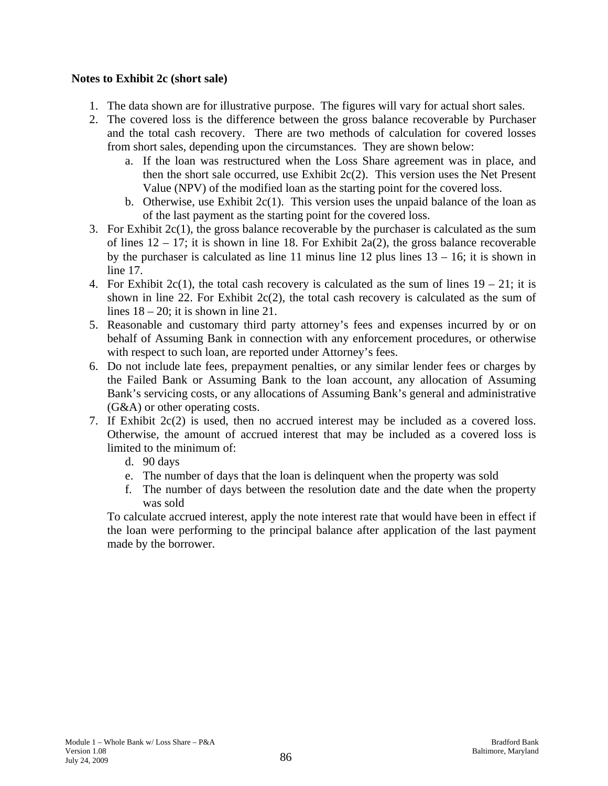### **Notes to Exhibit 2c (short sale)**

- 1. The data shown are for illustrative purpose. The figures will vary for actual short sales.
- 2. The covered loss is the difference between the gross balance recoverable by Purchaser and the total cash recovery. There are two methods of calculation for covered losses from short sales, depending upon the circumstances. They are shown below:
	- a. If the loan was restructured when the Loss Share agreement was in place, and then the short sale occurred, use Exhibit  $2c(2)$ . This version uses the Net Present Value (NPV) of the modified loan as the starting point for the covered loss.
	- b. Otherwise, use Exhibit  $2c(1)$ . This version uses the unpaid balance of the loan as of the last payment as the starting point for the covered loss.
- 3. For Exhibit  $2c(1)$ , the gross balance recoverable by the purchaser is calculated as the sum of lines  $12 - 17$ ; it is shown in line 18. For Exhibit 2a(2), the gross balance recoverable by the purchaser is calculated as line 11 minus line  $12$  plus lines  $13 - 16$ ; it is shown in line 17.
- 4. For Exhibit 2c(1), the total cash recovery is calculated as the sum of lines  $19 21$ ; it is shown in line 22. For Exhibit  $2c(2)$ , the total cash recovery is calculated as the sum of lines  $18 - 20$ ; it is shown in line 21.
- 5. Reasonable and customary third party attorney's fees and expenses incurred by or on behalf of Assuming Bank in connection with any enforcement procedures, or otherwise with respect to such loan, are reported under Attorney's fees.
- 6. Do not include late fees, prepayment penalties, or any similar lender fees or charges by the Failed Bank or Assuming Bank to the loan account, any allocation of Assuming Bank's servicing costs, or any allocations of Assuming Bank's general and administrative (G&A) or other operating costs.
- 7. If Exhibit  $2c(2)$  is used, then no accrued interest may be included as a covered loss. Otherwise, the amount of accrued interest that may be included as a covered loss is limited to the minimum of:
	- d.  $90 \text{ days}$
	- e. The number of days that the loan is delinquent when the property was sold
	- f. The number of days between the resolution date and the date when the property was sold

To calculate accrued interest, apply the note interest rate that would have been in effect if the loan were performing to the principal balance after application of the last payment made by the borrower.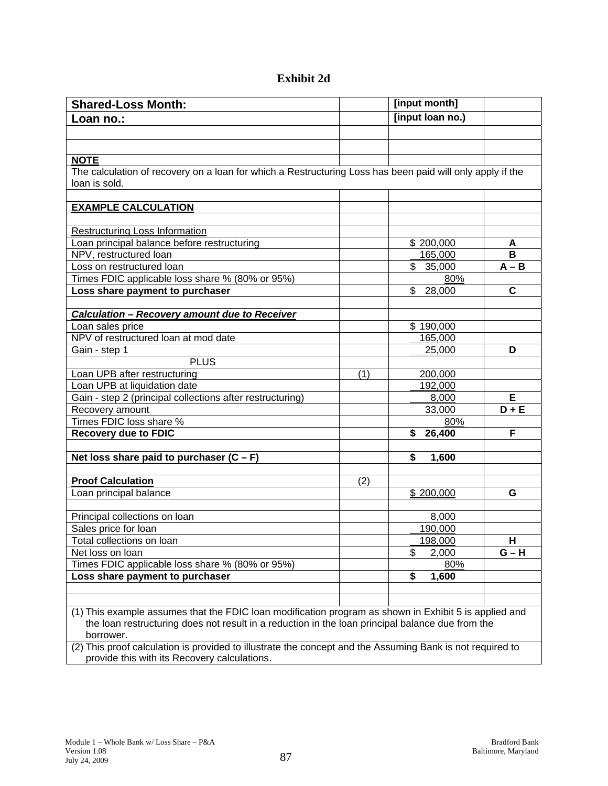# **Exhibit 2d**

| <b>Shared-Loss Month:</b>                                                                                                                                 |     |                  |         |
|-----------------------------------------------------------------------------------------------------------------------------------------------------------|-----|------------------|---------|
| Loan no.:                                                                                                                                                 |     | [input loan no.) |         |
|                                                                                                                                                           |     |                  |         |
|                                                                                                                                                           |     |                  |         |
| <b>NOTE</b>                                                                                                                                               |     |                  |         |
| The calculation of recovery on a loan for which a Restructuring Loss has been paid will only apply if the                                                 |     |                  |         |
| loan is sold.                                                                                                                                             |     |                  |         |
|                                                                                                                                                           |     |                  |         |
| <b>EXAMPLE CALCULATION</b>                                                                                                                                |     |                  |         |
|                                                                                                                                                           |     |                  |         |
| <b>Restructuring Loss Information</b>                                                                                                                     |     |                  |         |
| Loan principal balance before restructuring                                                                                                               |     | \$200,000        | A       |
| NPV, restructured loan                                                                                                                                    |     | 165,000          | B       |
| Loss on restructured loan                                                                                                                                 |     | \$35,000         | $A - B$ |
| Times FDIC applicable loss share % (80% or 95%)                                                                                                           |     | 80%              |         |
| Loss share payment to purchaser                                                                                                                           |     | \$28,000         | C       |
|                                                                                                                                                           |     |                  |         |
| Calculation - Recovery amount due to Receiver                                                                                                             |     |                  |         |
| Loan sales price                                                                                                                                          |     | \$190,000        |         |
| NPV of restructured loan at mod date                                                                                                                      |     | 165,000          |         |
| Gain - step 1                                                                                                                                             |     | 25,000           | D       |
| <b>PLUS</b>                                                                                                                                               |     |                  |         |
| Loan UPB after restructuring                                                                                                                              | (1) | 200,000          |         |
| Loan UPB at liquidation date                                                                                                                              |     | 192,000          | Е       |
| Gain - step 2 (principal collections after restructuring)<br>Recovery amount                                                                              |     | 8,000<br>33,000  | $D + E$ |
| Times FDIC loss share %                                                                                                                                   |     | 80%              |         |
| <b>Recovery due to FDIC</b>                                                                                                                               |     | \$26,400         | F       |
|                                                                                                                                                           |     |                  |         |
| Net loss share paid to purchaser $(C - F)$                                                                                                                |     | \$<br>1,600      |         |
|                                                                                                                                                           |     |                  |         |
| <b>Proof Calculation</b>                                                                                                                                  | (2) |                  |         |
| Loan principal balance                                                                                                                                    |     | \$200,000        | G       |
|                                                                                                                                                           |     |                  |         |
| Principal collections on loan                                                                                                                             |     | 8,000            |         |
| Sales price for loan                                                                                                                                      |     | 190,000          |         |
| Total collections on loan                                                                                                                                 |     | 198,000          | H       |
| Net loss on loan                                                                                                                                          |     | \$<br>2,000      | G – H   |
| Times FDIC applicable loss share % (80% or 95%)                                                                                                           |     | 80%              |         |
| Loss share payment to purchaser                                                                                                                           |     | 1,600<br>\$      |         |
|                                                                                                                                                           |     |                  |         |
|                                                                                                                                                           |     |                  |         |
| (1) This example assumes that the FDIC loan modification program as shown in Exhibit 5 is applied and                                                     |     |                  |         |
| the loan restructuring does not result in a reduction in the loan principal balance due from the                                                          |     |                  |         |
| borrower.                                                                                                                                                 |     |                  |         |
| (2) This proof calculation is provided to illustrate the concept and the Assuming Bank is not required to<br>provide this with its Recovery calculations. |     |                  |         |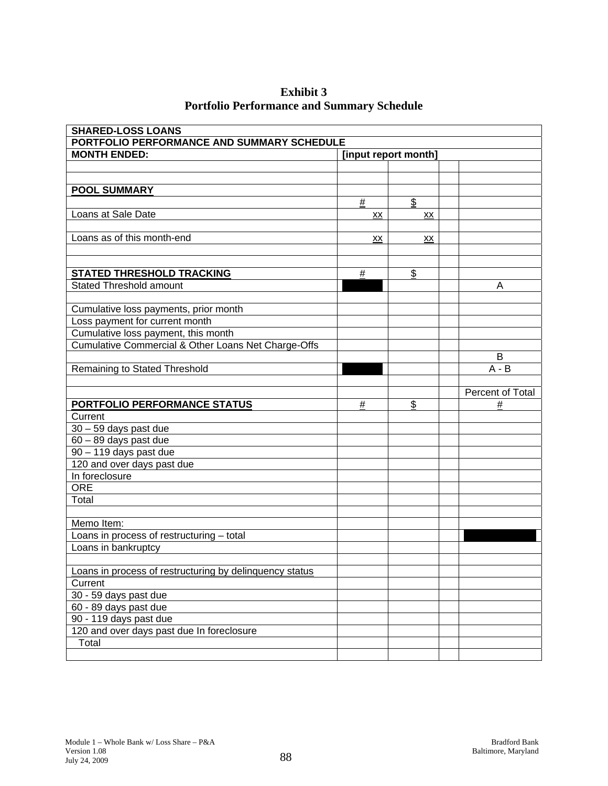| <b>SHARED-LOSS LOANS</b><br>PORTFOLIO PERFORMANCE AND SUMMARY SCHEDULE |                      |    |                  |
|------------------------------------------------------------------------|----------------------|----|------------------|
| <b>MONTH ENDED:</b>                                                    | [input report month] |    |                  |
|                                                                        |                      |    |                  |
|                                                                        |                      |    |                  |
| <b>POOL SUMMARY</b>                                                    |                      |    |                  |
|                                                                        | $\#$                 | \$ |                  |
| Loans at Sale Date                                                     | XX                   | XX |                  |
|                                                                        |                      |    |                  |
| Loans as of this month-end                                             | XX                   | XX |                  |
| <b>STATED THRESHOLD TRACKING</b>                                       | $\#$                 | \$ |                  |
| <b>Stated Threshold amount</b>                                         |                      |    | A                |
|                                                                        |                      |    |                  |
| Cumulative loss payments, prior month                                  |                      |    |                  |
| Loss payment for current month                                         |                      |    |                  |
| Cumulative loss payment, this month                                    |                      |    |                  |
| Cumulative Commercial & Other Loans Net Charge-Offs                    |                      |    |                  |
|                                                                        |                      |    | B                |
| Remaining to Stated Threshold                                          |                      |    | $A - B$          |
|                                                                        |                      |    |                  |
|                                                                        |                      |    | Percent of Total |
| <b>PORTFOLIO PERFORMANCE STATUS</b>                                    | $\#$                 | \$ | $\#$             |
| Current                                                                |                      |    |                  |
| $30 - 59$ days past due                                                |                      |    |                  |
| $60 - 89$ days past due                                                |                      |    |                  |
| $90 - 119$ days past due                                               |                      |    |                  |
| 120 and over days past due                                             |                      |    |                  |
| In foreclosure                                                         |                      |    |                  |
| <b>ORE</b>                                                             |                      |    |                  |
| Total                                                                  |                      |    |                  |
|                                                                        |                      |    |                  |
| Memo Item:                                                             |                      |    |                  |
| Loans in process of restructuring - total                              |                      |    |                  |
| Loans in bankruptcy                                                    |                      |    |                  |
|                                                                        |                      |    |                  |
| Loans in process of restructuring by delinguency status                |                      |    |                  |
| Current                                                                |                      |    |                  |
| 30 - 59 days past due                                                  |                      |    |                  |
| 60 - 89 days past due                                                  |                      |    |                  |
| 90 - 119 days past due                                                 |                      |    |                  |
| 120 and over days past due In foreclosure                              |                      |    |                  |
| Total                                                                  |                      |    |                  |
|                                                                        |                      |    |                  |

## **Exhibit 3 Portfolio Performance and Summary Schedule**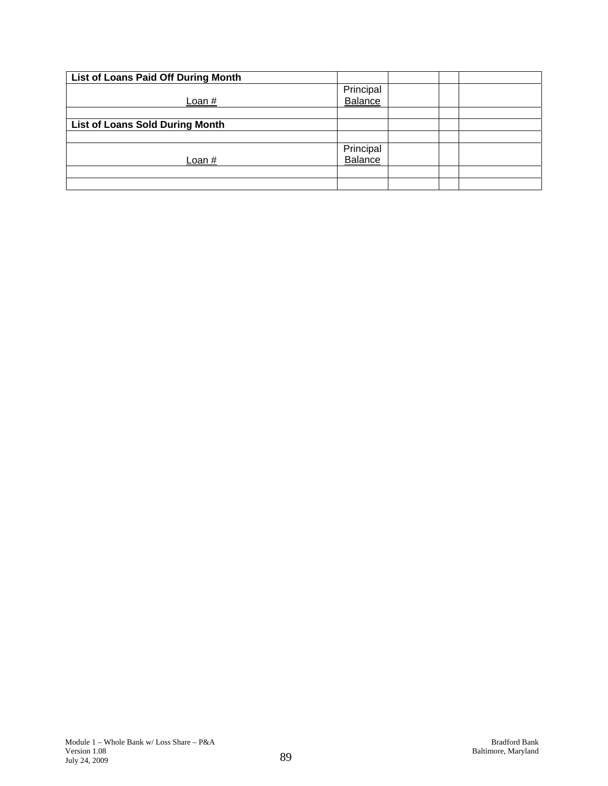| List of Loans Paid Off During Month    |                      |  |  |
|----------------------------------------|----------------------|--|--|
|                                        | Principal            |  |  |
| Loan #                                 | <b>Balance</b>       |  |  |
|                                        |                      |  |  |
| <b>List of Loans Sold During Month</b> |                      |  |  |
|                                        |                      |  |  |
|                                        | Principal<br>Balance |  |  |
| Loan #                                 |                      |  |  |
|                                        |                      |  |  |
|                                        |                      |  |  |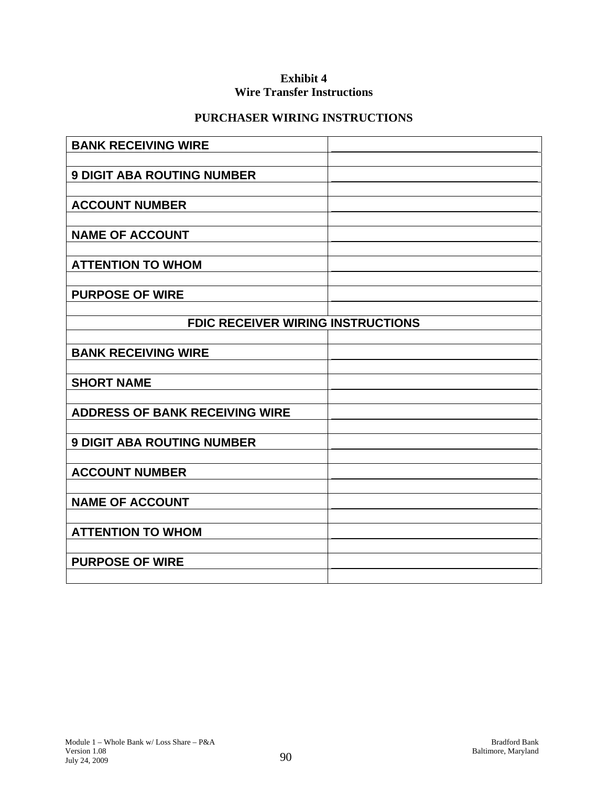### **Exhibit 4 Wire Transfer Instructions**

# **PURCHASER WIRING INSTRUCTIONS**

| <b>BANK RECEIVING WIRE</b>            |  |
|---------------------------------------|--|
|                                       |  |
| <b>9 DIGIT ABA ROUTING NUMBER</b>     |  |
|                                       |  |
| <b>ACCOUNT NUMBER</b>                 |  |
|                                       |  |
| <b>NAME OF ACCOUNT</b>                |  |
|                                       |  |
| <b>ATTENTION TO WHOM</b>              |  |
| <b>PURPOSE OF WIRE</b>                |  |
|                                       |  |
| FDIC RECEIVER WIRING INSTRUCTIONS     |  |
|                                       |  |
| <b>BANK RECEIVING WIRE</b>            |  |
|                                       |  |
| <b>SHORT NAME</b>                     |  |
|                                       |  |
| <b>ADDRESS OF BANK RECEIVING WIRE</b> |  |
|                                       |  |
| <b>9 DIGIT ABA ROUTING NUMBER</b>     |  |
|                                       |  |
| <b>ACCOUNT NUMBER</b>                 |  |
|                                       |  |
| <b>NAME OF ACCOUNT</b>                |  |
| <b>ATTENTION TO WHOM</b>              |  |
|                                       |  |
| <b>PURPOSE OF WIRE</b>                |  |
|                                       |  |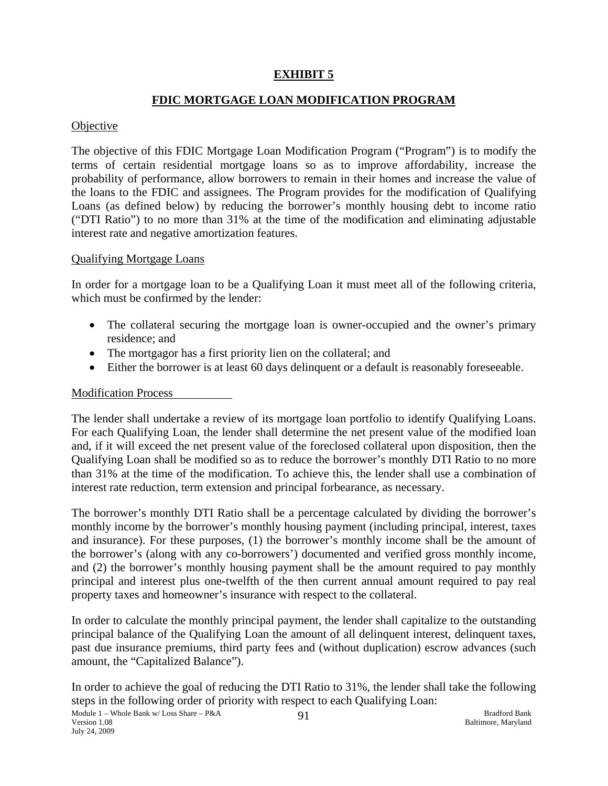## **EXHIBIT 5**

## **FDIC MORTGAGE LOAN MODIFICATION PROGRAM**

### **Objective**

The objective of this FDIC Mortgage Loan Modification Program ("Program") is to modify the terms of certain residential mortgage loans so as to improve affordability, increase the probability of performance, allow borrowers to remain in their homes and increase the value of the loans to the FDIC and assignees. The Program provides for the modification of Qualifying Loans (as defined below) by reducing the borrower's monthly housing debt to income ratio ("DTI Ratio") to no more than 31% at the time of the modification and eliminating adjustable interest rate and negative amortization features.

#### Qualifying Mortgage Loans

In order for a mortgage loan to be a Qualifying Loan it must meet all of the following criteria, which must be confirmed by the lender:

- The collateral securing the mortgage loan is owner-occupied and the owner's primary residence; and
- The mortgagor has a first priority lien on the collateral; and
- Either the borrower is at least 60 days delinquent or a default is reasonably foreseeable.

### Modification Process

The lender shall undertake a review of its mortgage loan portfolio to identify Qualifying Loans. For each Qualifying Loan, the lender shall determine the net present value of the modified loan and, if it will exceed the net present value of the foreclosed collateral upon disposition, then the Qualifying Loan shall be modified so as to reduce the borrower's monthly DTI Ratio to no more than 31% at the time of the modification. To achieve this, the lender shall use a combination of interest rate reduction, term extension and principal forbearance, as necessary.

The borrower's monthly DTI Ratio shall be a percentage calculated by dividing the borrower's monthly income by the borrower's monthly housing payment (including principal, interest, taxes and insurance). For these purposes, (1) the borrower's monthly income shall be the amount of the borrower's (along with any co-borrowers') documented and verified gross monthly income, and (2) the borrower's monthly housing payment shall be the amount required to pay monthly principal and interest plus one-twelfth of the then current annual amount required to pay real property taxes and homeowner's insurance with respect to the collateral.

In order to calculate the monthly principal payment, the lender shall capitalize to the outstanding principal balance of the Qualifying Loan the amount of all delinquent interest, delinquent taxes, past due insurance premiums, third party fees and (without duplication) escrow advances (such amount, the "Capitalized Balance").

In order to achieve the goal of reducing the DTI Ratio to 31%, the lender shall take the following steps in the following order of priority with respect to each Qualifying Loan: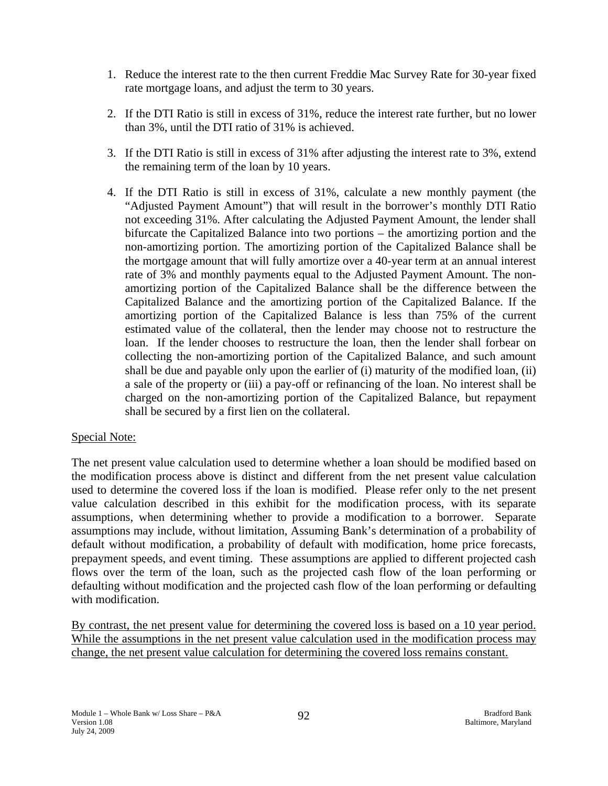- 1. Reduce the interest rate to the then current Freddie Mac Survey Rate for 30-year fixed rate mortgage loans, and adjust the term to 30 years.
- 2. If the DTI Ratio is still in excess of  $31\%$ , reduce the interest rate further, but no lower than 3%, until the DTI ratio of 31% is achieved.
- 3. If the DTI Ratio is still in excess of 31% after adjusting the interest rate to 3%, extend the remaining term of the loan by 10 years.
- 4. If the DTI Ratio is still in excess of 31%, calculate a new monthly payment (the "Adjusted Payment Amount") that will result in the borrower's monthly DTI Ratio not exceeding 31%. After calculating the Adjusted Payment Amount, the lender shall bifurcate the Capitalized Balance into two portions – the amortizing portion and the non-amortizing portion. The amortizing portion of the Capitalized Balance shall be the mortgage amount that will fully amortize over a 40-year term at an annual interest rate of 3% and monthly payments equal to the Adjusted Payment Amount. The nonamortizing portion of the Capitalized Balance shall be the difference between the Capitalized Balance and the amortizing portion of the Capitalized Balance. If the amortizing portion of the Capitalized Balance is less than 75% of the current estimated value of the collateral, then the lender may choose not to restructure the loan. If the lender chooses to restructure the loan, then the lender shall forbear on collecting the non-amortizing portion of the Capitalized Balance, and such amount shall be due and payable only upon the earlier of (i) maturity of the modified loan, (ii) a sale of the property or (iii) a pay-off or refinancing of the loan. No interest shall be charged on the non-amortizing portion of the Capitalized Balance, but repayment shall be secured by a first lien on the collateral.

## Special Note:

The net present value calculation used to determine whether a loan should be modified based on the modification process above is distinct and different from the net present value calculation used to determine the covered loss if the loan is modified. Please refer only to the net present value calculation described in this exhibit for the modification process, with its separate assumptions, when determining whether to provide a modification to a borrower. Separate assumptions may include, without limitation, Assuming Bank's determination of a probability of default without modification, a probability of default with modification, home price forecasts, prepayment speeds, and event timing. These assumptions are applied to different projected cash flows over the term of the loan, such as the projected cash flow of the loan performing or defaulting without modification and the projected cash flow of the loan performing or defaulting with modification.

change, the net present value calculation for determining the covered loss remains constant.<br>Module 1 – Whole Bank w/ Loss Share – P&A Bradford Bank Baltimore, Maryland Bank Baltimore, Maryland By contrast, the net present value for determining the covered loss is based on a 10 year period. While the assumptions in the net present value calculation used in the modification process may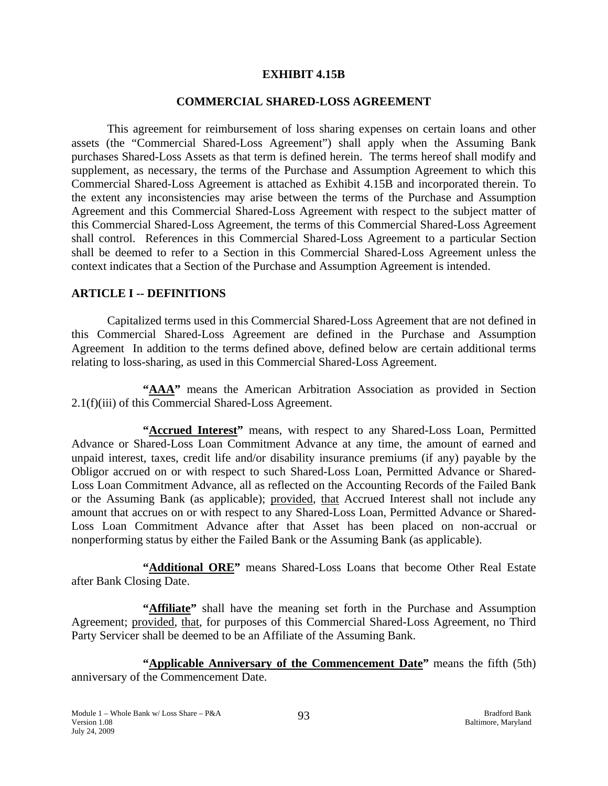#### **EXHIBIT 4.15B**

#### **COMMERCIAL SHARED-LOSS AGREEMENT**

This agreement for reimbursement of loss sharing expenses on certain loans and other assets (the "Commercial Shared-Loss Agreement") shall apply when the Assuming Bank purchases Shared-Loss Assets as that term is defined herein. The terms hereof shall modify and supplement, as necessary, the terms of the Purchase and Assumption Agreement to which this Commercial Shared-Loss Agreement is attached as Exhibit 4.15B and incorporated therein. To the extent any inconsistencies may arise between the terms of the Purchase and Assumption Agreement and this Commercial Shared-Loss Agreement with respect to the subject matter of this Commercial Shared-Loss Agreement, the terms of this Commercial Shared-Loss Agreement shall control. References in this Commercial Shared-Loss Agreement to a particular Section shall be deemed to refer to a Section in this Commercial Shared-Loss Agreement unless the context indicates that a Section of the Purchase and Assumption Agreement is intended.

#### **ARTICLE I -- DEFINITIONS**

Capitalized terms used in this Commercial Shared-Loss Agreement that are not defined in this Commercial Shared-Loss Agreement are defined in the Purchase and Assumption Agreement In addition to the terms defined above, defined below are certain additional terms relating to loss-sharing, as used in this Commercial Shared-Loss Agreement.

**"AAA"** means the American Arbitration Association as provided in Section 2.1(f)(iii) of this Commercial Shared-Loss Agreement.

**"Accrued Interest"** means, with respect to any Shared-Loss Loan, Permitted Advance or Shared-Loss Loan Commitment Advance at any time, the amount of earned and unpaid interest, taxes, credit life and/or disability insurance premiums (if any) payable by the Obligor accrued on or with respect to such Shared-Loss Loan, Permitted Advance or Shared-Loss Loan Commitment Advance, all as reflected on the Accounting Records of the Failed Bank or the Assuming Bank (as applicable); provided, that Accrued Interest shall not include any amount that accrues on or with respect to any Shared-Loss Loan, Permitted Advance or Shared-Loss Loan Commitment Advance after that Asset has been placed on non-accrual or nonperforming status by either the Failed Bank or the Assuming Bank (as applicable).

**"Additional ORE"** means Shared-Loss Loans that become Other Real Estate after Bank Closing Date.

**"Affiliate"** shall have the meaning set forth in the Purchase and Assumption Agreement; provided, that, for purposes of this Commercial Shared-Loss Agreement, no Third Party Servicer shall be deemed to be an Affiliate of the Assuming Bank.

**Examplicable Anniversary of the Commencement Date**" means the fifth (5th) anniversary of the Commencement Date.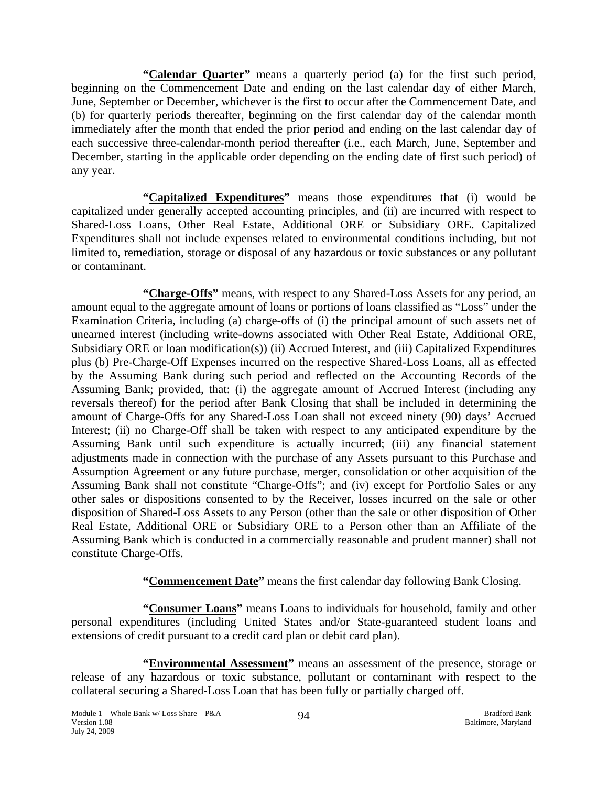**"Calendar Quarter"** means a quarterly period (a) for the first such period, beginning on the Commencement Date and ending on the last calendar day of either March, June, September or December, whichever is the first to occur after the Commencement Date, and (b) for quarterly periods thereafter, beginning on the first calendar day of the calendar month immediately after the month that ended the prior period and ending on the last calendar day of each successive three-calendar-month period thereafter (i.e., each March, June, September and December, starting in the applicable order depending on the ending date of first such period) of any year.

**"Capitalized Expenditures"** means those expenditures that (i) would be capitalized under generally accepted accounting principles, and (ii) are incurred with respect to Shared-Loss Loans, Other Real Estate, Additional ORE or Subsidiary ORE. Capitalized Expenditures shall not include expenses related to environmental conditions including, but not limited to, remediation, storage or disposal of any hazardous or toxic substances or any pollutant or contaminant.

**"Charge-Offs"** means, with respect to any Shared-Loss Assets for any period, an amount equal to the aggregate amount of loans or portions of loans classified as "Loss" under the Examination Criteria, including (a) charge-offs of (i) the principal amount of such assets net of unearned interest (including write-downs associated with Other Real Estate, Additional ORE, Subsidiary ORE or loan modification(s)) (ii) Accrued Interest, and (iii) Capitalized Expenditures plus (b) Pre-Charge-Off Expenses incurred on the respective Shared-Loss Loans, all as effected by the Assuming Bank during such period and reflected on the Accounting Records of the Assuming Bank; provided, that: (i) the aggregate amount of Accrued Interest (including any reversals thereof) for the period after Bank Closing that shall be included in determining the amount of Charge-Offs for any Shared-Loss Loan shall not exceed ninety (90) days' Accrued Interest; (ii) no Charge-Off shall be taken with respect to any anticipated expenditure by the Assuming Bank until such expenditure is actually incurred; (iii) any financial statement adjustments made in connection with the purchase of any Assets pursuant to this Purchase and Assumption Agreement or any future purchase, merger, consolidation or other acquisition of the Assuming Bank shall not constitute "Charge-Offs"; and (iv) except for Portfolio Sales or any other sales or dispositions consented to by the Receiver, losses incurred on the sale or other disposition of Shared-Loss Assets to any Person (other than the sale or other disposition of Other Real Estate, Additional ORE or Subsidiary ORE to a Person other than an Affiliate of the Assuming Bank which is conducted in a commercially reasonable and prudent manner) shall not constitute Charge-Offs.

**"Commencement Date"** means the first calendar day following Bank Closing.

**"Consumer Loans"** means Loans to individuals for household, family and other personal expenditures (including United States and/or State-guaranteed student loans and extensions of credit pursuant to a credit card plan or debit card plan).

**"Environmental Assessment"** means an assessment of the presence, storage or release of any hazardous or toxic substance, pollutant or contaminant with respect to the collateral securing a Shared-Loss Loan that has been fully or partially charged off.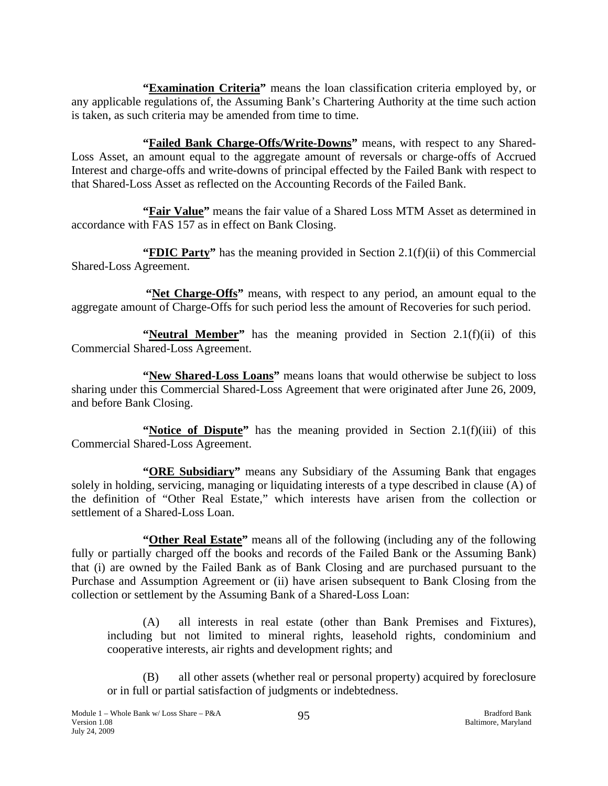**"Examination Criteria"** means the loan classification criteria employed by, or any applicable regulations of, the Assuming Bank's Chartering Authority at the time such action is taken, as such criteria may be amended from time to time.

**"Failed Bank Charge-Offs/Write-Downs"** means, with respect to any Shared-Loss Asset, an amount equal to the aggregate amount of reversals or charge-offs of Accrued Interest and charge-offs and write-downs of principal effected by the Failed Bank with respect to that Shared-Loss Asset as reflected on the Accounting Records of the Failed Bank.

**"Fair Value"** means the fair value of a Shared Loss MTM Asset as determined in accordance with FAS 157 as in effect on Bank Closing.

**"FDIC Party"** has the meaning provided in Section 2.1(f)(ii) of this Commercial Shared-Loss Agreement.

**"Net Charge-Offs"** means, with respect to any period, an amount equal to the aggregate amount of Charge-Offs for such period less the amount of Recoveries for such period.

 Commercial Shared-Loss Agreement. **"Neutral Member"** has the meaning provided in Section 2.1(f)(ii) of this

**"New Shared-Loss Loans"** means loans that would otherwise be subject to loss sharing under this Commercial Shared-Loss Agreement that were originated after June 26, 2009, and before Bank Closing.

**"Notice of Dispute"** has the meaning provided in Section 2.1(f)(iii) of this Commercial Shared-Loss Agreement.

**"ORE Subsidiary"** means any Subsidiary of the Assuming Bank that engages solely in holding, servicing, managing or liquidating interests of a type described in clause (A) of the definition of "Other Real Estate," which interests have arisen from the collection or settlement of a Shared-Loss Loan.

**"Other Real Estate"** means all of the following (including any of the following fully or partially charged off the books and records of the Failed Bank or the Assuming Bank) that (i) are owned by the Failed Bank as of Bank Closing and are purchased pursuant to the Purchase and Assumption Agreement or (ii) have arisen subsequent to Bank Closing from the collection or settlement by the Assuming Bank of a Shared-Loss Loan:

(A) all interests in real estate (other than Bank Premises and Fixtures), including but not limited to mineral rights, leasehold rights, condominium and cooperative interests, air rights and development rights; and

(B) all other assets (whether real or personal property) acquired by foreclosure or in full or partial satisfaction of judgments or indebtedness.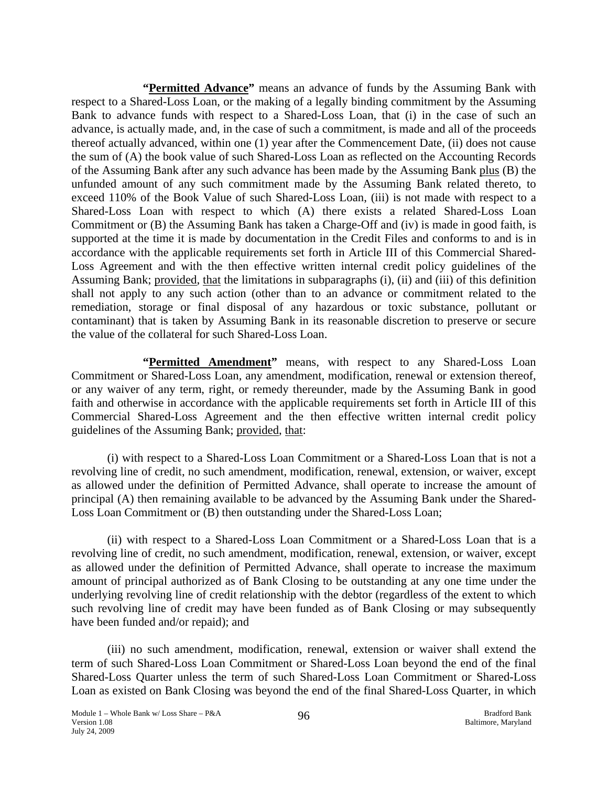"Permitted Advance" means an advance of funds by the Assuming Bank with respect to a Shared-Loss Loan, or the making of a legally binding commitment by the Assuming Bank to advance funds with respect to a Shared-Loss Loan, that (i) in the case of such an advance, is actually made, and, in the case of such a commitment, is made and all of the proceeds thereof actually advanced, within one (1) year after the Commencement Date, (ii) does not cause the sum of (A) the book value of such Shared-Loss Loan as reflected on the Accounting Records of the Assuming Bank after any such advance has been made by the Assuming Bank plus (B) the unfunded amount of any such commitment made by the Assuming Bank related thereto, to exceed 110% of the Book Value of such Shared-Loss Loan, (iii) is not made with respect to a Shared-Loss Loan with respect to which (A) there exists a related Shared-Loss Loan Commitment or (B) the Assuming Bank has taken a Charge-Off and (iv) is made in good faith, is supported at the time it is made by documentation in the Credit Files and conforms to and is in accordance with the applicable requirements set forth in Article III of this Commercial Shared-Loss Agreement and with the then effective written internal credit policy guidelines of the Assuming Bank; provided, that the limitations in subparagraphs (i), (ii) and (iii) of this definition shall not apply to any such action (other than to an advance or commitment related to the remediation, storage or final disposal of any hazardous or toxic substance, pollutant or contaminant) that is taken by Assuming Bank in its reasonable discretion to preserve or secure the value of the collateral for such Shared-Loss Loan.

"Permitted Amendment" means, with respect to any Shared-Loss Loan Commitment or Shared-Loss Loan, any amendment, modification, renewal or extension thereof, or any waiver of any term, right, or remedy thereunder, made by the Assuming Bank in good faith and otherwise in accordance with the applicable requirements set forth in Article III of this Commercial Shared-Loss Agreement and the then effective written internal credit policy guidelines of the Assuming Bank; provided, that:

(i) with respect to a Shared-Loss Loan Commitment or a Shared-Loss Loan that is not a revolving line of credit, no such amendment, modification, renewal, extension, or waiver, except as allowed under the definition of Permitted Advance, shall operate to increase the amount of principal (A) then remaining available to be advanced by the Assuming Bank under the Shared-Loss Loan Commitment or (B) then outstanding under the Shared-Loss Loan;

(ii) with respect to a Shared-Loss Loan Commitment or a Shared-Loss Loan that is a revolving line of credit, no such amendment, modification, renewal, extension, or waiver, except as allowed under the definition of Permitted Advance, shall operate to increase the maximum amount of principal authorized as of Bank Closing to be outstanding at any one time under the underlying revolving line of credit relationship with the debtor (regardless of the extent to which such revolving line of credit may have been funded as of Bank Closing or may subsequently have been funded and/or repaid); and

(iii) no such amendment, modification, renewal, extension or waiver shall extend the term of such Shared-Loss Loan Commitment or Shared-Loss Loan beyond the end of the final Shared-Loss Quarter unless the term of such Shared-Loss Loan Commitment or Shared-Loss Loan as existed on Bank Closing was beyond the end of the final Shared-Loss Quarter, in which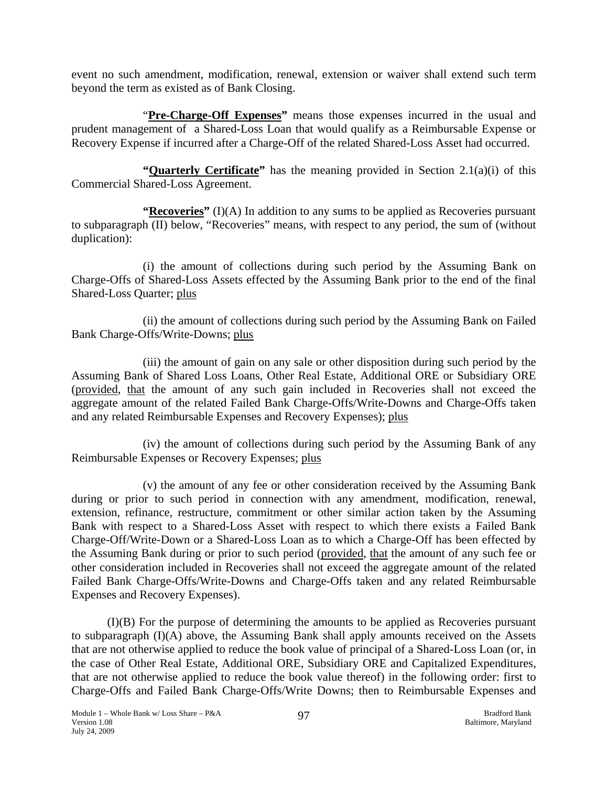event no such amendment, modification, renewal, extension or waiver shall extend such term beyond the term as existed as of Bank Closing.

"**Pre-Charge-Off Expenses"** means those expenses incurred in the usual and prudent management of a Shared-Loss Loan that would qualify as a Reimbursable Expense or Recovery Expense if incurred after a Charge-Off of the related Shared-Loss Asset had occurred.

**"Quarterly Certificate"** has the meaning provided in Section 2.1(a)(i) of this Commercial Shared-Loss Agreement.

**"Recoveries"** (I)(A) In addition to any sums to be applied as Recoveries pursuant to subparagraph (II) below, "Recoveries" means, with respect to any period, the sum of (without duplication):

Shared-Loss Quarter; plus (i) the amount of collections during such period by the Assuming Bank on Charge-Offs of Shared-Loss Assets effected by the Assuming Bank prior to the end of the final

(ii) the amount of collections during such period by the Assuming Bank on Failed Bank Charge-Offs/Write-Downs; plus

(iii) the amount of gain on any sale or other disposition during such period by the Assuming Bank of Shared Loss Loans, Other Real Estate, Additional ORE or Subsidiary ORE (provided, that the amount of any such gain included in Recoveries shall not exceed the aggregate amount of the related Failed Bank Charge-Offs/Write-Downs and Charge-Offs taken and any related Reimbursable Expenses and Recovery Expenses); plus

(iv) the amount of collections during such period by the Assuming Bank of any Reimbursable Expenses or Recovery Expenses; plus

(v) the amount of any fee or other consideration received by the Assuming Bank during or prior to such period in connection with any amendment, modification, renewal, extension, refinance, restructure, commitment or other similar action taken by the Assuming Bank with respect to a Shared-Loss Asset with respect to which there exists a Failed Bank Charge-Off/Write-Down or a Shared-Loss Loan as to which a Charge-Off has been effected by the Assuming Bank during or prior to such period (provided, that the amount of any such fee or other consideration included in Recoveries shall not exceed the aggregate amount of the related Failed Bank Charge-Offs/Write-Downs and Charge-Offs taken and any related Reimbursable Expenses and Recovery Expenses).

(I)(B) For the purpose of determining the amounts to be applied as Recoveries pursuant to subparagraph (I)(A) above, the Assuming Bank shall apply amounts received on the Assets that are not otherwise applied to reduce the book value of principal of a Shared-Loss Loan (or, in the case of Other Real Estate, Additional ORE, Subsidiary ORE and Capitalized Expenditures, that are not otherwise applied to reduce the book value thereof) in the following order: first to Charge-Offs and Failed Bank Charge-Offs/Write Downs; then to Reimbursable Expenses and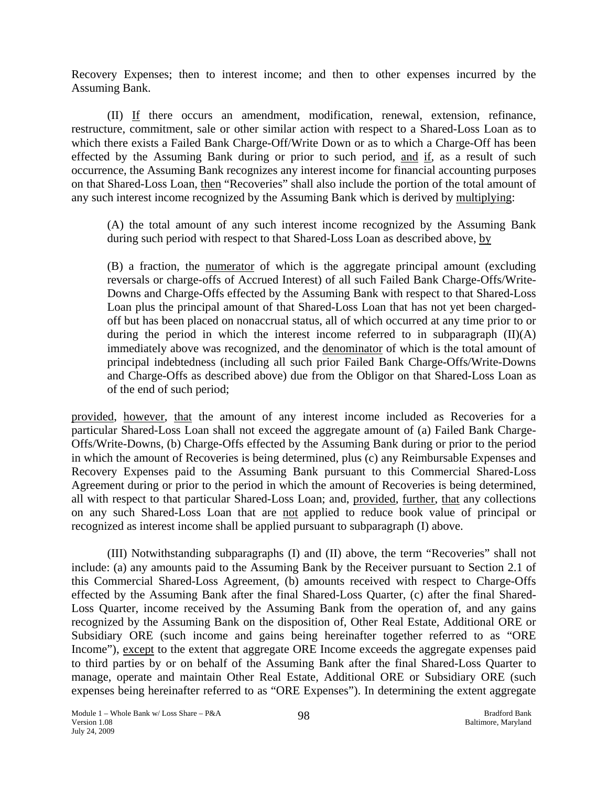Recovery Expenses; then to interest income; and then to other expenses incurred by the Assuming Bank.

(II) If there occurs an amendment, modification, renewal, extension, refinance, restructure, commitment, sale or other similar action with respect to a Shared-Loss Loan as to which there exists a Failed Bank Charge-Off/Write Down or as to which a Charge-Off has been effected by the Assuming Bank during or prior to such period, and if, as a result of such occurrence, the Assuming Bank recognizes any interest income for financial accounting purposes on that Shared-Loss Loan, then "Recoveries" shall also include the portion of the total amount of any such interest income recognized by the Assuming Bank which is derived by multiplying:

(A) the total amount of any such interest income recognized by the Assuming Bank during such period with respect to that Shared-Loss Loan as described above, by

(B) a fraction, the numerator of which is the aggregate principal amount (excluding reversals or charge-offs of Accrued Interest) of all such Failed Bank Charge-Offs/Write-Downs and Charge-Offs effected by the Assuming Bank with respect to that Shared-Loss Loan plus the principal amount of that Shared-Loss Loan that has not yet been chargedoff but has been placed on nonaccrual status, all of which occurred at any time prior to or during the period in which the interest income referred to in subparagraph (II)(A) immediately above was recognized, and the denominator of which is the total amount of principal indebtedness (including all such prior Failed Bank Charge-Offs/Write-Downs and Charge-Offs as described above) due from the Obligor on that Shared-Loss Loan as of the end of such period;

provided, however, that the amount of any interest income included as Recoveries for a particular Shared-Loss Loan shall not exceed the aggregate amount of (a) Failed Bank Charge-Offs/Write-Downs, (b) Charge-Offs effected by the Assuming Bank during or prior to the period in which the amount of Recoveries is being determined, plus (c) any Reimbursable Expenses and Recovery Expenses paid to the Assuming Bank pursuant to this Commercial Shared-Loss Agreement during or prior to the period in which the amount of Recoveries is being determined, all with respect to that particular Shared-Loss Loan; and, provided, further, that any collections on any such Shared-Loss Loan that are not applied to reduce book value of principal or recognized as interest income shall be applied pursuant to subparagraph (I) above.

(III) Notwithstanding subparagraphs (I) and (II) above, the term "Recoveries" shall not include: (a) any amounts paid to the Assuming Bank by the Receiver pursuant to Section 2.1 of this Commercial Shared-Loss Agreement, (b) amounts received with respect to Charge-Offs effected by the Assuming Bank after the final Shared-Loss Quarter, (c) after the final Shared-Loss Quarter, income received by the Assuming Bank from the operation of, and any gains recognized by the Assuming Bank on the disposition of, Other Real Estate, Additional ORE or Subsidiary ORE (such income and gains being hereinafter together referred to as "ORE Income"), except to the extent that aggregate ORE Income exceeds the aggregate expenses paid to third parties by or on behalf of the Assuming Bank after the final Shared-Loss Quarter to manage, operate and maintain Other Real Estate, Additional ORE or Subsidiary ORE (such expenses being hereinafter referred to as "ORE Expenses"). In determining the extent aggregate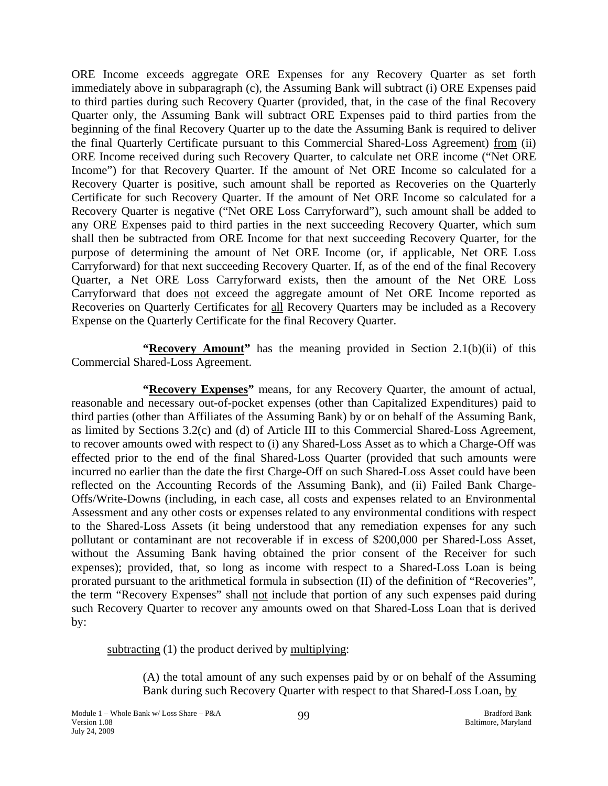ORE Income exceeds aggregate ORE Expenses for any Recovery Quarter as set forth immediately above in subparagraph (c), the Assuming Bank will subtract (i) ORE Expenses paid to third parties during such Recovery Quarter (provided, that, in the case of the final Recovery Quarter only, the Assuming Bank will subtract ORE Expenses paid to third parties from the beginning of the final Recovery Quarter up to the date the Assuming Bank is required to deliver the final Quarterly Certificate pursuant to this Commercial Shared-Loss Agreement) from (ii) ORE Income received during such Recovery Quarter, to calculate net ORE income ("Net ORE Income") for that Recovery Quarter. If the amount of Net ORE Income so calculated for a Recovery Quarter is positive, such amount shall be reported as Recoveries on the Quarterly Certificate for such Recovery Quarter. If the amount of Net ORE Income so calculated for a Recovery Quarter is negative ("Net ORE Loss Carryforward"), such amount shall be added to any ORE Expenses paid to third parties in the next succeeding Recovery Quarter, which sum shall then be subtracted from ORE Income for that next succeeding Recovery Quarter, for the purpose of determining the amount of Net ORE Income (or, if applicable, Net ORE Loss Carryforward) for that next succeeding Recovery Quarter. If, as of the end of the final Recovery Quarter, a Net ORE Loss Carryforward exists, then the amount of the Net ORE Loss Carryforward that does not exceed the aggregate amount of Net ORE Income reported as Recoveries on Quarterly Certificates for all Recovery Quarters may be included as a Recovery Expense on the Quarterly Certificate for the final Recovery Quarter.

**"Recovery Amount"** has the meaning provided in Section 2.1(b)(ii) of this Commercial Shared-Loss Agreement.

**"Recovery Expenses"** means, for any Recovery Quarter, the amount of actual, reasonable and necessary out-of-pocket expenses (other than Capitalized Expenditures) paid to third parties (other than Affiliates of the Assuming Bank) by or on behalf of the Assuming Bank, as limited by Sections 3.2(c) and (d) of Article III to this Commercial Shared-Loss Agreement, to recover amounts owed with respect to (i) any Shared-Loss Asset as to which a Charge-Off was effected prior to the end of the final Shared-Loss Quarter (provided that such amounts were incurred no earlier than the date the first Charge-Off on such Shared-Loss Asset could have been reflected on the Accounting Records of the Assuming Bank), and (ii) Failed Bank Charge-Offs/Write-Downs (including, in each case, all costs and expenses related to an Environmental Assessment and any other costs or expenses related to any environmental conditions with respect to the Shared-Loss Assets (it being understood that any remediation expenses for any such pollutant or contaminant are not recoverable if in excess of \$200,000 per Shared-Loss Asset, without the Assuming Bank having obtained the prior consent of the Receiver for such expenses); provided, that, so long as income with respect to a Shared-Loss Loan is being prorated pursuant to the arithmetical formula in subsection (II) of the definition of "Recoveries", the term "Recovery Expenses" shall not include that portion of any such expenses paid during such Recovery Quarter to recover any amounts owed on that Shared-Loss Loan that is derived by:

subtracting (1) the product derived by multiplying:

(A) the total amount of any such expenses paid by or on behalf of the Assuming Bank during such Recovery Quarter with respect to that Shared-Loss Loan, by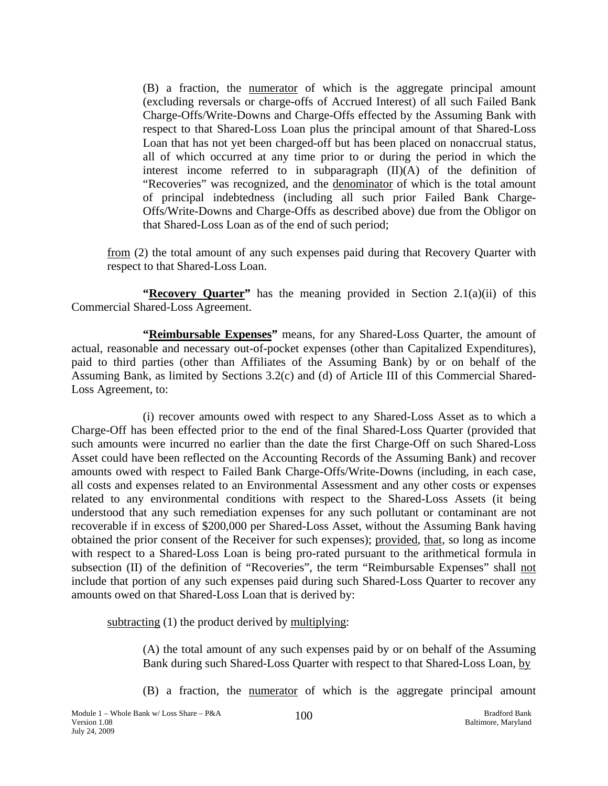(B) a fraction, the numerator of which is the aggregate principal amount (excluding reversals or charge-offs of Accrued Interest) of all such Failed Bank Charge-Offs/Write-Downs and Charge-Offs effected by the Assuming Bank with respect to that Shared-Loss Loan plus the principal amount of that Shared-Loss Loan that has not yet been charged-off but has been placed on nonaccrual status, all of which occurred at any time prior to or during the period in which the interest income referred to in subparagraph (II)(A) of the definition of "Recoveries" was recognized, and the denominator of which is the total amount of principal indebtedness (including all such prior Failed Bank Charge-Offs/Write-Downs and Charge-Offs as described above) due from the Obligor on that Shared-Loss Loan as of the end of such period;

from (2) the total amount of any such expenses paid during that Recovery Quarter with respect to that Shared-Loss Loan.

**"Recovery Quarter"** has the meaning provided in Section 2.1(a)(ii) of this Commercial Shared-Loss Agreement.

**"Reimbursable Expenses"** means, for any Shared-Loss Quarter, the amount of actual, reasonable and necessary out-of-pocket expenses (other than Capitalized Expenditures), paid to third parties (other than Affiliates of the Assuming Bank) by or on behalf of the Assuming Bank, as limited by Sections 3.2(c) and (d) of Article III of this Commercial Shared-Loss Agreement, to:

(i) recover amounts owed with respect to any Shared-Loss Asset as to which a Charge-Off has been effected prior to the end of the final Shared-Loss Quarter (provided that such amounts were incurred no earlier than the date the first Charge-Off on such Shared-Loss Asset could have been reflected on the Accounting Records of the Assuming Bank) and recover amounts owed with respect to Failed Bank Charge-Offs/Write-Downs (including, in each case, all costs and expenses related to an Environmental Assessment and any other costs or expenses related to any environmental conditions with respect to the Shared-Loss Assets (it being understood that any such remediation expenses for any such pollutant or contaminant are not recoverable if in excess of \$200,000 per Shared-Loss Asset, without the Assuming Bank having obtained the prior consent of the Receiver for such expenses); provided, that, so long as income with respect to a Shared-Loss Loan is being pro-rated pursuant to the arithmetical formula in subsection (II) of the definition of "Recoveries", the term "Reimbursable Expenses" shall not include that portion of any such expenses paid during such Shared-Loss Quarter to recover any amounts owed on that Shared-Loss Loan that is derived by:

subtracting (1) the product derived by multiplying:

(A) the total amount of any such expenses paid by or on behalf of the Assuming Bank during such Shared-Loss Quarter with respect to that Shared-Loss Loan, by

(B) a fraction, the numerator of which is the aggregate principal amount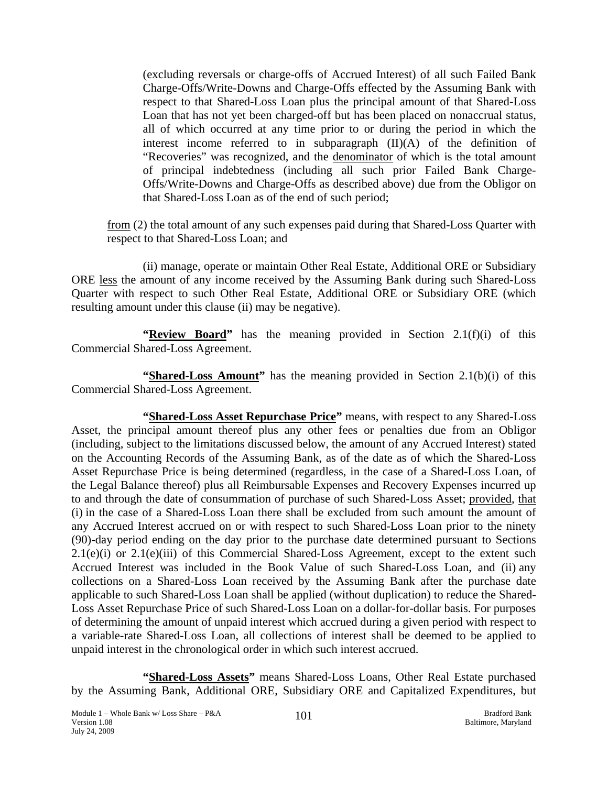(excluding reversals or charge-offs of Accrued Interest) of all such Failed Bank Charge-Offs/Write-Downs and Charge-Offs effected by the Assuming Bank with respect to that Shared-Loss Loan plus the principal amount of that Shared-Loss Loan that has not yet been charged-off but has been placed on nonaccrual status, all of which occurred at any time prior to or during the period in which the interest income referred to in subparagraph (II)(A) of the definition of "Recoveries" was recognized, and the denominator of which is the total amount of principal indebtedness (including all such prior Failed Bank Charge-Offs/Write-Downs and Charge-Offs as described above) due from the Obligor on that Shared-Loss Loan as of the end of such period;

from (2) the total amount of any such expenses paid during that Shared-Loss Quarter with respect to that Shared-Loss Loan; and

(ii) manage, operate or maintain Other Real Estate, Additional ORE or Subsidiary ORE less the amount of any income received by the Assuming Bank during such Shared-Loss Quarter with respect to such Other Real Estate, Additional ORE or Subsidiary ORE (which resulting amount under this clause (ii) may be negative).

**"Review Board"** has the meaning provided in Section 2.1(f)(i) of this Commercial Shared-Loss Agreement.

**"Shared-Loss Amount"** has the meaning provided in Section 2.1(b)(i) of this Commercial Shared-Loss Agreement.

**"Shared-Loss Asset Repurchase Price"** means, with respect to any Shared-Loss Asset, the principal amount thereof plus any other fees or penalties due from an Obligor (including, subject to the limitations discussed below, the amount of any Accrued Interest) stated on the Accounting Records of the Assuming Bank, as of the date as of which the Shared-Loss Asset Repurchase Price is being determined (regardless, in the case of a Shared-Loss Loan, of the Legal Balance thereof) plus all Reimbursable Expenses and Recovery Expenses incurred up to and through the date of consummation of purchase of such Shared-Loss Asset; provided, that (i) in the case of a Shared-Loss Loan there shall be excluded from such amount the amount of any Accrued Interest accrued on or with respect to such Shared-Loss Loan prior to the ninety (90)-day period ending on the day prior to the purchase date determined pursuant to Sections  $2.1(e)(i)$  or  $2.1(e)(iii)$  of this Commercial Shared-Loss Agreement, except to the extent such Accrued Interest was included in the Book Value of such Shared-Loss Loan, and (ii) any collections on a Shared-Loss Loan received by the Assuming Bank after the purchase date applicable to such Shared-Loss Loan shall be applied (without duplication) to reduce the Shared-Loss Asset Repurchase Price of such Shared-Loss Loan on a dollar-for-dollar basis. For purposes of determining the amount of unpaid interest which accrued during a given period with respect to a variable-rate Shared-Loss Loan, all collections of interest shall be deemed to be applied to unpaid interest in the chronological order in which such interest accrued.

**"Shared-Loss Assets"** means Shared-Loss Loans, Other Real Estate purchased by the Assuming Bank, Additional ORE, Subsidiary ORE and Capitalized Expenditures, but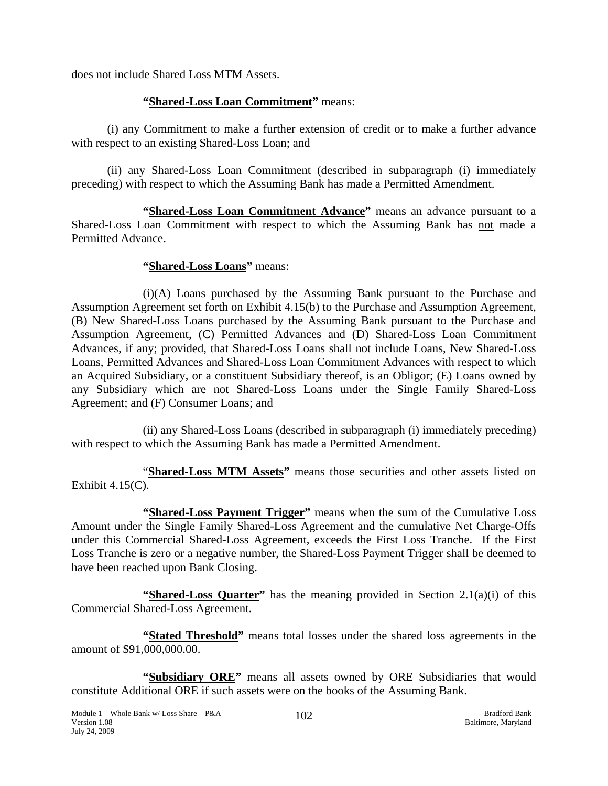does not include Shared Loss MTM Assets.

## **"Shared-Loss Loan Commitment"** means:

(i) any Commitment to make a further extension of credit or to make a further advance with respect to an existing Shared-Loss Loan; and

(ii) any Shared-Loss Loan Commitment (described in subparagraph (i) immediately preceding) with respect to which the Assuming Bank has made a Permitted Amendment.

"Shared-Loss Loan Commitment Advance" means an advance pursuant to a Shared-Loss Loan Commitment with respect to which the Assuming Bank has not made a Permitted Advance.

## **"Shared-Loss Loans"** means:

(i)(A) Loans purchased by the Assuming Bank pursuant to the Purchase and Assumption Agreement set forth on Exhibit 4.15(b) to the Purchase and Assumption Agreement, (B) New Shared-Loss Loans purchased by the Assuming Bank pursuant to the Purchase and Assumption Agreement, (C) Permitted Advances and (D) Shared-Loss Loan Commitment Advances, if any; provided, that Shared-Loss Loans shall not include Loans, New Shared-Loss Loans, Permitted Advances and Shared-Loss Loan Commitment Advances with respect to which an Acquired Subsidiary, or a constituent Subsidiary thereof, is an Obligor; (E) Loans owned by any Subsidiary which are not Shared-Loss Loans under the Single Family Shared-Loss Agreement; and (F) Consumer Loans; and

(ii) any Shared-Loss Loans (described in subparagraph (i) immediately preceding) with respect to which the Assuming Bank has made a Permitted Amendment.

"**Shared-Loss MTM Assets"** means those securities and other assets listed on Exhibit  $4.15(C)$ .

**"Shared-Loss Payment Trigger"** means when the sum of the Cumulative Loss Amount under the Single Family Shared-Loss Agreement and the cumulative Net Charge-Offs under this Commercial Shared-Loss Agreement, exceeds the First Loss Tranche. If the First Loss Tranche is zero or a negative number, the Shared-Loss Payment Trigger shall be deemed to have been reached upon Bank Closing.

**"Shared-Loss Quarter"** has the meaning provided in Section 2.1(a)(i) of this Commercial Shared-Loss Agreement.

**"Stated Threshold"** means total losses under the shared loss agreements in the amount of \$91,000,000.00.

**"Subsidiary ORE"** means all assets owned by ORE Subsidiaries that would constitute Additional ORE if such assets were on the books of the Assuming Bank.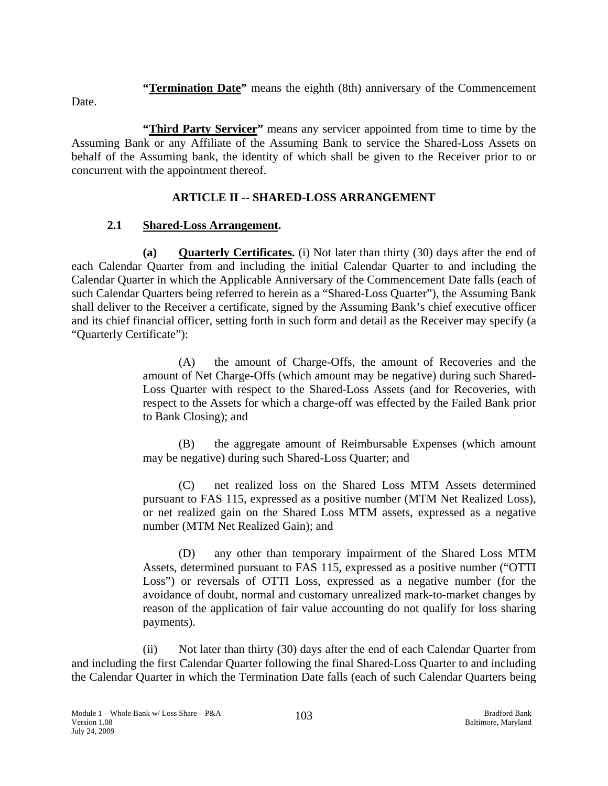**"Termination Date"** means the eighth (8th) anniversary of the Commencement

Date.

**"Third Party Servicer"** means any servicer appointed from time to time by the Assuming Bank or any Affiliate of the Assuming Bank to service the Shared-Loss Assets on behalf of the Assuming bank, the identity of which shall be given to the Receiver prior to or concurrent with the appointment thereof.

## **ARTICLE II** -- **SHARED-LOSS ARRANGEMENT**

## **2.1 Shared-Loss Arrangement.**

**(a) Quarterly Certificates.** (i) Not later than thirty (30) days after the end of each Calendar Quarter from and including the initial Calendar Quarter to and including the Calendar Quarter in which the Applicable Anniversary of the Commencement Date falls (each of such Calendar Quarters being referred to herein as a "Shared-Loss Quarter"), the Assuming Bank shall deliver to the Receiver a certificate, signed by the Assuming Bank's chief executive officer and its chief financial officer, setting forth in such form and detail as the Receiver may specify (a "Quarterly Certificate"):

> (A) the amount of Charge-Offs, the amount of Recoveries and the amount of Net Charge-Offs (which amount may be negative) during such Shared-Loss Quarter with respect to the Shared-Loss Assets (and for Recoveries, with respect to the Assets for which a charge-off was effected by the Failed Bank prior to Bank Closing); and

> (B) the aggregate amount of Reimbursable Expenses (which amount may be negative) during such Shared-Loss Quarter; and

> (C) net realized loss on the Shared Loss MTM Assets determined pursuant to FAS 115, expressed as a positive number (MTM Net Realized Loss), or net realized gain on the Shared Loss MTM assets, expressed as a negative number (MTM Net Realized Gain); and

> (D) any other than temporary impairment of the Shared Loss MTM Assets, determined pursuant to FAS 115, expressed as a positive number ("OTTI Loss") or reversals of OTTI Loss, expressed as a negative number (for the avoidance of doubt, normal and customary unrealized mark-to-market changes by reason of the application of fair value accounting do not qualify for loss sharing payments).

(ii) Not later than thirty (30) days after the end of each Calendar Quarter from and including the first Calendar Quarter following the final Shared-Loss Quarter to and including the Calendar Quarter in which the Termination Date falls (each of such Calendar Quarters being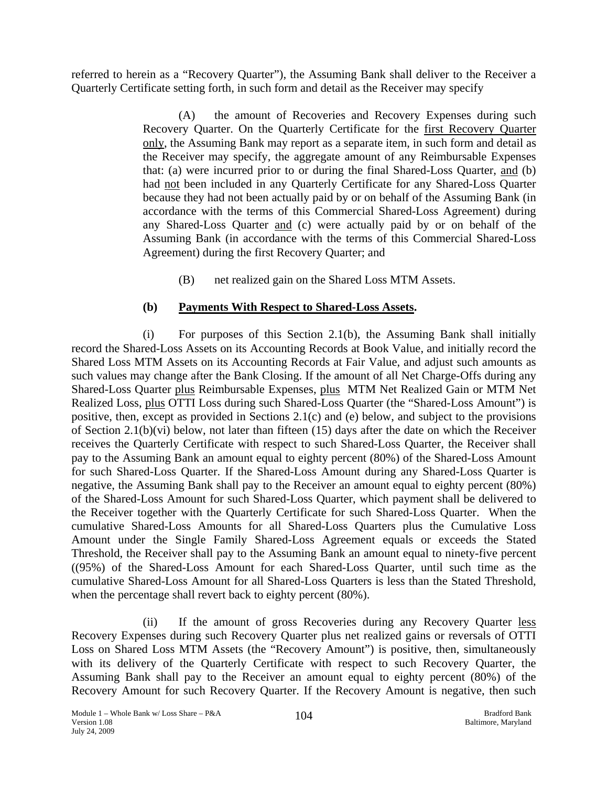referred to herein as a "Recovery Quarter"), the Assuming Bank shall deliver to the Receiver a Quarterly Certificate setting forth, in such form and detail as the Receiver may specify

> (A) the amount of Recoveries and Recovery Expenses during such Recovery Quarter. On the Quarterly Certificate for the first Recovery Quarter only, the Assuming Bank may report as a separate item, in such form and detail as the Receiver may specify, the aggregate amount of any Reimbursable Expenses that: (a) were incurred prior to or during the final Shared-Loss Quarter, and (b) had not been included in any Quarterly Certificate for any Shared-Loss Quarter because they had not been actually paid by or on behalf of the Assuming Bank (in accordance with the terms of this Commercial Shared-Loss Agreement) during any Shared-Loss Quarter and (c) were actually paid by or on behalf of the Assuming Bank (in accordance with the terms of this Commercial Shared-Loss Agreement) during the first Recovery Quarter; and

(B) net realized gain on the Shared Loss MTM Assets.

## **(b) Payments With Respect to Shared-Loss Assets.**

(i) For purposes of this Section 2.1(b), the Assuming Bank shall initially record the Shared-Loss Assets on its Accounting Records at Book Value, and initially record the Shared Loss MTM Assets on its Accounting Records at Fair Value, and adjust such amounts as such values may change after the Bank Closing. If the amount of all Net Charge-Offs during any Shared-Loss Quarter plus Reimbursable Expenses, plus MTM Net Realized Gain or MTM Net Realized Loss, plus OTTI Loss during such Shared-Loss Quarter (the "Shared-Loss Amount") is positive, then, except as provided in Sections 2.1(c) and (e) below, and subject to the provisions of Section 2.1(b)(vi) below, not later than fifteen (15) days after the date on which the Receiver receives the Quarterly Certificate with respect to such Shared-Loss Quarter, the Receiver shall pay to the Assuming Bank an amount equal to eighty percent (80%) of the Shared-Loss Amount for such Shared-Loss Quarter. If the Shared-Loss Amount during any Shared-Loss Quarter is negative, the Assuming Bank shall pay to the Receiver an amount equal to eighty percent (80%) of the Shared-Loss Amount for such Shared-Loss Quarter, which payment shall be delivered to the Receiver together with the Quarterly Certificate for such Shared-Loss Quarter. When the cumulative Shared-Loss Amounts for all Shared-Loss Quarters plus the Cumulative Loss Amount under the Single Family Shared-Loss Agreement equals or exceeds the Stated Threshold, the Receiver shall pay to the Assuming Bank an amount equal to ninety-five percent ((95%) of the Shared-Loss Amount for each Shared-Loss Quarter, until such time as the cumulative Shared-Loss Amount for all Shared-Loss Quarters is less than the Stated Threshold, when the percentage shall revert back to eighty percent (80%).

(ii) If the amount of gross Recoveries during any Recovery Quarter less Recovery Expenses during such Recovery Quarter plus net realized gains or reversals of OTTI Loss on Shared Loss MTM Assets (the "Recovery Amount") is positive, then, simultaneously with its delivery of the Quarterly Certificate with respect to such Recovery Quarter, the Assuming Bank shall pay to the Receiver an amount equal to eighty percent (80%) of the Recovery Amount for such Recovery Quarter. If the Recovery Amount is negative, then such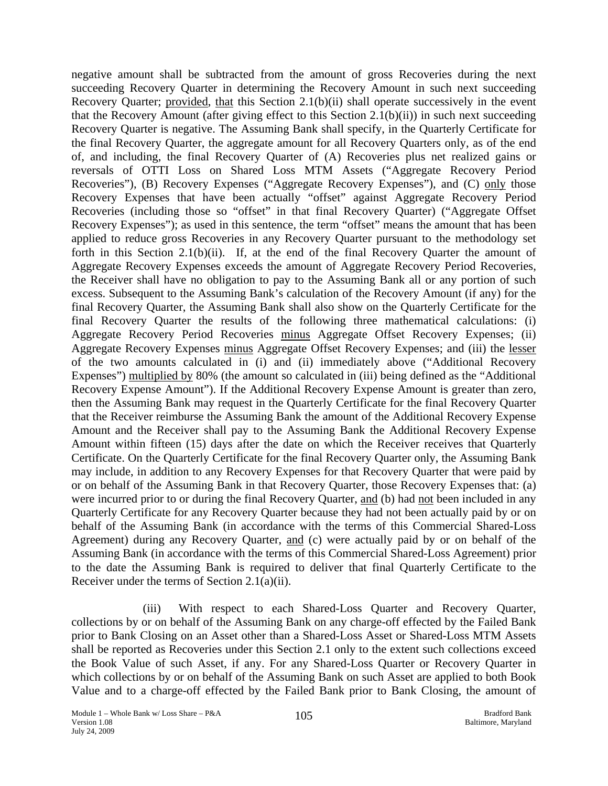negative amount shall be subtracted from the amount of gross Recoveries during the next succeeding Recovery Quarter in determining the Recovery Amount in such next succeeding Recovery Quarter; provided, that this Section 2.1(b)(ii) shall operate successively in the event that the Recovery Amount (after giving effect to this Section 2.1(b)(ii)) in such next succeeding Recovery Quarter is negative. The Assuming Bank shall specify, in the Quarterly Certificate for the final Recovery Quarter, the aggregate amount for all Recovery Quarters only, as of the end of, and including, the final Recovery Quarter of (A) Recoveries plus net realized gains or reversals of OTTI Loss on Shared Loss MTM Assets ("Aggregate Recovery Period Recoveries"), (B) Recovery Expenses ("Aggregate Recovery Expenses"), and (C) only those Recovery Expenses that have been actually "offset" against Aggregate Recovery Period Recoveries (including those so "offset" in that final Recovery Quarter) ("Aggregate Offset Recovery Expenses"); as used in this sentence, the term "offset" means the amount that has been applied to reduce gross Recoveries in any Recovery Quarter pursuant to the methodology set forth in this Section 2.1(b)(ii). If, at the end of the final Recovery Quarter the amount of Aggregate Recovery Expenses exceeds the amount of Aggregate Recovery Period Recoveries, the Receiver shall have no obligation to pay to the Assuming Bank all or any portion of such excess. Subsequent to the Assuming Bank's calculation of the Recovery Amount (if any) for the final Recovery Quarter, the Assuming Bank shall also show on the Quarterly Certificate for the final Recovery Quarter the results of the following three mathematical calculations: (i) Aggregate Recovery Period Recoveries minus Aggregate Offset Recovery Expenses; (ii) Aggregate Recovery Expenses minus Aggregate Offset Recovery Expenses; and (iii) the lesser of the two amounts calculated in (i) and (ii) immediately above ("Additional Recovery Expenses") multiplied by 80% (the amount so calculated in (iii) being defined as the "Additional Recovery Expense Amount"). If the Additional Recovery Expense Amount is greater than zero, then the Assuming Bank may request in the Quarterly Certificate for the final Recovery Quarter that the Receiver reimburse the Assuming Bank the amount of the Additional Recovery Expense Amount and the Receiver shall pay to the Assuming Bank the Additional Recovery Expense Amount within fifteen (15) days after the date on which the Receiver receives that Quarterly Certificate. On the Quarterly Certificate for the final Recovery Quarter only, the Assuming Bank may include, in addition to any Recovery Expenses for that Recovery Quarter that were paid by or on behalf of the Assuming Bank in that Recovery Quarter, those Recovery Expenses that: (a) were incurred prior to or during the final Recovery Quarter, and (b) had not been included in any Quarterly Certificate for any Recovery Quarter because they had not been actually paid by or on behalf of the Assuming Bank (in accordance with the terms of this Commercial Shared-Loss Agreement) during any Recovery Quarter, and (c) were actually paid by or on behalf of the Assuming Bank (in accordance with the terms of this Commercial Shared-Loss Agreement) prior to the date the Assuming Bank is required to deliver that final Quarterly Certificate to the Receiver under the terms of Section 2.1(a)(ii).

(iii) With respect to each Shared-Loss Quarter and Recovery Quarter, collections by or on behalf of the Assuming Bank on any charge-off effected by the Failed Bank prior to Bank Closing on an Asset other than a Shared-Loss Asset or Shared-Loss MTM Assets shall be reported as Recoveries under this Section 2.1 only to the extent such collections exceed the Book Value of such Asset, if any. For any Shared-Loss Quarter or Recovery Quarter in which collections by or on behalf of the Assuming Bank on such Asset are applied to both Book Value and to a charge-off effected by the Failed Bank prior to Bank Closing, the amount of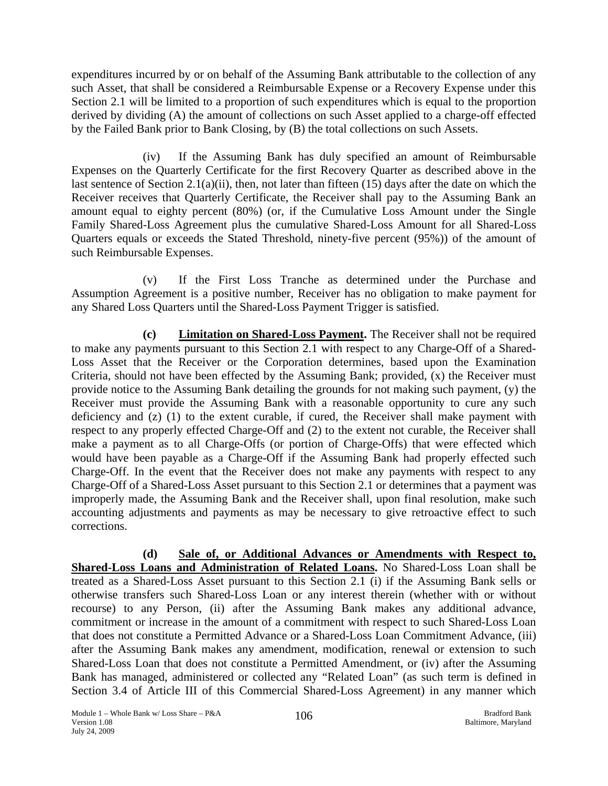expenditures incurred by or on behalf of the Assuming Bank attributable to the collection of any such Asset, that shall be considered a Reimbursable Expense or a Recovery Expense under this Section 2.1 will be limited to a proportion of such expenditures which is equal to the proportion derived by dividing (A) the amount of collections on such Asset applied to a charge-off effected by the Failed Bank prior to Bank Closing, by (B) the total collections on such Assets.

(iv) If the Assuming Bank has duly specified an amount of Reimbursable Expenses on the Quarterly Certificate for the first Recovery Quarter as described above in the last sentence of Section 2.1(a)(ii), then, not later than fifteen (15) days after the date on which the Receiver receives that Quarterly Certificate, the Receiver shall pay to the Assuming Bank an amount equal to eighty percent (80%) (or, if the Cumulative Loss Amount under the Single Family Shared-Loss Agreement plus the cumulative Shared-Loss Amount for all Shared-Loss Quarters equals or exceeds the Stated Threshold, ninety-five percent (95%)) of the amount of such Reimbursable Expenses.

(v) If the First Loss Tranche as determined under the Purchase and Assumption Agreement is a positive number, Receiver has no obligation to make payment for any Shared Loss Quarters until the Shared-Loss Payment Trigger is satisfied.

**(c) Limitation on Shared-Loss Payment.** The Receiver shall not be required to make any payments pursuant to this Section 2.1 with respect to any Charge-Off of a Shared-Loss Asset that the Receiver or the Corporation determines, based upon the Examination Criteria, should not have been effected by the Assuming Bank; provided, (x) the Receiver must provide notice to the Assuming Bank detailing the grounds for not making such payment, (y) the Receiver must provide the Assuming Bank with a reasonable opportunity to cure any such deficiency and (z) (1) to the extent curable, if cured, the Receiver shall make payment with respect to any properly effected Charge-Off and (2) to the extent not curable, the Receiver shall make a payment as to all Charge-Offs (or portion of Charge-Offs) that were effected which would have been payable as a Charge-Off if the Assuming Bank had properly effected such Charge-Off. In the event that the Receiver does not make any payments with respect to any Charge-Off of a Shared-Loss Asset pursuant to this Section 2.1 or determines that a payment was improperly made, the Assuming Bank and the Receiver shall, upon final resolution, make such accounting adjustments and payments as may be necessary to give retroactive effect to such corrections.

**(d) Sale of, or Additional Advances or Amendments with Respect to, Shared-Loss Loans and Administration of Related Loans.** No Shared-Loss Loan shall be treated as a Shared-Loss Asset pursuant to this Section 2.1 (i) if the Assuming Bank sells or otherwise transfers such Shared-Loss Loan or any interest therein (whether with or without recourse) to any Person, (ii) after the Assuming Bank makes any additional advance, commitment or increase in the amount of a commitment with respect to such Shared-Loss Loan that does not constitute a Permitted Advance or a Shared-Loss Loan Commitment Advance, (iii) after the Assuming Bank makes any amendment, modification, renewal or extension to such Shared-Loss Loan that does not constitute a Permitted Amendment, or (iv) after the Assuming Bank has managed, administered or collected any "Related Loan" (as such term is defined in Section 3.4 of Article III of this Commercial Shared-Loss Agreement) in any manner which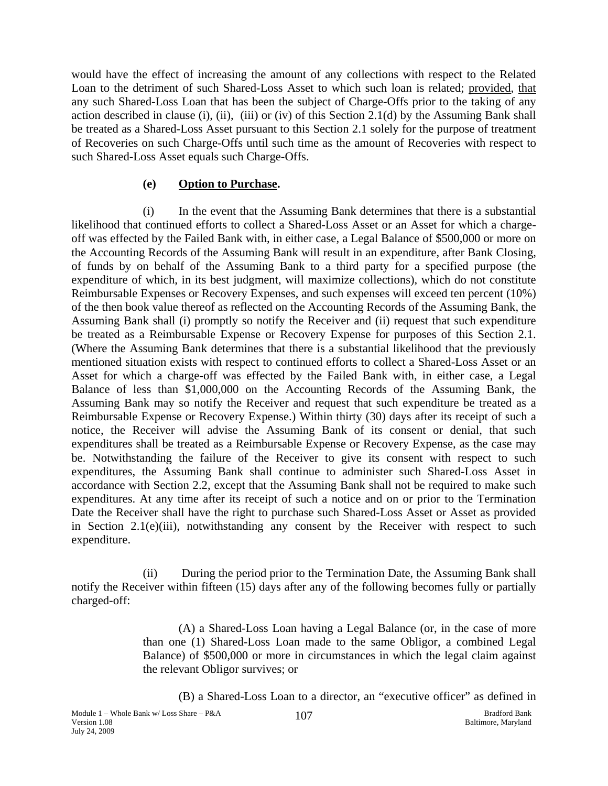Loan to the detriment of such Shared-Loss Asset to which such loan is related; provided, that would have the effect of increasing the amount of any collections with respect to the Related any such Shared-Loss Loan that has been the subject of Charge-Offs prior to the taking of any action described in clause (i), (ii), (iii) or (iv) of this Section 2.1(d) by the Assuming Bank shall be treated as a Shared-Loss Asset pursuant to this Section 2.1 solely for the purpose of treatment of Recoveries on such Charge-Offs until such time as the amount of Recoveries with respect to such Shared-Loss Asset equals such Charge-Offs.

### **(e) Option to Purchase.**

(i) In the event that the Assuming Bank determines that there is a substantial likelihood that continued efforts to collect a Shared-Loss Asset or an Asset for which a chargeoff was effected by the Failed Bank with, in either case, a Legal Balance of \$500,000 or more on the Accounting Records of the Assuming Bank will result in an expenditure, after Bank Closing, of funds by on behalf of the Assuming Bank to a third party for a specified purpose (the expenditure of which, in its best judgment, will maximize collections), which do not constitute Reimbursable Expenses or Recovery Expenses, and such expenses will exceed ten percent (10%) of the then book value thereof as reflected on the Accounting Records of the Assuming Bank, the Assuming Bank shall (i) promptly so notify the Receiver and (ii) request that such expenditure be treated as a Reimbursable Expense or Recovery Expense for purposes of this Section 2.1. (Where the Assuming Bank determines that there is a substantial likelihood that the previously mentioned situation exists with respect to continued efforts to collect a Shared-Loss Asset or an Asset for which a charge-off was effected by the Failed Bank with, in either case, a Legal Balance of less than \$1,000,000 on the Accounting Records of the Assuming Bank, the Assuming Bank may so notify the Receiver and request that such expenditure be treated as a Reimbursable Expense or Recovery Expense.) Within thirty (30) days after its receipt of such a notice, the Receiver will advise the Assuming Bank of its consent or denial, that such expenditures shall be treated as a Reimbursable Expense or Recovery Expense, as the case may be. Notwithstanding the failure of the Receiver to give its consent with respect to such expenditures, the Assuming Bank shall continue to administer such Shared-Loss Asset in accordance with Section 2.2, except that the Assuming Bank shall not be required to make such expenditures. At any time after its receipt of such a notice and on or prior to the Termination Date the Receiver shall have the right to purchase such Shared-Loss Asset or Asset as provided in Section 2.1(e)(iii), notwithstanding any consent by the Receiver with respect to such expenditure.

(ii) During the period prior to the Termination Date, the Assuming Bank shall notify the Receiver within fifteen (15) days after any of the following becomes fully or partially charged-off:

> (A) a Shared-Loss Loan having a Legal Balance (or, in the case of more than one (1) Shared-Loss Loan made to the same Obligor, a combined Legal Balance) of \$500,000 or more in circumstances in which the legal claim against the relevant Obligor survives; or

(B) a Shared-Loss Loan to a director, an "executive officer" as defined in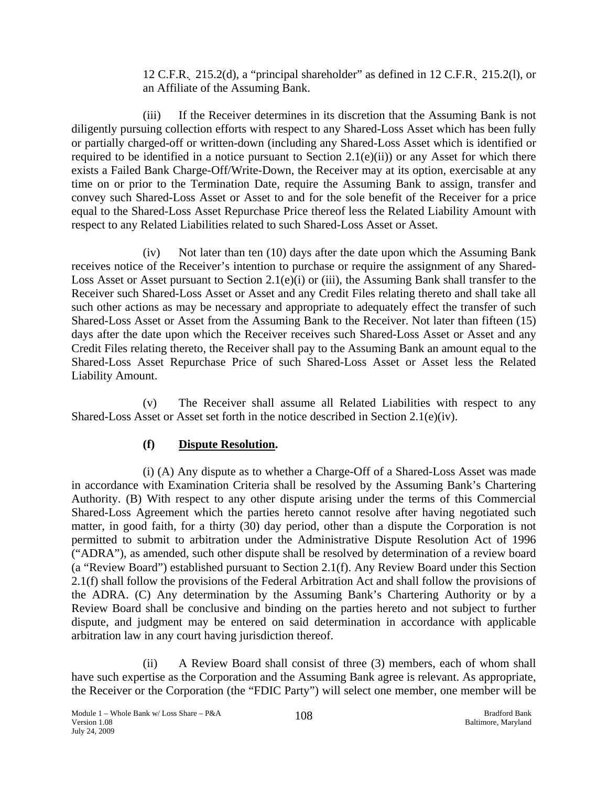12 C.F.R. 215.2(d), a "principal shareholder" as defined in 12 C.F.R. 215.2(l), or an Affiliate of the Assuming Bank.

(iii) If the Receiver determines in its discretion that the Assuming Bank is not diligently pursuing collection efforts with respect to any Shared-Loss Asset which has been fully or partially charged-off or written-down (including any Shared-Loss Asset which is identified or required to be identified in a notice pursuant to Section  $2.1(e)(ii)$  or any Asset for which there exists a Failed Bank Charge-Off/Write-Down, the Receiver may at its option, exercisable at any time on or prior to the Termination Date, require the Assuming Bank to assign, transfer and convey such Shared-Loss Asset or Asset to and for the sole benefit of the Receiver for a price equal to the Shared-Loss Asset Repurchase Price thereof less the Related Liability Amount with respect to any Related Liabilities related to such Shared-Loss Asset or Asset.

(iv) Not later than ten (10) days after the date upon which the Assuming Bank receives notice of the Receiver's intention to purchase or require the assignment of any Shared-Loss Asset or Asset pursuant to Section 2.1(e)(i) or (iii), the Assuming Bank shall transfer to the Receiver such Shared-Loss Asset or Asset and any Credit Files relating thereto and shall take all such other actions as may be necessary and appropriate to adequately effect the transfer of such Shared-Loss Asset or Asset from the Assuming Bank to the Receiver. Not later than fifteen (15) days after the date upon which the Receiver receives such Shared-Loss Asset or Asset and any Credit Files relating thereto, the Receiver shall pay to the Assuming Bank an amount equal to the Shared-Loss Asset Repurchase Price of such Shared-Loss Asset or Asset less the Related Liability Amount.

(v) The Receiver shall assume all Related Liabilities with respect to any Shared-Loss Asset or Asset set forth in the notice described in Section 2.1(e)(iv).

#### **(f) Dispute Resolution.**

(i) (A) Any dispute as to whether a Charge-Off of a Shared-Loss Asset was made in accordance with Examination Criteria shall be resolved by the Assuming Bank's Chartering Authority. (B) With respect to any other dispute arising under the terms of this Commercial Shared-Loss Agreement which the parties hereto cannot resolve after having negotiated such matter, in good faith, for a thirty (30) day period, other than a dispute the Corporation is not permitted to submit to arbitration under the Administrative Dispute Resolution Act of 1996 ("ADRA"), as amended, such other dispute shall be resolved by determination of a review board (a "Review Board") established pursuant to Section 2.1(f). Any Review Board under this Section 2.1(f) shall follow the provisions of the Federal Arbitration Act and shall follow the provisions of the ADRA. (C) Any determination by the Assuming Bank's Chartering Authority or by a Review Board shall be conclusive and binding on the parties hereto and not subject to further dispute, and judgment may be entered on said determination in accordance with applicable arbitration law in any court having jurisdiction thereof.

(ii) A Review Board shall consist of three (3) members, each of whom shall have such expertise as the Corporation and the Assuming Bank agree is relevant. As appropriate, the Receiver or the Corporation (the "FDIC Party") will select one member, one member will be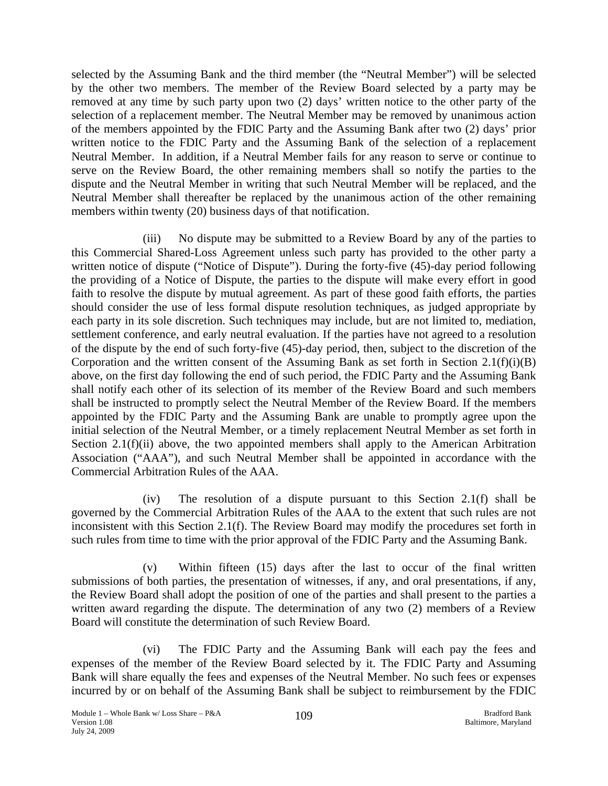selected by the Assuming Bank and the third member (the "Neutral Member") will be selected by the other two members. The member of the Review Board selected by a party may be removed at any time by such party upon two (2) days' written notice to the other party of the selection of a replacement member. The Neutral Member may be removed by unanimous action of the members appointed by the FDIC Party and the Assuming Bank after two (2) days' prior written notice to the FDIC Party and the Assuming Bank of the selection of a replacement Neutral Member. In addition, if a Neutral Member fails for any reason to serve or continue to serve on the Review Board, the other remaining members shall so notify the parties to the dispute and the Neutral Member in writing that such Neutral Member will be replaced, and the Neutral Member shall thereafter be replaced by the unanimous action of the other remaining members within twenty (20) business days of that notification.

(iii) No dispute may be submitted to a Review Board by any of the parties to this Commercial Shared-Loss Agreement unless such party has provided to the other party a written notice of dispute ("Notice of Dispute"). During the forty-five (45)-day period following the providing of a Notice of Dispute, the parties to the dispute will make every effort in good faith to resolve the dispute by mutual agreement. As part of these good faith efforts, the parties should consider the use of less formal dispute resolution techniques, as judged appropriate by each party in its sole discretion. Such techniques may include, but are not limited to, mediation, settlement conference, and early neutral evaluation. If the parties have not agreed to a resolution of the dispute by the end of such forty-five (45)-day period, then, subject to the discretion of the Corporation and the written consent of the Assuming Bank as set forth in Section  $2.1(f)(i)(B)$ above, on the first day following the end of such period, the FDIC Party and the Assuming Bank shall notify each other of its selection of its member of the Review Board and such members shall be instructed to promptly select the Neutral Member of the Review Board. If the members appointed by the FDIC Party and the Assuming Bank are unable to promptly agree upon the initial selection of the Neutral Member, or a timely replacement Neutral Member as set forth in Section 2.1(f)(ii) above, the two appointed members shall apply to the American Arbitration Association ("AAA"), and such Neutral Member shall be appointed in accordance with the Commercial Arbitration Rules of the AAA.

(iv) The resolution of a dispute pursuant to this Section 2.1(f) shall be governed by the Commercial Arbitration Rules of the AAA to the extent that such rules are not inconsistent with this Section 2.1(f). The Review Board may modify the procedures set forth in such rules from time to time with the prior approval of the FDIC Party and the Assuming Bank.

(v) Within fifteen (15) days after the last to occur of the final written submissions of both parties, the presentation of witnesses, if any, and oral presentations, if any, the Review Board shall adopt the position of one of the parties and shall present to the parties a written award regarding the dispute. The determination of any two (2) members of a Review Board will constitute the determination of such Review Board.

(vi) The FDIC Party and the Assuming Bank will each pay the fees and expenses of the member of the Review Board selected by it. The FDIC Party and Assuming Bank will share equally the fees and expenses of the Neutral Member. No such fees or expenses incurred by or on behalf of the Assuming Bank shall be subject to reimbursement by the FDIC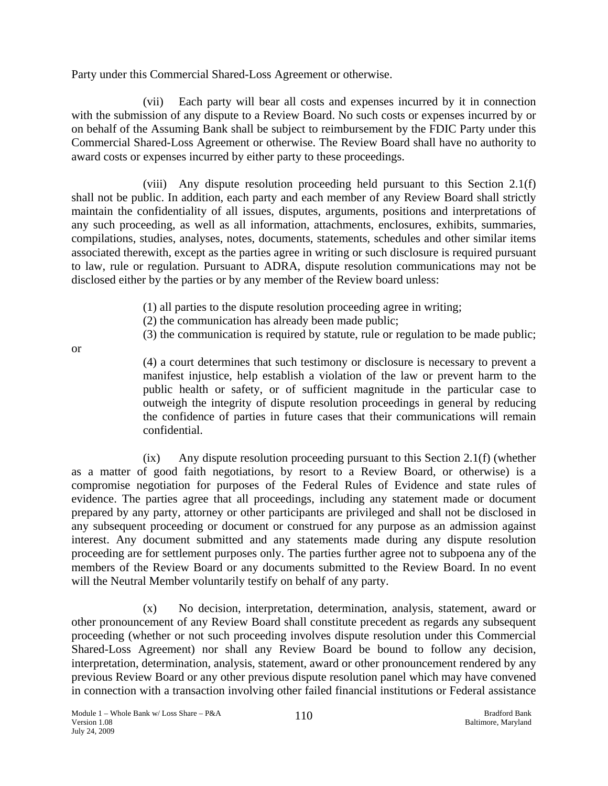Party under this Commercial Shared-Loss Agreement or otherwise.

(vii) Each party will bear all costs and expenses incurred by it in connection with the submission of any dispute to a Review Board. No such costs or expenses incurred by or on behalf of the Assuming Bank shall be subject to reimbursement by the FDIC Party under this Commercial Shared-Loss Agreement or otherwise. The Review Board shall have no authority to award costs or expenses incurred by either party to these proceedings.

(viii) Any dispute resolution proceeding held pursuant to this Section 2.1(f) shall not be public. In addition, each party and each member of any Review Board shall strictly maintain the confidentiality of all issues, disputes, arguments, positions and interpretations of any such proceeding, as well as all information, attachments, enclosures, exhibits, summaries, compilations, studies, analyses, notes, documents, statements, schedules and other similar items associated therewith, except as the parties agree in writing or such disclosure is required pursuant to law, rule or regulation. Pursuant to ADRA, dispute resolution communications may not be disclosed either by the parties or by any member of the Review board unless:

- (1) all parties to the dispute resolution proceeding agree in writing;
- (2) the communication has already been made public;
- (3) the communication is required by statute, rule or regulation to be made public;

(4) a court determines that such testimony or disclosure is necessary to prevent a manifest injustice, help establish a violation of the law or prevent harm to the public health or safety, or of sufficient magnitude in the particular case to outweigh the integrity of dispute resolution proceedings in general by reducing the confidence of parties in future cases that their communications will remain confidential.

(ix) Any dispute resolution proceeding pursuant to this Section 2.1(f) (whether as a matter of good faith negotiations, by resort to a Review Board, or otherwise) is a compromise negotiation for purposes of the Federal Rules of Evidence and state rules of evidence. The parties agree that all proceedings, including any statement made or document prepared by any party, attorney or other participants are privileged and shall not be disclosed in any subsequent proceeding or document or construed for any purpose as an admission against interest. Any document submitted and any statements made during any dispute resolution proceeding are for settlement purposes only. The parties further agree not to subpoena any of the members of the Review Board or any documents submitted to the Review Board. In no event will the Neutral Member voluntarily testify on behalf of any party.

(x) No decision, interpretation, determination, analysis, statement, award or other pronouncement of any Review Board shall constitute precedent as regards any subsequent proceeding (whether or not such proceeding involves dispute resolution under this Commercial Shared-Loss Agreement) nor shall any Review Board be bound to follow any decision, interpretation, determination, analysis, statement, award or other pronouncement rendered by any previous Review Board or any other previous dispute resolution panel which may have convened in connection with a transaction involving other failed financial institutions or Federal assistance

or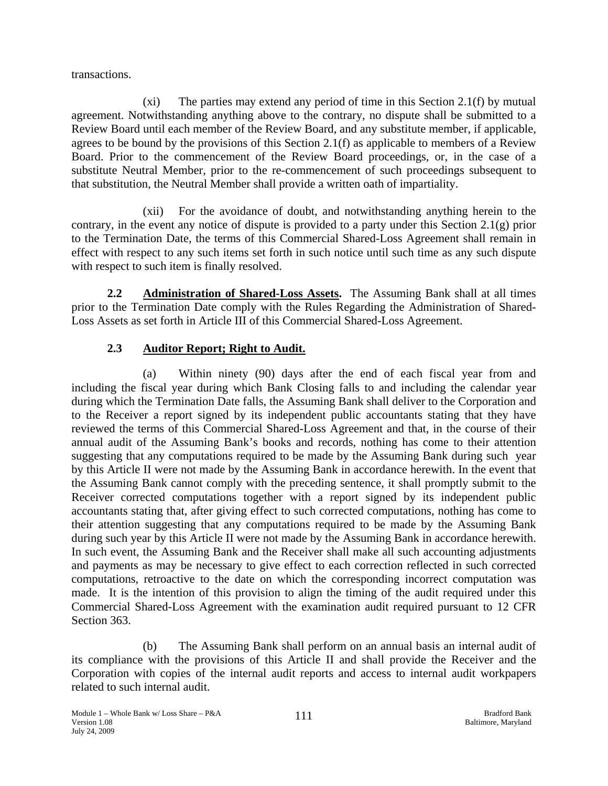transactions.

(xi) The parties may extend any period of time in this Section 2.1(f) by mutual agreement. Notwithstanding anything above to the contrary, no dispute shall be submitted to a Review Board until each member of the Review Board, and any substitute member, if applicable, agrees to be bound by the provisions of this Section 2.1(f) as applicable to members of a Review Board. Prior to the commencement of the Review Board proceedings, or, in the case of a substitute Neutral Member, prior to the re-commencement of such proceedings subsequent to that substitution, the Neutral Member shall provide a written oath of impartiality.

(xii) For the avoidance of doubt, and notwithstanding anything herein to the contrary, in the event any notice of dispute is provided to a party under this Section 2.1(g) prior to the Termination Date, the terms of this Commercial Shared-Loss Agreement shall remain in effect with respect to any such items set forth in such notice until such time as any such dispute with respect to such item is finally resolved.

**2.2 Administration of Shared-Loss Assets.** The Assuming Bank shall at all times prior to the Termination Date comply with the Rules Regarding the Administration of Shared-Loss Assets as set forth in Article III of this Commercial Shared-Loss Agreement.

# **2.3 Auditor Report; Right to Audit.**

(a) Within ninety (90) days after the end of each fiscal year from and including the fiscal year during which Bank Closing falls to and including the calendar year during which the Termination Date falls, the Assuming Bank shall deliver to the Corporation and to the Receiver a report signed by its independent public accountants stating that they have reviewed the terms of this Commercial Shared-Loss Agreement and that, in the course of their annual audit of the Assuming Bank's books and records, nothing has come to their attention suggesting that any computations required to be made by the Assuming Bank during such year by this Article II were not made by the Assuming Bank in accordance herewith. In the event that the Assuming Bank cannot comply with the preceding sentence, it shall promptly submit to the Receiver corrected computations together with a report signed by its independent public accountants stating that, after giving effect to such corrected computations, nothing has come to their attention suggesting that any computations required to be made by the Assuming Bank during such year by this Article II were not made by the Assuming Bank in accordance herewith. In such event, the Assuming Bank and the Receiver shall make all such accounting adjustments and payments as may be necessary to give effect to each correction reflected in such corrected computations, retroactive to the date on which the corresponding incorrect computation was made. It is the intention of this provision to align the timing of the audit required under this Commercial Shared-Loss Agreement with the examination audit required pursuant to 12 CFR Section 363.

(b) The Assuming Bank shall perform on an annual basis an internal audit of its compliance with the provisions of this Article II and shall provide the Receiver and the Corporation with copies of the internal audit reports and access to internal audit workpapers related to such internal audit.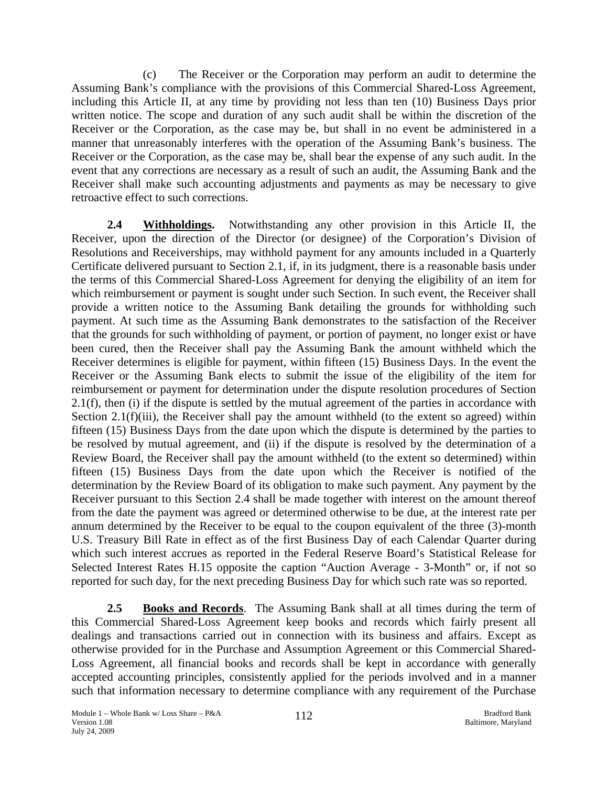(c) The Receiver or the Corporation may perform an audit to determine the Assuming Bank's compliance with the provisions of this Commercial Shared-Loss Agreement, including this Article II, at any time by providing not less than ten (10) Business Days prior written notice. The scope and duration of any such audit shall be within the discretion of the Receiver or the Corporation, as the case may be, but shall in no event be administered in a manner that unreasonably interferes with the operation of the Assuming Bank's business. The Receiver or the Corporation, as the case may be, shall bear the expense of any such audit. In the event that any corrections are necessary as a result of such an audit, the Assuming Bank and the Receiver shall make such accounting adjustments and payments as may be necessary to give retroactive effect to such corrections.

**2.4 Withholdings.** Notwithstanding any other provision in this Article II, the Receiver, upon the direction of the Director (or designee) of the Corporation's Division of Resolutions and Receiverships, may withhold payment for any amounts included in a Quarterly Certificate delivered pursuant to Section 2.1, if, in its judgment, there is a reasonable basis under the terms of this Commercial Shared-Loss Agreement for denying the eligibility of an item for which reimbursement or payment is sought under such Section. In such event, the Receiver shall provide a written notice to the Assuming Bank detailing the grounds for withholding such payment. At such time as the Assuming Bank demonstrates to the satisfaction of the Receiver that the grounds for such withholding of payment, or portion of payment, no longer exist or have been cured, then the Receiver shall pay the Assuming Bank the amount withheld which the Receiver determines is eligible for payment, within fifteen (15) Business Days. In the event the Receiver or the Assuming Bank elects to submit the issue of the eligibility of the item for reimbursement or payment for determination under the dispute resolution procedures of Section 2.1(f), then (i) if the dispute is settled by the mutual agreement of the parties in accordance with Section 2.1(f)(iii), the Receiver shall pay the amount withheld (to the extent so agreed) within fifteen (15) Business Days from the date upon which the dispute is determined by the parties to be resolved by mutual agreement, and (ii) if the dispute is resolved by the determination of a Review Board, the Receiver shall pay the amount withheld (to the extent so determined) within fifteen (15) Business Days from the date upon which the Receiver is notified of the determination by the Review Board of its obligation to make such payment. Any payment by the Receiver pursuant to this Section 2.4 shall be made together with interest on the amount thereof from the date the payment was agreed or determined otherwise to be due, at the interest rate per annum determined by the Receiver to be equal to the coupon equivalent of the three (3)-month U.S. Treasury Bill Rate in effect as of the first Business Day of each Calendar Quarter during which such interest accrues as reported in the Federal Reserve Board's Statistical Release for Selected Interest Rates H.15 opposite the caption "Auction Average - 3-Month" or, if not so reported for such day, for the next preceding Business Day for which such rate was so reported.

**2.5 Books and Records**. The Assuming Bank shall at all times during the term of this Commercial Shared-Loss Agreement keep books and records which fairly present all dealings and transactions carried out in connection with its business and affairs. Except as otherwise provided for in the Purchase and Assumption Agreement or this Commercial Shared-Loss Agreement, all financial books and records shall be kept in accordance with generally accepted accounting principles, consistently applied for the periods involved and in a manner such that information necessary to determine compliance with any requirement of the Purchase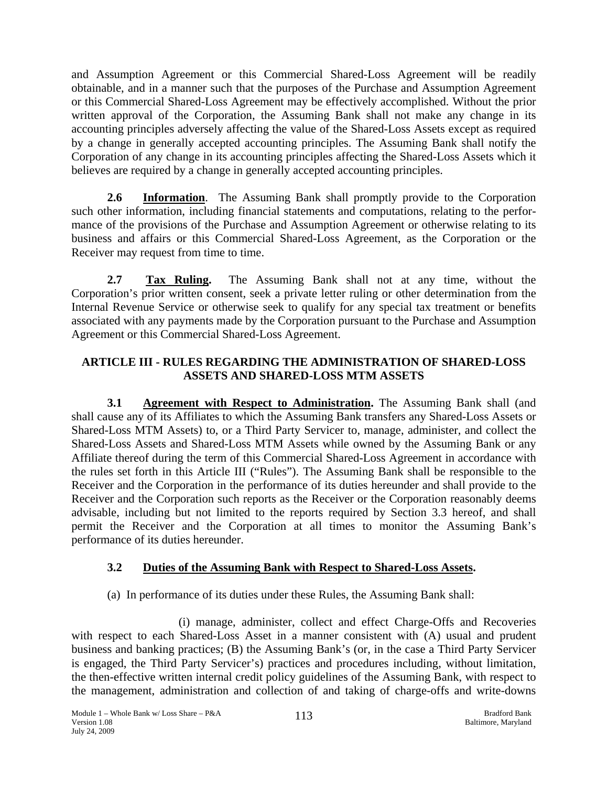and Assumption Agreement or this Commercial Shared-Loss Agreement will be readily obtainable, and in a manner such that the purposes of the Purchase and Assumption Agreement or this Commercial Shared-Loss Agreement may be effectively accomplished. Without the prior written approval of the Corporation, the Assuming Bank shall not make any change in its accounting principles adversely affecting the value of the Shared-Loss Assets except as required by a change in generally accepted accounting principles. The Assuming Bank shall notify the Corporation of any change in its accounting principles affecting the Shared-Loss Assets which it believes are required by a change in generally accepted accounting principles.

**2.6 Information**. The Assuming Bank shall promptly provide to the Corporation such other information, including financial statements and computations, relating to the performance of the provisions of the Purchase and Assumption Agreement or otherwise relating to its business and affairs or this Commercial Shared-Loss Agreement, as the Corporation or the Receiver may request from time to time.

**2.7 Tax Ruling.** The Assuming Bank shall not at any time, without the Corporation's prior written consent, seek a private letter ruling or other determination from the Internal Revenue Service or otherwise seek to qualify for any special tax treatment or benefits associated with any payments made by the Corporation pursuant to the Purchase and Assumption Agreement or this Commercial Shared-Loss Agreement.

## **ARTICLE III - RULES REGARDING THE ADMINISTRATION OF SHARED-LOSS ASSETS AND SHARED-LOSS MTM ASSETS**

**3.1 Agreement with Respect to Administration.** The Assuming Bank shall (and shall cause any of its Affiliates to which the Assuming Bank transfers any Shared-Loss Assets or Shared-Loss MTM Assets) to, or a Third Party Servicer to, manage, administer, and collect the Shared-Loss Assets and Shared-Loss MTM Assets while owned by the Assuming Bank or any Affiliate thereof during the term of this Commercial Shared-Loss Agreement in accordance with the rules set forth in this Article III ("Rules"). The Assuming Bank shall be responsible to the Receiver and the Corporation in the performance of its duties hereunder and shall provide to the Receiver and the Corporation such reports as the Receiver or the Corporation reasonably deems advisable, including but not limited to the reports required by Section 3.3 hereof, and shall permit the Receiver and the Corporation at all times to monitor the Assuming Bank's performance of its duties hereunder.

## **3.2 Duties of the Assuming Bank with Respect to Shared-Loss Assets.**

## (a) In performance of its duties under these Rules, the Assuming Bank shall:

(i) manage, administer, collect and effect Charge-Offs and Recoveries with respect to each Shared-Loss Asset in a manner consistent with (A) usual and prudent business and banking practices; (B) the Assuming Bank's (or, in the case a Third Party Servicer is engaged, the Third Party Servicer's) practices and procedures including, without limitation, the then-effective written internal credit policy guidelines of the Assuming Bank, with respect to the management, administration and collection of and taking of charge-offs and write-downs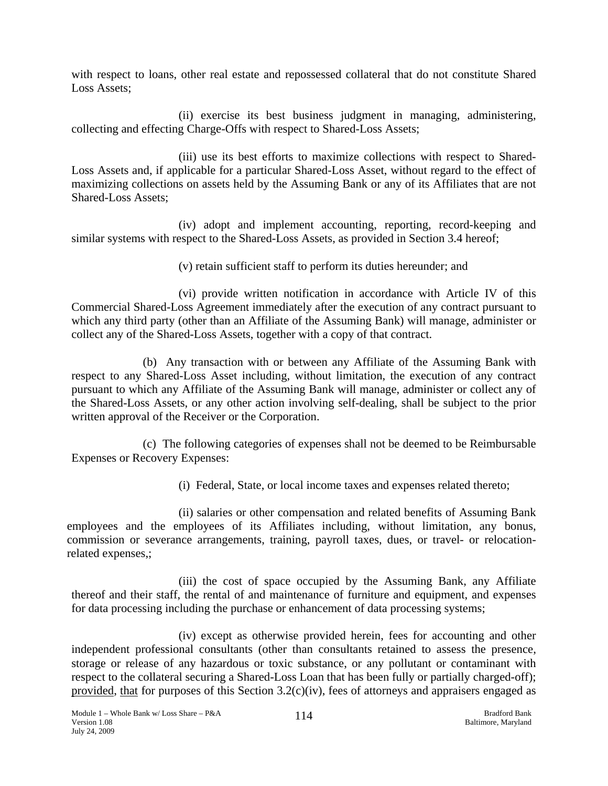with respect to loans, other real estate and repossessed collateral that do not constitute Shared Loss Assets;

(ii) exercise its best business judgment in managing, administering, collecting and effecting Charge-Offs with respect to Shared-Loss Assets;

(iii) use its best efforts to maximize collections with respect to Shared-Loss Assets and, if applicable for a particular Shared-Loss Asset, without regard to the effect of maximizing collections on assets held by the Assuming Bank or any of its Affiliates that are not Shared-Loss Assets;

(iv) adopt and implement accounting, reporting, record-keeping and similar systems with respect to the Shared-Loss Assets, as provided in Section 3.4 hereof;

(v) retain sufficient staff to perform its duties hereunder; and

(vi) provide written notification in accordance with Article IV of this Commercial Shared-Loss Agreement immediately after the execution of any contract pursuant to which any third party (other than an Affiliate of the Assuming Bank) will manage, administer or collect any of the Shared-Loss Assets, together with a copy of that contract.

(b) Any transaction with or between any Affiliate of the Assuming Bank with respect to any Shared-Loss Asset including, without limitation, the execution of any contract pursuant to which any Affiliate of the Assuming Bank will manage, administer or collect any of the Shared-Loss Assets, or any other action involving self-dealing, shall be subject to the prior written approval of the Receiver or the Corporation.

(c) The following categories of expenses shall not be deemed to be Reimbursable Expenses or Recovery Expenses:

(i) Federal, State, or local income taxes and expenses related thereto;

(ii) salaries or other compensation and related benefits of Assuming Bank employees and the employees of its Affiliates including, without limitation, any bonus, commission or severance arrangements, training, payroll taxes, dues, or travel- or relocationrelated expenses,;

(iii) the cost of space occupied by the Assuming Bank, any Affiliate thereof and their staff, the rental of and maintenance of furniture and equipment, and expenses for data processing including the purchase or enhancement of data processing systems;

(iv) except as otherwise provided herein, fees for accounting and other independent professional consultants (other than consultants retained to assess the presence, storage or release of any hazardous or toxic substance, or any pollutant or contaminant with respect to the collateral securing a Shared-Loss Loan that has been fully or partially charged-off); provided, that for purposes of this Section 3.2(c)(iv), fees of attorneys and appraisers engaged as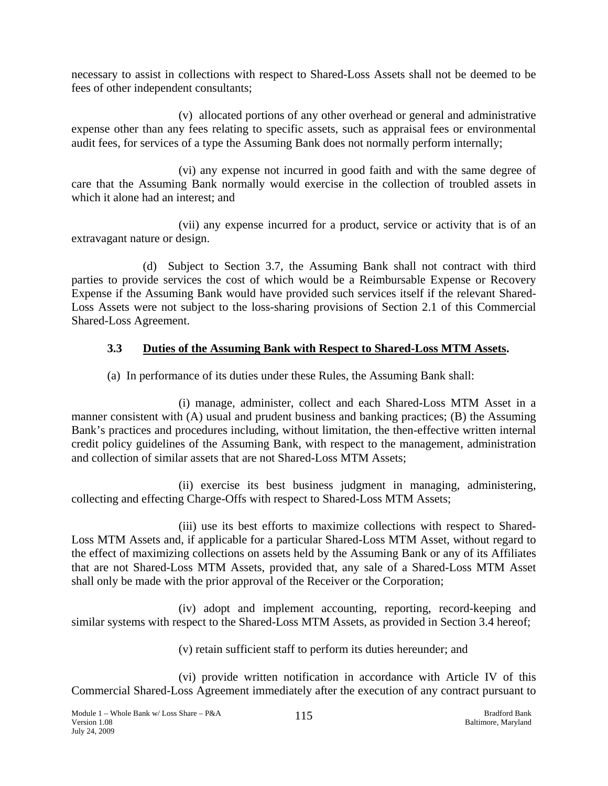necessary to assist in collections with respect to Shared-Loss Assets shall not be deemed to be fees of other independent consultants;

(v) allocated portions of any other overhead or general and administrative expense other than any fees relating to specific assets, such as appraisal fees or environmental audit fees, for services of a type the Assuming Bank does not normally perform internally;

(vi) any expense not incurred in good faith and with the same degree of care that the Assuming Bank normally would exercise in the collection of troubled assets in which it alone had an interest; and

(vii) any expense incurred for a product, service or activity that is of an extravagant nature or design.

(d) Subject to Section 3.7, the Assuming Bank shall not contract with third parties to provide services the cost of which would be a Reimbursable Expense or Recovery Expense if the Assuming Bank would have provided such services itself if the relevant Shared-Loss Assets were not subject to the loss-sharing provisions of Section 2.1 of this Commercial Shared-Loss Agreement.

#### **3.3 Duties of the Assuming Bank with Respect to Shared-Loss MTM Assets.**

(a) In performance of its duties under these Rules, the Assuming Bank shall:

(i) manage, administer, collect and each Shared-Loss MTM Asset in a manner consistent with (A) usual and prudent business and banking practices; (B) the Assuming Bank's practices and procedures including, without limitation, the then-effective written internal credit policy guidelines of the Assuming Bank, with respect to the management, administration and collection of similar assets that are not Shared-Loss MTM Assets;

(ii) exercise its best business judgment in managing, administering, collecting and effecting Charge-Offs with respect to Shared-Loss MTM Assets;

(iii) use its best efforts to maximize collections with respect to Shared-Loss MTM Assets and, if applicable for a particular Shared-Loss MTM Asset, without regard to the effect of maximizing collections on assets held by the Assuming Bank or any of its Affiliates that are not Shared-Loss MTM Assets, provided that, any sale of a Shared-Loss MTM Asset shall only be made with the prior approval of the Receiver or the Corporation;

(iv) adopt and implement accounting, reporting, record-keeping and similar systems with respect to the Shared-Loss MTM Assets, as provided in Section 3.4 hereof;

(v) retain sufficient staff to perform its duties hereunder; and

(vi) provide written notification in accordance with Article IV of this Commercial Shared-Loss Agreement immediately after the execution of any contract pursuant to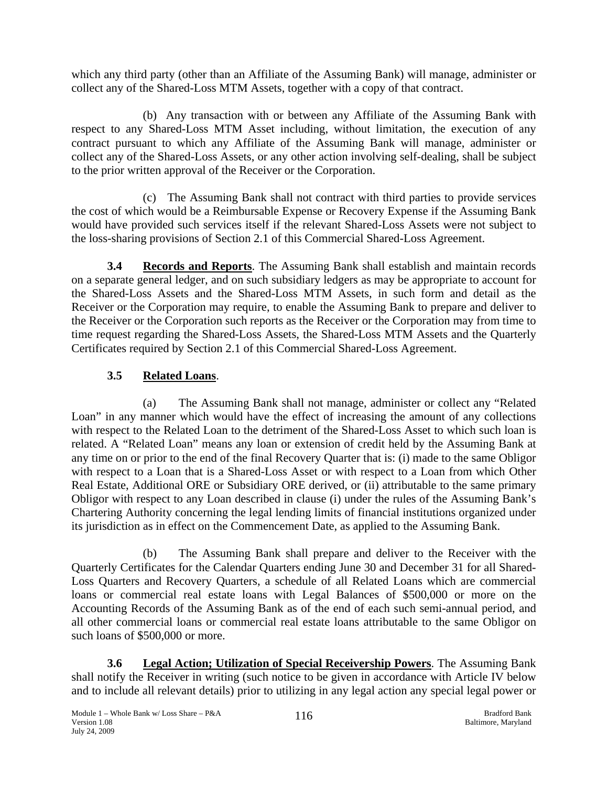which any third party (other than an Affiliate of the Assuming Bank) will manage, administer or collect any of the Shared-Loss MTM Assets, together with a copy of that contract.

(b) Any transaction with or between any Affiliate of the Assuming Bank with respect to any Shared-Loss MTM Asset including, without limitation, the execution of any contract pursuant to which any Affiliate of the Assuming Bank will manage, administer or collect any of the Shared-Loss Assets, or any other action involving self-dealing, shall be subject to the prior written approval of the Receiver or the Corporation.

(c) The Assuming Bank shall not contract with third parties to provide services the cost of which would be a Reimbursable Expense or Recovery Expense if the Assuming Bank would have provided such services itself if the relevant Shared-Loss Assets were not subject to the loss-sharing provisions of Section 2.1 of this Commercial Shared-Loss Agreement.

**3.4 Records and Reports**. The Assuming Bank shall establish and maintain records on a separate general ledger, and on such subsidiary ledgers as may be appropriate to account for the Shared-Loss Assets and the Shared-Loss MTM Assets, in such form and detail as the Receiver or the Corporation may require, to enable the Assuming Bank to prepare and deliver to the Receiver or the Corporation such reports as the Receiver or the Corporation may from time to time request regarding the Shared-Loss Assets, the Shared-Loss MTM Assets and the Quarterly Certificates required by Section 2.1 of this Commercial Shared-Loss Agreement.

# **3.5 Related Loans**.

(a) The Assuming Bank shall not manage, administer or collect any "Related Loan" in any manner which would have the effect of increasing the amount of any collections with respect to the Related Loan to the detriment of the Shared-Loss Asset to which such loan is related. A "Related Loan" means any loan or extension of credit held by the Assuming Bank at any time on or prior to the end of the final Recovery Quarter that is: (i) made to the same Obligor with respect to a Loan that is a Shared-Loss Asset or with respect to a Loan from which Other Real Estate, Additional ORE or Subsidiary ORE derived, or (ii) attributable to the same primary Obligor with respect to any Loan described in clause (i) under the rules of the Assuming Bank's Chartering Authority concerning the legal lending limits of financial institutions organized under its jurisdiction as in effect on the Commencement Date, as applied to the Assuming Bank.

(b) The Assuming Bank shall prepare and deliver to the Receiver with the Quarterly Certificates for the Calendar Quarters ending June 30 and December 31 for all Shared-Loss Quarters and Recovery Quarters, a schedule of all Related Loans which are commercial loans or commercial real estate loans with Legal Balances of \$500,000 or more on the Accounting Records of the Assuming Bank as of the end of each such semi-annual period, and all other commercial loans or commercial real estate loans attributable to the same Obligor on such loans of \$500,000 or more.

**3.6 Legal Action; Utilization of Special Receivership Powers**. The Assuming Bank shall notify the Receiver in writing (such notice to be given in accordance with Article IV below and to include all relevant details) prior to utilizing in any legal action any special legal power or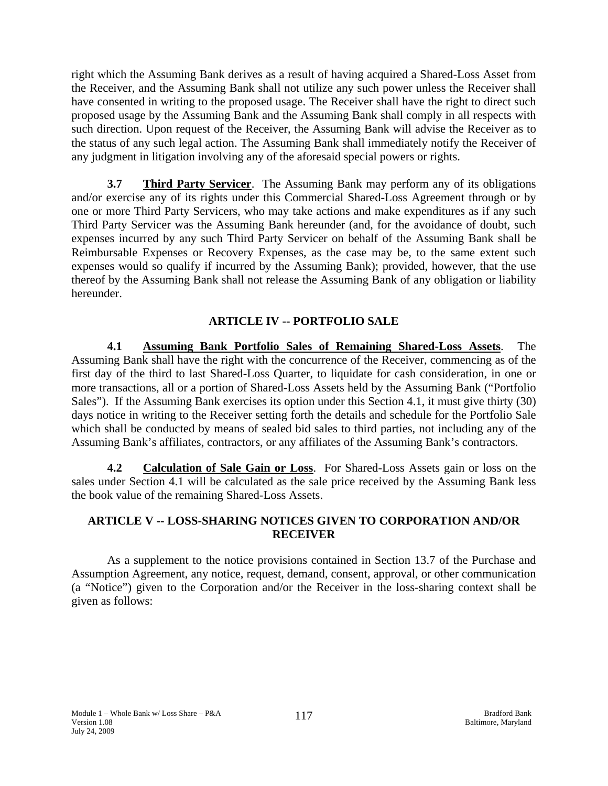right which the Assuming Bank derives as a result of having acquired a Shared-Loss Asset from the Receiver, and the Assuming Bank shall not utilize any such power unless the Receiver shall have consented in writing to the proposed usage. The Receiver shall have the right to direct such proposed usage by the Assuming Bank and the Assuming Bank shall comply in all respects with such direction. Upon request of the Receiver, the Assuming Bank will advise the Receiver as to the status of any such legal action. The Assuming Bank shall immediately notify the Receiver of any judgment in litigation involving any of the aforesaid special powers or rights.

**3.7 Third Party Servicer**. The Assuming Bank may perform any of its obligations and/or exercise any of its rights under this Commercial Shared-Loss Agreement through or by one or more Third Party Servicers, who may take actions and make expenditures as if any such Third Party Servicer was the Assuming Bank hereunder (and, for the avoidance of doubt, such expenses incurred by any such Third Party Servicer on behalf of the Assuming Bank shall be Reimbursable Expenses or Recovery Expenses, as the case may be, to the same extent such expenses would so qualify if incurred by the Assuming Bank); provided, however, that the use thereof by the Assuming Bank shall not release the Assuming Bank of any obligation or liability hereunder.

# **ARTICLE IV -- PORTFOLIO SALE**

**4.1 Assuming Bank Portfolio Sales of Remaining Shared-Loss Assets**. The Assuming Bank shall have the right with the concurrence of the Receiver, commencing as of the first day of the third to last Shared-Loss Quarter, to liquidate for cash consideration, in one or more transactions, all or a portion of Shared-Loss Assets held by the Assuming Bank ("Portfolio Sales"). If the Assuming Bank exercises its option under this Section 4.1, it must give thirty (30) days notice in writing to the Receiver setting forth the details and schedule for the Portfolio Sale which shall be conducted by means of sealed bid sales to third parties, not including any of the Assuming Bank's affiliates, contractors, or any affiliates of the Assuming Bank's contractors.

**4.2 Calculation of Sale Gain or Loss**. For Shared-Loss Assets gain or loss on the sales under Section 4.1 will be calculated as the sale price received by the Assuming Bank less the book value of the remaining Shared-Loss Assets.

## **ARTICLE V -- LOSS-SHARING NOTICES GIVEN TO CORPORATION AND/OR RECEIVER**

As a supplement to the notice provisions contained in Section 13.7 of the Purchase and Assumption Agreement, any notice, request, demand, consent, approval, or other communication (a "Notice") given to the Corporation and/or the Receiver in the loss-sharing context shall be given as follows: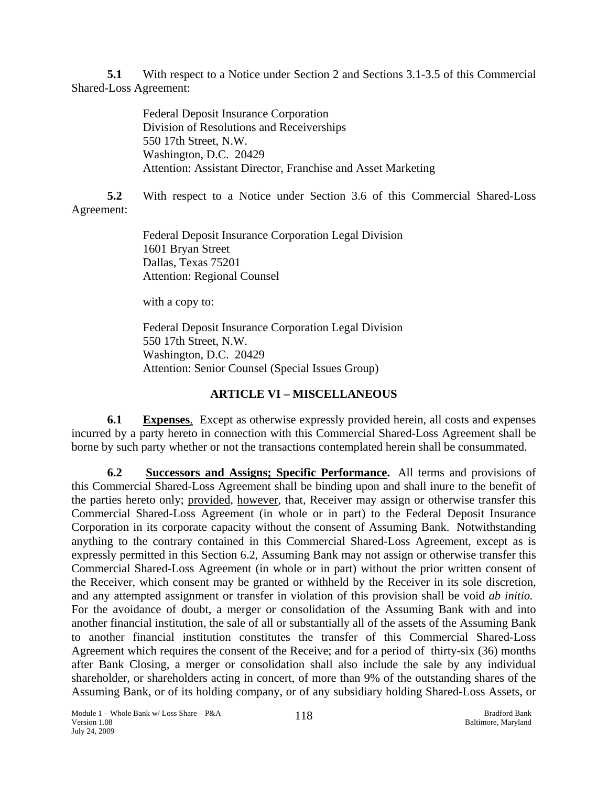**5.1** With respect to a Notice under Section 2 and Sections 3.1-3.5 of this Commercial Shared-Loss Agreement:

> Federal Deposit Insurance Corporation Division of Resolutions and Receiverships 550 17th Street, N.W. Washington, D.C. 20429 Attention: Assistant Director, Franchise and Asset Marketing

**5.2** With respect to a Notice under Section 3.6 of this Commercial Shared-Loss Agreement:

> Federal Deposit Insurance Corporation Legal Division 1601 Bryan Street Dallas, Texas 75201 Attention: Regional Counsel

with a copy to:

Federal Deposit Insurance Corporation Legal Division 550 17th Street, N.W. Washington, D.C. 20429 Attention: Senior Counsel (Special Issues Group)

## **ARTICLE VI – MISCELLANEOUS**

**6.1 Expenses**. Except as otherwise expressly provided herein, all costs and expenses incurred by a party hereto in connection with this Commercial Shared-Loss Agreement shall be borne by such party whether or not the transactions contemplated herein shall be consummated.

**6.2 Successors and Assigns; Specific Performance.** All terms and provisions of this Commercial Shared-Loss Agreement shall be binding upon and shall inure to the benefit of the parties hereto only; provided, however, that, Receiver may assign or otherwise transfer this Commercial Shared-Loss Agreement (in whole or in part) to the Federal Deposit Insurance Corporation in its corporate capacity without the consent of Assuming Bank. Notwithstanding anything to the contrary contained in this Commercial Shared-Loss Agreement, except as is expressly permitted in this Section 6.2, Assuming Bank may not assign or otherwise transfer this Commercial Shared-Loss Agreement (in whole or in part) without the prior written consent of the Receiver, which consent may be granted or withheld by the Receiver in its sole discretion, and any attempted assignment or transfer in violation of this provision shall be void *ab initio.*  For the avoidance of doubt, a merger or consolidation of the Assuming Bank with and into another financial institution, the sale of all or substantially all of the assets of the Assuming Bank to another financial institution constitutes the transfer of this Commercial Shared-Loss Agreement which requires the consent of the Receive; and for a period of thirty-six (36) months after Bank Closing, a merger or consolidation shall also include the sale by any individual shareholder, or shareholders acting in concert, of more than 9% of the outstanding shares of the Assuming Bank, or of its holding company, or of any subsidiary holding Shared-Loss Assets, or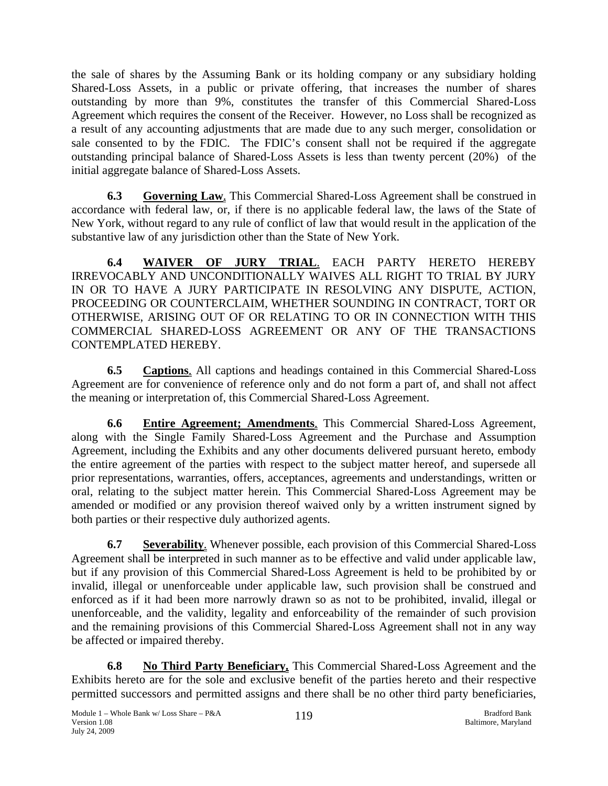the sale of shares by the Assuming Bank or its holding company or any subsidiary holding Shared-Loss Assets, in a public or private offering, that increases the number of shares outstanding by more than 9%, constitutes the transfer of this Commercial Shared-Loss Agreement which requires the consent of the Receiver. However, no Loss shall be recognized as a result of any accounting adjustments that are made due to any such merger, consolidation or sale consented to by the FDIC. The FDIC's consent shall not be required if the aggregate outstanding principal balance of Shared-Loss Assets is less than twenty percent (20%) of the initial aggregate balance of Shared-Loss Assets.

**6.3 Governing Law**. This Commercial Shared-Loss Agreement shall be construed in accordance with federal law, or, if there is no applicable federal law, the laws of the State of New York, without regard to any rule of conflict of law that would result in the application of the substantive law of any jurisdiction other than the State of New York.

**6.4 WAIVER OF JURY TRIAL**. EACH PARTY HERETO HEREBY IRREVOCABLY AND UNCONDITIONALLY WAIVES ALL RIGHT TO TRIAL BY JURY IN OR TO HAVE A JURY PARTICIPATE IN RESOLVING ANY DISPUTE, ACTION, PROCEEDING OR COUNTERCLAIM, WHETHER SOUNDING IN CONTRACT, TORT OR OTHERWISE, ARISING OUT OF OR RELATING TO OR IN CONNECTION WITH THIS COMMERCIAL SHARED-LOSS AGREEMENT OR ANY OF THE TRANSACTIONS CONTEMPLATED HEREBY.

**6.5 Captions**. All captions and headings contained in this Commercial Shared-Loss Agreement are for convenience of reference only and do not form a part of, and shall not affect the meaning or interpretation of, this Commercial Shared-Loss Agreement.

**6.6 Entire Agreement; Amendments.** This Commercial Shared-Loss Agreement, along with the Single Family Shared-Loss Agreement and the Purchase and Assumption Agreement, including the Exhibits and any other documents delivered pursuant hereto, embody the entire agreement of the parties with respect to the subject matter hereof, and supersede all prior representations, warranties, offers, acceptances, agreements and understandings, written or oral, relating to the subject matter herein. This Commercial Shared-Loss Agreement may be amended or modified or any provision thereof waived only by a written instrument signed by both parties or their respective duly authorized agents.

**6.7 Severability**. Whenever possible, each provision of this Commercial Shared-Loss Agreement shall be interpreted in such manner as to be effective and valid under applicable law, but if any provision of this Commercial Shared-Loss Agreement is held to be prohibited by or invalid, illegal or unenforceable under applicable law, such provision shall be construed and enforced as if it had been more narrowly drawn so as not to be prohibited, invalid, illegal or unenforceable, and the validity, legality and enforceability of the remainder of such provision and the remaining provisions of this Commercial Shared-Loss Agreement shall not in any way be affected or impaired thereby.

**6.8 No Third Party Beneficiary.** This Commercial Shared-Loss Agreement and the Exhibits hereto are for the sole and exclusive benefit of the parties hereto and their respective permitted successors and permitted assigns and there shall be no other third party beneficiaries,